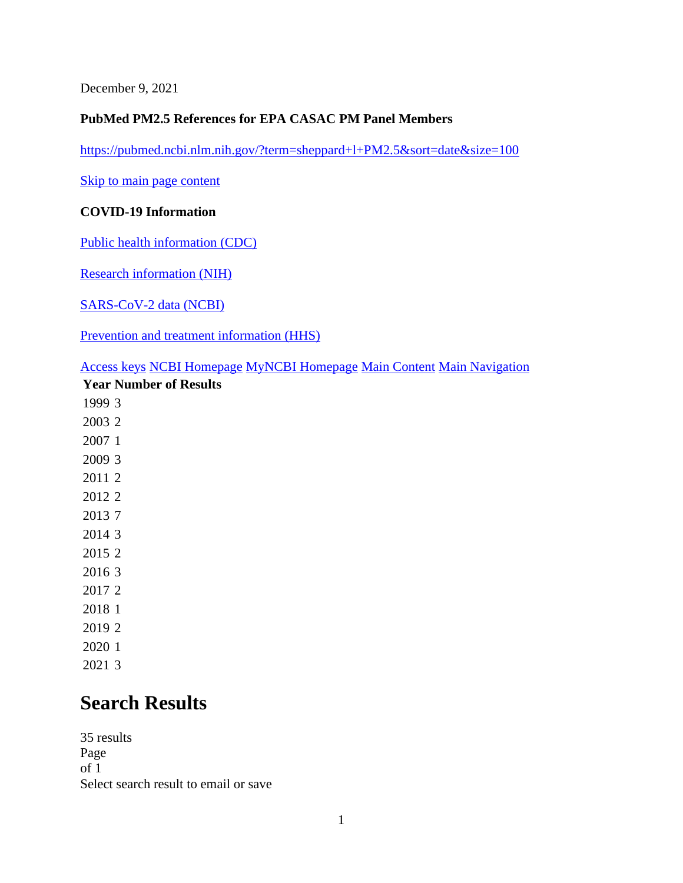December 9, 2021

#### **PubMed PM2.5 References for EPA CASAC PM Panel Members**

<https://pubmed.ncbi.nlm.nih.gov/?term=sheppard+l+PM2.5&sort=date&size=100>

[Skip to main page content](https://pubmed.ncbi.nlm.nih.gov/?term=sheppard+l+PM2.5&sort=date&size=100#search-results) 

#### **COVID-19 Information**

[Public health information \(CDC\)](https://www.coronavirus.gov/)

[Research information \(NIH\)](https://covid19.nih.gov/)

[SARS-CoV-2 data \(NCBI\)](https://www.ncbi.nlm.nih.gov/sars-cov-2/)

[Prevention and treatment information \(HHS\)](https://combatcovid.hhs.gov/)

[Access keys](https://www.ncbi.nlm.nih.gov/guide/browsers/#ncbi_accesskeys) [NCBI Homepage](https://www.ncbi.nlm.nih.gov/) [MyNCBI Homepage](https://pubmed.ncbi.nlm.nih.gov/myncbi/) [Main Content](https://pubmed.ncbi.nlm.nih.gov/?term=sheppard+l+PM2.5&sort=date&size=100#maincontent) [Main Navigation](https://pubmed.ncbi.nlm.nih.gov/?term=sheppard+l+PM2.5&sort=date&size=100)

2021 3

## **Search Results**

35 results Page of 1 Select search result to email or save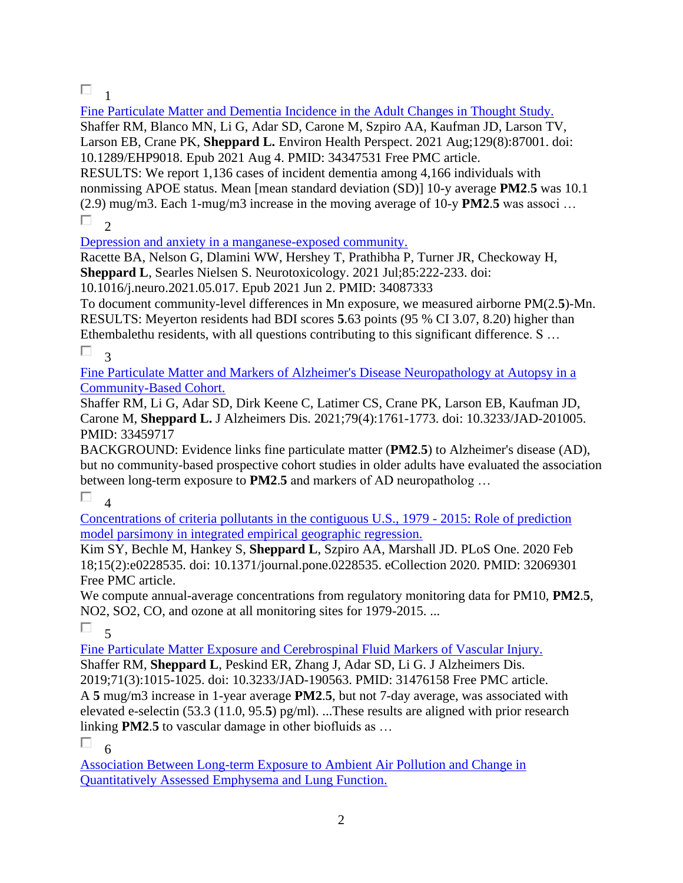## $\Box$ <sub>1</sub>

[Fine Particulate Matter and Dementia Incidence in the Adult Changes in Thought Study.](https://pubmed.ncbi.nlm.nih.gov/34347531/)  Shaffer RM, Blanco MN, Li G, Adar SD, Carone M, Szpiro AA, Kaufman JD, Larson TV, Larson EB, Crane PK, **Sheppard L.** Environ Health Perspect. 2021 Aug;129(8):87001. doi: 10.1289/EHP9018. Epub 2021 Aug 4. PMID: 34347531 Free PMC article. RESULTS: We report 1,136 cases of incident dementia among 4,166 individuals with nonmissing APOE status. Mean [mean standard deviation (SD)] 10-y average **PM2**.**5** was 10.1 (2.9) mug/m3. Each 1-mug/m3 increase in the moving average of 10-y **PM2**.**5** was associ …  $\Box$ <sub>2</sub>

[Depression and anxiety in a manganese-exposed community.](https://pubmed.ncbi.nlm.nih.gov/34087333/) 

Racette BA, Nelson G, Dlamini WW, Hershey T, Prathibha P, Turner JR, Checkoway H, **Sheppard L**, Searles Nielsen S. Neurotoxicology. 2021 Jul;85:222-233. doi:

10.1016/j.neuro.2021.05.017. Epub 2021 Jun 2. PMID: 34087333

To document community-level differences in Mn exposure, we measured airborne PM(2.**5**)-Mn. RESULTS: Meyerton residents had BDI scores **5**.63 points (95 % CI 3.07, 8.20) higher than Ethembalethu residents, with all questions contributing to this significant difference. S … П. 3

[Fine Particulate Matter and Markers of Alzheimer's Disease Neuropathology at Autopsy in a](https://pubmed.ncbi.nlm.nih.gov/33459717/)  [Community-Based Cohort.](https://pubmed.ncbi.nlm.nih.gov/33459717/) 

Shaffer RM, Li G, Adar SD, Dirk Keene C, Latimer CS, Crane PK, Larson EB, Kaufman JD, Carone M, **Sheppard L.** J Alzheimers Dis. 2021;79(4):1761-1773. doi: 10.3233/JAD-201005. PMID: 33459717

BACKGROUND: Evidence links fine particulate matter (**PM2**.**5**) to Alzheimer's disease (AD), but no community-based prospective cohort studies in older adults have evaluated the association between long-term exposure to **PM2**.**5** and markers of AD neuropatholog …

П  $\overline{A}$ 

[Concentrations of criteria pollutants in the contiguous U.S., 1979 -](https://pubmed.ncbi.nlm.nih.gov/32069301/) 2015: Role of prediction [model parsimony in integrated empirical geographic regression.](https://pubmed.ncbi.nlm.nih.gov/32069301/) 

Kim SY, Bechle M, Hankey S, **Sheppard L**, Szpiro AA, Marshall JD. PLoS One. 2020 Feb 18;15(2):e0228535. doi: 10.1371/journal.pone.0228535. eCollection 2020. PMID: 32069301 Free PMC article.

We compute annual-average concentrations from regulatory monitoring data for PM10, **PM2**.**5**, NO2, SO2, CO, and ozone at all monitoring sites for 1979-2015. ...

 $\Box$ 

[Fine Particulate Matter Exposure and Cerebrospinal Fluid Markers of Vascular Injury.](https://pubmed.ncbi.nlm.nih.gov/31476158/)  Shaffer RM, **Sheppard L**, Peskind ER, Zhang J, Adar SD, Li G. J Alzheimers Dis. 2019;71(3):1015-1025. doi: 10.3233/JAD-190563. PMID: 31476158 Free PMC article. A **5** mug/m3 increase in 1-year average **PM2**.**5**, but not 7-day average, was associated with elevated e-selectin (53.3 (11.0, 95.**5**) pg/ml). ...These results are aligned with prior research linking **PM2**.**5** to vascular damage in other biofluids as …

П. 6

[Association Between Long-term Exposure to Ambient Air Pollution and Change in](https://pubmed.ncbi.nlm.nih.gov/31408135/)  [Quantitatively Assessed Emphysema and Lung Function.](https://pubmed.ncbi.nlm.nih.gov/31408135/)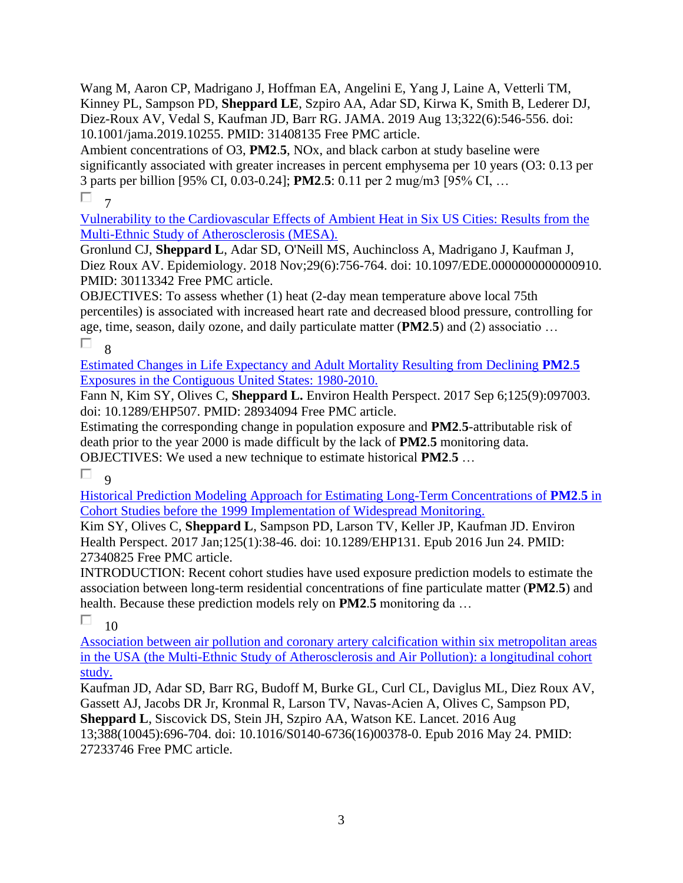Wang M, Aaron CP, Madrigano J, Hoffman EA, Angelini E, Yang J, Laine A, Vetterli TM, Kinney PL, Sampson PD, **Sheppard LE**, Szpiro AA, Adar SD, Kirwa K, Smith B, Lederer DJ, Diez-Roux AV, Vedal S, Kaufman JD, Barr RG. JAMA. 2019 Aug 13;322(6):546-556. doi: 10.1001/jama.2019.10255. PMID: 31408135 Free PMC article.

Ambient concentrations of O3, **PM2**.**5**, NOx, and black carbon at study baseline were significantly associated with greater increases in percent emphysema per 10 years (O3: 0.13 per 3 parts per billion [95% CI, 0.03-0.24]; **PM2**.**5**: 0.11 per 2 mug/m3 [95% CI, …

 $\Box$  7

[Vulnerability to the Cardiovascular Effects of Ambient Heat in Six US Cities: Results from the](https://pubmed.ncbi.nlm.nih.gov/30113342/)  [Multi-Ethnic Study of Atherosclerosis \(MESA\).](https://pubmed.ncbi.nlm.nih.gov/30113342/) 

Gronlund CJ, **Sheppard L**, Adar SD, O'Neill MS, Auchincloss A, Madrigano J, Kaufman J, Diez Roux AV. Epidemiology. 2018 Nov;29(6):756-764. doi: 10.1097/EDE.0000000000000910. PMID: 30113342 Free PMC article.

OBJECTIVES: To assess whether (1) heat (2-day mean temperature above local 75th percentiles) is associated with increased heart rate and decreased blood pressure, controlling for age, time, season, daily ozone, and daily particulate matter (**PM2**.**5**) and (2) associatio … П. 8

[Estimated Changes in Life Expectancy and Adult Mortality Resulting from Declining](https://pubmed.ncbi.nlm.nih.gov/28934094/) **PM2**.**5** [Exposures in the Contiguous United States: 1980-2010.](https://pubmed.ncbi.nlm.nih.gov/28934094/) 

Fann N, Kim SY, Olives C, **Sheppard L.** Environ Health Perspect. 2017 Sep 6;125(9):097003. doi: 10.1289/EHP507. PMID: 28934094 Free PMC article.

Estimating the corresponding change in population exposure and **PM2**.**5**-attributable risk of death prior to the year 2000 is made difficult by the lack of **PM2**.**5** monitoring data. OBJECTIVES: We used a new technique to estimate historical **PM2**.**5** …

П

 $\alpha$ 

[Historical Prediction Modeling Approach for Estimating Long-Term Concentrations of](https://pubmed.ncbi.nlm.nih.gov/27340825/) **PM2**.**5** in [Cohort Studies before the 1999 Implementation of Widespread Monitoring.](https://pubmed.ncbi.nlm.nih.gov/27340825/) 

Kim SY, Olives C, **Sheppard L**, Sampson PD, Larson TV, Keller JP, Kaufman JD. Environ Health Perspect. 2017 Jan;125(1):38-46. doi: 10.1289/EHP131. Epub 2016 Jun 24. PMID: 27340825 Free PMC article.

INTRODUCTION: Recent cohort studies have used exposure prediction models to estimate the association between long-term residential concentrations of fine particulate matter (**PM2**.**5**) and health. Because these prediction models rely on **PM2**.**5** monitoring da …

П

10

[Association between air pollution and coronary artery calcification within six metropolitan areas](https://pubmed.ncbi.nlm.nih.gov/27233746/)  [in the USA \(the Multi-Ethnic Study of Atherosclerosis and Air Pollution\): a longitudinal cohort](https://pubmed.ncbi.nlm.nih.gov/27233746/)  [study.](https://pubmed.ncbi.nlm.nih.gov/27233746/) 

Kaufman JD, Adar SD, Barr RG, Budoff M, Burke GL, Curl CL, Daviglus ML, Diez Roux AV, Gassett AJ, Jacobs DR Jr, Kronmal R, Larson TV, Navas-Acien A, Olives C, Sampson PD,

**Sheppard L**, Siscovick DS, Stein JH, Szpiro AA, Watson KE. Lancet. 2016 Aug 13;388(10045):696-704. doi: 10.1016/S0140-6736(16)00378-0. Epub 2016 May 24. PMID:

27233746 Free PMC article.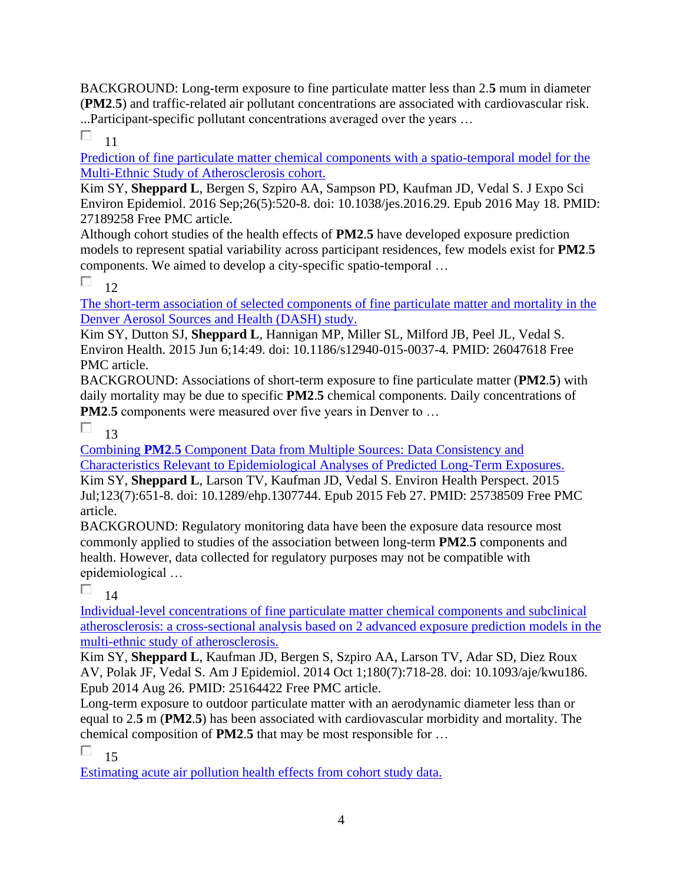BACKGROUND: Long-term exposure to fine particulate matter less than 2.**5** mum in diameter (**PM2**.**5**) and traffic-related air pollutant concentrations are associated with cardiovascular risk. ...Participant-specific pollutant concentrations averaged over the years …

П 11

[Prediction of fine particulate matter chemical components with a spatio-temporal model for the](https://pubmed.ncbi.nlm.nih.gov/27189258/)  [Multi-Ethnic Study of Atherosclerosis cohort.](https://pubmed.ncbi.nlm.nih.gov/27189258/)

Kim SY, **Sheppard L**, Bergen S, Szpiro AA, Sampson PD, Kaufman JD, Vedal S. J Expo Sci Environ Epidemiol. 2016 Sep;26(5):520-8. doi: 10.1038/jes.2016.29. Epub 2016 May 18. PMID: 27189258 Free PMC article.

Although cohort studies of the health effects of **PM2**.**5** have developed exposure prediction models to represent spatial variability across participant residences, few models exist for **PM2**.**5** components. We aimed to develop a city-specific spatio-temporal …

П 12

[The short-term association of selected components of fine particulate matter and mortality in the](https://pubmed.ncbi.nlm.nih.gov/26047618/)  [Denver Aerosol Sources and Health \(DASH\) study.](https://pubmed.ncbi.nlm.nih.gov/26047618/) 

Kim SY, Dutton SJ, **Sheppard L**, Hannigan MP, Miller SL, Milford JB, Peel JL, Vedal S. Environ Health. 2015 Jun 6;14:49. doi: 10.1186/s12940-015-0037-4. PMID: 26047618 Free PMC article.

BACKGROUND: Associations of short-term exposure to fine particulate matter (**PM2**.**5**) with daily mortality may be due to specific **PM2**.**5** chemical components. Daily concentrations of **PM2.5** components were measured over five years in Denver to ...

П 13

Combining **PM2**.**5** [Component Data from Multiple Sources: Data Consistency and](https://pubmed.ncbi.nlm.nih.gov/25738509/)  [Characteristics Relevant to Epidemiological Analyses of Predicted Long-Term Exposures.](https://pubmed.ncbi.nlm.nih.gov/25738509/) 

Kim SY, **Sheppard L**, Larson TV, Kaufman JD, Vedal S. Environ Health Perspect. 2015 Jul;123(7):651-8. doi: 10.1289/ehp.1307744. Epub 2015 Feb 27. PMID: 25738509 Free PMC article.

BACKGROUND: Regulatory monitoring data have been the exposure data resource most commonly applied to studies of the association between long-term **PM2**.**5** components and health. However, data collected for regulatory purposes may not be compatible with epidemiological …

П 14

[Individual-level concentrations of fine particulate matter chemical components and subclinical](https://pubmed.ncbi.nlm.nih.gov/25164422/)  [atherosclerosis: a cross-sectional analysis based on 2 advanced exposure prediction models in the](https://pubmed.ncbi.nlm.nih.gov/25164422/)  [multi-ethnic study of atherosclerosis.](https://pubmed.ncbi.nlm.nih.gov/25164422/) 

Kim SY, **Sheppard L**, Kaufman JD, Bergen S, Szpiro AA, Larson TV, Adar SD, Diez Roux AV, Polak JF, Vedal S. Am J Epidemiol. 2014 Oct 1;180(7):718-28. doi: 10.1093/aje/kwu186. Epub 2014 Aug 26. PMID: 25164422 Free PMC article.

Long-term exposure to outdoor particulate matter with an aerodynamic diameter less than or equal to 2.**5** m (**PM2**.**5**) has been associated with cardiovascular morbidity and mortality. The chemical composition of **PM2**.**5** that may be most responsible for …

П 15

[Estimating acute air pollution health effects from cohort study data.](https://pubmed.ncbi.nlm.nih.gov/24571570/)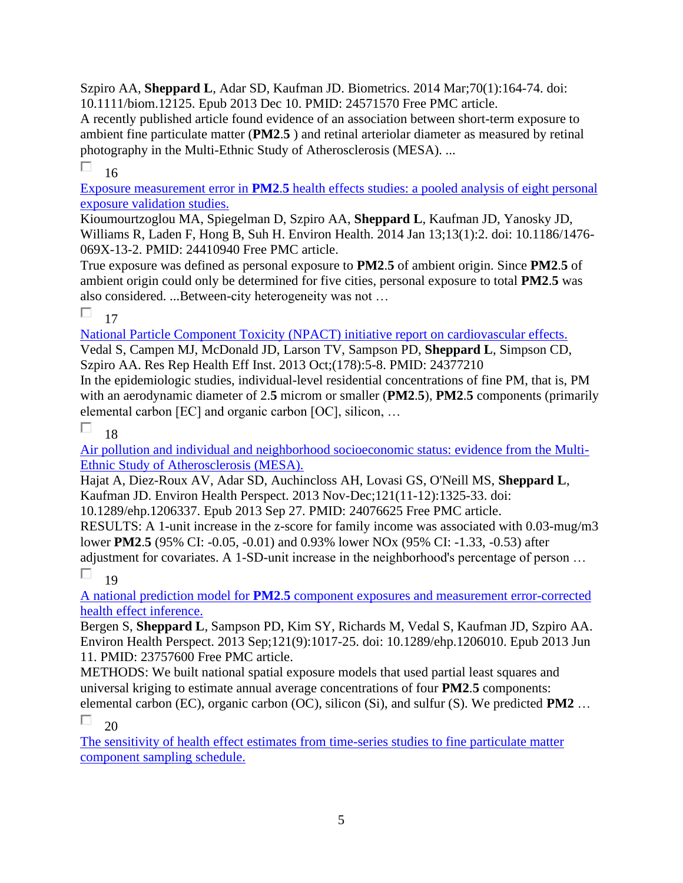Szpiro AA, **Sheppard L**, Adar SD, Kaufman JD. Biometrics. 2014 Mar;70(1):164-74. doi: 10.1111/biom.12125. Epub 2013 Dec 10. PMID: 24571570 Free PMC article.

A recently published article found evidence of an association between short-term exposure to ambient fine particulate matter (**PM2**.**5** ) and retinal arteriolar diameter as measured by retinal photography in the Multi-Ethnic Study of Atherosclerosis (MESA). ...

П 16

Exposure measurement error in **PM2**.**5** [health effects studies: a pooled analysis of eight personal](https://pubmed.ncbi.nlm.nih.gov/24410940/)  [exposure validation studies.](https://pubmed.ncbi.nlm.nih.gov/24410940/) 

Kioumourtzoglou MA, Spiegelman D, Szpiro AA, **Sheppard L**, Kaufman JD, Yanosky JD, Williams R, Laden F, Hong B, Suh H. Environ Health. 2014 Jan 13;13(1):2. doi: 10.1186/1476- 069X-13-2. PMID: 24410940 Free PMC article.

True exposure was defined as personal exposure to **PM2**.**5** of ambient origin. Since **PM2**.**5** of ambient origin could only be determined for five cities, personal exposure to total **PM2**.**5** was also considered. ...Between-city heterogeneity was not …

 $\Box$ 17

[National Particle Component Toxicity \(NPACT\) initiative report on cardiovascular effects.](https://pubmed.ncbi.nlm.nih.gov/24377210/)  Vedal S, Campen MJ, McDonald JD, Larson TV, Sampson PD, **Sheppard L**, Simpson CD,

Szpiro AA. Res Rep Health Eff Inst. 2013 Oct;(178):5-8. PMID: 24377210

In the epidemiologic studies, individual-level residential concentrations of fine PM, that is, PM with an aerodynamic diameter of 2.**5** microm or smaller (**PM2**.**5**), **PM2**.**5** components (primarily elemental carbon [EC] and organic carbon [OC], silicon, …

П 18

[Air pollution and individual and neighborhood socioeconomic status: evidence from the Multi-](https://pubmed.ncbi.nlm.nih.gov/24076625/)[Ethnic Study of Atherosclerosis \(MESA\).](https://pubmed.ncbi.nlm.nih.gov/24076625/) 

Hajat A, Diez-Roux AV, Adar SD, Auchincloss AH, Lovasi GS, O'Neill MS, **Sheppard L**, Kaufman JD. Environ Health Perspect. 2013 Nov-Dec;121(11-12):1325-33. doi:

10.1289/ehp.1206337. Epub 2013 Sep 27. PMID: 24076625 Free PMC article.

RESULTS: A 1-unit increase in the z-score for family income was associated with 0.03-mug/m3 lower **PM2**.**5** (95% CI: -0.05, -0.01) and 0.93% lower NOx (95% CI: -1.33, -0.53) after adjustment for covariates. A 1-SD-unit increase in the neighborhood's percentage of person …

П 19

A national prediction model for **PM2**.**5** [component exposures and measurement error-corrected](https://pubmed.ncbi.nlm.nih.gov/23757600/)  [health effect inference.](https://pubmed.ncbi.nlm.nih.gov/23757600/) 

Bergen S, **Sheppard L**, Sampson PD, Kim SY, Richards M, Vedal S, Kaufman JD, Szpiro AA. Environ Health Perspect. 2013 Sep;121(9):1017-25. doi: 10.1289/ehp.1206010. Epub 2013 Jun 11. PMID: 23757600 Free PMC article.

METHODS: We built national spatial exposure models that used partial least squares and universal kriging to estimate annual average concentrations of four **PM2**.**5** components: elemental carbon (EC), organic carbon (OC), silicon (Si), and sulfur (S). We predicted **PM2** …

П 20

[The sensitivity of health effect estimates from time-series studies to fine particulate matter](https://pubmed.ncbi.nlm.nih.gov/23673462/)  [component sampling schedule.](https://pubmed.ncbi.nlm.nih.gov/23673462/)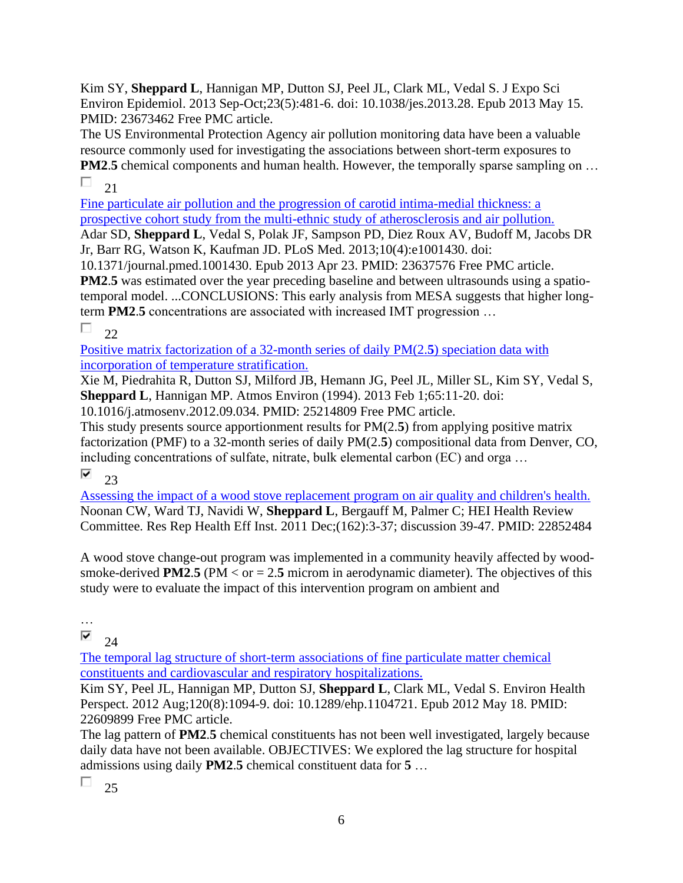Kim SY, **Sheppard L**, Hannigan MP, Dutton SJ, Peel JL, Clark ML, Vedal S. J Expo Sci Environ Epidemiol. 2013 Sep-Oct;23(5):481-6. doi: 10.1038/jes.2013.28. Epub 2013 May 15. PMID: 23673462 Free PMC article.

The US Environmental Protection Agency air pollution monitoring data have been a valuable resource commonly used for investigating the associations between short-term exposures to **PM2.5** chemical components and human health. However, the temporally sparse sampling on ... П  $21$ 

[Fine particulate air pollution and the progression of carotid intima-medial thickness: a](https://pubmed.ncbi.nlm.nih.gov/23637576/)  [prospective cohort study from the multi-ethnic study of atherosclerosis and air pollution.](https://pubmed.ncbi.nlm.nih.gov/23637576/)  Adar SD, **Sheppard L**, Vedal S, Polak JF, Sampson PD, Diez Roux AV, Budoff M, Jacobs DR

Jr, Barr RG, Watson K, Kaufman JD. PLoS Med. 2013;10(4):e1001430. doi: 10.1371/journal.pmed.1001430. Epub 2013 Apr 23. PMID: 23637576 Free PMC article.

**PM2.5** was estimated over the year preceding baseline and between ultrasounds using a spatiotemporal model. ...CONCLUSIONS: This early analysis from MESA suggests that higher longterm **PM2**.**5** concentrations are associated with increased IMT progression …

П 22

[Positive matrix factorization of a 32-month series of daily PM\(2.](https://pubmed.ncbi.nlm.nih.gov/25214809/)**5**) speciation data with [incorporation of temperature stratification.](https://pubmed.ncbi.nlm.nih.gov/25214809/) 

Xie M, Piedrahita R, Dutton SJ, Milford JB, Hemann JG, Peel JL, Miller SL, Kim SY, Vedal S, **Sheppard L**, Hannigan MP. Atmos Environ (1994). 2013 Feb 1;65:11-20. doi:

10.1016/j.atmosenv.2012.09.034. PMID: 25214809 Free PMC article.

This study presents source apportionment results for PM(2.**5**) from applying positive matrix factorization (PMF) to a 32-month series of daily PM(2.**5**) compositional data from Denver, CO, including concentrations of sulfate, nitrate, bulk elemental carbon (EC) and orga …

⊽

23

[Assessing the impact of a wood stove replacement program on air quality and children's health.](https://pubmed.ncbi.nlm.nih.gov/22852484/)  Noonan CW, Ward TJ, Navidi W, **Sheppard L**, Bergauff M, Palmer C; HEI Health Review Committee. Res Rep Health Eff Inst. 2011 Dec;(162):3-37; discussion 39-47. PMID: 22852484

A wood stove change-out program was implemented in a community heavily affected by woodsmoke-derived **PM2.5** (PM  $\lt$  or  $= 2.5$  microm in aerodynamic diameter). The objectives of this study were to evaluate the impact of this intervention program on ambient and

### …

⊽  $24$ 

[The temporal lag structure of short-term associations of fine particulate matter chemical](https://pubmed.ncbi.nlm.nih.gov/22609899/)  [constituents and cardiovascular and respiratory hospitalizations.](https://pubmed.ncbi.nlm.nih.gov/22609899/) 

Kim SY, Peel JL, Hannigan MP, Dutton SJ, **Sheppard L**, Clark ML, Vedal S. Environ Health Perspect. 2012 Aug;120(8):1094-9. doi: 10.1289/ehp.1104721. Epub 2012 May 18. PMID: 22609899 Free PMC article.

The lag pattern of **PM2**.**5** chemical constituents has not been well investigated, largely because daily data have not been available. OBJECTIVES: We explored the lag structure for hospital admissions using daily **PM2**.**5** chemical constituent data for **5** …

П 25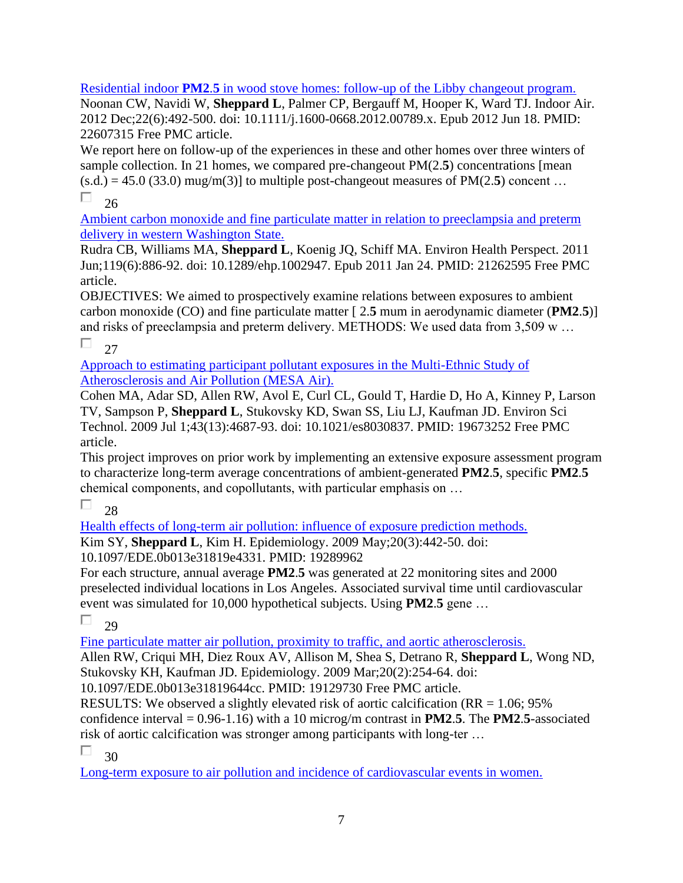Residential indoor **PM2**.**5** [in wood stove homes: follow-up of the Libby changeout program.](https://pubmed.ncbi.nlm.nih.gov/22607315/) 

Noonan CW, Navidi W, **Sheppard L**, Palmer CP, Bergauff M, Hooper K, Ward TJ. Indoor Air. 2012 Dec;22(6):492-500. doi: 10.1111/j.1600-0668.2012.00789.x. Epub 2012 Jun 18. PMID: 22607315 Free PMC article.

We report here on follow-up of the experiences in these and other homes over three winters of sample collection. In 21 homes, we compared pre-changeout PM(2.**5**) concentrations [mean  $(s.d.) = 45.0$  (33.0) mug/m(3)] to multiple post-changeout measures of PM(2.5) concent ... П 26

[Ambient carbon monoxide and fine particulate matter in relation to preeclampsia and preterm](https://pubmed.ncbi.nlm.nih.gov/21262595/)  [delivery in western Washington State.](https://pubmed.ncbi.nlm.nih.gov/21262595/) 

Rudra CB, Williams MA, **Sheppard L**, Koenig JQ, Schiff MA. Environ Health Perspect. 2011 Jun;119(6):886-92. doi: 10.1289/ehp.1002947. Epub 2011 Jan 24. PMID: 21262595 Free PMC article.

OBJECTIVES: We aimed to prospectively examine relations between exposures to ambient carbon monoxide (CO) and fine particulate matter [ 2.**5** mum in aerodynamic diameter (**PM2**.**5**)] and risks of preeclampsia and preterm delivery. METHODS: We used data from 3,509 w …

П.  $27$ 

[Approach to estimating participant pollutant exposures in the Multi-Ethnic Study of](https://pubmed.ncbi.nlm.nih.gov/19673252/)  [Atherosclerosis and Air Pollution \(MESA Air\).](https://pubmed.ncbi.nlm.nih.gov/19673252/) 

Cohen MA, Adar SD, Allen RW, Avol E, Curl CL, Gould T, Hardie D, Ho A, Kinney P, Larson TV, Sampson P, **Sheppard L**, Stukovsky KD, Swan SS, Liu LJ, Kaufman JD. Environ Sci Technol. 2009 Jul 1;43(13):4687-93. doi: 10.1021/es8030837. PMID: 19673252 Free PMC article.

This project improves on prior work by implementing an extensive exposure assessment program to characterize long-term average concentrations of ambient-generated **PM2**.**5**, specific **PM2**.**5** chemical components, and copollutants, with particular emphasis on …

П 28

[Health effects of long-term air pollution: influence of exposure prediction methods.](https://pubmed.ncbi.nlm.nih.gov/19289962/) 

Kim SY, **Sheppard L**, Kim H. Epidemiology. 2009 May;20(3):442-50. doi:

10.1097/EDE.0b013e31819e4331. PMID: 19289962

For each structure, annual average **PM2**.**5** was generated at 22 monitoring sites and 2000 preselected individual locations in Los Angeles. Associated survival time until cardiovascular event was simulated for 10,000 hypothetical subjects. Using **PM2**.**5** gene …

 $\Box$  $29$ 

[Fine particulate matter air pollution, proximity to traffic, and aortic atherosclerosis.](https://pubmed.ncbi.nlm.nih.gov/19129730/) 

Allen RW, Criqui MH, Diez Roux AV, Allison M, Shea S, Detrano R, **Sheppard L**, Wong ND, Stukovsky KH, Kaufman JD. Epidemiology. 2009 Mar;20(2):254-64. doi:

10.1097/EDE.0b013e31819644cc. PMID: 19129730 Free PMC article.

RESULTS: We observed a slightly elevated risk of aortic calcification ( $RR = 1.06$ ; 95%) confidence interval = 0.96-1.16) with a 10 microg/m contrast in **PM2**.**5**. The **PM2**.**5**-associated risk of aortic calcification was stronger among participants with long-ter …

П 30

[Long-term exposure to air pollution and incidence of cardiovascular events in women.](https://pubmed.ncbi.nlm.nih.gov/17267905/)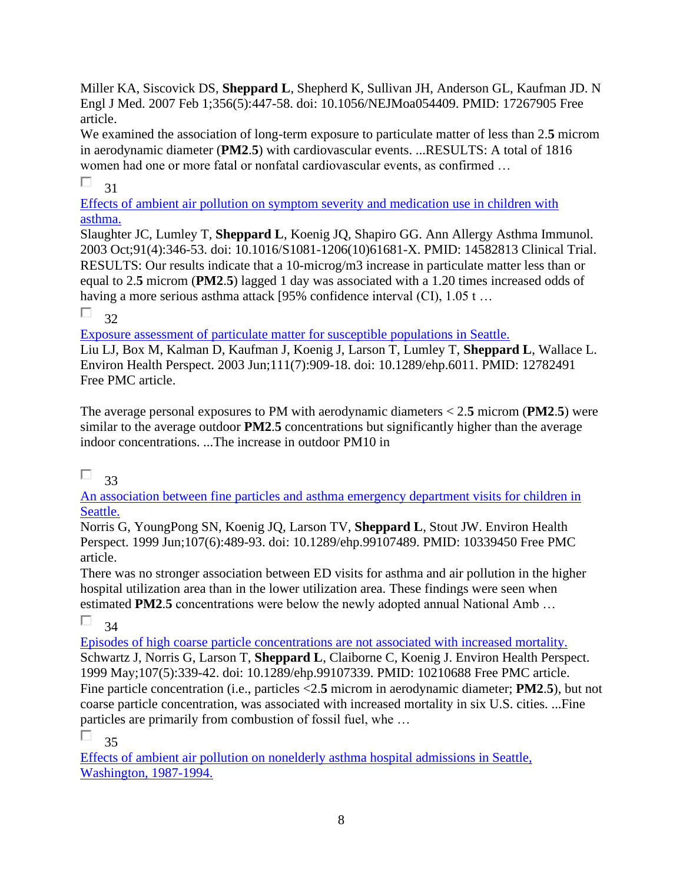Miller KA, Siscovick DS, **Sheppard L**, Shepherd K, Sullivan JH, Anderson GL, Kaufman JD. N Engl J Med. 2007 Feb 1;356(5):447-58. doi: 10.1056/NEJMoa054409. PMID: 17267905 Free article.

We examined the association of long-term exposure to particulate matter of less than 2.**5** microm in aerodynamic diameter (**PM2**.**5**) with cardiovascular events. ...RESULTS: A total of 1816 women had one or more fatal or nonfatal cardiovascular events, as confirmed …

П 31

[Effects of ambient air pollution on symptom severity and medication use in children with](https://pubmed.ncbi.nlm.nih.gov/14582813/)  [asthma.](https://pubmed.ncbi.nlm.nih.gov/14582813/) 

Slaughter JC, Lumley T, **Sheppard L**, Koenig JQ, Shapiro GG. Ann Allergy Asthma Immunol. 2003 Oct;91(4):346-53. doi: 10.1016/S1081-1206(10)61681-X. PMID: 14582813 Clinical Trial. RESULTS: Our results indicate that a 10-microg/m3 increase in particulate matter less than or equal to 2.**5** microm (**PM2**.**5**) lagged 1 day was associated with a 1.20 times increased odds of having a more serious asthma attack [95% confidence interval (CI), 1.05 t ...

 $\Box$  32

[Exposure assessment of particulate matter for susceptible populations in Seattle.](https://pubmed.ncbi.nlm.nih.gov/12782491/) 

Liu LJ, Box M, Kalman D, Kaufman J, Koenig J, Larson T, Lumley T, **Sheppard L**, Wallace L. Environ Health Perspect. 2003 Jun;111(7):909-18. doi: 10.1289/ehp.6011. PMID: 12782491 Free PMC article.

The average personal exposures to PM with aerodynamic diameters < 2.**5** microm (**PM2**.**5**) were similar to the average outdoor **PM2**.**5** concentrations but significantly higher than the average indoor concentrations. ...The increase in outdoor PM10 in

П. 33

[An association between fine particles and asthma emergency department visits for children in](https://pubmed.ncbi.nlm.nih.gov/10339450/) [Seattle.](https://pubmed.ncbi.nlm.nih.gov/10339450/) 

Norris G, YoungPong SN, Koenig JQ, Larson TV, **Sheppard L**, Stout JW. Environ Health Perspect. 1999 Jun;107(6):489-93. doi: 10.1289/ehp.99107489. PMID: 10339450 Free PMC article.

There was no stronger association between ED visits for asthma and air pollution in the higher hospital utilization area than in the lower utilization area. These findings were seen when estimated **PM2**.**5** concentrations were below the newly adopted annual National Amb …

П. 34

[Episodes of high coarse particle concentrations are not associated with increased mortality.](https://pubmed.ncbi.nlm.nih.gov/10210688/)  Schwartz J, Norris G, Larson T, **Sheppard L**, Claiborne C, Koenig J. Environ Health Perspect. 1999 May;107(5):339-42. doi: 10.1289/ehp.99107339. PMID: 10210688 Free PMC article. Fine particle concentration (i.e., particles <2.**5** microm in aerodynamic diameter; **PM2**.**5**), but not coarse particle concentration, was associated with increased mortality in six U.S. cities. ...Fine particles are primarily from combustion of fossil fuel, whe …

П 35

[Effects of ambient air pollution on nonelderly asthma hospital admissions in Seattle,](https://pubmed.ncbi.nlm.nih.gov/9888276/)  [Washington, 1987-1994.](https://pubmed.ncbi.nlm.nih.gov/9888276/)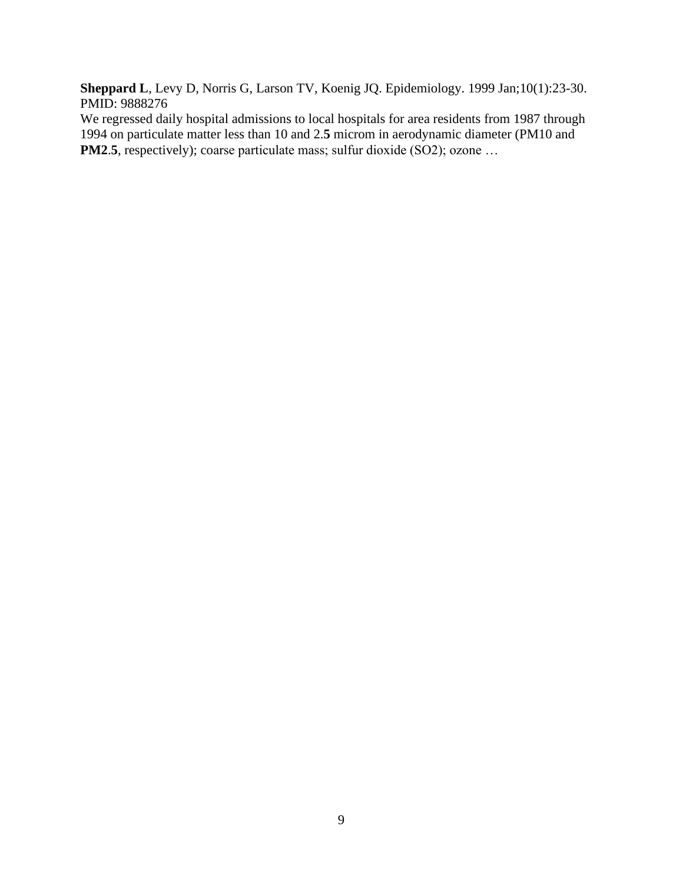**Sheppard L**, Levy D, Norris G, Larson TV, Koenig JQ. Epidemiology. 1999 Jan;10(1):23-30. PMID: 9888276

We regressed daily hospital admissions to local hospitals for area residents from 1987 through 1994 on particulate matter less than 10 and 2.**5** microm in aerodynamic diameter (PM10 and **PM2.5**, respectively); coarse particulate mass; sulfur dioxide (SO2); ozone ...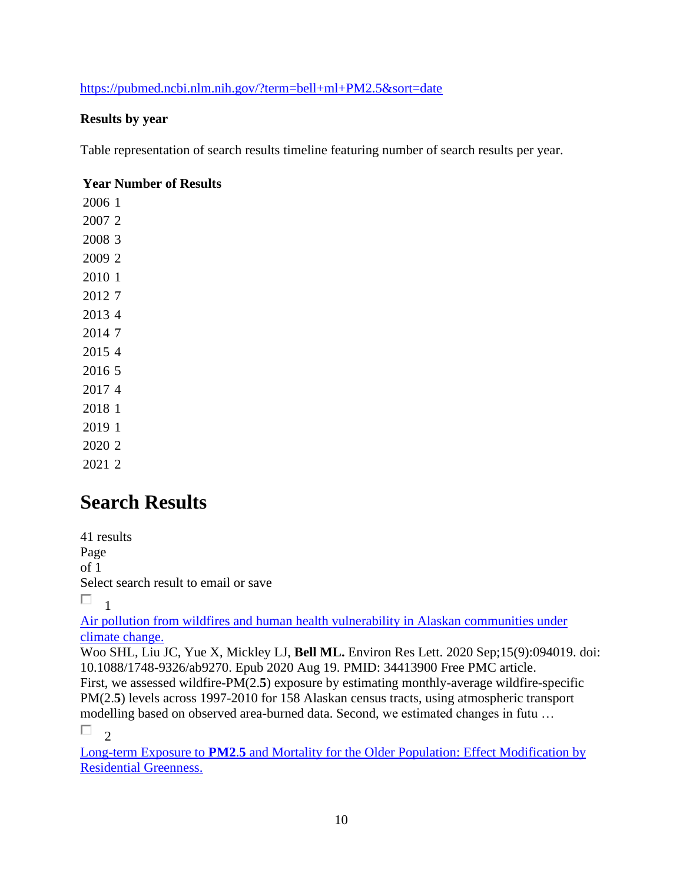### <https://pubmed.ncbi.nlm.nih.gov/?term=bell+ml+PM2.5&sort=date>

#### **Results by year**

Table representation of search results timeline featuring number of search results per year.

### **Year Number of Results**

## **Search Results**

41 results Page of 1 Select search result to email or save

П 1

[Air pollution from wildfires and human health vulnerability in Alaskan communities under](https://pubmed.ncbi.nlm.nih.gov/34413900/)  [climate change.](https://pubmed.ncbi.nlm.nih.gov/34413900/) 

Woo SHL, Liu JC, Yue X, Mickley LJ, **Bell ML.** Environ Res Lett. 2020 Sep;15(9):094019. doi: 10.1088/1748-9326/ab9270. Epub 2020 Aug 19. PMID: 34413900 Free PMC article. First, we assessed wildfire-PM(2.**5**) exposure by estimating monthly-average wildfire-specific PM(2.5) levels across 1997-2010 for 158 Alaskan census tracts, using atmospheric transport modelling based on observed area-burned data. Second, we estimated changes in futu …

 $\Box$ <sub>2</sub>

Long-term Exposure to **PM2**.**5** [and Mortality for the Older Population: Effect Modification by](https://pubmed.ncbi.nlm.nih.gov/33788795/)  [Residential Greenness.](https://pubmed.ncbi.nlm.nih.gov/33788795/)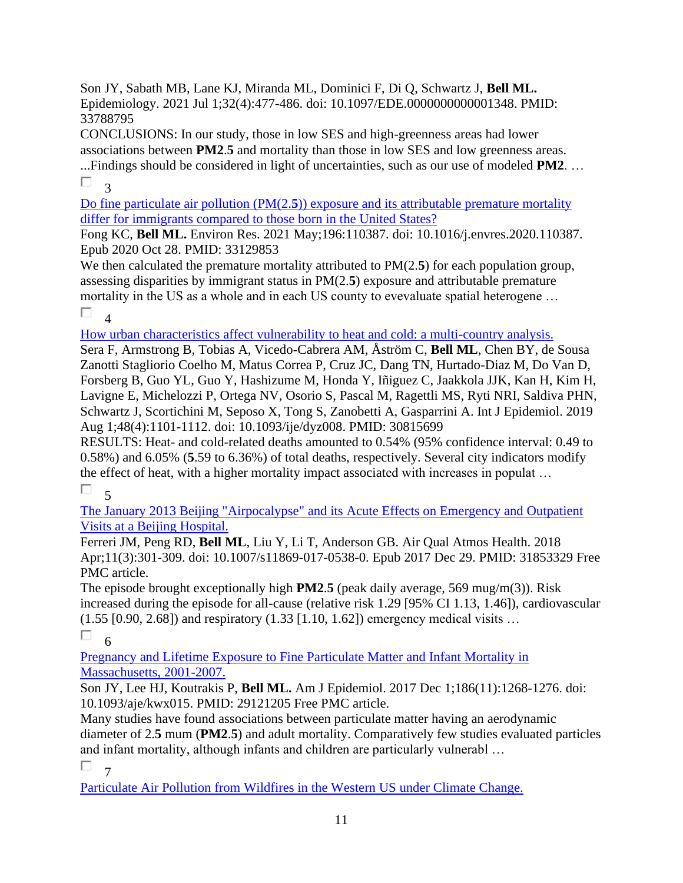Son JY, Sabath MB, Lane KJ, Miranda ML, Dominici F, Di Q, Schwartz J, **Bell ML.** Epidemiology. 2021 Jul 1;32(4):477-486. doi: 10.1097/EDE.0000000000001348. PMID: 33788795

CONCLUSIONS: In our study, those in low SES and high-greenness areas had lower associations between **PM2**.**5** and mortality than those in low SES and low greenness areas.

...Findings should be considered in light of uncertainties, such as our use of modeled **PM2**. … П 3

Do fine particulate air pollution (PM(2.**5**[\)\) exposure and its attributable premature mortality](https://pubmed.ncbi.nlm.nih.gov/33129853/)  [differ for immigrants compared to those born in the United States?](https://pubmed.ncbi.nlm.nih.gov/33129853/) 

Fong KC, **Bell ML.** Environ Res. 2021 May;196:110387. doi: 10.1016/j.envres.2020.110387. Epub 2020 Oct 28. PMID: 33129853

We then calculated the premature mortality attributed to PM(2.5) for each population group, assessing disparities by immigrant status in PM(2.**5**) exposure and attributable premature mortality in the US as a whole and in each US county to evevaluate spatial heterogene …  $\Box$ <sub>4</sub>

[How urban characteristics affect vulnerability to heat and cold: a multi-country analysis.](https://pubmed.ncbi.nlm.nih.gov/30815699/) 

Sera F, Armstrong B, Tobias A, Vicedo-Cabrera AM, Åström C, **Bell ML**, Chen BY, de Sousa Zanotti Stagliorio Coelho M, Matus Correa P, Cruz JC, Dang TN, Hurtado-Diaz M, Do Van D, Forsberg B, Guo YL, Guo Y, Hashizume M, Honda Y, Iñiguez C, Jaakkola JJK, Kan H, Kim H, Lavigne E, Michelozzi P, Ortega NV, Osorio S, Pascal M, Ragettli MS, Ryti NRI, Saldiva PHN, Schwartz J, Scortichini M, Seposo X, Tong S, Zanobetti A, Gasparrini A. Int J Epidemiol. 2019 Aug 1;48(4):1101-1112. doi: 10.1093/ije/dyz008. PMID: 30815699

RESULTS: Heat- and cold-related deaths amounted to 0.54% (95% confidence interval: 0.49 to 0.58%) and 6.05% (**5**.59 to 6.36%) of total deaths, respectively. Several city indicators modify the effect of heat, with a higher mortality impact associated with increases in populat …

 $\Box$ 5

[The January 2013 Beijing "Airpocalypse" and its Acute Effects on Emergency and Outpatient](https://pubmed.ncbi.nlm.nih.gov/31853329/)  [Visits at a Beijing Hospital.](https://pubmed.ncbi.nlm.nih.gov/31853329/) 

Ferreri JM, Peng RD, **Bell ML**, Liu Y, Li T, Anderson GB. Air Qual Atmos Health. 2018 Apr;11(3):301-309. doi: 10.1007/s11869-017-0538-0. Epub 2017 Dec 29. PMID: 31853329 Free PMC article.

The episode brought exceptionally high **PM2**.**5** (peak daily average, 569 mug/m(3)). Risk increased during the episode for all-cause (relative risk 1.29 [95% CI 1.13, 1.46]), cardiovascular (1.55 [0.90, 2.68]) and respiratory (1.33 [1.10, 1.62]) emergency medical visits …

П 6

[Pregnancy and Lifetime Exposure to Fine Particulate Matter and Infant Mortality in](https://pubmed.ncbi.nlm.nih.gov/29121205/)  [Massachusetts, 2001-2007.](https://pubmed.ncbi.nlm.nih.gov/29121205/) 

Son JY, Lee HJ, Koutrakis P, **Bell ML.** Am J Epidemiol. 2017 Dec 1;186(11):1268-1276. doi: 10.1093/aje/kwx015. PMID: 29121205 Free PMC article.

Many studies have found associations between particulate matter having an aerodynamic diameter of 2.**5** mum (**PM2**.**5**) and adult mortality. Comparatively few studies evaluated particles and infant mortality, although infants and children are particularly vulnerabl …

П. 7

[Particulate Air Pollution from Wildfires in the Western US under Climate Change.](https://pubmed.ncbi.nlm.nih.gov/28642628/)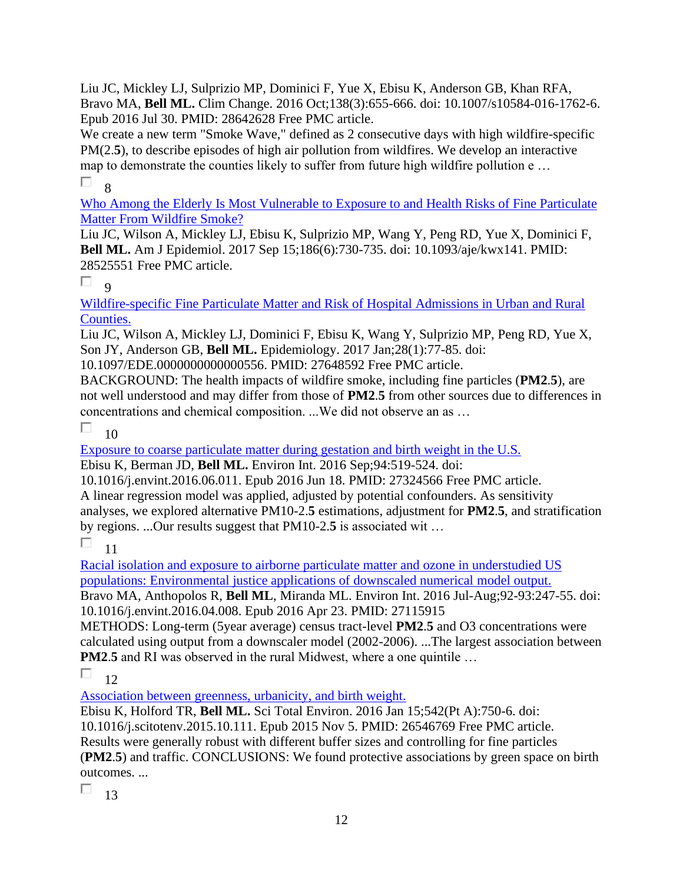Liu JC, Mickley LJ, Sulprizio MP, Dominici F, Yue X, Ebisu K, Anderson GB, Khan RFA, Bravo MA, **Bell ML.** Clim Change. 2016 Oct;138(3):655-666. doi: 10.1007/s10584-016-1762-6. Epub 2016 Jul 30. PMID: 28642628 Free PMC article.

We create a new term "Smoke Wave," defined as 2 consecutive days with high wildfire-specific PM(2.5), to describe episodes of high air pollution from wildfires. We develop an interactive map to demonstrate the counties likely to suffer from future high wildfire pollution e … П. 8

[Who Among the Elderly Is Most Vulnerable to Exposure to and Health Risks of Fine Particulate](https://pubmed.ncbi.nlm.nih.gov/28525551/)  [Matter From Wildfire Smoke?](https://pubmed.ncbi.nlm.nih.gov/28525551/) 

Liu JC, Wilson A, Mickley LJ, Ebisu K, Sulprizio MP, Wang Y, Peng RD, Yue X, Dominici F, **Bell ML.** Am J Epidemiol. 2017 Sep 15;186(6):730-735. doi: 10.1093/aje/kwx141. PMID: 28525551 Free PMC article.

#### $\Box$  $\alpha$

[Wildfire-specific Fine Particulate Matter and Risk of Hospital Admissions in Urban](https://pubmed.ncbi.nlm.nih.gov/27648592/) and Rural [Counties.](https://pubmed.ncbi.nlm.nih.gov/27648592/) 

Liu JC, Wilson A, Mickley LJ, Dominici F, Ebisu K, Wang Y, Sulprizio MP, Peng RD, Yue X, Son JY, Anderson GB, **Bell ML.** Epidemiology. 2017 Jan;28(1):77-85. doi:

10.1097/EDE.0000000000000556. PMID: 27648592 Free PMC article.

BACKGROUND: The health impacts of wildfire smoke, including fine particles (**PM2**.**5**), are not well understood and may differ from those of **PM2**.**5** from other sources due to differences in concentrations and chemical composition. ...We did not observe an as …

П 10

[Exposure to coarse particulate matter during gestation and birth weight in the U.S.](https://pubmed.ncbi.nlm.nih.gov/27324566/) 

Ebisu K, Berman JD, **Bell ML.** Environ Int. 2016 Sep;94:519-524. doi:

10.1016/j.envint.2016.06.011. Epub 2016 Jun 18. PMID: 27324566 Free PMC article. A linear regression model was applied, adjusted by potential confounders. As sensitivity analyses, we explored alternative PM10-2.**5** estimations, adjustment for **PM2**.**5**, and stratification by regions. ...Our results suggest that PM10-2.**5** is associated wit …

П 11

[Racial isolation and exposure to airborne particulate matter and ozone in understudied US](https://pubmed.ncbi.nlm.nih.gov/27115915/)  [populations: Environmental justice applications of downscaled numerical](https://pubmed.ncbi.nlm.nih.gov/27115915/) model output.

Bravo MA, Anthopolos R, **Bell ML**, Miranda ML. Environ Int. 2016 Jul-Aug;92-93:247-55. doi: 10.1016/j.envint.2016.04.008. Epub 2016 Apr 23. PMID: 27115915

METHODS: Long-term (5year average) census tract-level **PM2**.**5** and O3 concentrations were calculated using output from a downscaler model (2002-2006). ...The largest association between **PM2.5** and RI was observed in the rural Midwest, where a one quintile ...

П 12

[Association between greenness, urbanicity, and birth weight.](https://pubmed.ncbi.nlm.nih.gov/26546769/) 

Ebisu K, Holford TR, **Bell ML.** Sci Total Environ. 2016 Jan 15;542(Pt A):750-6. doi: 10.1016/j.scitotenv.2015.10.111. Epub 2015 Nov 5. PMID: 26546769 Free PMC article. Results were generally robust with different buffer sizes and controlling for fine particles (**PM2**.**5**) and traffic. CONCLUSIONS: We found protective associations by green space on birth outcomes. ...

 $\Box$  13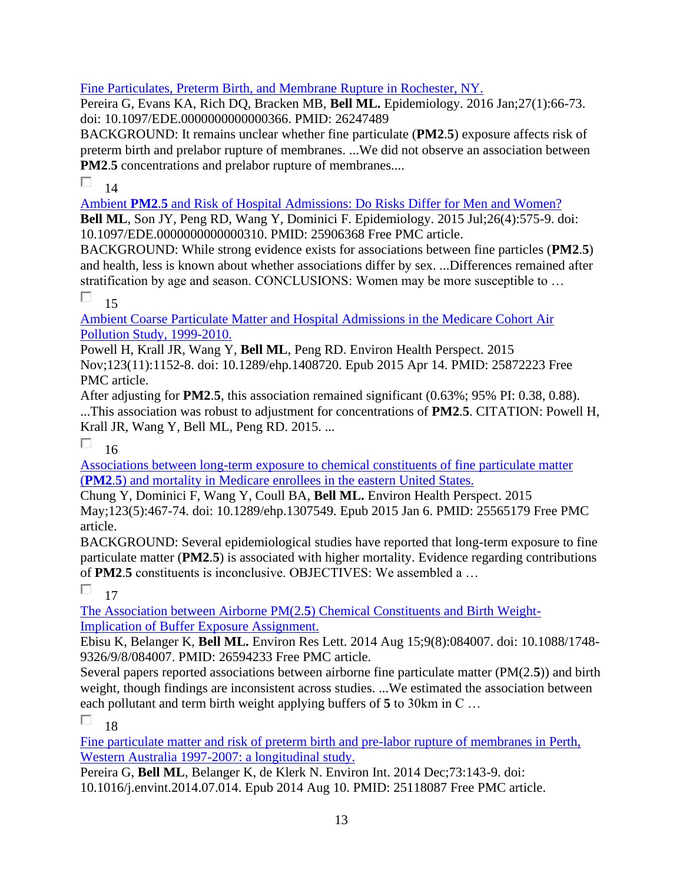### [Fine Particulates, Preterm Birth, and Membrane Rupture in Rochester, NY.](https://pubmed.ncbi.nlm.nih.gov/26247489/)

Pereira G, Evans KA, Rich DQ, Bracken MB, **Bell ML.** Epidemiology. 2016 Jan;27(1):66-73. doi: 10.1097/EDE.0000000000000366. PMID: 26247489

BACKGROUND: It remains unclear whether fine particulate (**PM2**.**5**) exposure affects risk of preterm birth and prelabor rupture of membranes. ...We did not observe an association between **PM2**.**5** concentrations and prelabor rupture of membranes....

#### П 14

Ambient **PM2**.**5** [and Risk of Hospital Admissions: Do Risks Differ for Men and Women?](https://pubmed.ncbi.nlm.nih.gov/25906368/)  **Bell ML**, Son JY, Peng RD, Wang Y, Dominici F. Epidemiology. 2015 Jul;26(4):575-9. doi: 10.1097/EDE.0000000000000310. PMID: 25906368 Free PMC article.

BACKGROUND: While strong evidence exists for associations between fine particles (**PM2**.**5**) and health, less is known about whether associations differ by sex. ...Differences remained after stratification by age and season. CONCLUSIONS: Women may be more susceptible to …

#### П 15

[Ambient Coarse Particulate Matter and Hospital Admissions in the Medicare Cohort Air](https://pubmed.ncbi.nlm.nih.gov/25872223/)  [Pollution Study, 1999-2010.](https://pubmed.ncbi.nlm.nih.gov/25872223/) 

Powell H, Krall JR, Wang Y, **Bell ML**, Peng RD. Environ Health Perspect. 2015

Nov;123(11):1152-8. doi: 10.1289/ehp.1408720. Epub 2015 Apr 14. PMID: 25872223 Free PMC article.

After adjusting for **PM2**.**5**, this association remained significant (0.63%; 95% PI: 0.38, 0.88). ...This association was robust to adjustment for concentrations of **PM2**.**5**. CITATION: Powell H, Krall JR, Wang Y, Bell ML, Peng RD. 2015. ...

П. 16

[Associations between long-term exposure to chemical constituents of fine particulate matter](https://pubmed.ncbi.nlm.nih.gov/25565179/)  (**PM2**.**5**[\) and mortality in Medicare enrollees in the eastern United States.](https://pubmed.ncbi.nlm.nih.gov/25565179/) 

Chung Y, Dominici F, Wang Y, Coull BA, **Bell ML.** Environ Health Perspect. 2015 May;123(5):467-74. doi: 10.1289/ehp.1307549. Epub 2015 Jan 6. PMID: 25565179 Free PMC article.

BACKGROUND: Several epidemiological studies have reported that long-term exposure to fine particulate matter (**PM2**.**5**) is associated with higher mortality. Evidence regarding contributions of **PM2**.**5** constituents is inconclusive. OBJECTIVES: We assembled a …

П. 17

The Association between Airborne PM(2.**5**[\) Chemical Constituents and Birth Weight-](https://pubmed.ncbi.nlm.nih.gov/26594233/)[Implication of Buffer Exposure Assignment.](https://pubmed.ncbi.nlm.nih.gov/26594233/) 

Ebisu K, Belanger K, **Bell ML.** Environ Res Lett. 2014 Aug 15;9(8):084007. doi: 10.1088/1748- 9326/9/8/084007. PMID: 26594233 Free PMC article.

Several papers reported associations between airborne fine particulate matter (PM(2.**5**)) and birth weight, though findings are inconsistent across studies. ...We estimated the association between each pollutant and term birth weight applying buffers of **5** to 30km in C …

П 18

[Fine particulate matter and risk of preterm birth and pre-labor rupture of membranes in Perth,](https://pubmed.ncbi.nlm.nih.gov/25118087/)  [Western Australia 1997-2007: a longitudinal study.](https://pubmed.ncbi.nlm.nih.gov/25118087/) 

Pereira G, **Bell ML**, Belanger K, de Klerk N. Environ Int. 2014 Dec;73:143-9. doi: 10.1016/j.envint.2014.07.014. Epub 2014 Aug 10. PMID: 25118087 Free PMC article.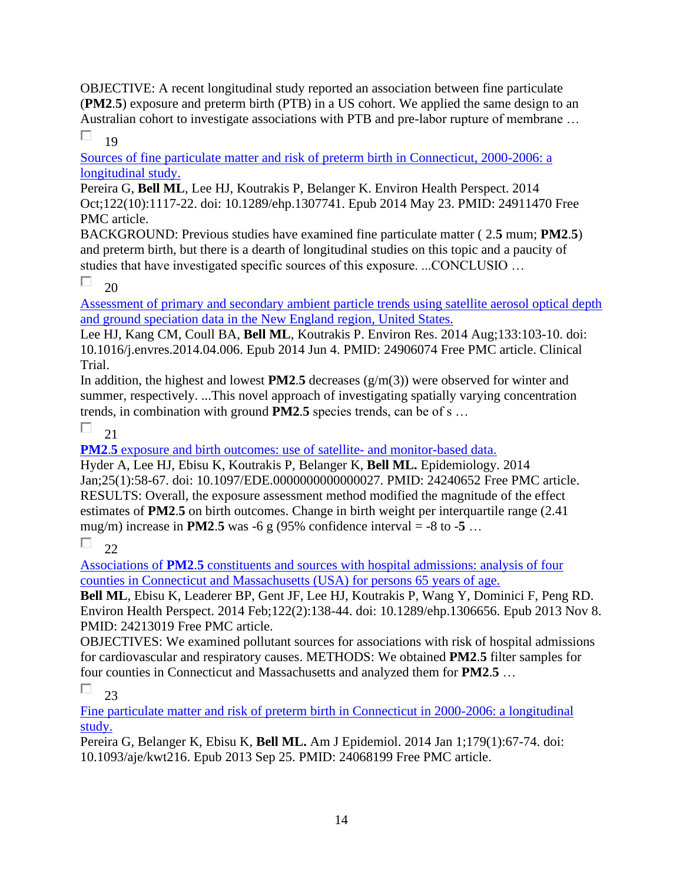OBJECTIVE: A recent longitudinal study reported an association between fine particulate (**PM2**.**5**) exposure and preterm birth (PTB) in a US cohort. We applied the same design to an Australian cohort to investigate associations with PTB and pre-labor rupture of membrane … П 19

[Sources of fine particulate matter and risk of preterm birth in Connecticut, 2000-2006: a](https://pubmed.ncbi.nlm.nih.gov/24911470/)  [longitudinal study.](https://pubmed.ncbi.nlm.nih.gov/24911470/) 

Pereira G, **Bell ML**, Lee HJ, Koutrakis P, Belanger K. Environ Health Perspect. 2014 Oct;122(10):1117-22. doi: 10.1289/ehp.1307741. Epub 2014 May 23. PMID: 24911470 Free PMC article.

BACKGROUND: Previous studies have examined fine particulate matter ( 2.**5** mum; **PM2**.**5**) and preterm birth, but there is a dearth of longitudinal studies on this topic and a paucity of studies that have investigated specific sources of this exposure. ...CONCLUSIO …

П 20

Assessment of [primary and secondary ambient particle trends using satellite aerosol optical depth](https://pubmed.ncbi.nlm.nih.gov/24906074/)  [and ground speciation data in the New England region, United States.](https://pubmed.ncbi.nlm.nih.gov/24906074/) 

Lee HJ, Kang CM, Coull BA, **Bell ML**, Koutrakis P. Environ Res. 2014 Aug;133:103-10. doi: 10.1016/j.envres.2014.04.006. Epub 2014 Jun 4. PMID: 24906074 Free PMC article. Clinical Trial.

In addition, the highest and lowest **PM2**.**5** decreases (g/m(3)) were observed for winter and summer, respectively. ...This novel approach of investigating spatially varying concentration trends, in combination with ground **PM2**.**5** species trends, can be of s …

П 21

**PM2.5** [exposure and birth outcomes: use of satellite-](https://pubmed.ncbi.nlm.nih.gov/24240652/) and monitor-based data.

Hyder A, Lee HJ, Ebisu K, Koutrakis P, Belanger K, **Bell ML.** Epidemiology. 2014 Jan;25(1):58-67. doi: 10.1097/EDE.0000000000000027. PMID: 24240652 Free PMC article. RESULTS: Overall, the exposure assessment method modified the magnitude of the effect estimates of **PM2**.**5** on birth outcomes. Change in birth weight per interquartile range (2.41 mug/m) increase in **PM2.5** was -6 g (95% confidence interval = -8 to -5 ...

П  $22$ 

Associations of **PM2**.**5** [constituents and sources with hospital admissions: analysis of four](https://pubmed.ncbi.nlm.nih.gov/24213019/)  [counties in Connecticut and Massachusetts \(USA\) for persons 65 years of age.](https://pubmed.ncbi.nlm.nih.gov/24213019/) 

**Bell ML**, Ebisu K, Leaderer BP, Gent JF, Lee HJ, Koutrakis P, Wang Y, Dominici F, Peng RD. Environ Health Perspect. 2014 Feb;122(2):138-44. doi: 10.1289/ehp.1306656. Epub 2013 Nov 8. PMID: 24213019 Free PMC article.

OBJECTIVES: We examined pollutant sources for associations with risk of hospital admissions for cardiovascular and respiratory causes. METHODS: We obtained **PM2**.**5** filter samples for four counties in Connecticut and Massachusetts and analyzed them for **PM2**.**5** …

П 23

[Fine particulate matter and risk of preterm birth in Connecticut in 2000-2006: a longitudinal](https://pubmed.ncbi.nlm.nih.gov/24068199/)  [study.](https://pubmed.ncbi.nlm.nih.gov/24068199/) 

Pereira G, Belanger K, Ebisu K, **Bell ML.** Am J Epidemiol. 2014 Jan 1;179(1):67-74. doi: 10.1093/aje/kwt216. Epub 2013 Sep 25. PMID: 24068199 Free PMC article.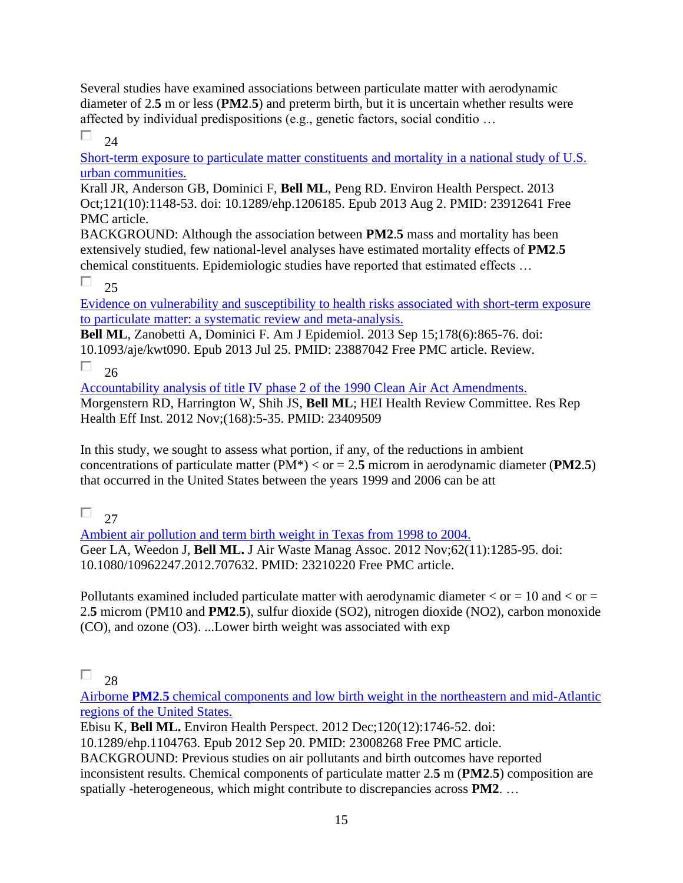Several studies have examined associations between particulate matter with aerodynamic diameter of 2.**5** m or less (**PM2**.**5**) and preterm birth, but it is uncertain whether results were affected by individual predispositions (e.g., genetic factors, social conditio …

口  $24$ 

[Short-term exposure to particulate matter constituents and mortality in a national study of U.S.](https://pubmed.ncbi.nlm.nih.gov/23912641/)  [urban communities.](https://pubmed.ncbi.nlm.nih.gov/23912641/) 

Krall JR, Anderson GB, Dominici F, **Bell ML**, Peng RD. Environ Health Perspect. 2013 Oct;121(10):1148-53. doi: 10.1289/ehp.1206185. Epub 2013 Aug 2. PMID: 23912641 Free PMC article.

BACKGROUND: Although the association between **PM2**.**5** mass and mortality has been extensively studied, few national-level analyses have estimated mortality effects of **PM2**.**5** chemical constituents. Epidemiologic studies have reported that estimated effects …

П 25

[Evidence on vulnerability and susceptibility to health risks associated with short-term exposure](https://pubmed.ncbi.nlm.nih.gov/23887042/)  [to particulate matter: a systematic review and meta-analysis.](https://pubmed.ncbi.nlm.nih.gov/23887042/) 

**Bell ML**, Zanobetti A, Dominici F. Am J Epidemiol. 2013 Sep 15;178(6):865-76. doi: 10.1093/aje/kwt090. Epub 2013 Jul 25. PMID: 23887042 Free PMC article. Review. П 26

[Accountability analysis of title IV phase 2 of the 1990 Clean Air Act Amendments.](https://pubmed.ncbi.nlm.nih.gov/23409509/)  Morgenstern RD, Harrington W, Shih JS, **Bell ML**; HEI Health Review Committee. Res Rep Health Eff Inst. 2012 Nov;(168):5-35. PMID: 23409509

In this study, we sought to assess what portion, if any, of the reductions in ambient concentrations of particulate matter  $(PM^*) <$  or  $= 2.5$  microm in aerodynamic diameter  $(PM2.5)$ that occurred in the United States between the years 1999 and 2006 can be att

П. 27

[Ambient air pollution and term birth weight in Texas from 1998 to 2004.](https://pubmed.ncbi.nlm.nih.gov/23210220/)  Geer LA, Weedon J, **Bell ML.** J Air Waste Manag Assoc. 2012 Nov;62(11):1285-95. doi: 10.1080/10962247.2012.707632. PMID: 23210220 Free PMC article.

Pollutants examined included particulate matter with aerodynamic diameter  $\langle$  or  $= 10$  and  $\langle$  or  $=$ 2.**5** microm (PM10 and **PM2**.**5**), sulfur dioxide (SO2), nitrogen dioxide (NO2), carbon monoxide (CO), and ozone (O3). ...Lower birth weight was associated with exp

#### П 28

Airborne **PM2**.**5** [chemical components and low birth weight in the northeastern and mid-Atlantic](https://pubmed.ncbi.nlm.nih.gov/23008268/)  [regions of the United States.](https://pubmed.ncbi.nlm.nih.gov/23008268/) 

Ebisu K, **Bell ML.** Environ Health Perspect. 2012 Dec;120(12):1746-52. doi:

10.1289/ehp.1104763. Epub 2012 Sep 20. PMID: 23008268 Free PMC article.

BACKGROUND: Previous studies on air pollutants and birth outcomes have reported inconsistent results. Chemical components of particulate matter 2.**5** m (**PM2**.**5**) composition are spatially -heterogeneous, which might contribute to discrepancies across **PM2**. …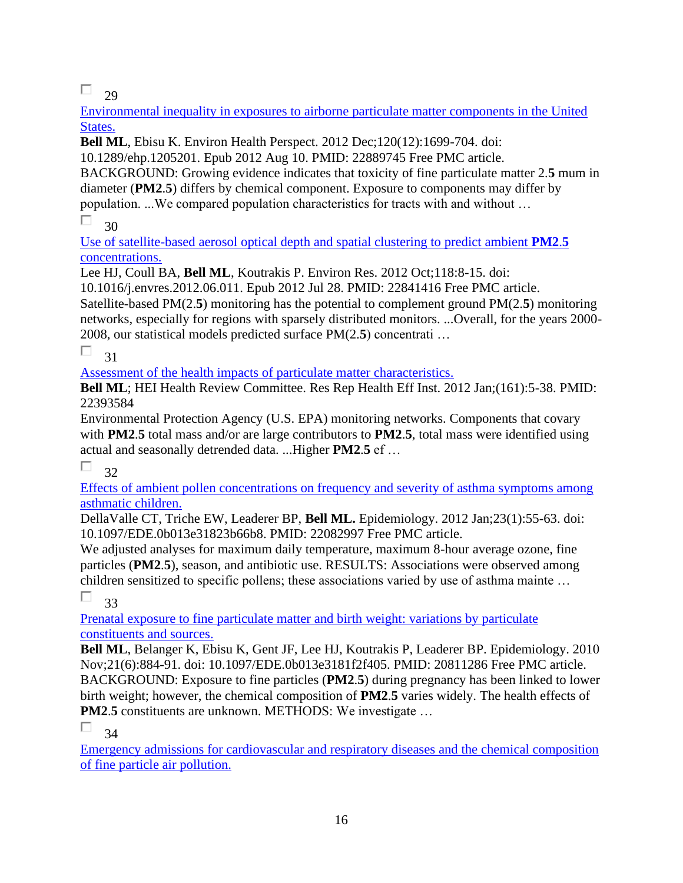$\Box$  29

[Environmental inequality in exposures to airborne particulate matter components in the United](https://pubmed.ncbi.nlm.nih.gov/22889745/)  [States.](https://pubmed.ncbi.nlm.nih.gov/22889745/) 

**Bell ML**, Ebisu K. Environ Health Perspect. 2012 Dec;120(12):1699-704. doi:

10.1289/ehp.1205201. Epub 2012 Aug 10. PMID: 22889745 Free PMC article.

BACKGROUND: Growing evidence indicates that toxicity of fine particulate matter 2.**5** mum in diameter (**PM2**.**5**) differs by chemical component. Exposure to components may differ by population. ...We compared population characteristics for tracts with and without …

П 30

[Use of satellite-based aerosol optical depth and spatial clustering to predict ambient](https://pubmed.ncbi.nlm.nih.gov/22841416/) **PM2**.**5** [concentrations.](https://pubmed.ncbi.nlm.nih.gov/22841416/) 

Lee HJ, Coull BA, **Bell ML**, Koutrakis P. Environ Res. 2012 Oct;118:8-15. doi:

10.1016/j.envres.2012.06.011. Epub 2012 Jul 28. PMID: 22841416 Free PMC article.

Satellite-based PM(2.**5**) monitoring has the potential to complement ground PM(2.**5**) monitoring networks, especially for regions with sparsely distributed monitors. ...Overall, for the years 2000- 2008, our statistical models predicted surface PM(2.**5**) concentrati …

П 31

[Assessment of the health impacts of particulate matter characteristics.](https://pubmed.ncbi.nlm.nih.gov/22393584/) 

**Bell ML**; HEI Health Review Committee. Res Rep Health Eff Inst. 2012 Jan;(161):5-38. PMID: 22393584

Environmental Protection Agency (U.S. EPA) monitoring networks. Components that covary with **PM2**.**5** total mass and/or are large contributors to **PM2**.**5**, total mass were identified using actual and seasonally detrended data. ...Higher **PM2**.**5** ef …

П 32

[Effects of ambient pollen concentrations on frequency and severity of asthma symptoms among](https://pubmed.ncbi.nlm.nih.gov/22082997/)  [asthmatic children.](https://pubmed.ncbi.nlm.nih.gov/22082997/) 

DellaValle CT, Triche EW, Leaderer BP, **Bell ML.** Epidemiology. 2012 Jan;23(1):55-63. doi: 10.1097/EDE.0b013e31823b66b8. PMID: 22082997 Free PMC article.

We adjusted analyses for maximum daily temperature, maximum 8-hour average ozone, fine particles (**PM2**.**5**), season, and antibiotic use. RESULTS: Associations were observed among children sensitized to specific pollens; these associations varied by use of asthma mainte …

П. 33

[Prenatal exposure to fine particulate matter and birth weight: variations by particulate](https://pubmed.ncbi.nlm.nih.gov/20811286/)  [constituents and sources.](https://pubmed.ncbi.nlm.nih.gov/20811286/) 

**Bell ML**, Belanger K, Ebisu K, Gent JF, Lee HJ, Koutrakis P, Leaderer BP. Epidemiology. 2010 Nov;21(6):884-91. doi: 10.1097/EDE.0b013e3181f2f405. PMID: 20811286 Free PMC article. BACKGROUND: Exposure to fine particles (**PM2**.**5**) during pregnancy has been linked to lower birth weight; however, the chemical composition of **PM2**.**5** varies widely. The health effects of **PM2.5** constituents are unknown. METHODS: We investigate ...

П 34

[Emergency admissions for cardiovascular and respiratory diseases and the chemical composition](https://pubmed.ncbi.nlm.nih.gov/19590690/)  [of fine particle air pollution.](https://pubmed.ncbi.nlm.nih.gov/19590690/)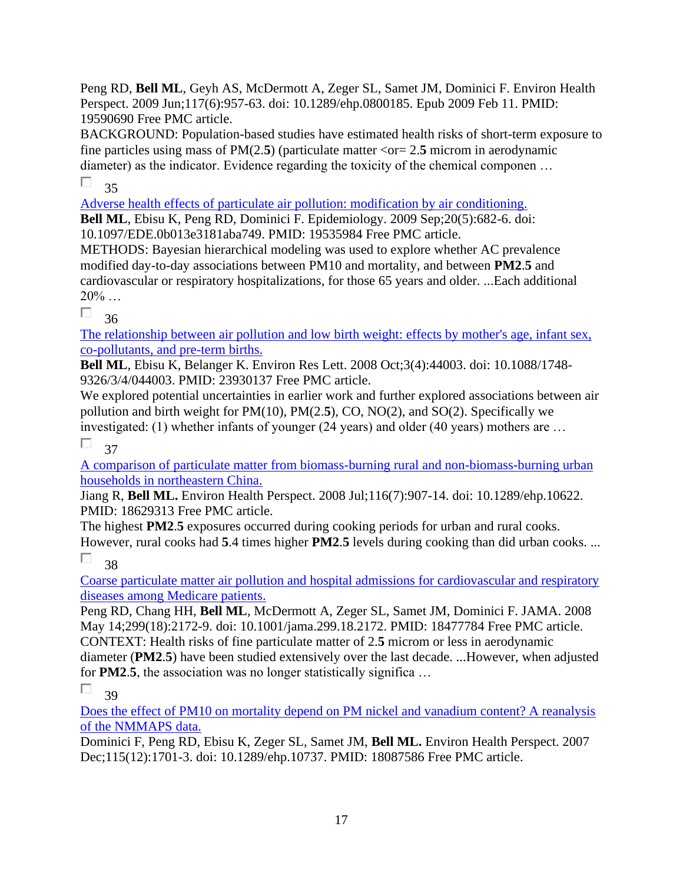Peng RD, **Bell ML**, Geyh AS, McDermott A, Zeger SL, Samet JM, Dominici F. Environ Health Perspect. 2009 Jun;117(6):957-63. doi: 10.1289/ehp.0800185. Epub 2009 Feb 11. PMID: 19590690 Free PMC article.

BACKGROUND: Population-based studies have estimated health risks of short-term exposure to fine particles using mass of  $PM(2.5)$  (particulate matter  $\langle$ or = 2.5 microm in aerodynamic diameter) as the indicator. Evidence regarding the toxicity of the chemical componen … П 35

[Adverse health effects of particulate air pollution: modification by air conditioning.](https://pubmed.ncbi.nlm.nih.gov/19535984/)  **Bell ML**, Ebisu K, Peng RD, Dominici F. Epidemiology. 2009 Sep;20(5):682-6. doi:

10.1097/EDE.0b013e3181aba749. PMID: 19535984 Free PMC article.

METHODS: Bayesian hierarchical modeling was used to explore whether AC prevalence modified day-to-day associations between PM10 and mortality, and between **PM2**.**5** and cardiovascular or respiratory hospitalizations, for those 65 years and older. ...Each additional  $20\%$  ...

П 36

[The relationship between air pollution and low birth weight: effects by mother's age, infant sex,](https://pubmed.ncbi.nlm.nih.gov/23930137/)  [co-pollutants, and pre-term births.](https://pubmed.ncbi.nlm.nih.gov/23930137/) 

**Bell ML**, Ebisu K, Belanger K. Environ Res Lett. 2008 Oct;3(4):44003. doi: 10.1088/1748- 9326/3/4/044003. PMID: 23930137 Free PMC article.

We explored potential uncertainties in earlier work and further explored associations between air pollution and birth weight for PM(10), PM(2.**5**), CO, NO(2), and SO(2). Specifically we investigated: (1) whether infants of younger (24 years) and older (40 years) mothers are …

П 37

[A comparison of particulate matter from biomass-burning rural and non-biomass-burning urban](https://pubmed.ncbi.nlm.nih.gov/18629313/)  [households in northeastern China.](https://pubmed.ncbi.nlm.nih.gov/18629313/) 

Jiang R, **Bell ML.** Environ Health Perspect. 2008 Jul;116(7):907-14. doi: 10.1289/ehp.10622. PMID: 18629313 Free PMC article.

The highest **PM2**.**5** exposures occurred during cooking periods for urban and rural cooks. However, rural cooks had **5**.4 times higher **PM2**.**5** levels during cooking than did urban cooks. ...

П 38

[Coarse particulate matter air pollution and hospital admissions for cardiovascular and respiratory](https://pubmed.ncbi.nlm.nih.gov/18477784/)  [diseases among Medicare patients.](https://pubmed.ncbi.nlm.nih.gov/18477784/) 

Peng RD, Chang HH, **Bell ML**, McDermott A, Zeger SL, Samet JM, Dominici F. JAMA. 2008 May 14;299(18):2172-9. doi: 10.1001/jama.299.18.2172. PMID: 18477784 Free PMC article. CONTEXT: Health risks of fine particulate matter of 2.**5** microm or less in aerodynamic diameter (**PM2**.**5**) have been studied extensively over the last decade. ...However, when adjusted for **PM2**.**5**, the association was no longer statistically significa …

П 39

Does [the effect of PM10 on mortality depend on PM nickel and vanadium content? A reanalysis](https://pubmed.ncbi.nlm.nih.gov/18087586/)  [of the NMMAPS data.](https://pubmed.ncbi.nlm.nih.gov/18087586/) 

Dominici F, Peng RD, Ebisu K, Zeger SL, Samet JM, **Bell ML.** Environ Health Perspect. 2007 Dec;115(12):1701-3. doi: 10.1289/ehp.10737. PMID: 18087586 Free PMC article.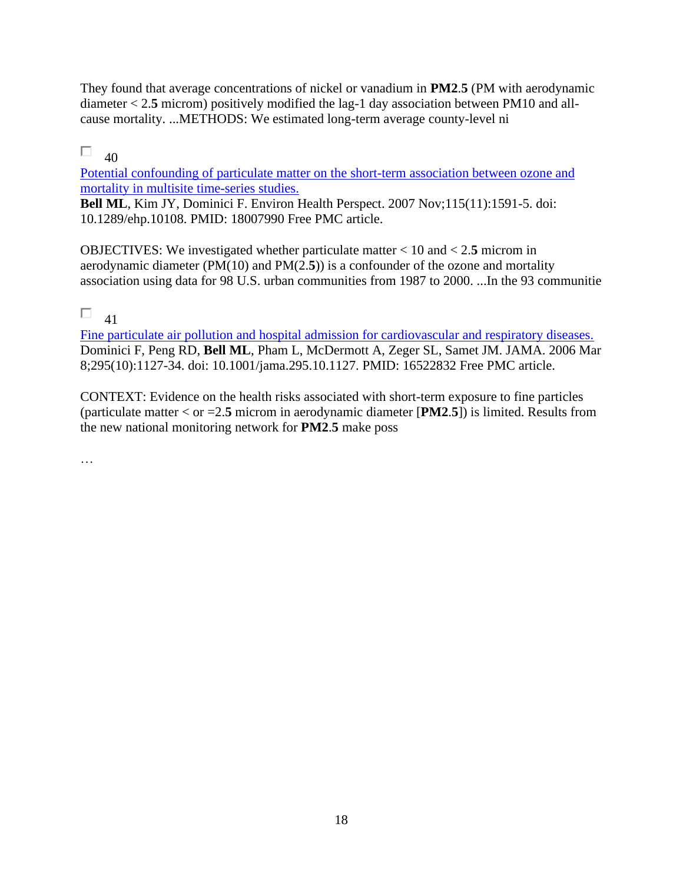They found that average concentrations of nickel or vanadium in **PM2**.**5** (PM with aerodynamic diameter < 2.**5** microm) positively modified the lag-1 day association between PM10 and allcause mortality. ...METHODS: We estimated long-term average county-level ni

#### П.  $40$

[Potential confounding of particulate matter on the short-term association between ozone and](https://pubmed.ncbi.nlm.nih.gov/18007990/)  [mortality in multisite time-series studies.](https://pubmed.ncbi.nlm.nih.gov/18007990/) 

**Bell ML**, Kim JY, Dominici F. Environ Health Perspect. 2007 Nov;115(11):1591-5. doi: 10.1289/ehp.10108. PMID: 18007990 Free PMC article.

OBJECTIVES: We investigated whether particulate matter < 10 and < 2.**5** microm in aerodynamic diameter (PM(10) and PM(2.**5**)) is a confounder of the ozone and mortality association using data for 98 U.S. urban communities from 1987 to 2000. ...In the 93 communitie

#### $\Box$ 41

[Fine particulate air pollution and hospital admission for cardiovascular and respiratory diseases.](https://pubmed.ncbi.nlm.nih.gov/16522832/)  Dominici F, Peng RD, **Bell ML**, Pham L, McDermott A, Zeger SL, Samet JM. JAMA. 2006 Mar 8;295(10):1127-34. doi: 10.1001/jama.295.10.1127. PMID: 16522832 Free PMC article.

CONTEXT: Evidence on the health risks associated with short-term exposure to fine particles (particulate matter < or =2.**5** microm in aerodynamic diameter [**PM2**.**5**]) is limited. Results from the new national monitoring network for **PM2**.**5** make poss

…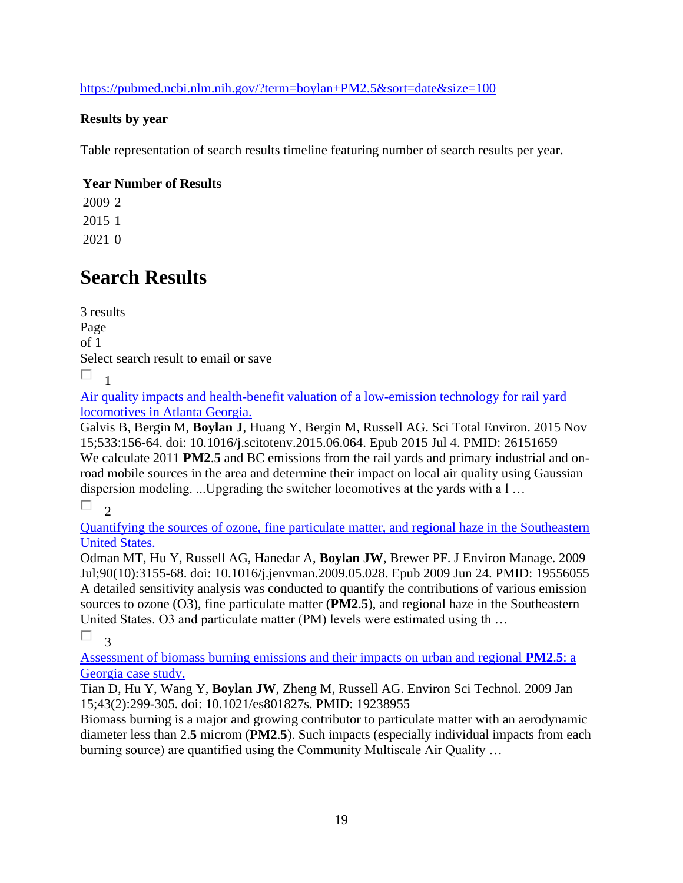<https://pubmed.ncbi.nlm.nih.gov/?term=boylan+PM2.5&sort=date&size=100>

### **Results by year**

Table representation of search results timeline featuring number of search results per year.

### **Year Number of Results**

# **Search Results**

3 results Page of 1 Select search result to email or save П. 1

[Air quality impacts and health-benefit valuation of a low-emission technology for rail yard](https://pubmed.ncbi.nlm.nih.gov/26151659/)  [locomotives in Atlanta Georgia.](https://pubmed.ncbi.nlm.nih.gov/26151659/) 

Galvis B, Bergin M, **Boylan J**, Huang Y, Bergin M, Russell AG. Sci Total Environ. 2015 Nov 15;533:156-64. doi: 10.1016/j.scitotenv.2015.06.064. Epub 2015 Jul 4. PMID: 26151659 We calculate 2011 **PM2**.**5** and BC emissions from the rail yards and primary industrial and onroad mobile sources in the area and determine their impact on local air quality using Gaussian dispersion modeling. ...Upgrading the switcher locomotives at the yards with a l …

 $\Box$  $\gamma$ 

[Quantifying the sources of ozone, fine particulate matter, and regional haze in the Southeastern](https://pubmed.ncbi.nlm.nih.gov/19556055/)  [United States.](https://pubmed.ncbi.nlm.nih.gov/19556055/) 

Odman MT, Hu Y, Russell AG, Hanedar A, **Boylan JW**, Brewer PF. J Environ Manage. 2009 Jul;90(10):3155-68. doi: 10.1016/j.jenvman.2009.05.028. Epub 2009 Jun 24. PMID: 19556055 A detailed sensitivity analysis was conducted to quantify the contributions of various emission sources to ozone (O3), fine particulate matter (**PM2**.**5**), and regional haze in the Southeastern United States. O3 and particulate matter (PM) levels were estimated using th …

П. 3

[Assessment of biomass burning emissions and their impacts on urban and regional](https://pubmed.ncbi.nlm.nih.gov/19238955/) **PM2**.**5**: a [Georgia case study.](https://pubmed.ncbi.nlm.nih.gov/19238955/) 

Tian D, Hu Y, Wang Y, **Boylan JW**, Zheng M, Russell AG. Environ Sci Technol. 2009 Jan 15;43(2):299-305. doi: 10.1021/es801827s. PMID: 19238955

Biomass burning is a major and growing contributor to particulate matter with an aerodynamic diameter less than 2.**5** microm (**PM2**.**5**). Such impacts (especially individual impacts from each burning source) are quantified using the Community Multiscale Air Quality …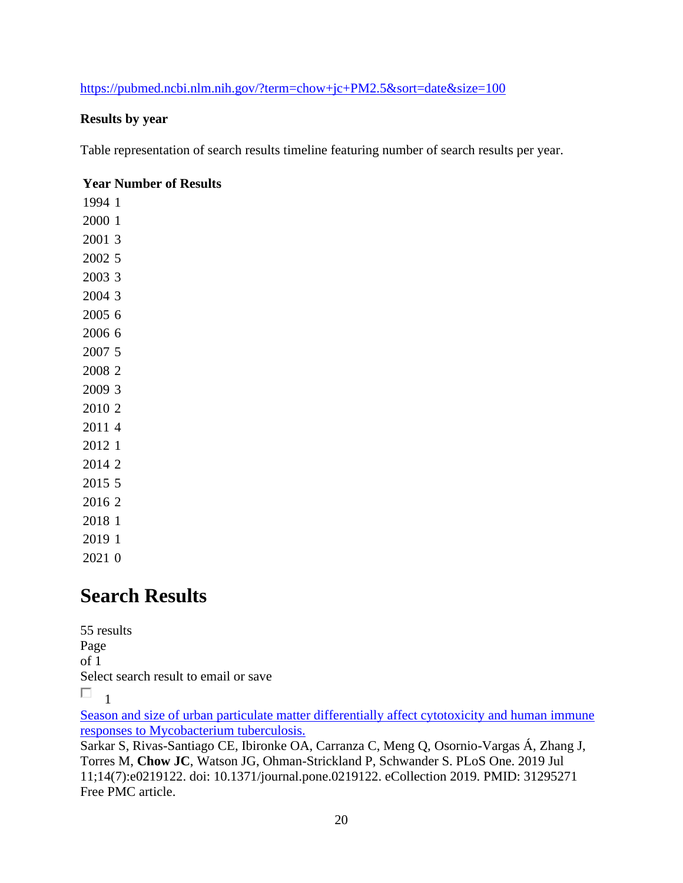### <https://pubmed.ncbi.nlm.nih.gov/?term=chow+jc+PM2.5&sort=date&size=100>

#### **Results by year**

Table representation of search results timeline featuring number of search results per year.

#### **Year Number of Results**

## **Search Results**

55 results Page of 1 Select search result to email or save  $\Box$ 1

[Season and size of urban particulate matter differentially affect cytotoxicity and human immune](https://pubmed.ncbi.nlm.nih.gov/31295271/)  [responses to Mycobacterium tuberculosis.](https://pubmed.ncbi.nlm.nih.gov/31295271/) 

Sarkar S, Rivas-Santiago CE, Ibironke OA, Carranza C, Meng Q, Osornio-Vargas Á, Zhang J, Torres M, **Chow JC**, Watson JG, Ohman-Strickland P, Schwander S. PLoS One. 2019 Jul 11;14(7):e0219122. doi: 10.1371/journal.pone.0219122. eCollection 2019. PMID: 31295271 Free PMC article.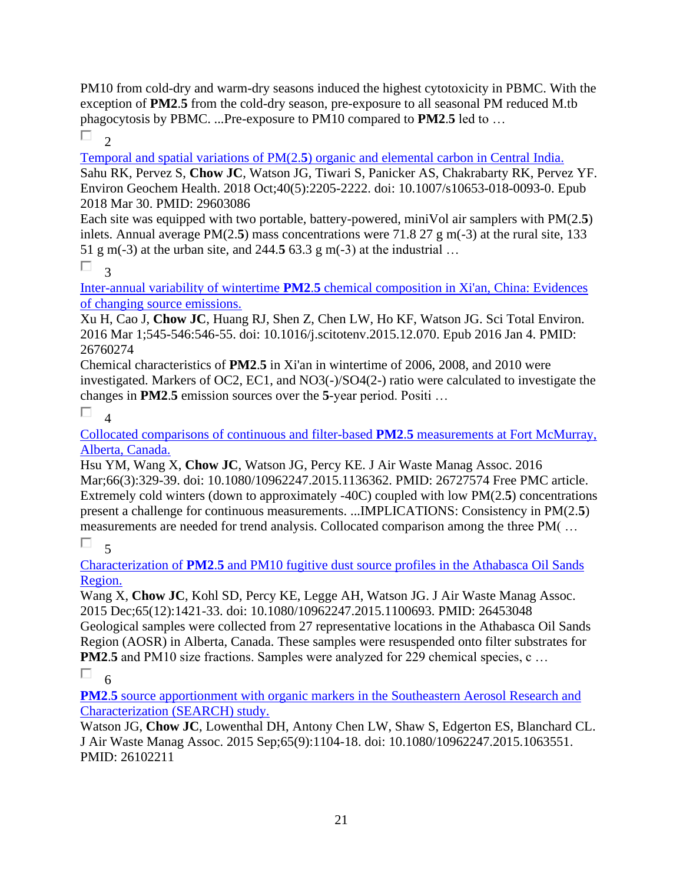PM10 from cold-dry and warm-dry seasons induced the highest cytotoxicity in PBMC. With the exception of **PM2**.**5** from the cold-dry season, pre-exposure to all seasonal PM reduced M.tb phagocytosis by PBMC. ...Pre-exposure to PM10 compared to **PM2**.**5** led to …

П.  $\mathcal{L}$ 

Temporal and spatial variations of PM(2.**5**[\) organic and elemental carbon in Central India.](https://pubmed.ncbi.nlm.nih.gov/29603086/)  Sahu RK, Pervez S, **Chow JC**, Watson JG, Tiwari S, Panicker AS, Chakrabarty RK, Pervez YF. Environ Geochem Health. 2018 Oct;40(5):2205-2222. doi: 10.1007/s10653-018-0093-0. Epub 2018 Mar 30. PMID: 29603086

Each site was equipped with two portable, battery-powered, miniVol air samplers with PM(2.**5**) inlets. Annual average PM(2.**5**) mass concentrations were 71.8 27 g m(-3) at the rural site, 133 51 g m(-3) at the urban site, and 244.**5** 63.3 g m(-3) at the industrial …

 $\Box$ <sup>3</sup>

Inter-annual variability of wintertime **PM2**.**5** [chemical composition in Xi'an, China: Evidences](https://pubmed.ncbi.nlm.nih.gov/26760274/)  [of changing source emissions.](https://pubmed.ncbi.nlm.nih.gov/26760274/) 

Xu H, Cao J, **Chow JC**, Huang RJ, Shen Z, Chen LW, Ho KF, Watson JG. Sci Total Environ. 2016 Mar 1;545-546:546-55. doi: 10.1016/j.scitotenv.2015.12.070. Epub 2016 Jan 4. PMID: 26760274

Chemical characteristics of **PM2**.**5** in Xi'an in wintertime of 2006, 2008, and 2010 were investigated. Markers of OC2, EC1, and NO3(-)/SO4(2-) ratio were calculated to investigate the changes in **PM2**.**5** emission sources over the **5**-year period. Positi …

П 4

[Collocated comparisons of continuous and filter-based](https://pubmed.ncbi.nlm.nih.gov/26727574/) **PM2**.**5** measurements at Fort McMurray, [Alberta, Canada.](https://pubmed.ncbi.nlm.nih.gov/26727574/) 

Hsu YM, Wang X, **Chow JC**, Watson JG, Percy KE. J Air Waste Manag Assoc. 2016 Mar;66(3):329-39. doi: 10.1080/10962247.2015.1136362. PMID: 26727574 Free PMC article. Extremely cold winters (down to approximately -40C) coupled with low PM(2.**5**) concentrations present a challenge for continuous measurements. ...IMPLICATIONS: Consistency in PM(2.**5**) measurements are needed for trend analysis. Collocated comparison among the three PM( …

 $\Box$  $\zeta$ 

Characterization of **PM2**.**5** [and PM10 fugitive dust source profiles in the Athabasca Oil Sands](https://pubmed.ncbi.nlm.nih.gov/26453048/)  [Region.](https://pubmed.ncbi.nlm.nih.gov/26453048/) 

Wang X, **Chow JC**, Kohl SD, Percy KE, Legge AH, Watson JG. J Air Waste Manag Assoc. 2015 Dec;65(12):1421-33. doi: 10.1080/10962247.2015.1100693. PMID: 26453048 Geological samples were collected from 27 representative locations in the Athabasca Oil Sands Region (AOSR) in Alberta, Canada. These samples were resuspended onto filter substrates for **PM2.5** and PM10 size fractions. Samples were analyzed for 229 chemical species, c ...

П 6

**PM2.5** source apportionment with organic markers in the Southeastern Aerosol Research and [Characterization \(SEARCH\) study.](https://pubmed.ncbi.nlm.nih.gov/26102211/) 

Watson JG, **Chow JC**, Lowenthal DH, Antony Chen LW, Shaw S, Edgerton ES, Blanchard CL. J Air Waste Manag Assoc. 2015 Sep;65(9):1104-18. doi: 10.1080/10962247.2015.1063551. PMID: 26102211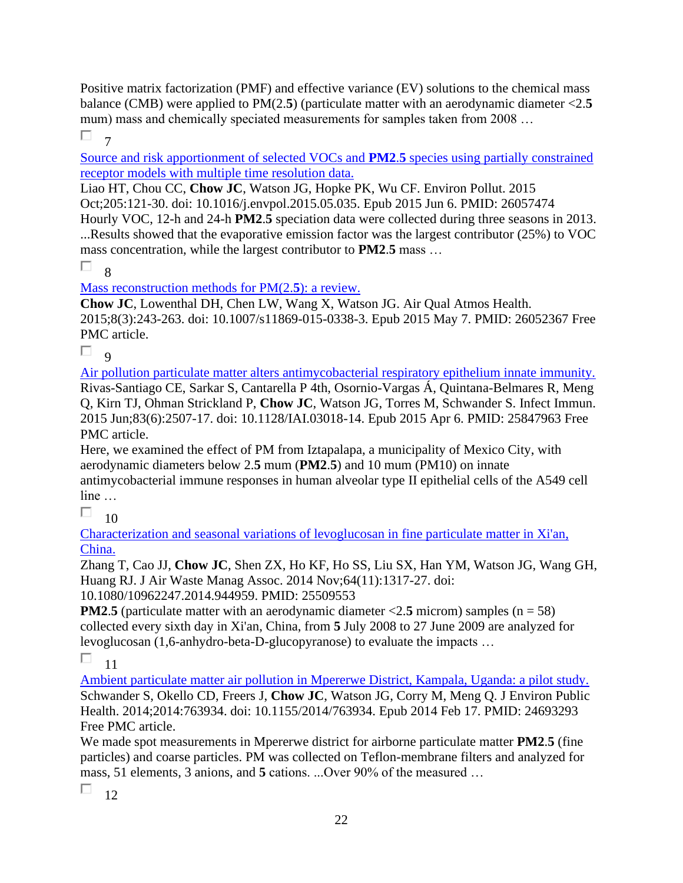Positive matrix factorization (PMF) and effective variance (EV) solutions to the chemical mass balance (CMB) were applied to PM(2.**5**) (particulate matter with an aerodynamic diameter <2.**5** mum) mass and chemically speciated measurements for samples taken from 2008 ...

 $\Box$ 7

[Source and risk apportionment of selected VOCs and](https://pubmed.ncbi.nlm.nih.gov/26057474/) **PM2**.**5** species using partially constrained [receptor models with multiple time resolution data.](https://pubmed.ncbi.nlm.nih.gov/26057474/) 

Liao HT, Chou CC, **Chow JC**, Watson JG, Hopke PK, Wu CF. Environ Pollut. 2015 Oct;205:121-30. doi: 10.1016/j.envpol.2015.05.035. Epub 2015 Jun 6. PMID: 26057474

Hourly VOC, 12-h and 24-h **PM2**.**5** speciation data were collected during three seasons in 2013. ...Results showed that the evaporative emission factor was the largest contributor (25%) to VOC mass concentration, while the largest contributor to **PM2**.**5** mass …

 $\Box$ 

[Mass reconstruction methods for PM\(2.](https://pubmed.ncbi.nlm.nih.gov/26052367/)**5**): a review.

**Chow JC**, Lowenthal DH, Chen LW, Wang X, Watson JG. Air Qual Atmos Health. 2015;8(3):243-263. doi: 10.1007/s11869-015-0338-3. Epub 2015 May 7. PMID: 26052367 Free PMC article.

П. 9

[Air pollution particulate matter alters antimycobacterial respiratory epithelium innate immunity.](https://pubmed.ncbi.nlm.nih.gov/25847963/)  Rivas-Santiago CE, Sarkar S, Cantarella P 4th, Osornio-Vargas Á, Quintana-Belmares R, Meng Q, Kirn TJ, Ohman Strickland P, **Chow JC**, Watson JG, Torres M, Schwander S. Infect Immun. 2015 Jun;83(6):2507-17. doi: 10.1128/IAI.03018-14. Epub 2015 Apr 6. PMID: 25847963 Free PMC article.

Here, we examined the effect of PM from Iztapalapa, a municipality of Mexico City, with aerodynamic diameters below 2.**5** mum (**PM2**.**5**) and 10 mum (PM10) on innate antimycobacterial immune responses in human alveolar type II epithelial cells of the A549 cell line …

П 10

Characterization and seasonal [variations of levoglucosan in fine particulate matter in Xi'an,](https://pubmed.ncbi.nlm.nih.gov/25509553/)  [China.](https://pubmed.ncbi.nlm.nih.gov/25509553/) 

Zhang T, Cao JJ, **Chow JC**, Shen ZX, Ho KF, Ho SS, Liu SX, Han YM, Watson JG, Wang GH, Huang RJ. J Air Waste Manag Assoc. 2014 Nov;64(11):1317-27. doi:

10.1080/10962247.2014.944959. PMID: 25509553

**PM2.5** (particulate matter with an aerodynamic diameter  $\langle 2.5 \text{ micron} \rangle$  samples (n = 58) collected every sixth day in Xi'an, China, from **5** July 2008 to 27 June 2009 are analyzed for levoglucosan (1,6-anhydro-beta-D-glucopyranose) to evaluate the impacts …

П 11

[Ambient particulate matter air pollution in Mpererwe District, Kampala, Uganda: a pilot study.](https://pubmed.ncbi.nlm.nih.gov/24693293/)  Schwander S, Okello CD, Freers J, **Chow JC**, Watson JG, Corry M, Meng Q. J Environ Public Health. 2014;2014:763934. doi: 10.1155/2014/763934. Epub 2014 Feb 17. PMID: 24693293 Free PMC article.

We made spot measurements in Mpererwe district for airborne particulate matter **PM2**.**5** (fine particles) and coarse particles. PM was collected on Teflon-membrane filters and analyzed for mass, 51 elements, 3 anions, and **5** cations. ...Over 90% of the measured …

П.  $12$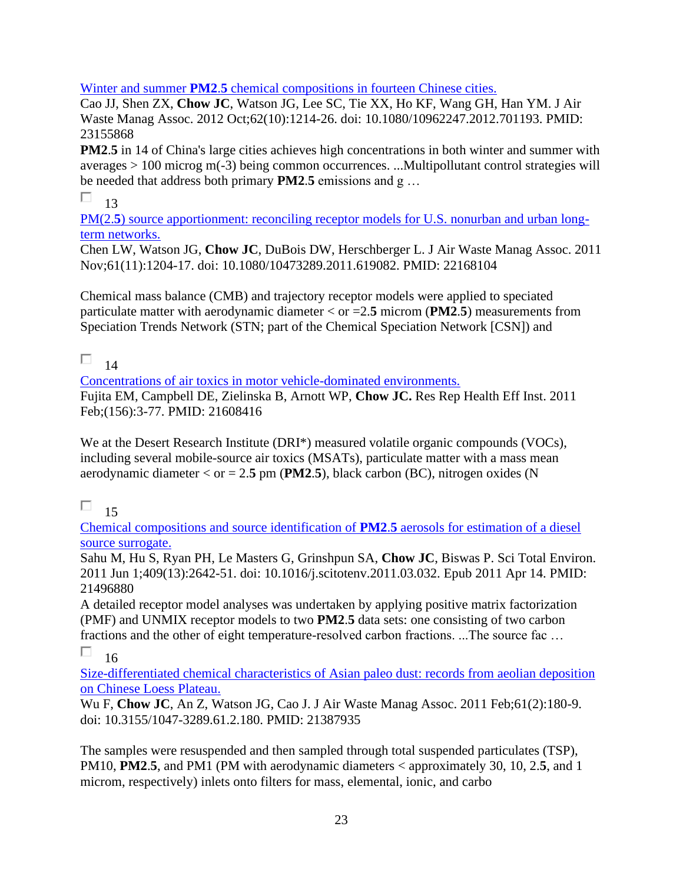#### Winter and summer **PM2**.**5** [chemical compositions in fourteen Chinese cities.](https://pubmed.ncbi.nlm.nih.gov/23155868/)

Cao JJ, Shen ZX, **Chow JC**, Watson JG, Lee SC, Tie XX, Ho KF, Wang GH, Han YM. J Air Waste Manag Assoc. 2012 Oct;62(10):1214-26. doi: 10.1080/10962247.2012.701193. PMID: 23155868

**PM2.5** in 14 of China's large cities achieves high concentrations in both winter and summer with averages > 100 microg m(-3) being common occurrences. ...Multipollutant control strategies will be needed that address both primary **PM2**.**5** emissions and g …

#### П. 13

PM(2.5[\) source apportionment: reconciling receptor models for U.S. nonurban and urban long](https://pubmed.ncbi.nlm.nih.gov/22168104/)[term networks.](https://pubmed.ncbi.nlm.nih.gov/22168104/) 

Chen LW, Watson JG, **Chow JC**, DuBois DW, Herschberger L. J Air Waste Manag Assoc. 2011 Nov;61(11):1204-17. doi: 10.1080/10473289.2011.619082. PMID: 22168104

Chemical mass balance (CMB) and trajectory receptor models were applied to speciated particulate matter with aerodynamic diameter < or =2.**5** microm (**PM2**.**5**) measurements from Speciation Trends Network (STN; part of the Chemical Speciation Network [CSN]) and

#### П. 14

[Concentrations of air toxics in motor vehicle-dominated environments.](https://pubmed.ncbi.nlm.nih.gov/21608416/) 

Fujita EM, Campbell DE, Zielinska B, Arnott WP, **Chow JC.** Res Rep Health Eff Inst. 2011 Feb;(156):3-77. PMID: 21608416

We at the Desert Research Institute (DRI<sup>\*</sup>) measured volatile organic compounds (VOCs), including several mobile-source air toxics (MSATs), particulate matter with a mass mean aerodynamic diameter  $\langle$  or = 2.**5** pm (**PM2.5**), black carbon (BC), nitrogen oxides (N

#### П. 15

[Chemical compositions and source identification of](https://pubmed.ncbi.nlm.nih.gov/21496880/) **PM2**.**5** aerosols for estimation of a diesel [source surrogate.](https://pubmed.ncbi.nlm.nih.gov/21496880/) 

Sahu M, Hu S, Ryan PH, Le Masters G, Grinshpun SA, **Chow JC**, Biswas P. Sci Total Environ. 2011 Jun 1;409(13):2642-51. doi: 10.1016/j.scitotenv.2011.03.032. Epub 2011 Apr 14. PMID: 21496880

A detailed receptor model analyses was undertaken by applying positive matrix factorization (PMF) and UNMIX receptor models to two **PM2**.**5** data sets: one consisting of two carbon fractions and the other of eight temperature-resolved carbon fractions. ...The source fac …

П 16

[Size-differentiated chemical characteristics of Asian paleo dust: records from aeolian deposition](https://pubmed.ncbi.nlm.nih.gov/21387935/)  [on Chinese Loess Plateau.](https://pubmed.ncbi.nlm.nih.gov/21387935/) 

Wu F, **Chow JC**, An Z, Watson JG, Cao J. J Air Waste Manag Assoc. 2011 Feb;61(2):180-9. doi: 10.3155/1047-3289.61.2.180. PMID: 21387935

The samples were resuspended and then sampled through total suspended particulates (TSP), PM10, **PM2**.**5**, and PM1 (PM with aerodynamic diameters < approximately 30, 10, 2.**5**, and 1 microm, respectively) inlets onto filters for mass, elemental, ionic, and carbo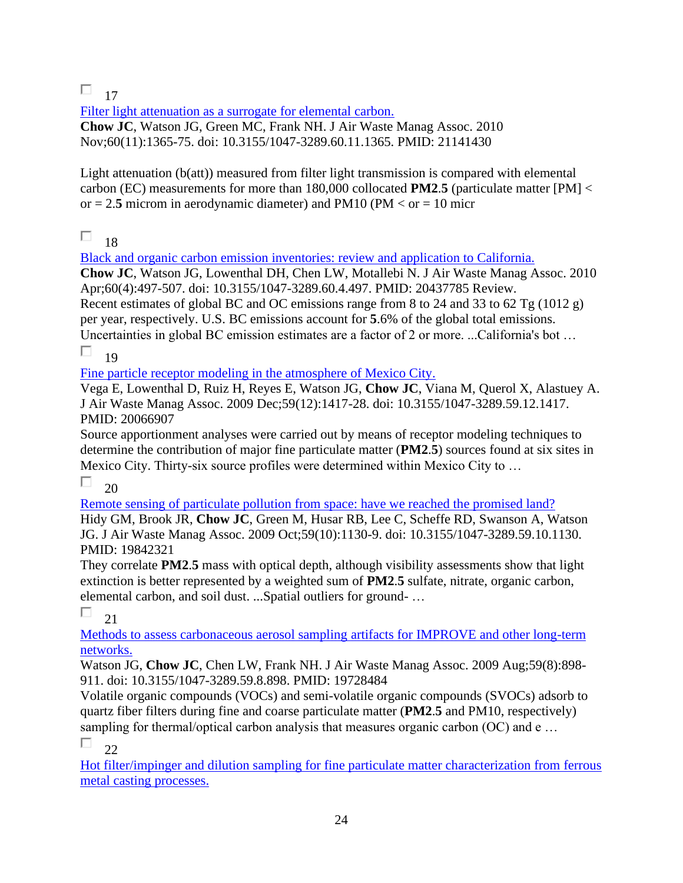$\Box$  17

Filter light attenuation as a surrogate for elemental carbon. **Chow JC**, Watson JG, Green MC, Frank NH. J Air Waste Manag Assoc. 2010 Nov;60(11):1365-75. doi: 10.3155/1047-3289.60.11.1365. PMID: 21141430

Light attenuation  $(b(at))$  measured from filter light transmission is compared with elemental carbon (EC) measurements for more than 180,000 collocated **PM2**.**5** (particulate matter [PM] < or  $= 2.5$  microm in aerodynamic diameter) and PM10 (PM  $<$  or  $= 10$  micr

П. 18

[Black and organic carbon emission inventories: review and application to California.](https://pubmed.ncbi.nlm.nih.gov/20437785/) 

**Chow JC**, Watson JG, Lowenthal DH, Chen LW, Motallebi N. J Air Waste Manag Assoc. 2010 Apr;60(4):497-507. doi: 10.3155/1047-3289.60.4.497. PMID: 20437785 Review.

Recent estimates of global BC and OC emissions range from 8 to 24 and 33 to 62 Tg (1012 g) per year, respectively. U.S. BC emissions account for **5**.6% of the global total emissions.

Uncertainties in global BC emission estimates are a factor of 2 or more. ...California's bot … П. 19

[Fine particle receptor modeling in the atmosphere of Mexico City.](https://pubmed.ncbi.nlm.nih.gov/20066907/) 

Vega E, Lowenthal D, Ruiz H, Reyes E, Watson JG, **Chow JC**, Viana M, Querol X, Alastuey A. J Air Waste Manag Assoc. 2009 Dec;59(12):1417-28. doi: 10.3155/1047-3289.59.12.1417. PMID: 20066907

Source apportionment analyses were carried out by means of receptor modeling techniques to determine the contribution of major fine particulate matter (**PM2**.**5**) sources found at six sites in Mexico City. Thirty-six source profiles were determined within Mexico City to …

П  $20$ 

[Remote sensing of particulate pollution from space: have we reached the promised land?](https://pubmed.ncbi.nlm.nih.gov/19842321/)  Hidy GM, Brook JR, **Chow JC**, Green M, Husar RB, Lee C, Scheffe RD, Swanson A, Watson JG. J Air Waste Manag Assoc. 2009 Oct;59(10):1130-9. doi: 10.3155/1047-3289.59.10.1130. PMID: 19842321

They correlate **PM2**.**5** mass with optical depth, although visibility assessments show that light extinction is better represented by a weighted sum of **PM2**.**5** sulfate, nitrate, organic carbon, elemental carbon, and soil dust. ...Spatial outliers for ground- …

П  $21$ 

[Methods to assess carbonaceous aerosol sampling artifacts for IMPROVE and other long-term](https://pubmed.ncbi.nlm.nih.gov/19728484/)  [networks.](https://pubmed.ncbi.nlm.nih.gov/19728484/) 

Watson JG, **Chow JC**, Chen LW, Frank NH. J Air Waste Manag Assoc. 2009 Aug;59(8):898- 911. doi: 10.3155/1047-3289.59.8.898. PMID: 19728484

Volatile organic compounds (VOCs) and semi-volatile organic compounds (SVOCs) adsorb to quartz fiber filters during fine and coarse particulate matter (**PM2**.**5** and PM10, respectively) sampling for thermal/optical carbon analysis that measures organic carbon (OC) and e ...

П 22

[Hot filter/impinger and dilution sampling for fine particulate matter characterization from ferrous](https://pubmed.ncbi.nlm.nih.gov/18422042/)  [metal casting processes.](https://pubmed.ncbi.nlm.nih.gov/18422042/)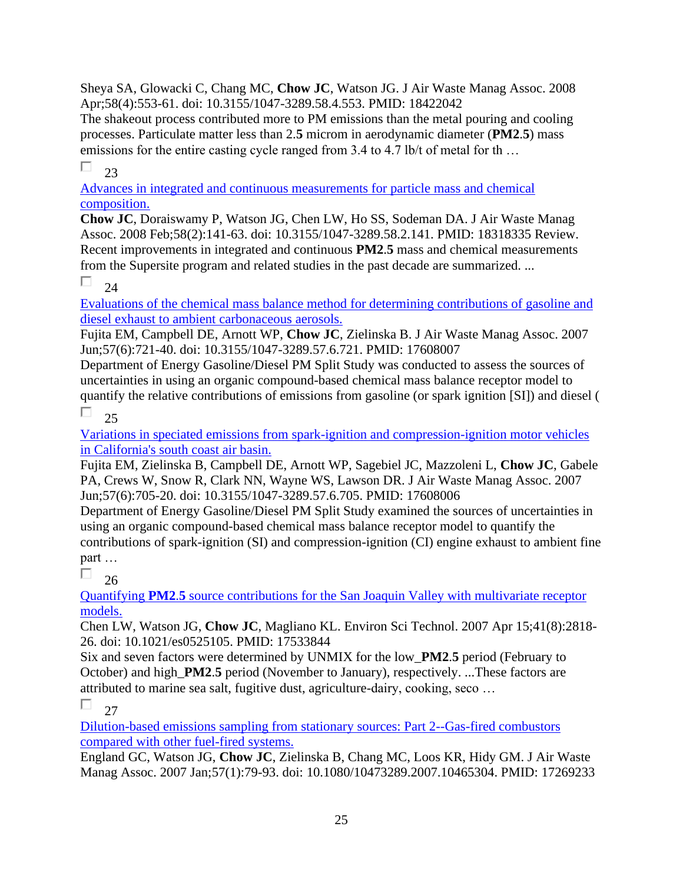Sheya SA, Glowacki C, Chang MC, **Chow JC**, Watson JG. J Air Waste Manag Assoc. 2008 Apr;58(4):553-61. doi: 10.3155/1047-3289.58.4.553. PMID: 18422042

The shakeout process contributed more to PM emissions than the metal pouring and cooling processes. Particulate matter less than 2.**5** microm in aerodynamic diameter (**PM2**.**5**) mass emissions for the entire casting cycle ranged from 3.4 to 4.7 lb/t of metal for th...

П  $2<sup>3</sup>$ 

[Advances in integrated and continuous measurements for particle mass and chemical](https://pubmed.ncbi.nlm.nih.gov/18318335/)  [composition.](https://pubmed.ncbi.nlm.nih.gov/18318335/) 

**Chow JC**, Doraiswamy P, Watson JG, Chen LW, Ho SS, Sodeman DA. J Air Waste Manag Assoc. 2008 Feb;58(2):141-63. doi: 10.3155/1047-3289.58.2.141. PMID: 18318335 Review. Recent improvements in integrated and continuous **PM2**.**5** mass and chemical measurements from the Supersite program and related studies in the past decade are summarized. ...

П 24

[Evaluations of the chemical mass balance method for determining contributions of gasoline and](https://pubmed.ncbi.nlm.nih.gov/17608007/)  [diesel exhaust to ambient carbonaceous aerosols.](https://pubmed.ncbi.nlm.nih.gov/17608007/) 

Fujita EM, Campbell DE, Arnott WP, **Chow JC**, Zielinska B. J Air Waste Manag Assoc. 2007 Jun;57(6):721-40. doi: 10.3155/1047-3289.57.6.721. PMID: 17608007

Department of Energy Gasoline/Diesel PM Split Study was conducted to assess the sources of uncertainties in using an organic compound-based chemical mass balance receptor model to quantify the relative contributions of emissions from gasoline (or spark ignition [SI]) and diesel (

П  $25$ 

[Variations in speciated emissions from spark-ignition and compression-ignition motor vehicles](https://pubmed.ncbi.nlm.nih.gov/17608006/)  [in California's south coast air basin.](https://pubmed.ncbi.nlm.nih.gov/17608006/) 

Fujita EM, Zielinska B, Campbell DE, Arnott WP, Sagebiel JC, Mazzoleni L, **Chow JC**, Gabele PA, Crews W, Snow R, Clark NN, Wayne WS, Lawson DR. J Air Waste Manag Assoc. 2007 Jun;57(6):705-20. doi: 10.3155/1047-3289.57.6.705. PMID: 17608006

Department of Energy Gasoline/Diesel PM Split Study examined the sources of uncertainties in using an organic compound-based chemical mass balance receptor model to quantify the contributions of spark-ignition (SI) and compression-ignition (CI) engine exhaust to ambient fine part …

П  $26$ 

Quantifying **PM2**.**5** [source contributions for the San Joaquin Valley with multivariate receptor](https://pubmed.ncbi.nlm.nih.gov/17533844/)  [models.](https://pubmed.ncbi.nlm.nih.gov/17533844/) 

Chen LW, Watson JG, **Chow JC**, Magliano KL. Environ Sci Technol. 2007 Apr 15;41(8):2818- 26. doi: 10.1021/es0525105. PMID: 17533844

Six and seven factors were determined by UNMIX for the low\_**PM2**.**5** period (February to October) and high\_**PM2**.**5** period (November to January), respectively. ...These factors are attributed to marine sea salt, fugitive dust, agriculture-dairy, cooking, seco …

П  $27$ 

[Dilution-based emissions sampling from stationary sources: Part 2--Gas-fired combustors](https://pubmed.ncbi.nlm.nih.gov/17269233/)  [compared with other fuel-fired systems.](https://pubmed.ncbi.nlm.nih.gov/17269233/) 

England GC, Watson JG, **Chow JC**, Zielinska B, Chang MC, Loos KR, Hidy GM. J Air Waste Manag Assoc. 2007 Jan;57(1):79-93. doi: 10.1080/10473289.2007.10465304. PMID: 17269233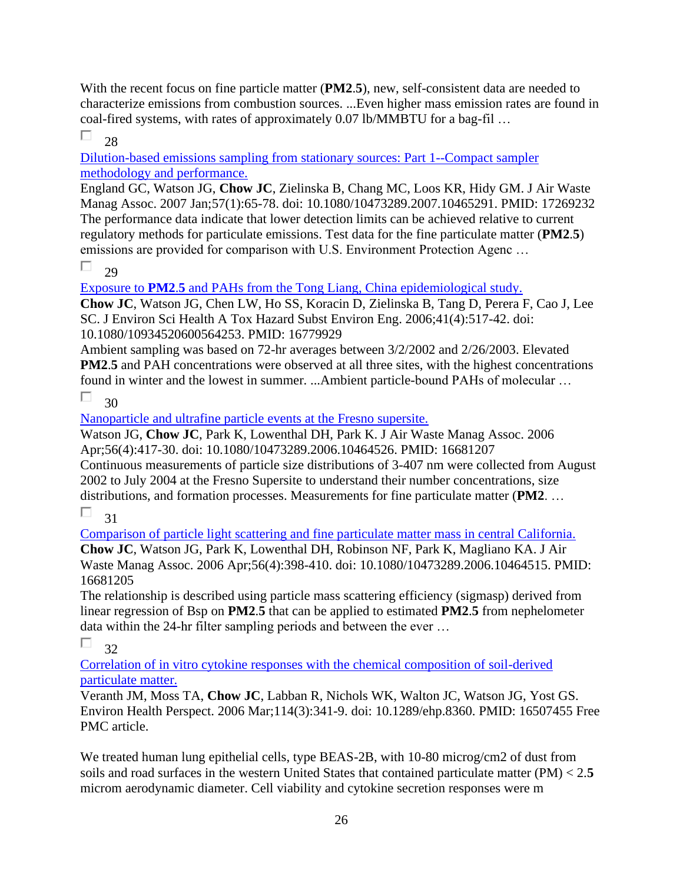With the recent focus on fine particle matter (**PM2**.**5**), new, self-consistent data are needed to characterize emissions from combustion sources. ...Even higher mass emission rates are found in coal-fired systems, with rates of approximately 0.07 lb/MMBTU for a bag-fil …

П 28

[Dilution-based emissions sampling from stationary sources: Part 1--Compact sampler](https://pubmed.ncbi.nlm.nih.gov/17269232/)  [methodology and performance.](https://pubmed.ncbi.nlm.nih.gov/17269232/) 

England GC, Watson JG, **Chow JC**, Zielinska B, Chang MC, Loos KR, Hidy GM. J Air Waste Manag Assoc. 2007 Jan;57(1):65-78. doi: 10.1080/10473289.2007.10465291. PMID: 17269232 The performance data indicate that lower detection limits can be achieved relative to current regulatory methods for particulate emissions. Test data for the fine particulate matter (**PM2**.**5**) emissions are provided for comparison with U.S. Environment Protection Agenc …

 $\Box$  $29$ 

Exposure to **PM2**.**5** [and PAHs from the Tong Liang, China epidemiological study.](https://pubmed.ncbi.nlm.nih.gov/16779929/) 

**Chow JC**, Watson JG, Chen LW, Ho SS, Koracin D, Zielinska B, Tang D, Perera F, Cao J, Lee SC. J Environ Sci Health A Tox Hazard Subst Environ Eng. 2006;41(4):517-42. doi: 10.1080/10934520600564253. PMID: 16779929

Ambient sampling was based on 72-hr averages between 3/2/2002 and 2/26/2003. Elevated **PM2**.**5** and PAH concentrations were observed at all three sites, with the highest concentrations found in winter and the lowest in summer. ...Ambient particle-bound PAHs of molecular …

П. 30

[Nanoparticle and ultrafine particle events at the Fresno supersite.](https://pubmed.ncbi.nlm.nih.gov/16681207/) 

Watson JG, **Chow JC**, Park K, Lowenthal DH, Park K. J Air Waste Manag Assoc. 2006 Apr;56(4):417-30. doi: 10.1080/10473289.2006.10464526. PMID: 16681207 Continuous measurements of particle size distributions of 3-407 nm were collected from August 2002 to July 2004 at the Fresno Supersite to understand their number concentrations, size distributions, and formation processes. Measurements for fine particulate matter (**PM2**. …

П 31

[Comparison of particle light scattering and fine particulate matter mass in central California.](https://pubmed.ncbi.nlm.nih.gov/16681205/) 

**Chow JC**, Watson JG, Park K, Lowenthal DH, Robinson NF, Park K, Magliano KA. J Air Waste Manag Assoc. 2006 Apr;56(4):398-410. doi: 10.1080/10473289.2006.10464515. PMID: 16681205

The relationship is described using particle mass scattering efficiency (sigmasp) derived from linear regression of Bsp on **PM2**.**5** that can be applied to estimated **PM2**.**5** from nephelometer data within the 24-hr filter sampling periods and between the ever …

П 32

[Correlation of in vitro cytokine responses with the chemical composition of soil-derived](https://pubmed.ncbi.nlm.nih.gov/16507455/)  [particulate matter.](https://pubmed.ncbi.nlm.nih.gov/16507455/) 

Veranth JM, Moss TA, **Chow JC**, Labban R, Nichols WK, Walton JC, Watson JG, Yost GS. Environ Health Perspect. 2006 Mar;114(3):341-9. doi: 10.1289/ehp.8360. PMID: 16507455 Free PMC article.

We treated human lung epithelial cells, type BEAS-2B, with 10-80 microg/cm2 of dust from soils and road surfaces in the western United States that contained particulate matter (PM) < 2.**5** microm aerodynamic diameter. Cell viability and cytokine secretion responses were m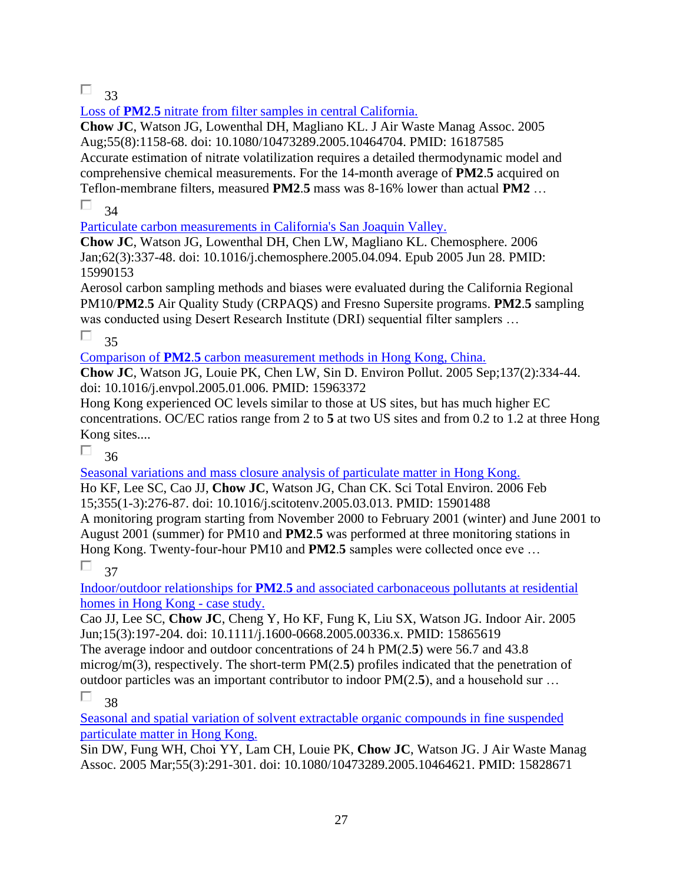$\Box$  33

Loss of **PM2**.**5** [nitrate from filter samples in central California.](https://pubmed.ncbi.nlm.nih.gov/16187585/) 

**Chow JC**, Watson JG, Lowenthal DH, Magliano KL. J Air Waste Manag Assoc. 2005 Aug;55(8):1158-68. doi: 10.1080/10473289.2005.10464704. PMID: 16187585 Accurate estimation of nitrate volatilization requires a detailed thermodynamic model and comprehensive chemical measurements. For the 14-month average of **PM2**.**5** acquired on Teflon-membrane filters, measured **PM2**.**5** mass was 8-16% lower than actual **PM2** …

П 34

[Particulate carbon measurements in California's San Joaquin Valley.](https://pubmed.ncbi.nlm.nih.gov/15990153/) 

**Chow JC**, Watson JG, Lowenthal DH, Chen LW, Magliano KL. Chemosphere. 2006 Jan;62(3):337-48. doi: 10.1016/j.chemosphere.2005.04.094. Epub 2005 Jun 28. PMID: 15990153

Aerosol carbon sampling methods and biases were evaluated during the California Regional PM10/**PM2**.**5** Air Quality Study (CRPAQS) and Fresno Supersite programs. **PM2**.**5** sampling was conducted using Desert Research Institute (DRI) sequential filter samplers …

П 35

Comparison of **PM2**.**5** [carbon measurement methods in Hong Kong, China.](https://pubmed.ncbi.nlm.nih.gov/15963372/) 

**Chow JC**, Watson JG, Louie PK, Chen LW, Sin D. Environ Pollut. 2005 Sep;137(2):334-44. doi: 10.1016/j.envpol.2005.01.006. PMID: 15963372

Hong Kong experienced OC levels similar to those at US sites, but has much higher EC concentrations. OC/EC ratios range from 2 to **5** at two US sites and from 0.2 to 1.2 at three Hong Kong sites....

П 36

[Seasonal variations and mass closure analysis of particulate matter in Hong Kong.](https://pubmed.ncbi.nlm.nih.gov/15901488/) 

Ho KF, Lee SC, Cao JJ, **Chow JC**, Watson JG, Chan CK. Sci Total Environ. 2006 Feb 15;355(1-3):276-87. doi: 10.1016/j.scitotenv.2005.03.013. PMID: 15901488 A monitoring program starting from November 2000 to February 2001 (winter) and June 2001 to August 2001 (summer) for PM10 and **PM2**.**5** was performed at three monitoring stations in Hong Kong. Twenty-four-hour PM10 and **PM2**.**5** samples were collected once eve …

П 37

Indoor/outdoor relationships for **PM2**.**5** [and associated carbonaceous pollutants at residential](https://pubmed.ncbi.nlm.nih.gov/15865619/)  [homes in Hong Kong -](https://pubmed.ncbi.nlm.nih.gov/15865619/) case study.

Cao JJ, Lee SC, **Chow JC**, Cheng Y, Ho KF, Fung K, Liu SX, Watson JG. Indoor Air. 2005 Jun;15(3):197-204. doi: 10.1111/j.1600-0668.2005.00336.x. PMID: 15865619 The average indoor and outdoor concentrations of 24 h PM(2.**5**) were 56.7 and 43.8 microg/m(3), respectively. The short-term PM(2.**5**) profiles indicated that the penetration of outdoor particles was an important contributor to indoor PM(2.**5**), and a household sur … п 38

[Seasonal and spatial variation of solvent extractable organic compounds in fine suspended](https://pubmed.ncbi.nlm.nih.gov/15828671/)  [particulate matter in Hong Kong.](https://pubmed.ncbi.nlm.nih.gov/15828671/) 

Sin DW, Fung WH, Choi YY, Lam CH, Louie PK, **Chow JC**, Watson JG. J Air Waste Manag Assoc. 2005 Mar;55(3):291-301. doi: 10.1080/10473289.2005.10464621. PMID: 15828671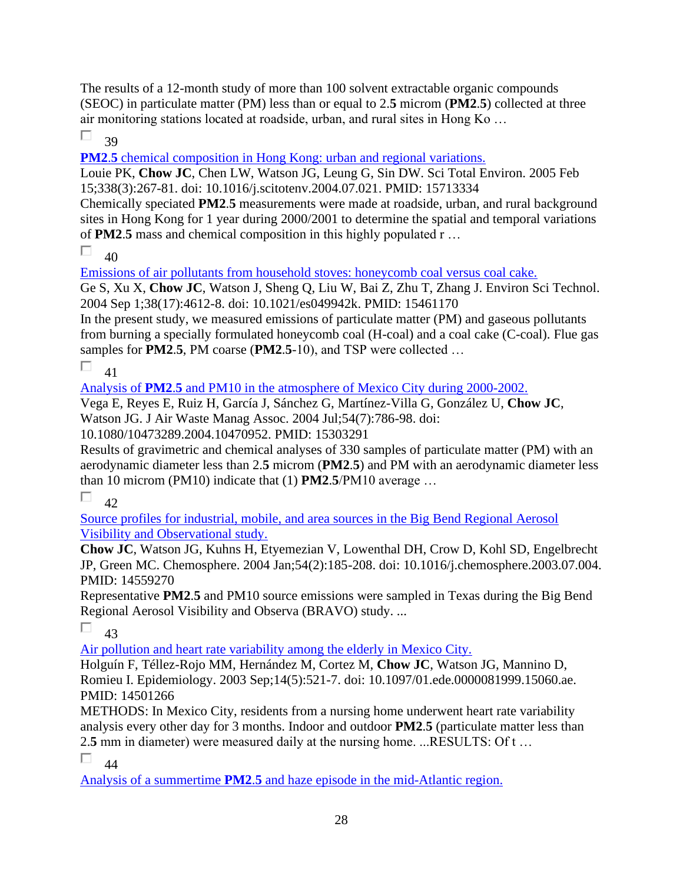The results of a 12-month study of more than 100 solvent extractable organic compounds (SEOC) in particulate matter (PM) less than or equal to 2.**5** microm (**PM2**.**5**) collected at three air monitoring stations located at roadside, urban, and rural sites in Hong Ko …

П 39

**PM2.5** chemical composition in Hong Kong: urban and regional variations.

Louie PK, **Chow JC**, Chen LW, Watson JG, Leung G, Sin DW. Sci Total Environ. 2005 Feb 15;338(3):267-81. doi: 10.1016/j.scitotenv.2004.07.021. PMID: 15713334

Chemically speciated **PM2**.**5** measurements were made at roadside, urban, and rural background sites in Hong Kong for 1 year during 2000/2001 to determine the spatial and temporal variations of **PM2**.**5** mass and chemical composition in this highly populated r …

П  $40$ 

[Emissions of air pollutants from household stoves: honeycomb coal versus coal cake.](https://pubmed.ncbi.nlm.nih.gov/15461170/) 

Ge S, Xu X, **Chow JC**, Watson J, Sheng Q, Liu W, Bai Z, Zhu T, Zhang J. Environ Sci Technol. 2004 Sep 1;38(17):4612-8. doi: 10.1021/es049942k. PMID: 15461170

In the present study, we measured emissions of particulate matter (PM) and gaseous pollutants from burning a specially formulated honeycomb coal (H-coal) and a coal cake (C-coal). Flue gas samples for **PM2**.**5**, PM coarse (**PM2**.**5**-10), and TSP were collected …

П 41

Analysis of **PM2**.**5** [and PM10 in the atmosphere of Mexico City during 2000-2002.](https://pubmed.ncbi.nlm.nih.gov/15303291/) 

Vega E, Reyes E, Ruiz H, García J, Sánchez G, Martínez-Villa G, González U, **Chow JC**, Watson JG. J Air Waste Manag Assoc. 2004 Jul;54(7):786-98. doi:

10.1080/10473289.2004.10470952. PMID: 15303291

Results of gravimetric and chemical analyses of 330 samples of particulate matter (PM) with an aerodynamic diameter less than 2.**5** microm (**PM2**.**5**) and PM with an aerodynamic diameter less than 10 microm (PM10) indicate that (1) **PM2**.**5**/PM10 average …

П  $42$ 

[Source profiles for industrial, mobile, and area sources in the Big Bend Regional Aerosol](https://pubmed.ncbi.nlm.nih.gov/14559270/)  [Visibility and Observational study.](https://pubmed.ncbi.nlm.nih.gov/14559270/) 

**Chow JC**, Watson JG, Kuhns H, Etyemezian V, Lowenthal DH, Crow D, Kohl SD, Engelbrecht JP, Green MC. Chemosphere. 2004 Jan;54(2):185-208. doi: 10.1016/j.chemosphere.2003.07.004. PMID: 14559270

Representative **PM2**.**5** and PM10 source emissions were sampled in Texas during the Big Bend Regional Aerosol Visibility and Observa (BRAVO) study. ...

п 43

[Air pollution and heart rate variability among the elderly in Mexico City.](https://pubmed.ncbi.nlm.nih.gov/14501266/) 

Holguín F, Téllez-Rojo MM, Hernández M, Cortez M, **Chow JC**, Watson JG, Mannino D, Romieu I. Epidemiology. 2003 Sep;14(5):521-7. doi: 10.1097/01.ede.0000081999.15060.ae. PMID: 14501266

METHODS: In Mexico City, residents from a nursing home underwent heart rate variability analysis every other day for 3 months. Indoor and outdoor **PM2**.**5** (particulate matter less than 2.**5** mm in diameter) were measured daily at the nursing home. ...RESULTS: Of t …

П 44

Analysis of a summertime **PM2**.**5** [and haze episode in the mid-Atlantic region.](https://pubmed.ncbi.nlm.nih.gov/12943314/)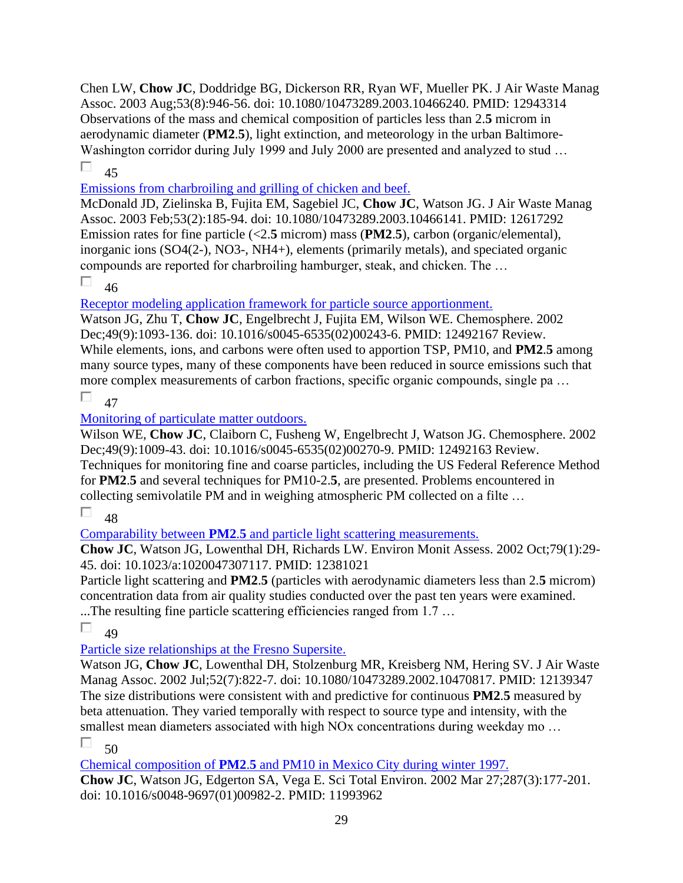Chen LW, **Chow JC**, Doddridge BG, Dickerson RR, Ryan WF, Mueller PK. J Air Waste Manag Assoc. 2003 Aug;53(8):946-56. doi: 10.1080/10473289.2003.10466240. PMID: 12943314 Observations of the mass and chemical composition of particles less than 2.**5** microm in aerodynamic diameter (**PM2**.**5**), light extinction, and meteorology in the urban Baltimore-Washington corridor during July 1999 and July 2000 are presented and analyzed to stud ...

П  $\overline{45}$ 

[Emissions from charbroiling and grilling of chicken and beef.](https://pubmed.ncbi.nlm.nih.gov/12617292/) 

McDonald JD, Zielinska B, Fujita EM, Sagebiel JC, **Chow JC**, Watson JG. J Air Waste Manag Assoc. 2003 Feb;53(2):185-94. doi: 10.1080/10473289.2003.10466141. PMID: 12617292 Emission rates for fine particle (<2.**5** microm) mass (**PM2**.**5**), carbon (organic/elemental), inorganic ions (SO4(2-), NO3-, NH4+), elements (primarily metals), and speciated organic compounds are reported for charbroiling hamburger, steak, and chicken. The …

П 46

[Receptor modeling application framework for particle source apportionment.](https://pubmed.ncbi.nlm.nih.gov/12492167/) 

Watson JG, Zhu T, **Chow JC**, Engelbrecht J, Fujita EM, Wilson WE. Chemosphere. 2002 Dec;49(9):1093-136. doi: 10.1016/s0045-6535(02)00243-6. PMID: 12492167 Review. While elements, ions, and carbons were often used to apportion TSP, PM10, and **PM2**.**5** among many source types, many of these components have been reduced in source emissions such that more complex measurements of carbon fractions, specific organic compounds, single pa …

П 47

[Monitoring of particulate matter outdoors.](https://pubmed.ncbi.nlm.nih.gov/12492163/) 

Wilson WE, **Chow JC**, Claiborn C, Fusheng W, Engelbrecht J, Watson JG. Chemosphere. 2002 Dec;49(9):1009-43. doi: 10.1016/s0045-6535(02)00270-9. PMID: 12492163 Review. Techniques for monitoring fine and coarse particles, including the US Federal Reference Method for **PM2**.**5** and several techniques for PM10-2.**5**, are presented. Problems encountered in collecting semivolatile PM and in weighing atmospheric PM collected on a filte …

П 48

Comparability between **PM2**.**5** [and particle light scattering measurements.](https://pubmed.ncbi.nlm.nih.gov/12381021/) 

**Chow JC**, Watson JG, Lowenthal DH, Richards LW. Environ Monit Assess. 2002 Oct;79(1):29- 45. doi: 10.1023/a:1020047307117. PMID: 12381021

Particle light scattering and **PM2**.**5** (particles with aerodynamic diameters less than 2.**5** microm) concentration data from air quality studies conducted over the past ten years were examined. ...The resulting fine particle scattering efficiencies ranged from 1.7 …

П  $\overline{AQ}$ 

[Particle size relationships at the Fresno Supersite.](https://pubmed.ncbi.nlm.nih.gov/12139347/) 

Watson JG, **Chow JC**, Lowenthal DH, Stolzenburg MR, Kreisberg NM, Hering SV. J Air Waste Manag Assoc. 2002 Jul;52(7):822-7. doi: 10.1080/10473289.2002.10470817. PMID: 12139347 The size distributions were consistent with and predictive for continuous **PM2**.**5** measured by beta attenuation. They varied temporally with respect to source type and intensity, with the smallest mean diameters associated with high NO<sub>x</sub> concentrations during weekday mo ...

П  $50$ 

Chemical composition of **PM2**.**5** [and PM10 in Mexico City during winter 1997.](https://pubmed.ncbi.nlm.nih.gov/11993962/) 

**Chow JC**, Watson JG, Edgerton SA, Vega E. Sci Total Environ. 2002 Mar 27;287(3):177-201. doi: 10.1016/s0048-9697(01)00982-2. PMID: 11993962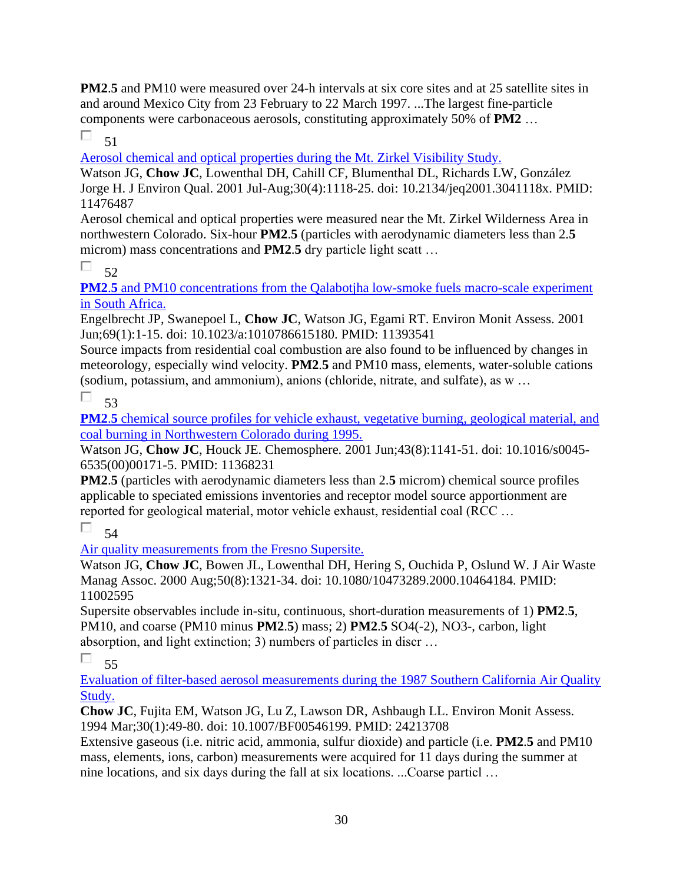**PM2.5** and PM10 were measured over 24-h intervals at six core sites and at 25 satellite sites in and around Mexico City from 23 February to 22 March 1997. ...The largest fine-particle components were carbonaceous aerosols, constituting approximately 50% of **PM2** …

П 51

[Aerosol chemical and optical properties during the Mt. Zirkel Visibility Study.](https://pubmed.ncbi.nlm.nih.gov/11476487/) 

Watson JG, **Chow JC**, Lowenthal DH, Cahill CF, Blumenthal DL, Richards LW, González Jorge H. J Environ Qual. 2001 Jul-Aug;30(4):1118-25. doi: 10.2134/jeq2001.3041118x. PMID: 11476487

Aerosol chemical and optical properties were measured near the Mt. Zirkel Wilderness Area in northwestern Colorado. Six-hour **PM2**.**5** (particles with aerodynamic diameters less than 2.**5** microm) mass concentrations and **PM2**.**5** dry particle light scatt …

 $\Box$  52

**PM2.5** and PM10 concentrations from the Qalabotjha low-smoke fuels macro-scale experiment [in South Africa.](https://pubmed.ncbi.nlm.nih.gov/11393541/) 

Engelbrecht JP, Swanepoel L, **Chow JC**, Watson JG, Egami RT. Environ Monit Assess. 2001 Jun;69(1):1-15. doi: 10.1023/a:1010786615180. PMID: 11393541

Source impacts from residential coal combustion are also found to be influenced by changes in meteorology, especially wind velocity. **PM2**.**5** and PM10 mass, elements, water-soluble cations (sodium, potassium, and ammonium), anions (chloride, nitrate, and sulfate), as w …

П 53

**PM2.5** chemical source profiles for vehicle exhaust, vegetative burning, geological material, and [coal burning in Northwestern Colorado during 1995.](https://pubmed.ncbi.nlm.nih.gov/11368231/) 

Watson JG, **Chow JC**, Houck JE. Chemosphere. 2001 Jun;43(8):1141-51. doi: 10.1016/s0045- 6535(00)00171-5. PMID: 11368231

**PM2**.**5** (particles with aerodynamic diameters less than 2.**5** microm) chemical source profiles applicable to speciated emissions inventories and receptor model source apportionment are reported for geological material, motor vehicle exhaust, residential coal (RCC …

П 54

[Air quality measurements from the Fresno Supersite.](https://pubmed.ncbi.nlm.nih.gov/11002595/) 

Watson JG, **Chow JC**, Bowen JL, Lowenthal DH, Hering S, Ouchida P, Oslund W. J Air Waste Manag Assoc. 2000 Aug;50(8):1321-34. doi: 10.1080/10473289.2000.10464184. PMID: 11002595

Supersite observables include in-situ, continuous, short-duration measurements of 1) **PM2**.**5**, PM10, and coarse (PM10 minus **PM2**.**5**) mass; 2) **PM2**.**5** SO4(-2), NO3-, carbon, light absorption, and light extinction; 3) numbers of particles in discr …

П 55

[Evaluation of filter-based aerosol measurements during the 1987 Southern California Air Quality](https://pubmed.ncbi.nlm.nih.gov/24213708/)  [Study.](https://pubmed.ncbi.nlm.nih.gov/24213708/) 

**Chow JC**, Fujita EM, Watson JG, Lu Z, Lawson DR, Ashbaugh LL. Environ Monit Assess. 1994 Mar;30(1):49-80. doi: 10.1007/BF00546199. PMID: 24213708

Extensive gaseous (i.e. nitric acid, ammonia, sulfur dioxide) and particle (i.e. **PM2**.**5** and PM10 mass, elements, ions, carbon) measurements were acquired for 11 days during the summer at nine locations, and six days during the fall at six locations. ...Coarse particl …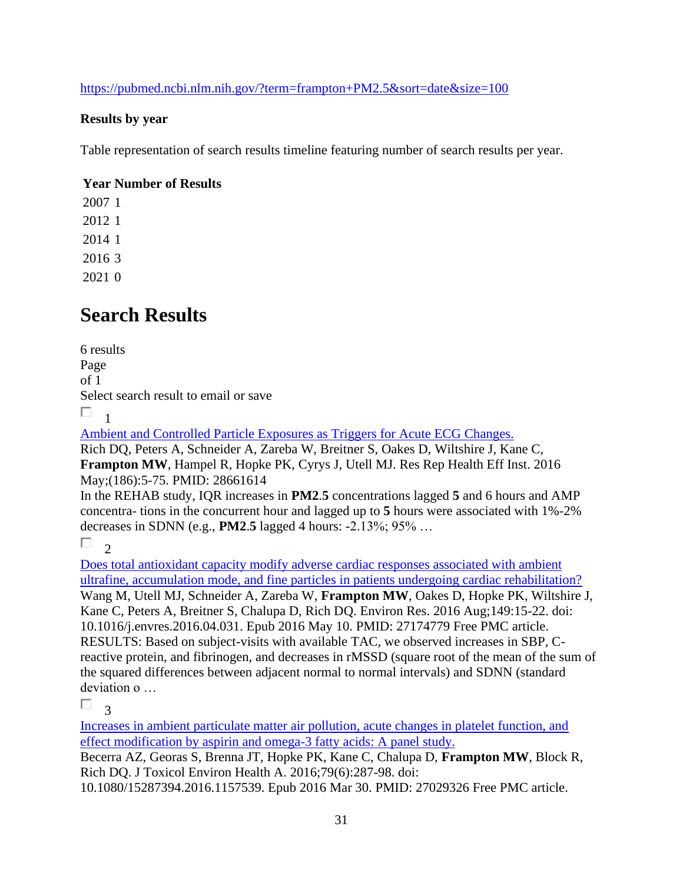<https://pubmed.ncbi.nlm.nih.gov/?term=frampton+PM2.5&sort=date&size=100>

### **Results by year**

Table representation of search results timeline featuring number of search results per year.

### **Year Number of Results**

## **Search Results**

6 results Page of 1 Select search result to email or save  $\Box$ 1

[Ambient and Controlled Particle Exposures as Triggers for Acute ECG Changes.](https://pubmed.ncbi.nlm.nih.gov/28661614/) 

Rich DQ, Peters A, Schneider A, Zareba W, Breitner S, Oakes D, Wiltshire J, Kane C, **Frampton MW**, Hampel R, Hopke PK, Cyrys J, Utell MJ. Res Rep Health Eff Inst. 2016 May;(186):5-75. PMID: 28661614

In the REHAB study, IQR increases in **PM2**.**5** concentrations lagged **5** and 6 hours and AMP concentra- tions in the concurrent hour and lagged up to **5** hours were associated with 1%-2% decreases in SDNN (e.g., **PM2**.**5** lagged 4 hours: -2.13%; 95% …

 $\Box$ 

[Does total antioxidant capacity modify adverse cardiac responses associated with ambient](https://pubmed.ncbi.nlm.nih.gov/27174779/)  [ultrafine, accumulation mode, and fine particles in patients undergoing cardiac rehabilitation?](https://pubmed.ncbi.nlm.nih.gov/27174779/)  Wang M, Utell MJ, Schneider A, Zareba W, **Frampton MW**, Oakes D, Hopke PK, Wiltshire J, Kane C, Peters A, Breitner S, Chalupa D, Rich DQ. Environ Res. 2016 Aug;149:15-22. doi: 10.1016/j.envres.2016.04.031. Epub 2016 May 10. PMID: 27174779 Free PMC article. RESULTS: Based on subject-visits with available TAC, we observed increases in SBP, Creactive protein, and fibrinogen, and decreases in rMSSD (square root of the mean of the sum of the squared differences between adjacent normal to normal intervals) and SDNN (standard deviation o …

П 3

[Increases in ambient particulate matter air pollution, acute changes in platelet function, and](https://pubmed.ncbi.nlm.nih.gov/27029326/)  [effect modification by aspirin and omega-3 fatty acids: A panel study.](https://pubmed.ncbi.nlm.nih.gov/27029326/) 

Becerra AZ, Georas S, Brenna JT, Hopke PK, Kane C, Chalupa D, **Frampton MW**, Block R, Rich DQ. J Toxicol Environ Health A. 2016;79(6):287-98. doi:

10.1080/15287394.2016.1157539. Epub 2016 Mar 30. PMID: 27029326 Free PMC article.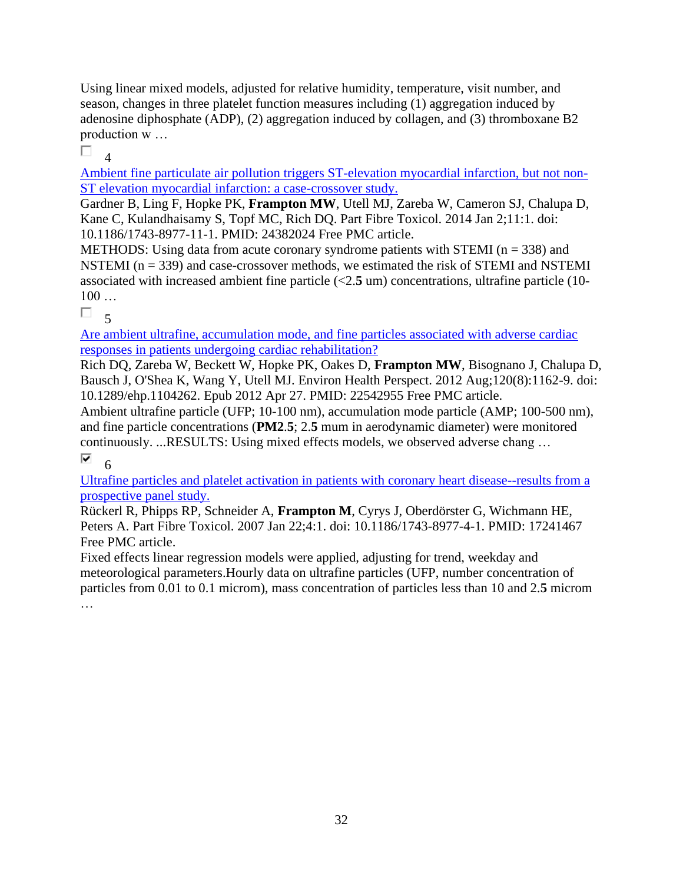Using linear mixed models, adjusted for relative humidity, temperature, visit number, and season, changes in three platelet function measures including (1) aggregation induced by adenosine diphosphate (ADP), (2) aggregation induced by collagen, and (3) thromboxane B2 production w …

П 4

[Ambient fine particulate air pollution triggers ST-elevation myocardial infarction, but not non-](https://pubmed.ncbi.nlm.nih.gov/24382024/)[ST elevation myocardial infarction: a case-crossover study.](https://pubmed.ncbi.nlm.nih.gov/24382024/) 

Gardner B, Ling F, Hopke PK, **Frampton MW**, Utell MJ, Zareba W, Cameron SJ, Chalupa D, Kane C, Kulandhaisamy S, Topf MC, Rich DQ. Part Fibre Toxicol. 2014 Jan 2;11:1. doi: 10.1186/1743-8977-11-1. PMID: 24382024 Free PMC article.

METHODS: Using data from acute coronary syndrome patients with STEMI ( $n = 338$ ) and NSTEMI ( $n = 339$ ) and case-crossover methods, we estimated the risk of STEMI and NSTEMI associated with increased ambient fine particle (<2.**5** um) concentrations, ultrafine particle (10- 100 …

 $\Box$  5

[Are ambient ultrafine, accumulation mode, and fine particles associated with adverse cardiac](https://pubmed.ncbi.nlm.nih.gov/22542955/)  [responses in patients undergoing cardiac rehabilitation?](https://pubmed.ncbi.nlm.nih.gov/22542955/) 

Rich DQ, Zareba W, Beckett W, Hopke PK, Oakes D, **Frampton MW**, Bisognano J, Chalupa D, Bausch J, O'Shea K, Wang Y, Utell MJ. Environ Health Perspect. 2012 Aug;120(8):1162-9. doi: 10.1289/ehp.1104262. Epub 2012 Apr 27. PMID: 22542955 Free PMC article.

Ambient ultrafine particle (UFP; 10-100 nm), accumulation mode particle (AMP; 100-500 nm), and fine particle concentrations (**PM2**.**5**; 2.**5** mum in aerodynamic diameter) were monitored continuously. ...RESULTS: Using mixed effects models, we observed adverse chang … ⊽ 6

[Ultrafine particles and platelet activation in patients with coronary heart disease--results from a](https://pubmed.ncbi.nlm.nih.gov/17241467/)  [prospective panel study.](https://pubmed.ncbi.nlm.nih.gov/17241467/) 

Rückerl R, Phipps RP, Schneider A, **Frampton M**, Cyrys J, Oberdörster G, Wichmann HE, Peters A. Part Fibre Toxicol. 2007 Jan 22;4:1. doi: 10.1186/1743-8977-4-1. PMID: 17241467 Free PMC article.

Fixed effects linear regression models were applied, adjusting for trend, weekday and meteorological parameters.Hourly data on ultrafine particles (UFP, number concentration of particles from 0.01 to 0.1 microm), mass concentration of particles less than 10 and 2.**5** microm …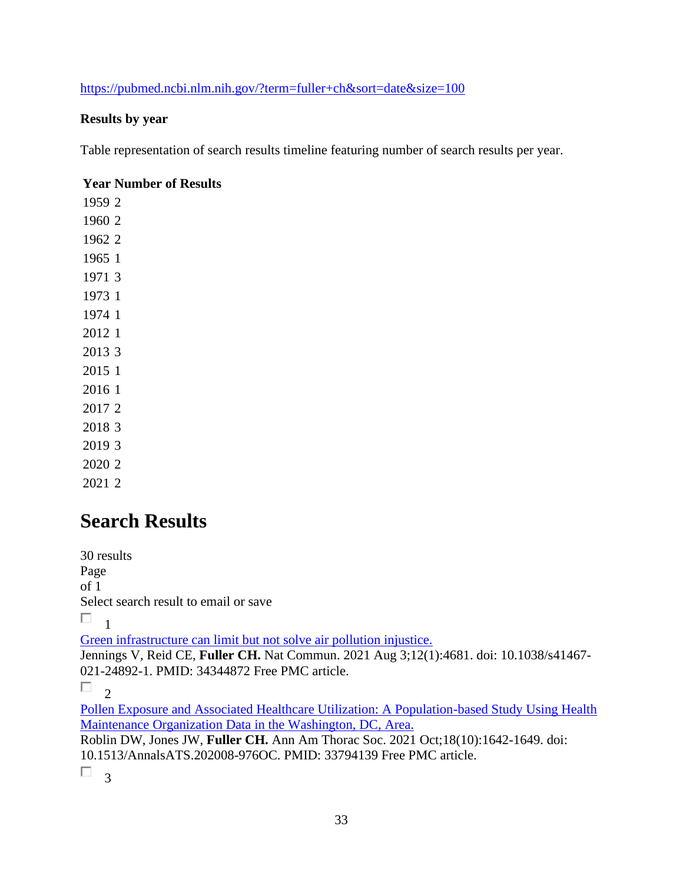<https://pubmed.ncbi.nlm.nih.gov/?term=fuller+ch&sort=date&size=100>

### **Results by year**

Table representation of search results timeline featuring number of search results per year.

#### **Year Number of Results**

## **Search Results**

30 results Page of 1 Select search result to email or save  $\Box$ <sub>1</sub> [Green infrastructure can limit but not solve air pollution injustice.](https://pubmed.ncbi.nlm.nih.gov/34344872/)  Jennings V, Reid CE, **Fuller CH.** Nat Commun. 2021 Aug 3;12(1):4681. doi: 10.1038/s41467- 021-24892-1. PMID: 34344872 Free PMC article.  $\Box$ <sub>2</sub> [Pollen Exposure and Associated Healthcare Utilization: A Population-based Study Using Health](https://pubmed.ncbi.nlm.nih.gov/33794139/)  [Maintenance Organization Data in the Washington, DC, Area.](https://pubmed.ncbi.nlm.nih.gov/33794139/)  Roblin DW, Jones JW, **Fuller CH.** Ann Am Thorac Soc. 2021 Oct;18(10):1642-1649. doi: 10.1513/AnnalsATS.202008-976OC. PMID: 33794139 Free PMC article.

 $\Box$ <sup>3</sup>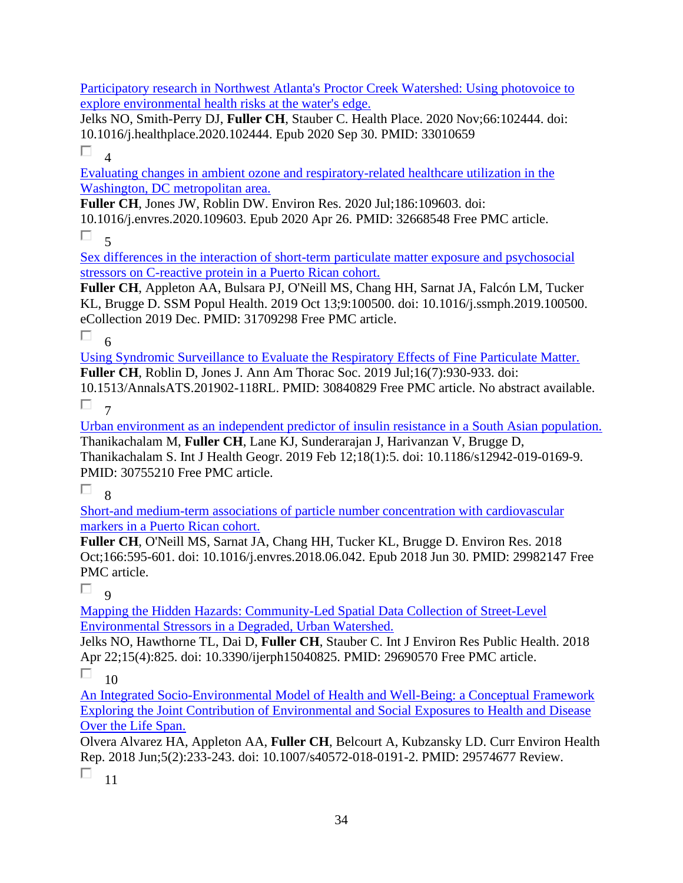[Participatory research in Northwest Atlanta's Proctor Creek Watershed: Using photovoice to](https://pubmed.ncbi.nlm.nih.gov/33010659/)  [explore environmental health risks at the water's edge.](https://pubmed.ncbi.nlm.nih.gov/33010659/) 

Jelks NO, Smith-Perry DJ, **Fuller CH**, Stauber C. Health Place. 2020 Nov;66:102444. doi: 10.1016/j.healthplace.2020.102444. Epub 2020 Sep 30. PMID: 33010659

 $\Box$ 4

[Evaluating changes in ambient ozone and respiratory-related healthcare utilization in the](https://pubmed.ncbi.nlm.nih.gov/32668548/)  [Washington, DC metropolitan area.](https://pubmed.ncbi.nlm.nih.gov/32668548/) 

**Fuller CH**, Jones JW, Roblin DW. Environ Res. 2020 Jul;186:109603. doi: 10.1016/j.envres.2020.109603. Epub 2020 Apr 26. PMID: 32668548 Free PMC article.

 $\Box$ 5

[Sex differences in the interaction of short-term particulate matter exposure and psychosocial](https://pubmed.ncbi.nlm.nih.gov/31709298/)  [stressors on C-reactive protein in a Puerto Rican cohort.](https://pubmed.ncbi.nlm.nih.gov/31709298/) 

**Fuller CH**, Appleton AA, Bulsara PJ, O'Neill MS, Chang HH, Sarnat JA, Falcón LM, Tucker KL, Brugge D. SSM Popul Health. 2019 Oct 13;9:100500. doi: 10.1016/j.ssmph.2019.100500. eCollection 2019 Dec. PMID: 31709298 Free PMC article.

 $\Box$  6

[Using Syndromic Surveillance to Evaluate the Respiratory Effects of Fine Particulate Matter.](https://pubmed.ncbi.nlm.nih.gov/30840829/)  **Fuller CH**, Roblin D, Jones J. Ann Am Thorac Soc. 2019 Jul;16(7):930-933. doi: 10.1513/AnnalsATS.201902-118RL. PMID: 30840829 Free PMC article. No abstract available.

 $\Box$  7

[Urban environment as an independent predictor of insulin resistance in a South Asian population.](https://pubmed.ncbi.nlm.nih.gov/30755210/)  Thanikachalam M, **Fuller CH**, Lane KJ, Sunderarajan J, Harivanzan V, Brugge D, Thanikachalam S. Int J Health Geogr. 2019 Feb 12;18(1):5. doi: 10.1186/s12942-019-0169-9. PMID: 30755210 Free PMC article.

П 8

[Short-and medium-term associations of particle number concentration with cardiovascular](https://pubmed.ncbi.nlm.nih.gov/29982147/)  [markers in a Puerto Rican cohort.](https://pubmed.ncbi.nlm.nih.gov/29982147/) 

**Fuller CH**, O'Neill MS, Sarnat JA, Chang HH, Tucker KL, Brugge D. Environ Res. 2018 Oct;166:595-601. doi: 10.1016/j.envres.2018.06.042. Epub 2018 Jun 30. PMID: 29982147 Free PMC article.

 $\Box$  9

[Mapping the Hidden Hazards: Community-Led Spatial Data Collection of Street-Level](https://pubmed.ncbi.nlm.nih.gov/29690570/)  [Environmental Stressors in a Degraded, Urban Watershed.](https://pubmed.ncbi.nlm.nih.gov/29690570/) 

Jelks NO, Hawthorne TL, Dai D, **Fuller CH**, Stauber C. Int J Environ Res Public Health. 2018 Apr 22;15(4):825. doi: 10.3390/ijerph15040825. PMID: 29690570 Free PMC article.

П  $1<sub>0</sub>$ 

[An Integrated Socio-Environmental Model of Health and Well-Being: a Conceptual Framework](https://pubmed.ncbi.nlm.nih.gov/29574677/)  [Exploring the Joint Contribution of Environmental and Social Exposures to Health and](https://pubmed.ncbi.nlm.nih.gov/29574677/) Disease [Over the Life Span.](https://pubmed.ncbi.nlm.nih.gov/29574677/) 

Olvera Alvarez HA, Appleton AA, **Fuller CH**, Belcourt A, Kubzansky LD. Curr Environ Health Rep. 2018 Jun;5(2):233-243. doi: 10.1007/s40572-018-0191-2. PMID: 29574677 Review.

П. 11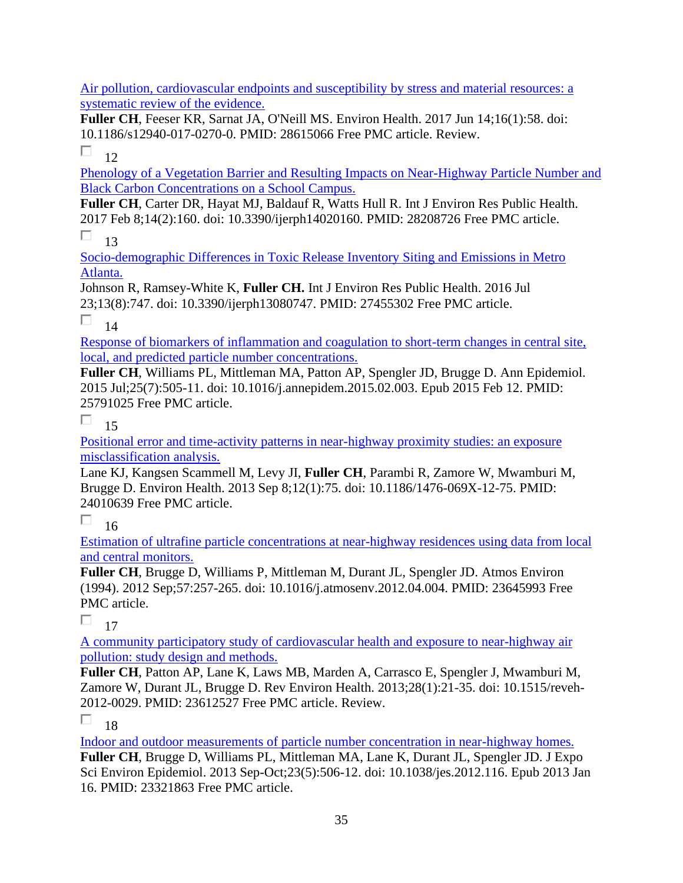[Air pollution, cardiovascular endpoints and susceptibility by stress and material resources: a](https://pubmed.ncbi.nlm.nih.gov/28615066/)  [systematic review of the evidence.](https://pubmed.ncbi.nlm.nih.gov/28615066/) 

**Fuller CH**, Feeser KR, Sarnat JA, O'Neill MS. Environ Health. 2017 Jun 14;16(1):58. doi: 10.1186/s12940-017-0270-0. PMID: 28615066 Free PMC article. Review.

П 12

[Phenology of a Vegetation Barrier and Resulting Impacts on Near-Highway Particle Number and](https://pubmed.ncbi.nlm.nih.gov/28208726/)  [Black Carbon Concentrations on a School Campus.](https://pubmed.ncbi.nlm.nih.gov/28208726/) 

**Fuller CH**, Carter DR, Hayat MJ, Baldauf R, Watts Hull R. Int J Environ Res Public Health. 2017 Feb 8;14(2):160. doi: 10.3390/ijerph14020160. PMID: 28208726 Free PMC article.

П 13

[Socio-demographic Differences in Toxic Release Inventory Siting and Emissions in Metro](https://pubmed.ncbi.nlm.nih.gov/27455302/)  [Atlanta.](https://pubmed.ncbi.nlm.nih.gov/27455302/) 

Johnson R, Ramsey-White K, **Fuller CH.** Int J Environ Res Public Health. 2016 Jul 23;13(8):747. doi: 10.3390/ijerph13080747. PMID: 27455302 Free PMC article.

П 14

[Response of biomarkers of inflammation and coagulation to short-term changes in central site,](https://pubmed.ncbi.nlm.nih.gov/25791025/)  [local, and predicted particle number concentrations.](https://pubmed.ncbi.nlm.nih.gov/25791025/) 

**Fuller CH**, Williams PL, Mittleman MA, Patton AP, Spengler JD, Brugge D. Ann Epidemiol. 2015 Jul;25(7):505-11. doi: 10.1016/j.annepidem.2015.02.003. Epub 2015 Feb 12. PMID: 25791025 Free PMC article.

П. 15

[Positional error and time-activity patterns in near-highway proximity studies: an exposure](https://pubmed.ncbi.nlm.nih.gov/24010639/)  [misclassification analysis.](https://pubmed.ncbi.nlm.nih.gov/24010639/) 

Lane KJ, Kangsen Scammell M, Levy JI, **Fuller CH**, Parambi R, Zamore W, Mwamburi M, Brugge D. Environ Health. 2013 Sep 8;12(1):75. doi: 10.1186/1476-069X-12-75. PMID: 24010639 Free PMC article.

П 16

[Estimation of ultrafine particle concentrations at near-highway residences using data from local](https://pubmed.ncbi.nlm.nih.gov/23645993/)  [and central monitors.](https://pubmed.ncbi.nlm.nih.gov/23645993/) 

**Fuller CH**, Brugge D, Williams P, Mittleman M, Durant JL, Spengler JD. Atmos Environ (1994). 2012 Sep;57:257-265. doi: 10.1016/j.atmosenv.2012.04.004. PMID: 23645993 Free PMC article.

 $\Box$  17

[A community participatory study of cardiovascular health and exposure to near-highway air](https://pubmed.ncbi.nlm.nih.gov/23612527/)  [pollution: study design and methods.](https://pubmed.ncbi.nlm.nih.gov/23612527/) 

**Fuller CH**, Patton AP, Lane K, Laws MB, Marden A, Carrasco E, Spengler J, Mwamburi M, Zamore W, Durant JL, Brugge D. Rev Environ Health. 2013;28(1):21-35. doi: 10.1515/reveh-2012-0029. PMID: 23612527 Free PMC article. Review.

п 18

[Indoor and outdoor measurements of particle number concentration in near-highway homes.](https://pubmed.ncbi.nlm.nih.gov/23321863/) 

**Fuller CH**, Brugge D, Williams PL, Mittleman MA, Lane K, Durant JL, Spengler JD. J Expo Sci Environ Epidemiol. 2013 Sep-Oct;23(5):506-12. doi: 10.1038/jes.2012.116. Epub 2013 Jan 16. PMID: 23321863 Free PMC article.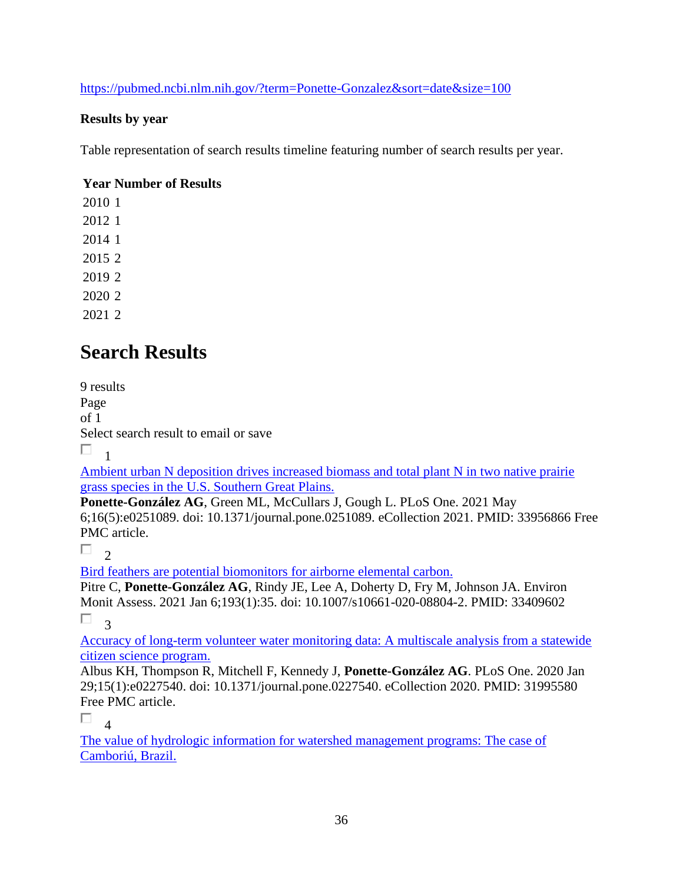<https://pubmed.ncbi.nlm.nih.gov/?term=Ponette-Gonzalez&sort=date&size=100>

### **Results by year**

Table representation of search results timeline featuring number of search results per year.

### **Year Number of Results**

# **Search Results**

9 results Page of 1 Select search result to email or save

 $\Box$ 1

[Ambient urban N deposition drives increased biomass and total plant N in two native prairie](https://pubmed.ncbi.nlm.nih.gov/33956866/)  [grass species in the U.S. Southern Great Plains.](https://pubmed.ncbi.nlm.nih.gov/33956866/) 

**Ponette-González AG**, Green ML, McCullars J, Gough L. PLoS One. 2021 May 6;16(5):e0251089. doi: 10.1371/journal.pone.0251089. eCollection 2021. PMID: 33956866 Free PMC article.

 $\Box$ <sub>2</sub>

[Bird feathers are potential biomonitors](https://pubmed.ncbi.nlm.nih.gov/33409602/) for airborne elemental carbon.

Pitre C, **Ponette-González AG**, Rindy JE, Lee A, Doherty D, Fry M, Johnson JA. Environ Monit Assess. 2021 Jan 6;193(1):35. doi: 10.1007/s10661-020-08804-2. PMID: 33409602  $\Box$ <sup>3</sup>

[Accuracy of long-term volunteer water monitoring data: A multiscale analysis from a statewide](https://pubmed.ncbi.nlm.nih.gov/31995580/)  [citizen science program.](https://pubmed.ncbi.nlm.nih.gov/31995580/) 

Albus KH, Thompson R, Mitchell F, Kennedy J, **Ponette-González AG**. PLoS One. 2020 Jan 29;15(1):e0227540. doi: 10.1371/journal.pone.0227540. eCollection 2020. PMID: 31995580 Free PMC article.

 $\Box$ 4

[The value of hydrologic information for watershed management programs: The case of](https://pubmed.ncbi.nlm.nih.gov/31836212/)  [Camboriú, Brazil.](https://pubmed.ncbi.nlm.nih.gov/31836212/)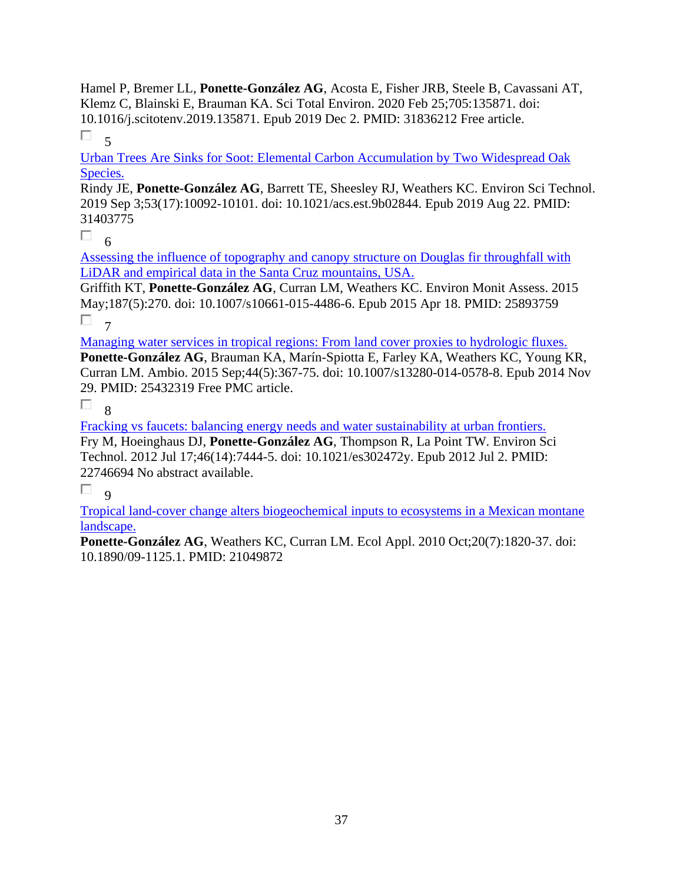Hamel P, Bremer LL, **Ponette-González AG**, Acosta E, Fisher JRB, Steele B, Cavassani AT, Klemz C, Blainski E, Brauman KA. Sci Total Environ. 2020 Feb 25;705:135871. doi: 10.1016/j.scitotenv.2019.135871. Epub 2019 Dec 2. PMID: 31836212 Free article. П. 5

[Urban Trees Are Sinks for Soot: Elemental Carbon Accumulation by Two Widespread Oak](https://pubmed.ncbi.nlm.nih.gov/31403775/)  [Species.](https://pubmed.ncbi.nlm.nih.gov/31403775/) 

Rindy JE, **Ponette-González AG**, Barrett TE, Sheesley RJ, Weathers KC. Environ Sci Technol. 2019 Sep 3;53(17):10092-10101. doi: 10.1021/acs.est.9b02844. Epub 2019 Aug 22. PMID: 31403775

 $\Box$ 6

[Assessing the influence of topography and canopy structure on Douglas fir throughfall with](https://pubmed.ncbi.nlm.nih.gov/25893759/)  [LiDAR and empirical data in the Santa Cruz mountains, USA.](https://pubmed.ncbi.nlm.nih.gov/25893759/) 

Griffith KT, **Ponette-González AG**, Curran LM, Weathers KC. Environ Monit Assess. 2015 May;187(5):270. doi: 10.1007/s10661-015-4486-6. Epub 2015 Apr 18. PMID: 25893759 П. 7

[Managing water services in tropical regions: From land cover proxies to hydrologic fluxes.](https://pubmed.ncbi.nlm.nih.gov/25432319/) 

**Ponette-González AG**, Brauman KA, Marín-Spiotta E, Farley KA, Weathers KC, Young KR, Curran LM. Ambio. 2015 Sep;44(5):367-75. doi: 10.1007/s13280-014-0578-8. Epub 2014 Nov 29. PMID: 25432319 Free PMC article.

 $\Box$ 8

[Fracking vs faucets: balancing energy needs and water sustainability at urban frontiers.](https://pubmed.ncbi.nlm.nih.gov/22746694/)  Fry M, Hoeinghaus DJ, **Ponette-González AG**, Thompson R, La Point TW. Environ Sci Technol. 2012 Jul 17;46(14):7444-5. doi: 10.1021/es302472y. Epub 2012 Jul 2. PMID: 22746694 No abstract available.

П  $\alpha$ 

[Tropical land-cover change alters biogeochemical inputs to ecosystems in a Mexican montane](https://pubmed.ncbi.nlm.nih.gov/21049872/)  [landscape.](https://pubmed.ncbi.nlm.nih.gov/21049872/) 

**Ponette-González AG**, Weathers KC, Curran LM. Ecol Appl. 2010 Oct;20(7):1820-37. doi: 10.1890/09-1125.1. PMID: 21049872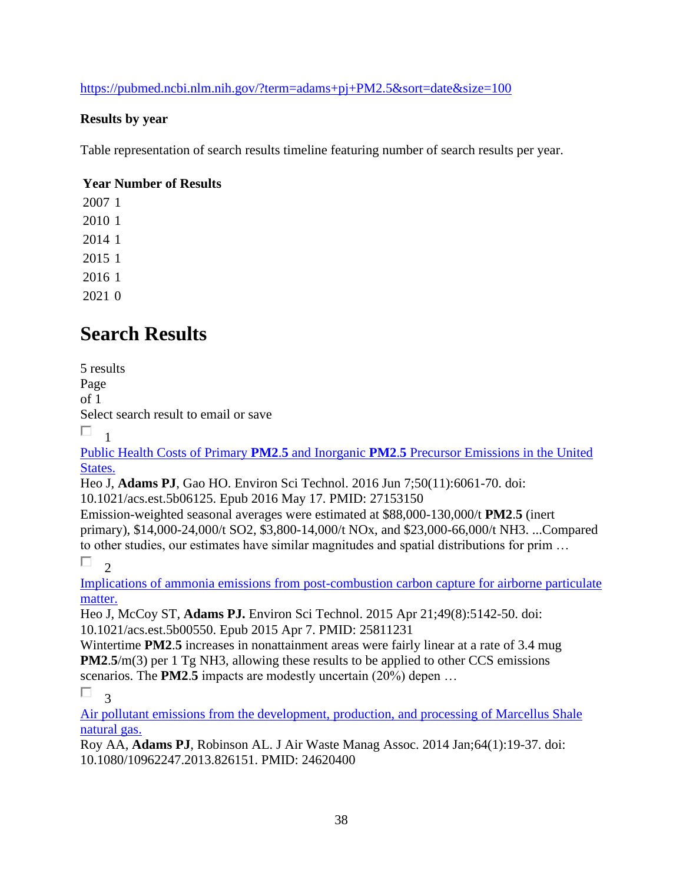<https://pubmed.ncbi.nlm.nih.gov/?term=adams+pj+PM2.5&sort=date&size=100>

### **Results by year**

Table representation of search results timeline featuring number of search results per year.

### **Year Number of Results**

# **Search Results**

5 results Page of 1 Select search result to email or save  $\Box$ <sub>1</sub>

Public Health Costs of Primary **PM2**.**5** and Inorganic **PM2**.**5** [Precursor Emissions in the United](https://pubmed.ncbi.nlm.nih.gov/27153150/)  [States.](https://pubmed.ncbi.nlm.nih.gov/27153150/) 

Heo J, **Adams PJ**, Gao HO. Environ Sci Technol. 2016 Jun 7;50(11):6061-70. doi: 10.1021/acs.est.5b06125. Epub 2016 May 17. PMID: 27153150

Emission-weighted seasonal averages were estimated at \$88,000-130,000/t **PM2**.**5** (inert primary), \$14,000-24,000/t SO2, \$3,800-14,000/t NOx, and \$23,000-66,000/t NH3. ...Compared to other studies, our estimates have similar magnitudes and spatial distributions for prim …

П.  $\mathcal{D}$ 

[Implications of ammonia emissions from post-combustion carbon capture for airborne particulate](https://pubmed.ncbi.nlm.nih.gov/25811231/)  [matter.](https://pubmed.ncbi.nlm.nih.gov/25811231/) 

Heo J, McCoy ST, **Adams PJ.** Environ Sci Technol. 2015 Apr 21;49(8):5142-50. doi: 10.1021/acs.est.5b00550. Epub 2015 Apr 7. PMID: 25811231

Wintertime **PM2**.**5** increases in nonattainment areas were fairly linear at a rate of 3.4 mug **PM2.5/m(3)** per 1 Tg NH3, allowing these results to be applied to other CCS emissions scenarios. The **PM2**.**5** impacts are modestly uncertain (20%) depen …

 $\Box$ 3

[Air pollutant emissions from the development, production, and processing of Marcellus Shale](https://pubmed.ncbi.nlm.nih.gov/24620400/)  [natural gas.](https://pubmed.ncbi.nlm.nih.gov/24620400/) 

Roy AA, **Adams PJ**, Robinson AL. J Air Waste Manag Assoc. 2014 Jan;64(1):19-37. doi: 10.1080/10962247.2013.826151. PMID: 24620400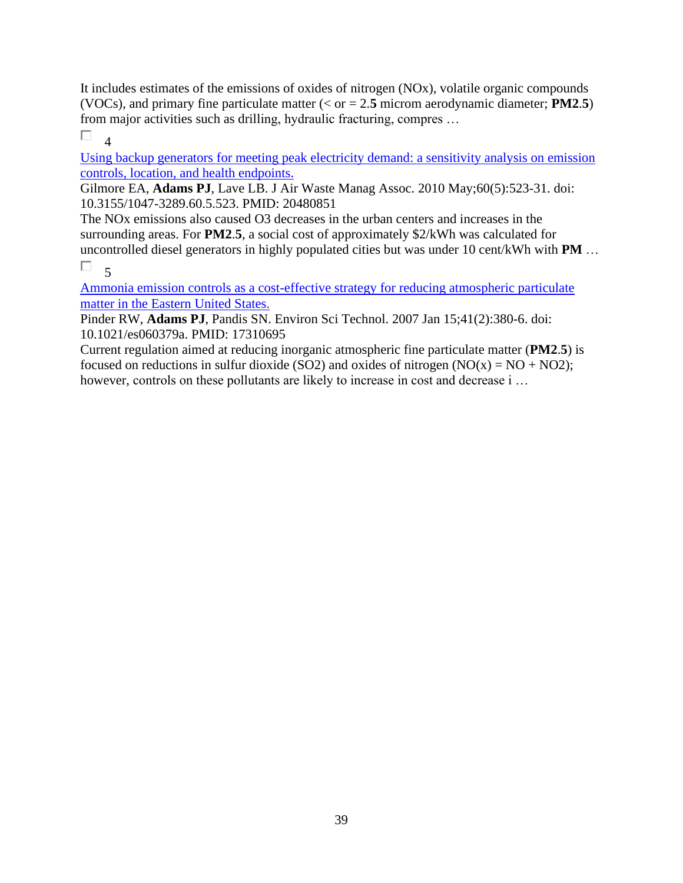It includes estimates of the emissions of oxides of nitrogen (NOx), volatile organic compounds (VOCs), and primary fine particulate matter (< or = 2.**5** microm aerodynamic diameter; **PM2**.**5**) from major activities such as drilling, hydraulic fracturing, compres …

П.  $\overline{4}$ 

[Using backup generators for meeting peak electricity demand: a sensitivity analysis on emission](https://pubmed.ncbi.nlm.nih.gov/20480851/)  [controls, location, and health endpoints.](https://pubmed.ncbi.nlm.nih.gov/20480851/) 

Gilmore EA, **Adams PJ**, Lave LB. J Air Waste Manag Assoc. 2010 May;60(5):523-31. doi: 10.3155/1047-3289.60.5.523. PMID: 20480851

The NOx emissions also caused O3 decreases in the urban centers and increases in the surrounding areas. For **PM2**.**5**, a social cost of approximately \$2/kWh was calculated for uncontrolled diesel generators in highly populated cities but was under 10 cent/kWh with **PM** …

 $\Box$  5

[Ammonia emission controls as a cost-effective strategy for reducing atmospheric particulate](https://pubmed.ncbi.nlm.nih.gov/17310695/)  [matter in the Eastern United States.](https://pubmed.ncbi.nlm.nih.gov/17310695/) 

Pinder RW, **Adams PJ**, Pandis SN. Environ Sci Technol. 2007 Jan 15;41(2):380-6. doi: 10.1021/es060379a. PMID: 17310695

Current regulation aimed at reducing inorganic atmospheric fine particulate matter (**PM2**.**5**) is focused on reductions in sulfur dioxide (SO2) and oxides of nitrogen  $(NO(x) = NO + NO2)$ ; however, controls on these pollutants are likely to increase in cost and decrease i ...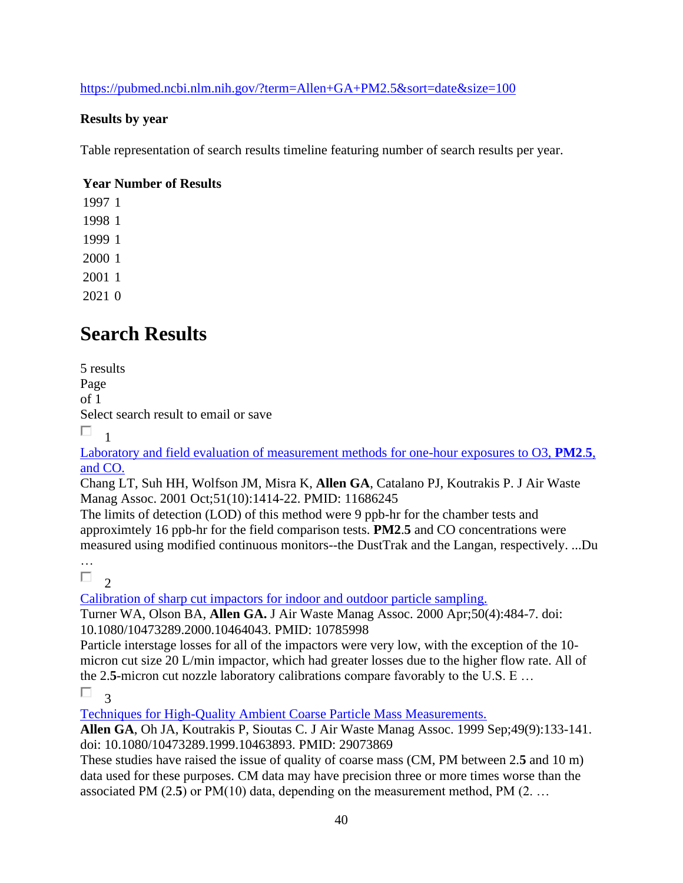<https://pubmed.ncbi.nlm.nih.gov/?term=Allen+GA+PM2.5&sort=date&size=100>

### **Results by year**

Table representation of search results timeline featuring number of search results per year.

### **Year Number of Results**

# **Search Results**

5 results Page of 1 Select search result to email or save  $\Box$ <sub>1</sub>

[Laboratory and field evaluation of measurement methods for one-hour exposures to O3,](https://pubmed.ncbi.nlm.nih.gov/11686245/) **PM2**.**5**, [and CO.](https://pubmed.ncbi.nlm.nih.gov/11686245/) 

Chang LT, Suh HH, Wolfson JM, Misra K, **Allen GA**, Catalano PJ, Koutrakis P. J Air Waste Manag Assoc. 2001 Oct;51(10):1414-22. PMID: 11686245

The limits of detection (LOD) of this method were 9 ppb-hr for the chamber tests and approximtely 16 ppb-hr for the field comparison tests. **PM2**.**5** and CO concentrations were measured using modified continuous monitors--the DustTrak and the Langan, respectively. ...Du

…

Π.

2 [Calibration of sharp cut impactors for indoor and outdoor particle sampling.](https://pubmed.ncbi.nlm.nih.gov/10785998/) 

Turner WA, Olson BA, **Allen GA.** J Air Waste Manag Assoc. 2000 Apr;50(4):484-7. doi: 10.1080/10473289.2000.10464043. PMID: 10785998

Particle interstage losses for all of the impactors were very low, with the exception of the 10 micron cut size 20 L/min impactor, which had greater losses due to the higher flow rate. All of the 2.**5**-micron cut nozzle laboratory calibrations compare favorably to the U.S. E …

 $\Box$ 3

[Techniques for High-Quality Ambient Coarse Particle Mass Measurements.](https://pubmed.ncbi.nlm.nih.gov/29073869/) 

**Allen GA**, Oh JA, Koutrakis P, Sioutas C. J Air Waste Manag Assoc. 1999 Sep;49(9):133-141. doi: 10.1080/10473289.1999.10463893. PMID: 29073869

These studies have raised the issue of quality of coarse mass (CM, PM between 2.**5** and 10 m) data used for these purposes. CM data may have precision three or more times worse than the associated PM (2.**5**) or PM(10) data, depending on the measurement method, PM (2. …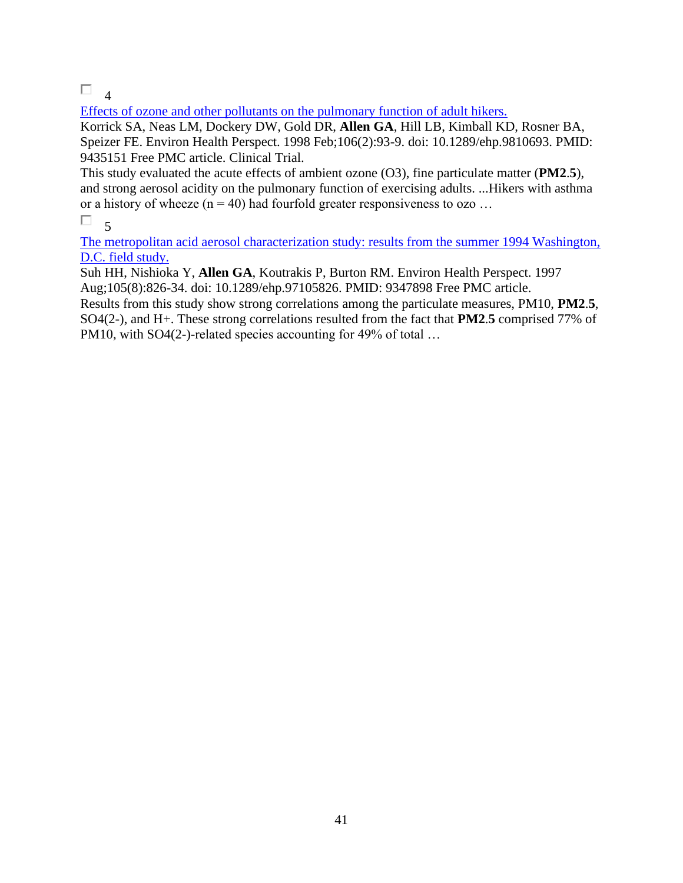## $\Box$ <sub>4</sub>

[Effects of ozone and other pollutants on the pulmonary function of adult hikers.](https://pubmed.ncbi.nlm.nih.gov/9435151/) 

Korrick SA, Neas LM, Dockery DW, Gold DR, **Allen GA**, Hill LB, Kimball KD, Rosner BA, Speizer FE. Environ Health Perspect. 1998 Feb;106(2):93-9. doi: 10.1289/ehp.9810693. PMID: 9435151 Free PMC article. Clinical Trial.

This study evaluated the acute effects of ambient ozone (O3), fine particulate matter (**PM2**.**5**), and strong aerosol acidity on the pulmonary function of exercising adults. ...Hikers with asthma or a history of wheeze ( $n = 40$ ) had fourfold greater responsiveness to ozo ...

#### $\Box$ 5

[The metropolitan acid aerosol characterization study: results from the summer 1994 Washington,](https://pubmed.ncbi.nlm.nih.gov/9347898/)  [D.C. field study.](https://pubmed.ncbi.nlm.nih.gov/9347898/) 

Suh HH, Nishioka Y, **Allen GA**, Koutrakis P, Burton RM. Environ Health Perspect. 1997 Aug;105(8):826-34. doi: 10.1289/ehp.97105826. PMID: 9347898 Free PMC article.

Results from this study show strong correlations among the particulate measures, PM10, **PM2**.**5**, SO4(2-), and H+. These strong correlations resulted from the fact that **PM2**.**5** comprised 77% of PM10, with SO4(2-)-related species accounting for 49% of total ...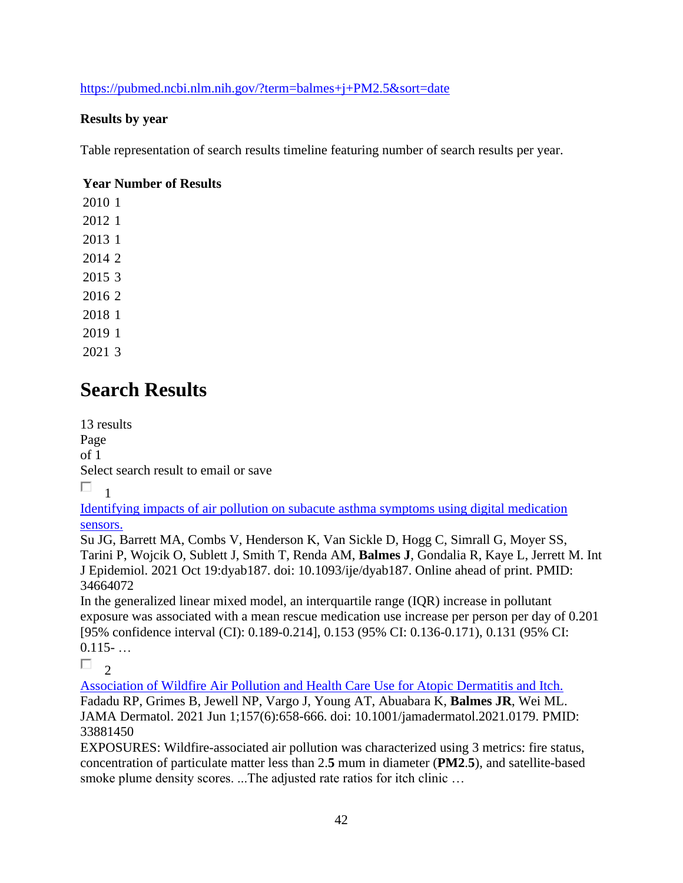<https://pubmed.ncbi.nlm.nih.gov/?term=balmes+j+PM2.5&sort=date>

### **Results by year**

Table representation of search results timeline featuring number of search results per year.

### **Year Number of Results**

# **Search Results**

13 results Page of 1 Select search result to email or save П. 1

[Identifying impacts of air pollution on subacute asthma symptoms using digital medication](https://pubmed.ncbi.nlm.nih.gov/34664072/)  [sensors.](https://pubmed.ncbi.nlm.nih.gov/34664072/) 

Su JG, Barrett MA, Combs V, Henderson K, Van Sickle D, Hogg C, Simrall G, Moyer SS, Tarini P, Wojcik O, Sublett J, Smith T, Renda AM, **Balmes J**, Gondalia R, Kaye L, Jerrett M. Int J Epidemiol. 2021 Oct 19:dyab187. doi: 10.1093/ije/dyab187. Online ahead of print. PMID: 34664072

In the generalized linear mixed model, an interquartile range (IQR) increase in pollutant exposure was associated with a mean rescue medication use increase per person per day of 0.201 [95% confidence interval (CI): 0.189-0.214], 0.153 (95% CI: 0.136-0.171), 0.131 (95% CI:  $0.115 - \ldots$ 

П.  $\overline{\phantom{a}}$ 

[Association of Wildfire Air Pollution and Health Care Use for Atopic Dermatitis and Itch.](https://pubmed.ncbi.nlm.nih.gov/33881450/)  Fadadu RP, Grimes B, Jewell NP, Vargo J, Young AT, Abuabara K, **Balmes JR**, Wei ML. JAMA Dermatol. 2021 Jun 1;157(6):658-666. doi: 10.1001/jamadermatol.2021.0179. PMID: 33881450

EXPOSURES: Wildfire-associated air pollution was characterized using 3 metrics: fire status, concentration of particulate matter less than 2.**5** mum in diameter (**PM2**.**5**), and satellite-based smoke plume density scores. ...The adjusted rate ratios for itch clinic …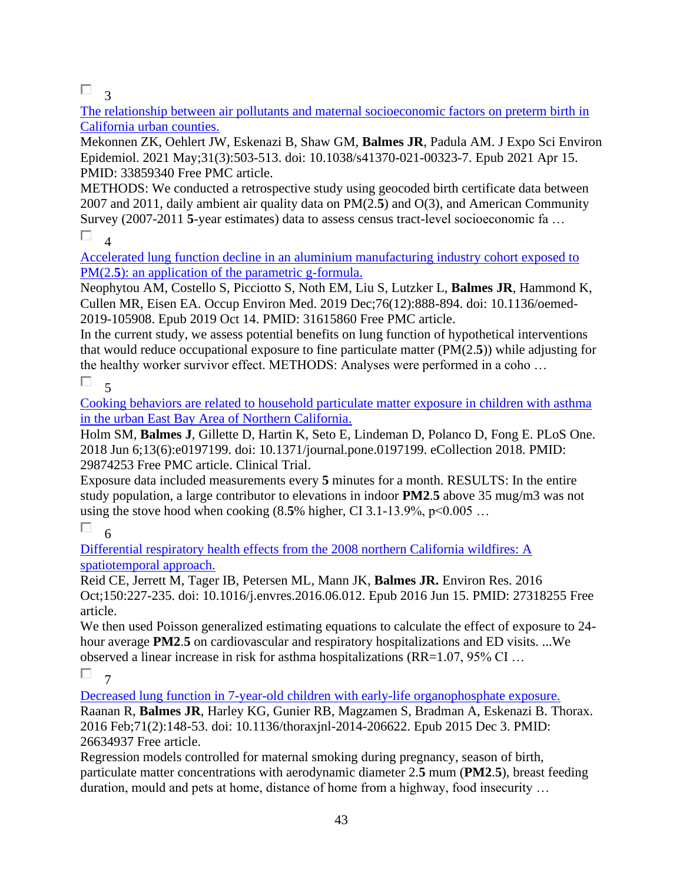$\Box$ <sup>3</sup>

[The relationship between air pollutants and maternal socioeconomic factors on preterm birth in](https://pubmed.ncbi.nlm.nih.gov/33859340/)  [California urban counties.](https://pubmed.ncbi.nlm.nih.gov/33859340/) 

Mekonnen ZK, Oehlert JW, Eskenazi B, Shaw GM, **Balmes JR**, Padula AM. J Expo Sci Environ Epidemiol. 2021 May;31(3):503-513. doi: 10.1038/s41370-021-00323-7. Epub 2021 Apr 15. PMID: 33859340 Free PMC article.

METHODS: We conducted a retrospective study using geocoded birth certificate data between 2007 and 2011, daily ambient air quality data on PM(2.**5**) and O(3), and American Community Survey (2007-2011 **5**-year estimates) data to assess census tract-level socioeconomic fa …

 $\Box$ 4

[Accelerated lung function decline in an aluminium manufacturing industry cohort exposed to](https://pubmed.ncbi.nlm.nih.gov/31615860/)  PM(2.5): an application of the parametric g-formula.

Neophytou AM, Costello S, Picciotto S, Noth EM, Liu S, Lutzker L, **Balmes JR**, Hammond K, Cullen MR, Eisen EA. Occup Environ Med. 2019 Dec;76(12):888-894. doi: 10.1136/oemed-2019-105908. Epub 2019 Oct 14. PMID: 31615860 Free PMC article.

In the current study, we assess potential benefits on lung function of hypothetical interventions that would reduce occupational exposure to fine particulate matter (PM(2.**5**)) while adjusting for the healthy worker survivor effect. METHODS: Analyses were performed in a coho …  $\overline{5}$ 

П

[Cooking behaviors are related to household particulate matter exposure in children with asthma](https://pubmed.ncbi.nlm.nih.gov/29874253/)  [in the urban East Bay Area of Northern California.](https://pubmed.ncbi.nlm.nih.gov/29874253/) 

Holm SM, **Balmes J**, Gillette D, Hartin K, Seto E, Lindeman D, Polanco D, Fong E. PLoS One. 2018 Jun 6;13(6):e0197199. doi: 10.1371/journal.pone.0197199. eCollection 2018. PMID: 29874253 Free PMC article. Clinical Trial.

Exposure data included measurements every **5** minutes for a month. RESULTS: In the entire study population, a large contributor to elevations in indoor **PM2**.**5** above 35 mug/m3 was not using the stove hood when cooking  $(8.5\%$  higher, CI 3.1-13.9%, p<0.005 ...

## П

6 [Differential respiratory health effects from the 2008 northern California wildfires: A](https://pubmed.ncbi.nlm.nih.gov/27318255/)  [spatiotemporal approach.](https://pubmed.ncbi.nlm.nih.gov/27318255/) 

Reid CE, Jerrett M, Tager IB, Petersen ML, Mann JK, **Balmes JR.** Environ Res. 2016 Oct;150:227-235. doi: 10.1016/j.envres.2016.06.012. Epub 2016 Jun 15. PMID: 27318255 Free article.

We then used Poisson generalized estimating equations to calculate the effect of exposure to 24 hour average **PM2**.**5** on cardiovascular and respiratory hospitalizations and ED visits. ...We observed a linear increase in risk for asthma hospitalizations (RR=1.07, 95% CI …

 $\Box$ 7

[Decreased lung function in 7-year-old children with early-life organophosphate exposure.](https://pubmed.ncbi.nlm.nih.gov/26634937/)  Raanan R, **Balmes JR**, Harley KG, Gunier RB, Magzamen S, Bradman A, Eskenazi B. Thorax. 2016 Feb;71(2):148-53. doi: 10.1136/thoraxjnl-2014-206622. Epub 2015 Dec 3. PMID: 26634937 Free article.

Regression models controlled for maternal smoking during pregnancy, season of birth, particulate matter concentrations with aerodynamic diameter 2.**5** mum (**PM2**.**5**), breast feeding duration, mould and pets at home, distance of home from a highway, food insecurity …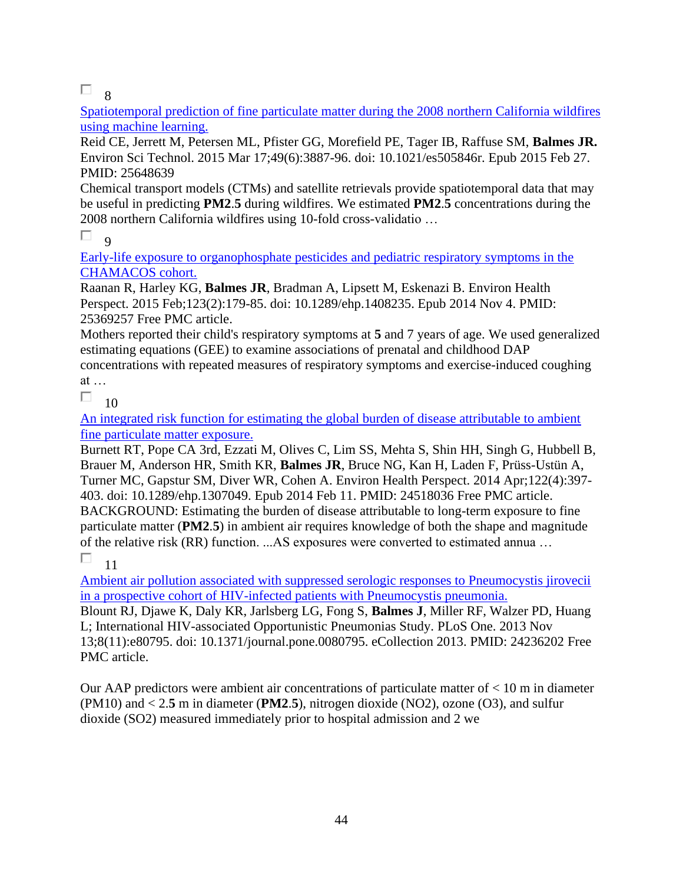$\Box$  8

[Spatiotemporal prediction of fine particulate matter during the 2008 northern California wildfires](https://pubmed.ncbi.nlm.nih.gov/25648639/)  [using machine learning.](https://pubmed.ncbi.nlm.nih.gov/25648639/) 

Reid CE, Jerrett M, Petersen ML, Pfister GG, Morefield PE, Tager IB, Raffuse SM, **Balmes JR.** Environ Sci Technol. 2015 Mar 17;49(6):3887-96. doi: 10.1021/es505846r. Epub 2015 Feb 27. PMID: 25648639

Chemical transport models (CTMs) and satellite retrievals provide spatiotemporal data that may be useful in predicting **PM2**.**5** during wildfires. We estimated **PM2**.**5** concentrations during the 2008 northern California wildfires using 10-fold cross-validatio …

 $\Box$  $\overline{q}$ 

[Early-life exposure to organophosphate pesticides and pediatric respiratory symptoms in the](https://pubmed.ncbi.nlm.nih.gov/25369257/)  [CHAMACOS cohort.](https://pubmed.ncbi.nlm.nih.gov/25369257/) 

Raanan R, Harley KG, **Balmes JR**, Bradman A, Lipsett M, Eskenazi B. Environ Health Perspect. 2015 Feb;123(2):179-85. doi: 10.1289/ehp.1408235. Epub 2014 Nov 4. PMID: 25369257 Free PMC article.

Mothers reported their child's respiratory symptoms at **5** and 7 years of age. We used generalized estimating equations (GEE) to examine associations of prenatal and childhood DAP concentrations with repeated measures of respiratory symptoms and exercise-induced coughing

at …

П. 10

[An integrated risk function for estimating the global burden of disease attributable to ambient](https://pubmed.ncbi.nlm.nih.gov/24518036/)  [fine particulate matter exposure.](https://pubmed.ncbi.nlm.nih.gov/24518036/) 

Burnett RT, Pope CA 3rd, Ezzati M, Olives C, Lim SS, Mehta S, Shin HH, Singh G, Hubbell B, Brauer M, Anderson HR, Smith KR, **Balmes JR**, Bruce NG, Kan H, Laden F, Prüss-Ustün A, Turner MC, Gapstur SM, Diver WR, Cohen A. Environ Health Perspect. 2014 Apr;122(4):397- 403. doi: 10.1289/ehp.1307049. Epub 2014 Feb 11. PMID: 24518036 Free PMC article. BACKGROUND: Estimating the burden of disease attributable to long-term exposure to fine particulate matter (**PM2**.**5**) in ambient air requires knowledge of both the shape and magnitude of the relative risk (RR) function. ...AS exposures were converted to estimated annua …

П 11

[Ambient air pollution associated with suppressed serologic responses to Pneumocystis jirovecii](https://pubmed.ncbi.nlm.nih.gov/24236202/)  [in a prospective cohort of HIV-infected patients with Pneumocystis pneumonia.](https://pubmed.ncbi.nlm.nih.gov/24236202/) 

Blount RJ, Djawe K, Daly KR, Jarlsberg LG, Fong S, **Balmes J**, Miller RF, Walzer PD, Huang L; International HIV-associated Opportunistic Pneumonias Study. PLoS One. 2013 Nov 13;8(11):e80795. doi: 10.1371/journal.pone.0080795. eCollection 2013. PMID: 24236202 Free PMC article.

Our AAP predictors were ambient air concentrations of particulate matter of  $< 10$  m in diameter (PM10) and < 2.**5** m in diameter (**PM2**.**5**), nitrogen dioxide (NO2), ozone (O3), and sulfur dioxide (SO2) measured immediately prior to hospital admission and 2 we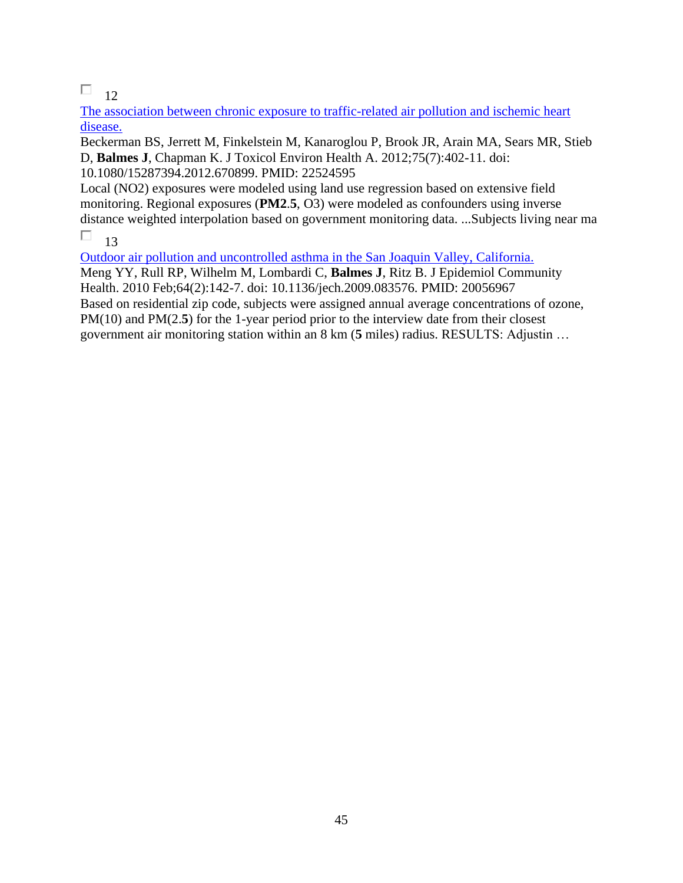$\Box$  12

[The association between chronic exposure to traffic-related air pollution and ischemic heart](https://pubmed.ncbi.nlm.nih.gov/22524595/)  [disease.](https://pubmed.ncbi.nlm.nih.gov/22524595/) 

Beckerman BS, Jerrett M, Finkelstein M, Kanaroglou P, Brook JR, Arain MA, Sears MR, Stieb D, **Balmes J**, Chapman K. J Toxicol Environ Health A. 2012;75(7):402-11. doi: 10.1080/15287394.2012.670899. PMID: 22524595

Local (NO2) exposures were modeled using land use regression based on extensive field monitoring. Regional exposures (**PM2**.**5**, O3) were modeled as confounders using inverse distance weighted interpolation based on government monitoring data. ...Subjects living near ma

 $\Box$ 13

[Outdoor air pollution and uncontrolled asthma in the San Joaquin Valley, California.](https://pubmed.ncbi.nlm.nih.gov/20056967/)  Meng YY, Rull RP, Wilhelm M, Lombardi C, **Balmes J**, Ritz B. J Epidemiol Community Health. 2010 Feb;64(2):142-7. doi: 10.1136/jech.2009.083576. PMID: 20056967 Based on residential zip code, subjects were assigned annual average concentrations of ozone, PM(10) and PM(2.5) for the 1-year period prior to the interview date from their closest government air monitoring station within an 8 km (**5** miles) radius. RESULTS: Adjustin …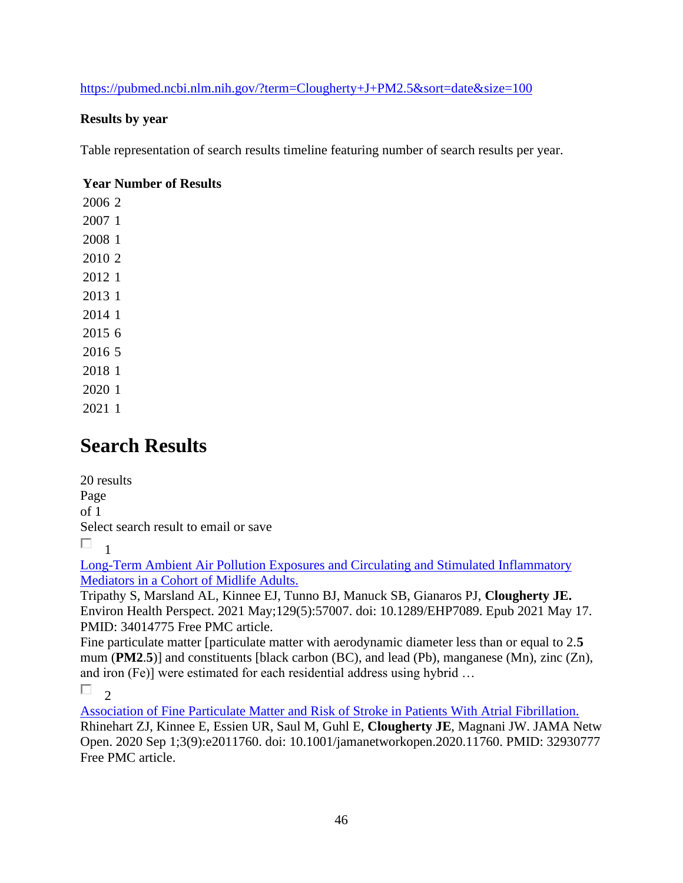<https://pubmed.ncbi.nlm.nih.gov/?term=Clougherty+J+PM2.5&sort=date&size=100>

### **Results by year**

Table representation of search results timeline featuring number of search results per year.

### **Year Number of Results**

# **Search Results**

20 results Page of 1 Select search result to email or save  $\Box$ <sub>1</sub>

[Long-Term Ambient Air Pollution Exposures and Circulating and Stimulated Inflammatory](https://pubmed.ncbi.nlm.nih.gov/34014775/)  [Mediators in a Cohort of Midlife Adults.](https://pubmed.ncbi.nlm.nih.gov/34014775/) 

Tripathy S, Marsland AL, Kinnee EJ, Tunno BJ, Manuck SB, Gianaros PJ, **Clougherty JE.** Environ Health Perspect. 2021 May;129(5):57007. doi: 10.1289/EHP7089. Epub 2021 May 17. PMID: 34014775 Free PMC article.

Fine particulate matter [particulate matter with aerodynamic diameter less than or equal to 2.**5** mum (**PM2**.**5**)] and constituents [black carbon (BC), and lead (Pb), manganese (Mn), zinc (Zn), and iron (Fe)] were estimated for each residential address using hybrid …

 $\Box$  $\overline{\phantom{a}}$ 

[Association of Fine Particulate Matter and Risk of Stroke in Patients With Atrial Fibrillation.](https://pubmed.ncbi.nlm.nih.gov/32930777/)  Rhinehart ZJ, Kinnee E, Essien UR, Saul M, Guhl E, **Clougherty JE**, Magnani JW. JAMA Netw Open. 2020 Sep 1;3(9):e2011760. doi: 10.1001/jamanetworkopen.2020.11760. PMID: 32930777 Free PMC article.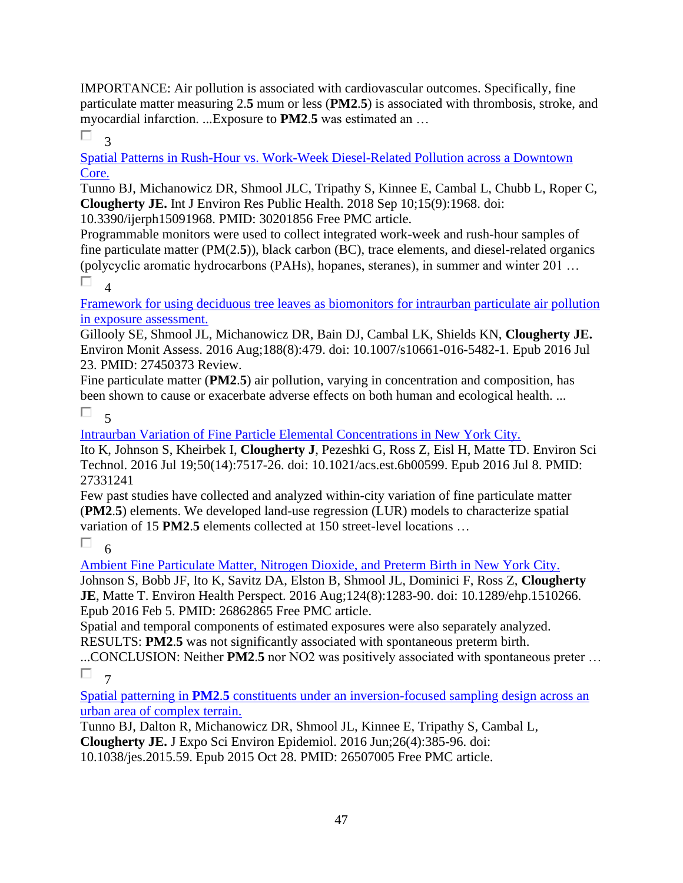IMPORTANCE: Air pollution is associated with cardiovascular outcomes. Specifically, fine particulate matter measuring 2.**5** mum or less (**PM2**.**5**) is associated with thrombosis, stroke, and myocardial infarction. ...Exposure to **PM2**.**5** was estimated an …

П. 3

[Spatial Patterns in Rush-Hour vs. Work-Week Diesel-Related Pollution across a Downtown](https://pubmed.ncbi.nlm.nih.gov/30201856/)  [Core.](https://pubmed.ncbi.nlm.nih.gov/30201856/) 

Tunno BJ, Michanowicz DR, Shmool JLC, Tripathy S, Kinnee E, Cambal L, Chubb L, Roper C, **Clougherty JE.** Int J Environ Res Public Health. 2018 Sep 10;15(9):1968. doi:

10.3390/ijerph15091968. PMID: 30201856 Free PMC article.

Programmable monitors were used to collect integrated work-week and rush-hour samples of fine particulate matter (PM(2.**5**)), black carbon (BC), trace elements, and diesel-related organics (polycyclic aromatic hydrocarbons (PAHs), hopanes, steranes), in summer and winter 201 …

П  $\overline{A}$ 

[Framework for using deciduous tree leaves as biomonitors](https://pubmed.ncbi.nlm.nih.gov/27450373/) for intraurban particulate air pollution [in exposure assessment.](https://pubmed.ncbi.nlm.nih.gov/27450373/) 

Gillooly SE, Shmool JL, Michanowicz DR, Bain DJ, Cambal LK, Shields KN, **Clougherty JE.** Environ Monit Assess. 2016 Aug;188(8):479. doi: 10.1007/s10661-016-5482-1. Epub 2016 Jul 23. PMID: 27450373 Review.

Fine particulate matter (**PM2**.**5**) air pollution, varying in concentration and composition, has been shown to cause or exacerbate adverse effects on both human and ecological health. ...

П 5

[Intraurban Variation of Fine Particle Elemental Concentrations in New York City.](https://pubmed.ncbi.nlm.nih.gov/27331241/) 

Ito K, Johnson S, Kheirbek I, **Clougherty J**, Pezeshki G, Ross Z, Eisl H, Matte TD. Environ Sci Technol. 2016 Jul 19;50(14):7517-26. doi: 10.1021/acs.est.6b00599. Epub 2016 Jul 8. PMID: 27331241

Few past studies have collected and analyzed within-city variation of fine particulate matter (**PM2**.**5**) elements. We developed land-use regression (LUR) models to characterize spatial variation of 15 **PM2**.**5** elements collected at 150 street-level locations …

П. 6

[Ambient Fine Particulate Matter, Nitrogen Dioxide, and Preterm Birth in New York City.](https://pubmed.ncbi.nlm.nih.gov/26862865/) 

Johnson S, Bobb JF, Ito K, Savitz DA, Elston B, Shmool JL, Dominici F, Ross Z, **Clougherty JE**, Matte T. Environ Health Perspect. 2016 Aug;124(8):1283-90. doi: 10.1289/ehp.1510266. Epub 2016 Feb 5. PMID: 26862865 Free PMC article.

Spatial and temporal components of estimated exposures were also separately analyzed. RESULTS: **PM2**.**5** was not significantly associated with spontaneous preterm birth.

...CONCLUSION: Neither **PM2**.**5** nor NO2 was positively associated with spontaneous preter … П 7

Spatial patterning in **PM2**.**5** [constituents under an inversion-focused sampling design across an](https://pubmed.ncbi.nlm.nih.gov/26507005/)  [urban area of complex terrain.](https://pubmed.ncbi.nlm.nih.gov/26507005/) 

Tunno BJ, Dalton R, Michanowicz DR, Shmool JL, Kinnee E, Tripathy S, Cambal L, **Clougherty JE.** J Expo Sci Environ Epidemiol. 2016 Jun;26(4):385-96. doi: 10.1038/jes.2015.59. Epub 2015 Oct 28. PMID: 26507005 Free PMC article.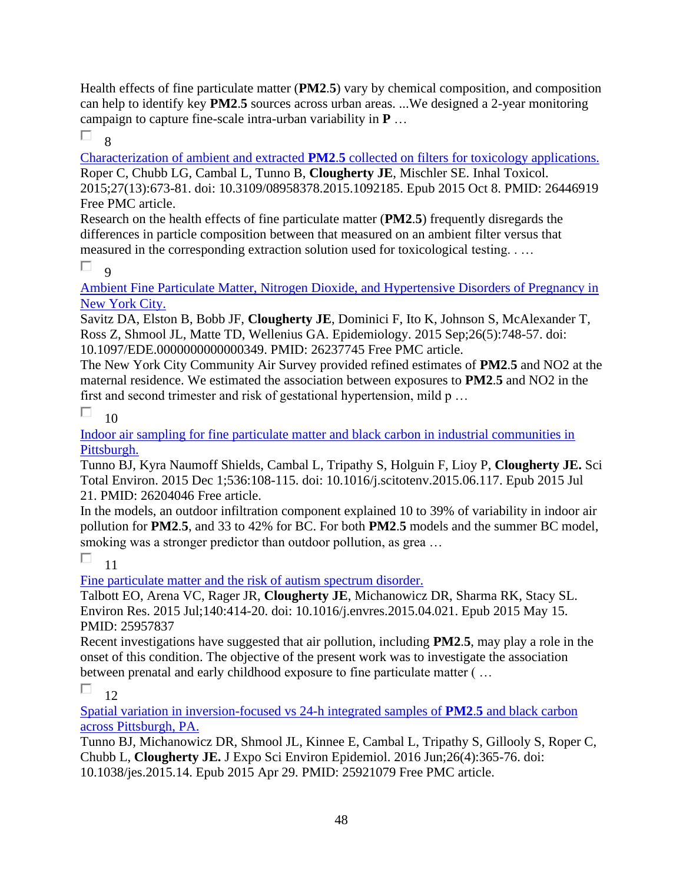Health effects of fine particulate matter (**PM2**.**5**) vary by chemical composition, and composition can help to identify key **PM2**.**5** sources across urban areas. ...We designed a 2-year monitoring campaign to capture fine-scale intra-urban variability in **P** …

П. 8

Characterization of ambient and extracted **PM2**.**5** [collected on filters for toxicology applications.](https://pubmed.ncbi.nlm.nih.gov/26446919/)  Roper C, Chubb LG, Cambal L, Tunno B, **Clougherty JE**, Mischler SE. Inhal Toxicol. 2015;27(13):673-81. doi: 10.3109/08958378.2015.1092185. Epub 2015 Oct 8. PMID: 26446919 Free PMC article.

Research on the health effects of fine particulate matter (**PM2**.**5**) frequently disregards the differences in particle composition between that measured on an ambient filter versus that measured in the corresponding extraction solution used for toxicological testing. . …

 $\Box$  9

[Ambient Fine Particulate Matter, Nitrogen Dioxide, and Hypertensive Disorders of Pregnancy in](https://pubmed.ncbi.nlm.nih.gov/26237745/)  [New York City.](https://pubmed.ncbi.nlm.nih.gov/26237745/) 

Savitz DA, Elston B, Bobb JF, **Clougherty JE**, Dominici F, Ito K, Johnson S, McAlexander T, Ross Z, Shmool JL, Matte TD, Wellenius GA. Epidemiology. 2015 Sep;26(5):748-57. doi: 10.1097/EDE.0000000000000349. PMID: 26237745 Free PMC article.

The New York City Community Air Survey provided refined estimates of **PM2**.**5** and NO2 at the maternal residence. We estimated the association between exposures to **PM2**.**5** and NO2 in the first and second trimester and risk of gestational hypertension, mild p …

П  $1<sub>0</sub>$ 

[Indoor air sampling for fine particulate matter and black carbon in industrial communities in](https://pubmed.ncbi.nlm.nih.gov/26204046/)  [Pittsburgh.](https://pubmed.ncbi.nlm.nih.gov/26204046/) 

Tunno BJ, Kyra Naumoff Shields, Cambal L, Tripathy S, Holguin F, Lioy P, **Clougherty JE.** Sci Total Environ. 2015 Dec 1;536:108-115. doi: 10.1016/j.scitotenv.2015.06.117. Epub 2015 Jul 21. PMID: 26204046 Free article.

In the models, an outdoor infiltration component explained 10 to 39% of variability in indoor air pollution for **PM2**.**5**, and 33 to 42% for BC. For both **PM2**.**5** models and the summer BC model, smoking was a stronger predictor than outdoor pollution, as grea ...

П 11

[Fine particulate matter and the risk of autism spectrum disorder.](https://pubmed.ncbi.nlm.nih.gov/25957837/) 

Talbott EO, Arena VC, Rager JR, **Clougherty JE**, Michanowicz DR, Sharma RK, Stacy SL. Environ Res. 2015 Jul;140:414-20. doi: 10.1016/j.envres.2015.04.021. Epub 2015 May 15. PMID: 25957837

Recent investigations have suggested that air pollution, including **PM2**.**5**, may play a role in the onset of this condition. The objective of the present work was to investigate the association between prenatal and early childhood exposure to fine particulate matter ( …

 $\Box$ 12

[Spatial variation in inversion-focused vs 24-h integrated samples of](https://pubmed.ncbi.nlm.nih.gov/25921079/) **PM2**.**5** and black carbon [across Pittsburgh, PA.](https://pubmed.ncbi.nlm.nih.gov/25921079/) 

Tunno BJ, Michanowicz DR, Shmool JL, Kinnee E, Cambal L, Tripathy S, Gillooly S, Roper C, Chubb L, **Clougherty JE.** J Expo Sci Environ Epidemiol. 2016 Jun;26(4):365-76. doi: 10.1038/jes.2015.14. Epub 2015 Apr 29. PMID: 25921079 Free PMC article.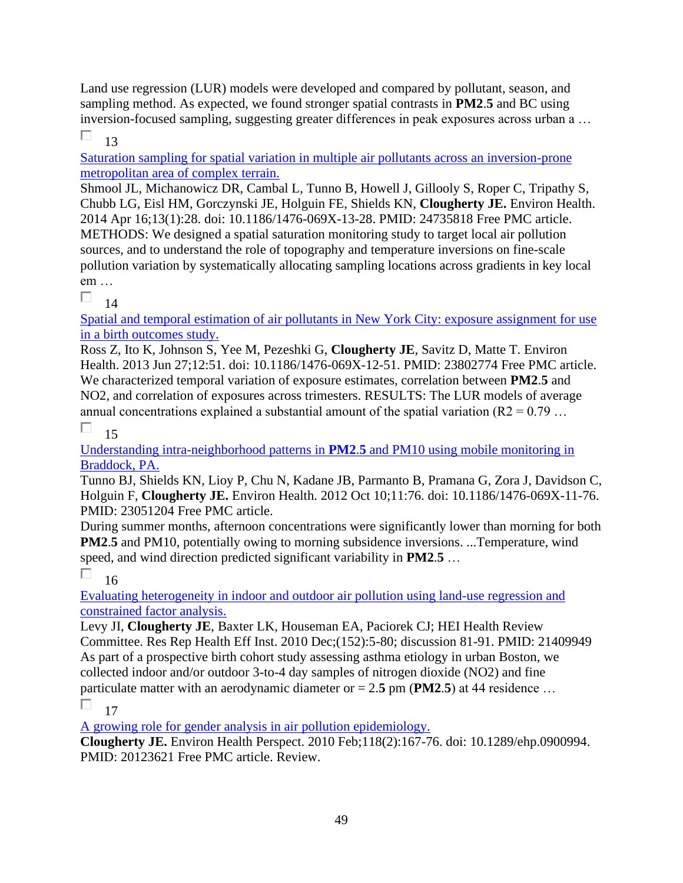Land use regression (LUR) models were developed and compared by pollutant, season, and sampling method. As expected, we found stronger spatial contrasts in **PM2**.**5** and BC using inversion-focused sampling, suggesting greater differences in peak exposures across urban a …

П 13

[Saturation sampling for spatial variation in multiple air pollutants across an inversion-prone](https://pubmed.ncbi.nlm.nih.gov/24735818/)  [metropolitan area of complex terrain.](https://pubmed.ncbi.nlm.nih.gov/24735818/) 

Shmool JL, Michanowicz DR, Cambal L, Tunno B, Howell J, Gillooly S, Roper C, Tripathy S, Chubb LG, Eisl HM, Gorczynski JE, Holguin FE, Shields KN, **Clougherty JE.** Environ Health. 2014 Apr 16;13(1):28. doi: 10.1186/1476-069X-13-28. PMID: 24735818 Free PMC article. METHODS: We designed a spatial saturation monitoring study to target local air pollution sources, and to understand the role of topography and temperature inversions on fine-scale pollution variation by systematically allocating sampling locations across gradients in key local em …

П  $14$ 

[Spatial and temporal estimation of air pollutants in New York City: exposure assignment for use](https://pubmed.ncbi.nlm.nih.gov/23802774/)  [in a birth outcomes study.](https://pubmed.ncbi.nlm.nih.gov/23802774/) 

Ross Z, Ito K, Johnson S, Yee M, Pezeshki G, **Clougherty JE**, Savitz D, Matte T. Environ Health. 2013 Jun 27;12:51. doi: 10.1186/1476-069X-12-51. PMID: 23802774 Free PMC article. We characterized temporal variation of exposure estimates, correlation between **PM2**.**5** and NO2, and correlation of exposures across trimesters. RESULTS: The LUR models of average annual concentrations explained a substantial amount of the spatial variation ( $R2 = 0.79$  ...

П 15

[Understanding intra-neighborhood patterns in](https://pubmed.ncbi.nlm.nih.gov/23051204/) **PM2**.**5** and PM10 using mobile monitoring in [Braddock, PA.](https://pubmed.ncbi.nlm.nih.gov/23051204/) 

Tunno BJ, Shields KN, Lioy P, Chu N, Kadane JB, Parmanto B, Pramana G, Zora J, Davidson C, Holguin F, **Clougherty JE.** Environ Health. 2012 Oct 10;11:76. doi: 10.1186/1476-069X-11-76. PMID: 23051204 Free PMC article.

During summer months, afternoon concentrations were significantly lower than morning for both **PM2**.**5** and PM10, potentially owing to morning subsidence inversions. ...Temperature, wind speed, and wind direction predicted significant variability in **PM2**.**5** …

П 16

[Evaluating heterogeneity in indoor and outdoor air pollution using land-use regression and](https://pubmed.ncbi.nlm.nih.gov/21409949/)  [constrained factor analysis.](https://pubmed.ncbi.nlm.nih.gov/21409949/) 

Levy JI, **Clougherty JE**, Baxter LK, Houseman EA, Paciorek CJ; HEI Health Review Committee. Res Rep Health Eff Inst. 2010 Dec;(152):5-80; discussion 81-91. PMID: 21409949 As part of a prospective birth cohort study assessing asthma etiology in urban Boston, we collected indoor and/or outdoor 3-to-4 day samples of nitrogen dioxide (NO2) and fine particulate matter with an aerodynamic diameter or  $= 2.5$  pm (**PM2.5**) at 44 residence ...

П 17

[A growing role for gender analysis in air pollution epidemiology.](https://pubmed.ncbi.nlm.nih.gov/20123621/) 

**Clougherty JE.** Environ Health Perspect. 2010 Feb;118(2):167-76. doi: 10.1289/ehp.0900994. PMID: 20123621 Free PMC article. Review.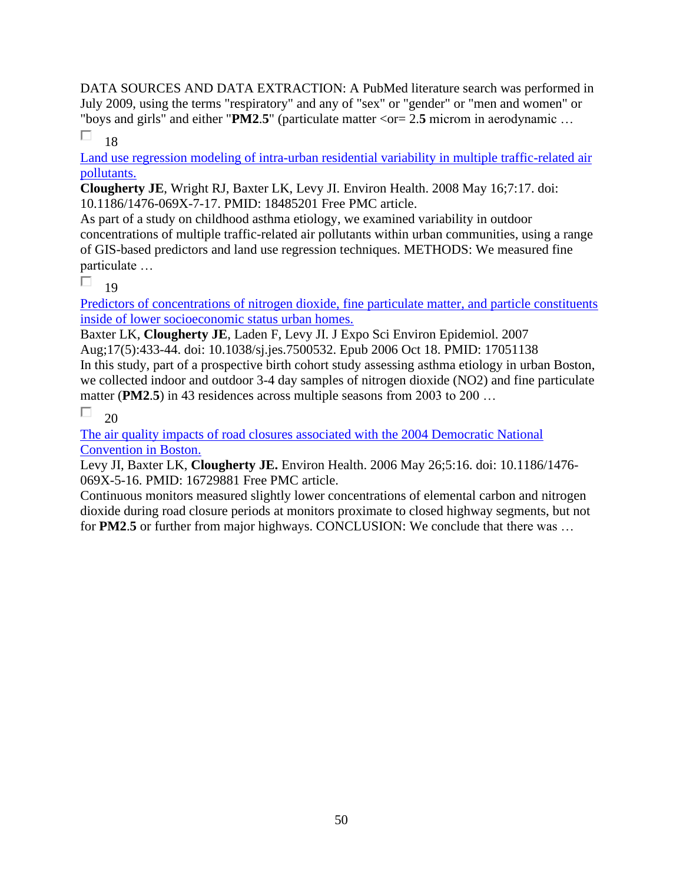DATA SOURCES AND DATA EXTRACTION: A PubMed literature search was performed in July 2009, using the terms "respiratory" and any of "sex" or "gender" or "men and women" or "boys and girls" and either "**PM2**.**5**" (particulate matter <or= 2.**5** microm in aerodynamic …

П. 18

[Land use regression modeling of intra-urban residential variability in multiple traffic-related air](https://pubmed.ncbi.nlm.nih.gov/18485201/)  [pollutants.](https://pubmed.ncbi.nlm.nih.gov/18485201/) 

**Clougherty JE**, Wright RJ, Baxter LK, Levy JI. Environ Health. 2008 May 16;7:17. doi: 10.1186/1476-069X-7-17. PMID: 18485201 Free PMC article.

As part of a study on childhood asthma etiology, we examined variability in outdoor concentrations of multiple traffic-related air pollutants within urban communities, using a range of GIS-based predictors and land use regression techniques. METHODS: We measured fine particulate …

П 19

[Predictors of concentrations of nitrogen dioxide,](https://pubmed.ncbi.nlm.nih.gov/17051138/) fine particulate matter, and particle constituents [inside of lower socioeconomic status urban homes.](https://pubmed.ncbi.nlm.nih.gov/17051138/) 

Baxter LK, **Clougherty JE**, Laden F, Levy JI. J Expo Sci Environ Epidemiol. 2007 Aug;17(5):433-44. doi: 10.1038/sj.jes.7500532. Epub 2006 Oct 18. PMID: 17051138 In this study, part of a prospective birth cohort study assessing asthma etiology in urban Boston, we collected indoor and outdoor 3-4 day samples of nitrogen dioxide (NO2) and fine particulate matter (**PM2**.**5**) in 43 residences across multiple seasons from 2003 to 200 …

П 20

[The air quality impacts of road closures associated with the 2004 Democratic National](https://pubmed.ncbi.nlm.nih.gov/16729881/)  [Convention in Boston.](https://pubmed.ncbi.nlm.nih.gov/16729881/) 

Levy JI, Baxter LK, **Clougherty JE.** Environ Health. 2006 May 26;5:16. doi: 10.1186/1476- 069X-5-16. PMID: 16729881 Free PMC article.

Continuous monitors measured slightly lower concentrations of elemental carbon and nitrogen dioxide during road closure periods at monitors proximate to closed highway segments, but not for **PM2**.**5** or further from major highways. CONCLUSION: We conclude that there was …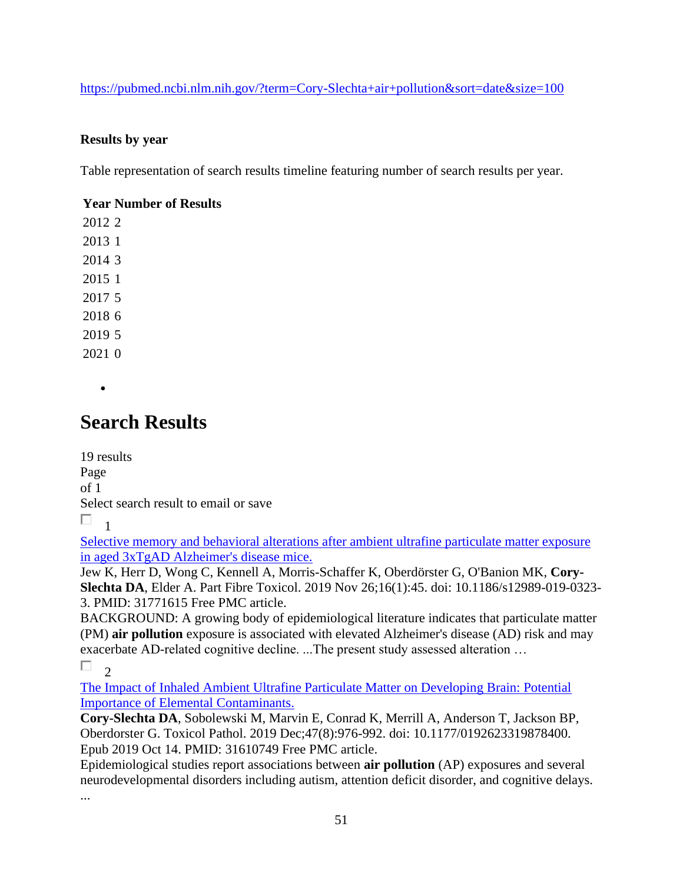<https://pubmed.ncbi.nlm.nih.gov/?term=Cory-Slechta+air+pollution&sort=date&size=100>

### **Results by year**

Table representation of search results timeline featuring number of search results per year.

### **Year Number of Results**

•

## **Search Results**

19 results Page of 1 Select search result to email or save  $\Box$ <sub>1</sub>

[Selective memory and behavioral alterations after ambient ultrafine particulate matter exposure](https://pubmed.ncbi.nlm.nih.gov/31771615/)  [in aged 3xTgAD Alzheimer's](https://pubmed.ncbi.nlm.nih.gov/31771615/) disease mice.

Jew K, Herr D, Wong C, Kennell A, Morris-Schaffer K, Oberdörster G, O'Banion MK, **Cory-Slechta DA**, Elder A. Part Fibre Toxicol. 2019 Nov 26;16(1):45. doi: 10.1186/s12989-019-0323- 3. PMID: 31771615 Free PMC article.

BACKGROUND: A growing body of epidemiological literature indicates that particulate matter (PM) **air pollution** exposure is associated with elevated Alzheimer's disease (AD) risk and may exacerbate AD-related cognitive decline. ...The present study assessed alteration …

П  $\overline{2}$ 

[The Impact of Inhaled Ambient Ultrafine Particulate Matter on Developing Brain: Potential](https://pubmed.ncbi.nlm.nih.gov/31610749/)  [Importance of Elemental Contaminants.](https://pubmed.ncbi.nlm.nih.gov/31610749/) 

**Cory-Slechta DA**, Sobolewski M, Marvin E, Conrad K, Merrill A, Anderson T, Jackson BP, Oberdorster G. Toxicol Pathol. 2019 Dec;47(8):976-992. doi: 10.1177/0192623319878400. Epub 2019 Oct 14. PMID: 31610749 Free PMC article.

Epidemiological studies report associations between **air pollution** (AP) exposures and several neurodevelopmental disorders including autism, attention deficit disorder, and cognitive delays.

...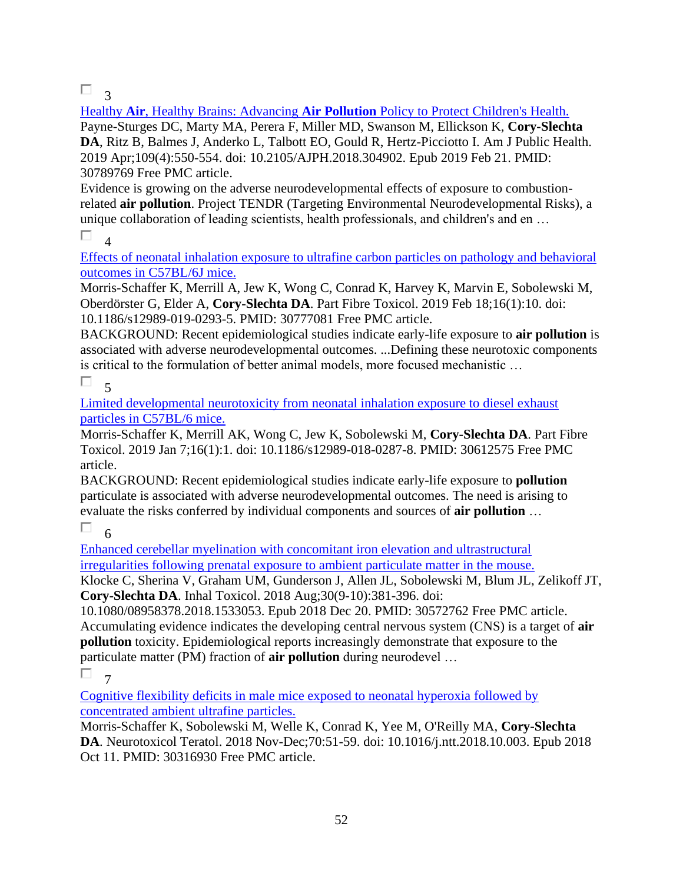$\Box$ <sup>3</sup>

Healthy **Air**, Healthy Brains: Advancing **Air Pollution** [Policy to Protect Children's Health.](https://pubmed.ncbi.nlm.nih.gov/30789769/)  Payne-Sturges DC, Marty MA, Perera F, Miller MD, Swanson M, Ellickson K, **Cory-Slechta DA**, Ritz B, Balmes J, Anderko L, Talbott EO, Gould R, Hertz-Picciotto I. Am J Public Health. 2019 Apr;109(4):550-554. doi: 10.2105/AJPH.2018.304902. Epub 2019 Feb 21. PMID: 30789769 Free PMC article.

Evidence is growing on the adverse neurodevelopmental effects of exposure to combustionrelated **air pollution**. Project TENDR (Targeting Environmental Neurodevelopmental Risks), a unique collaboration of leading scientists, health professionals, and children's and en …

П 4

[Effects of neonatal inhalation exposure to ultrafine carbon particles on pathology and behavioral](https://pubmed.ncbi.nlm.nih.gov/30777081/)  [outcomes in C57BL/6J mice.](https://pubmed.ncbi.nlm.nih.gov/30777081/) 

Morris-Schaffer K, Merrill A, Jew K, Wong C, Conrad K, Harvey K, Marvin E, Sobolewski M, Oberdörster G, Elder A, **Cory-Slechta DA**. Part Fibre Toxicol. 2019 Feb 18;16(1):10. doi: 10.1186/s12989-019-0293-5. PMID: 30777081 Free PMC article.

BACKGROUND: Recent epidemiological studies indicate early-life exposure to **air pollution** is associated with adverse neurodevelopmental outcomes. ...Defining these neurotoxic components is critical to the formulation of better animal models, more focused mechanistic …

#### П.  $\zeta$

[Limited developmental neurotoxicity from neonatal inhalation exposure to diesel exhaust](https://pubmed.ncbi.nlm.nih.gov/30612575/)  [particles in C57BL/6 mice.](https://pubmed.ncbi.nlm.nih.gov/30612575/) 

Morris-Schaffer K, Merrill AK, Wong C, Jew K, Sobolewski M, **Cory-Slechta DA**. Part Fibre Toxicol. 2019 Jan 7;16(1):1. doi: 10.1186/s12989-018-0287-8. PMID: 30612575 Free PMC article.

BACKGROUND: Recent epidemiological studies indicate early-life exposure to **pollution** particulate is associated with adverse neurodevelopmental outcomes. The need is arising to evaluate the risks conferred by individual components and sources of **air pollution** …

П

6 [Enhanced cerebellar myelination with concomitant iron elevation and ultrastructural](https://pubmed.ncbi.nlm.nih.gov/30572762/)  [irregularities following prenatal exposure to ambient particulate matter in the mouse.](https://pubmed.ncbi.nlm.nih.gov/30572762/) 

Klocke C, Sherina V, Graham UM, Gunderson J, Allen JL, Sobolewski M, Blum JL, Zelikoff JT, **Cory-Slechta DA**. Inhal Toxicol. 2018 Aug;30(9-10):381-396. doi:

10.1080/08958378.2018.1533053. Epub 2018 Dec 20. PMID: 30572762 Free PMC article. Accumulating evidence indicates the developing central nervous system (CNS) is a target of **air pollution** toxicity. Epidemiological reports increasingly demonstrate that exposure to the particulate matter (PM) fraction of **air pollution** during neurodevel …

П 7

[Cognitive flexibility deficits in male mice exposed to neonatal hyperoxia followed by](https://pubmed.ncbi.nlm.nih.gov/30316930/)  [concentrated ambient ultrafine particles.](https://pubmed.ncbi.nlm.nih.gov/30316930/) 

Morris-Schaffer K, Sobolewski M, Welle K, Conrad K, Yee M, O'Reilly MA, **Cory-Slechta DA**. Neurotoxicol Teratol. 2018 Nov-Dec;70:51-59. doi: 10.1016/j.ntt.2018.10.003. Epub 2018 Oct 11. PMID: 30316930 Free PMC article.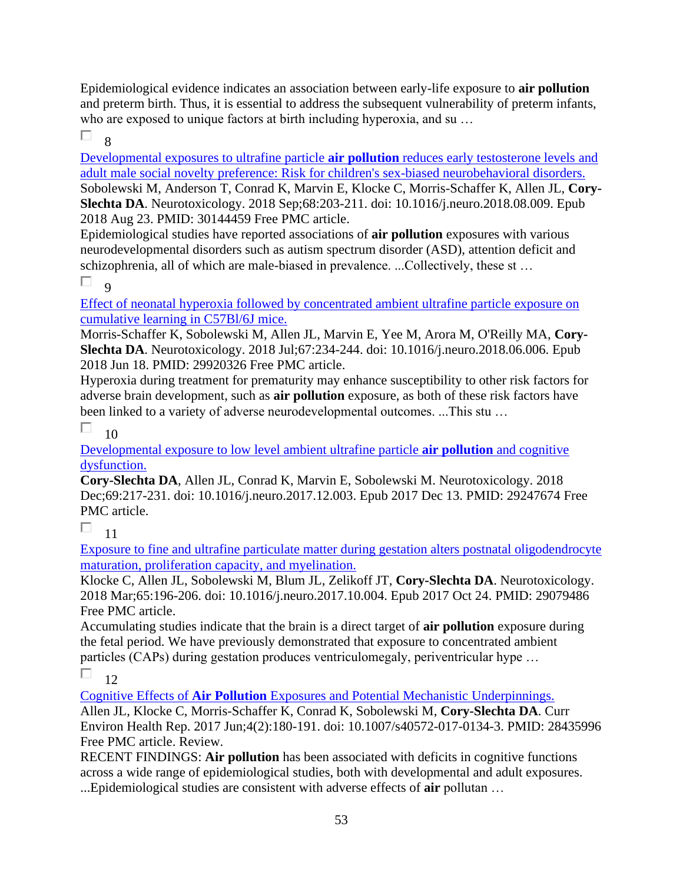Epidemiological evidence indicates an association between early-life exposure to **air pollution** and preterm birth. Thus, it is essential to address the subsequent vulnerability of preterm infants, who are exposed to unique factors at birth including hyperoxia, and su ...

П 8

[Developmental exposures to ultrafine particle](https://pubmed.ncbi.nlm.nih.gov/30144459/) **air pollution** reduces early testosterone levels and [adult male social novelty preference: Risk for children's sex-biased neurobehavioral disorders.](https://pubmed.ncbi.nlm.nih.gov/30144459/)  Sobolewski M, Anderson T, Conrad K, Marvin E, Klocke C, Morris-Schaffer K, Allen JL, **Cory-Slechta DA**. Neurotoxicology. 2018 Sep;68:203-211. doi: 10.1016/j.neuro.2018.08.009. Epub 2018 Aug 23. PMID: 30144459 Free PMC article.

Epidemiological studies have reported associations of **air pollution** exposures with various neurodevelopmental disorders such as autism spectrum disorder (ASD), attention deficit and schizophrenia, all of which are male-biased in prevalence. ...Collectively, these st …

П  $\alpha$ 

[Effect of neonatal hyperoxia followed by concentrated ambient ultrafine particle exposure on](https://pubmed.ncbi.nlm.nih.gov/29920326/)  [cumulative learning in C57Bl/6J mice.](https://pubmed.ncbi.nlm.nih.gov/29920326/) 

Morris-Schaffer K, Sobolewski M, Allen JL, Marvin E, Yee M, Arora M, O'Reilly MA, **Cory-Slechta DA**. Neurotoxicology. 2018 Jul;67:234-244. doi: 10.1016/j.neuro.2018.06.006. Epub 2018 Jun 18. PMID: 29920326 Free PMC article.

Hyperoxia during treatment for prematurity may enhance susceptibility to other risk factors for adverse brain development, such as **air pollution** exposure, as both of these risk factors have been linked to a variety of adverse neurodevelopmental outcomes. ...This stu …

П 10

[Developmental exposure to low level ambient ultrafine particle](https://pubmed.ncbi.nlm.nih.gov/29247674/) **air pollution** and cognitive [dysfunction.](https://pubmed.ncbi.nlm.nih.gov/29247674/) 

**Cory-Slechta DA**, Allen JL, Conrad K, Marvin E, Sobolewski M. Neurotoxicology. 2018 Dec;69:217-231. doi: 10.1016/j.neuro.2017.12.003. Epub 2017 Dec 13. PMID: 29247674 Free PMC article.

П 11

[Exposure to fine and ultrafine particulate matter during gestation alters postnatal oligodendrocyte](https://pubmed.ncbi.nlm.nih.gov/29079486/)  [maturation, proliferation capacity, and myelination.](https://pubmed.ncbi.nlm.nih.gov/29079486/) 

Klocke C, Allen JL, Sobolewski M, Blum JL, Zelikoff JT, **Cory-Slechta DA**. Neurotoxicology. 2018 Mar;65:196-206. doi: 10.1016/j.neuro.2017.10.004. Epub 2017 Oct 24. PMID: 29079486 Free PMC article.

Accumulating studies indicate that the brain is a direct target of **air pollution** exposure during the fetal period. We have previously demonstrated that exposure to concentrated ambient particles (CAPs) during gestation produces ventriculomegaly, periventricular hype …

П 12

Cognitive Effects of **Air Pollution** [Exposures and Potential Mechanistic Underpinnings.](https://pubmed.ncbi.nlm.nih.gov/28435996/)  Allen JL, Klocke C, Morris-Schaffer K, Conrad K, Sobolewski M, **Cory-Slechta DA**. Curr Environ Health Rep. 2017 Jun;4(2):180-191. doi: 10.1007/s40572-017-0134-3. PMID: 28435996 Free PMC article. Review.

RECENT FINDINGS: **Air pollution** has been associated with deficits in cognitive functions across a wide range of epidemiological studies, both with developmental and adult exposures. ...Epidemiological studies are consistent with adverse effects of **air** pollutan …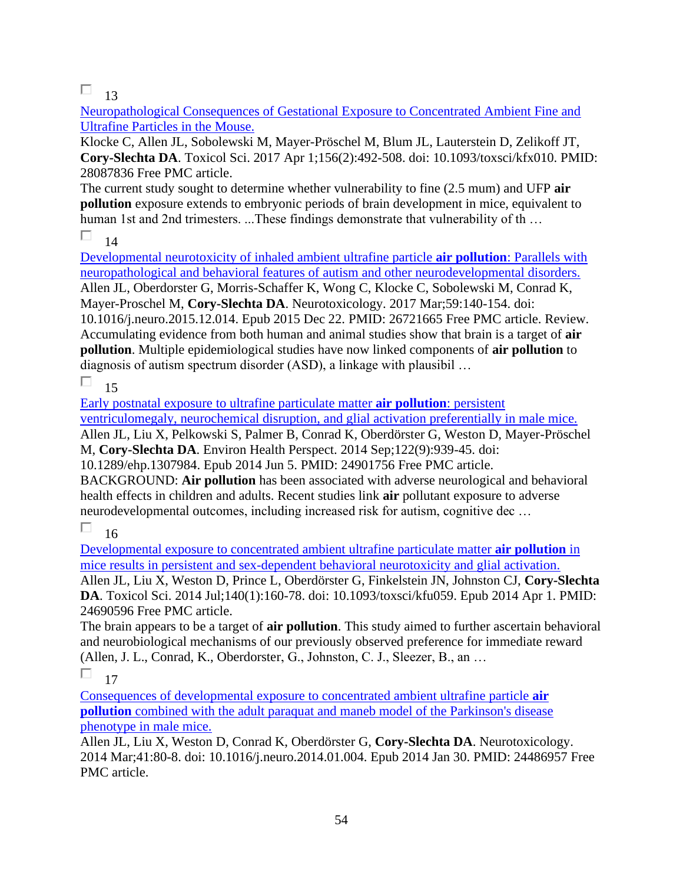## $\Box$  13

[Neuropathological Consequences of Gestational Exposure to Concentrated Ambient Fine and](https://pubmed.ncbi.nlm.nih.gov/28087836/)  [Ultrafine Particles in the Mouse.](https://pubmed.ncbi.nlm.nih.gov/28087836/) 

Klocke C, Allen JL, Sobolewski M, Mayer-Pröschel M, Blum JL, Lauterstein D, Zelikoff JT, **Cory-Slechta DA**. Toxicol Sci. 2017 Apr 1;156(2):492-508. doi: 10.1093/toxsci/kfx010. PMID: 28087836 Free PMC article.

The current study sought to determine whether vulnerability to fine (2.5 mum) and UFP **air pollution** exposure extends to embryonic periods of brain development in mice, equivalent to human 1st and 2nd trimesters. ...These findings demonstrate that vulnerability of th …

#### П 14

[Developmental neurotoxicity of inhaled ambient ultrafine particle](https://pubmed.ncbi.nlm.nih.gov/26721665/) **air pollution**: Parallels with [neuropathological and behavioral features of autism and other neurodevelopmental disorders.](https://pubmed.ncbi.nlm.nih.gov/26721665/)  Allen JL, Oberdorster G, Morris-Schaffer K, Wong C, Klocke C, Sobolewski M, Conrad K, Mayer-Proschel M, **Cory-Slechta DA**. Neurotoxicology. 2017 Mar;59:140-154. doi: 10.1016/j.neuro.2015.12.014. Epub 2015 Dec 22. PMID: 26721665 Free PMC article. Review. Accumulating evidence from both human and animal studies show that brain is a target of **air pollution**. Multiple epidemiological studies have now linked components of **air pollution** to diagnosis of autism spectrum disorder (ASD), a linkage with plausibil …

#### П 15

[Early postnatal exposure to ultrafine particulate matter](https://pubmed.ncbi.nlm.nih.gov/24901756/) **air pollution**: persistent [ventriculomegaly, neurochemical disruption, and glial activation preferentially in male mice.](https://pubmed.ncbi.nlm.nih.gov/24901756/) 

Allen JL, Liu X, Pelkowski S, Palmer B, Conrad K, Oberdörster G, Weston D, Mayer-Pröschel M, **Cory-Slechta DA**. Environ Health Perspect. 2014 Sep;122(9):939-45. doi:

10.1289/ehp.1307984. Epub 2014 Jun 5. PMID: 24901756 Free PMC article.

BACKGROUND: **Air pollution** has been associated with adverse neurological and behavioral health effects in children and adults. Recent studies link **air** pollutant exposure to adverse neurodevelopmental outcomes, including increased risk for autism, cognitive dec … 16

## П

[Developmental exposure to concentrated ambient ultrafine particulate matter](https://pubmed.ncbi.nlm.nih.gov/24690596/) **air pollution** in [mice results in persistent and sex-dependent behavioral neurotoxicity and glial activation.](https://pubmed.ncbi.nlm.nih.gov/24690596/) 

Allen JL, Liu X, Weston D, Prince L, Oberdörster G, Finkelstein JN, Johnston CJ, **Cory-Slechta DA**. Toxicol Sci. 2014 Jul;140(1):160-78. doi: 10.1093/toxsci/kfu059. Epub 2014 Apr 1. PMID: 24690596 Free PMC article.

The brain appears to be a target of **air pollution**. This study aimed to further ascertain behavioral and neurobiological mechanisms of our previously observed preference for immediate reward (Allen, J. L., Conrad, K., Oberdorster, G., Johnston, C. J., Sleezer, B., an …

#### П 17

[Consequences of developmental exposure to concentrated ambient ultrafine particle](https://pubmed.ncbi.nlm.nih.gov/24486957/) **air pollution** [combined with the adult paraquat and maneb model of the](https://pubmed.ncbi.nlm.nih.gov/24486957/) Parkinson's disease [phenotype in male mice.](https://pubmed.ncbi.nlm.nih.gov/24486957/) 

Allen JL, Liu X, Weston D, Conrad K, Oberdörster G, **Cory-Slechta DA**. Neurotoxicology. 2014 Mar;41:80-8. doi: 10.1016/j.neuro.2014.01.004. Epub 2014 Jan 30. PMID: 24486957 Free PMC article.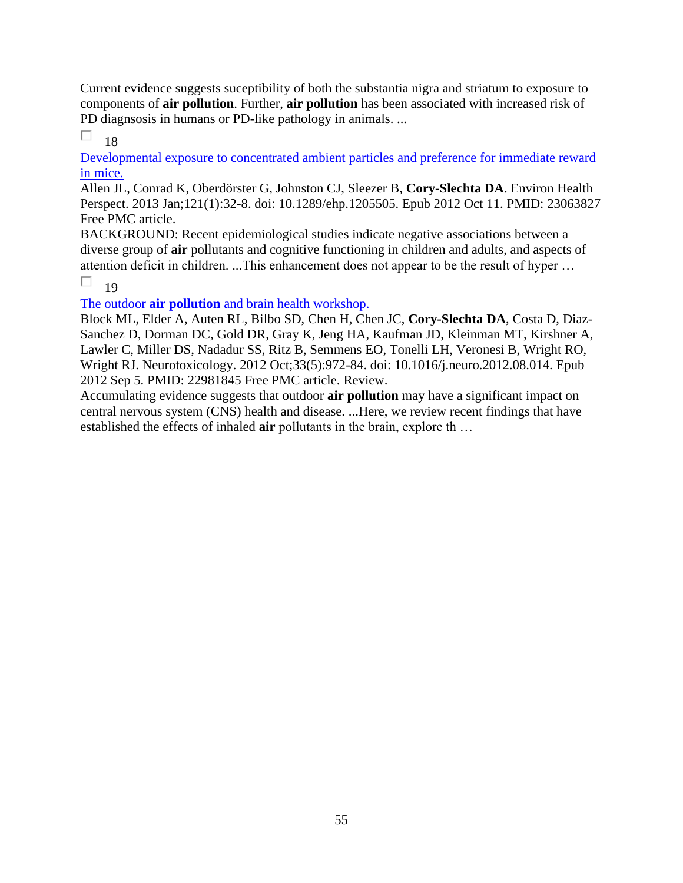Current evidence suggests suceptibility of both the substantia nigra and striatum to exposure to components of **air pollution**. Further, **air pollution** has been associated with increased risk of PD diagnsosis in humans or PD-like pathology in animals. ...

П 18

[Developmental exposure to concentrated ambient particles and preference for immediate reward](https://pubmed.ncbi.nlm.nih.gov/23063827/)  [in mice.](https://pubmed.ncbi.nlm.nih.gov/23063827/) 

Allen JL, Conrad K, Oberdörster G, Johnston CJ, Sleezer B, **Cory-Slechta DA**. Environ Health Perspect. 2013 Jan;121(1):32-8. doi: 10.1289/ehp.1205505. Epub 2012 Oct 11. PMID: 23063827 Free PMC article.

BACKGROUND: Recent epidemiological studies indicate negative associations between a diverse group of **air** pollutants and cognitive functioning in children and adults, and aspects of attention deficit in children. ...This enhancement does not appear to be the result of hyper …

П 19

The outdoor **air pollution** [and brain health workshop.](https://pubmed.ncbi.nlm.nih.gov/22981845/) 

Block ML, Elder A, Auten RL, Bilbo SD, Chen H, Chen JC, **Cory-Slechta DA**, Costa D, Diaz-Sanchez D, Dorman DC, Gold DR, Gray K, Jeng HA, Kaufman JD, Kleinman MT, Kirshner A, Lawler C, Miller DS, Nadadur SS, Ritz B, Semmens EO, Tonelli LH, Veronesi B, Wright RO, Wright RJ. Neurotoxicology. 2012 Oct;33(5):972-84. doi: 10.1016/j.neuro.2012.08.014. Epub 2012 Sep 5. PMID: 22981845 Free PMC article. Review.

Accumulating evidence suggests that outdoor **air pollution** may have a significant impact on central nervous system (CNS) health and disease. ...Here, we review recent findings that have established the effects of inhaled **air** pollutants in the brain, explore th …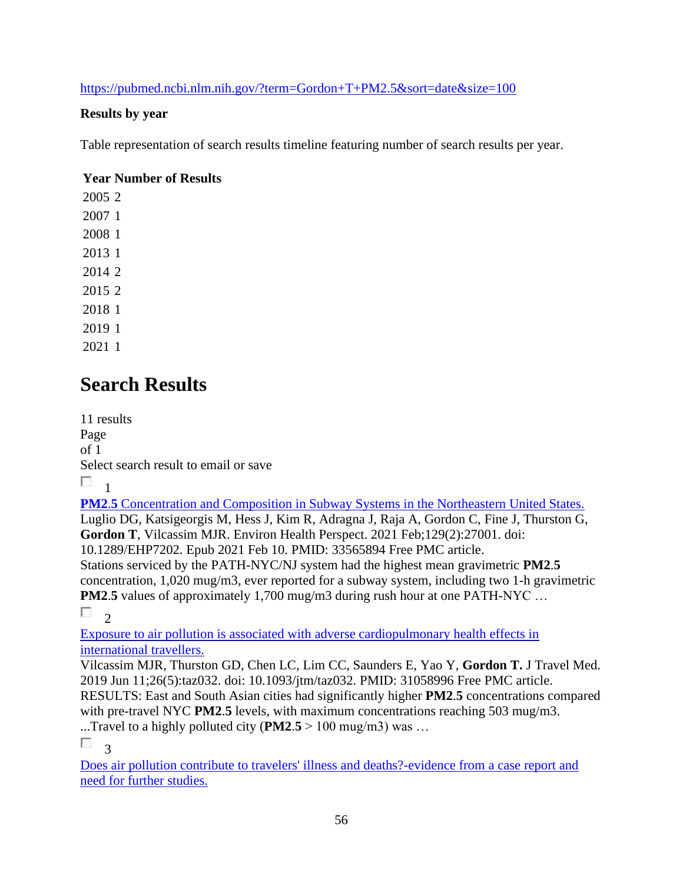<https://pubmed.ncbi.nlm.nih.gov/?term=Gordon+T+PM2.5&sort=date&size=100>

### **Results by year**

Table representation of search results timeline featuring number of search results per year.

### **Year Number of Results**

# **Search Results**

11 results Page of 1 Select search result to email or save  $\Box$ 1

**PM2.5** Concentration and Composition in Subway Systems in the Northeastern United States. Luglio DG, Katsigeorgis M, Hess J, Kim R, Adragna J, Raja A, Gordon C, Fine J, Thurston G, **Gordon T**, Vilcassim MJR. Environ Health Perspect. 2021 Feb;129(2):27001. doi: 10.1289/EHP7202. Epub 2021 Feb 10. PMID: 33565894 Free PMC article. Stations serviced by the PATH-NYC/NJ system had the highest mean gravimetric **PM2**.**5** concentration, 1,020 mug/m3, ever reported for a subway system, including two 1-h gravimetric **PM2.5** values of approximately 1,700 mug/m3 during rush hour at one PATH-NYC ...

 $\Box$ 

[Exposure to air pollution is associated with adverse cardiopulmonary health effects in](https://pubmed.ncbi.nlm.nih.gov/31058996/)  [international travellers.](https://pubmed.ncbi.nlm.nih.gov/31058996/) 

Vilcassim MJR, Thurston GD, Chen LC, Lim CC, Saunders E, Yao Y, **Gordon T.** J Travel Med. 2019 Jun 11;26(5):taz032. doi: 10.1093/jtm/taz032. PMID: 31058996 Free PMC article. RESULTS: East and South Asian cities had significantly higher **PM2**.**5** concentrations compared with pre-travel NYC **PM2.5** levels, with maximum concentrations reaching 503 mug/m3. ...Travel to a highly polluted city (**PM2**.**5** > 100 mug/m3) was …

П. 3

[Does air pollution contribute to travelers' illness and deaths?-evidence from a case report and](https://pubmed.ncbi.nlm.nih.gov/29608735/)  [need for further studies.](https://pubmed.ncbi.nlm.nih.gov/29608735/)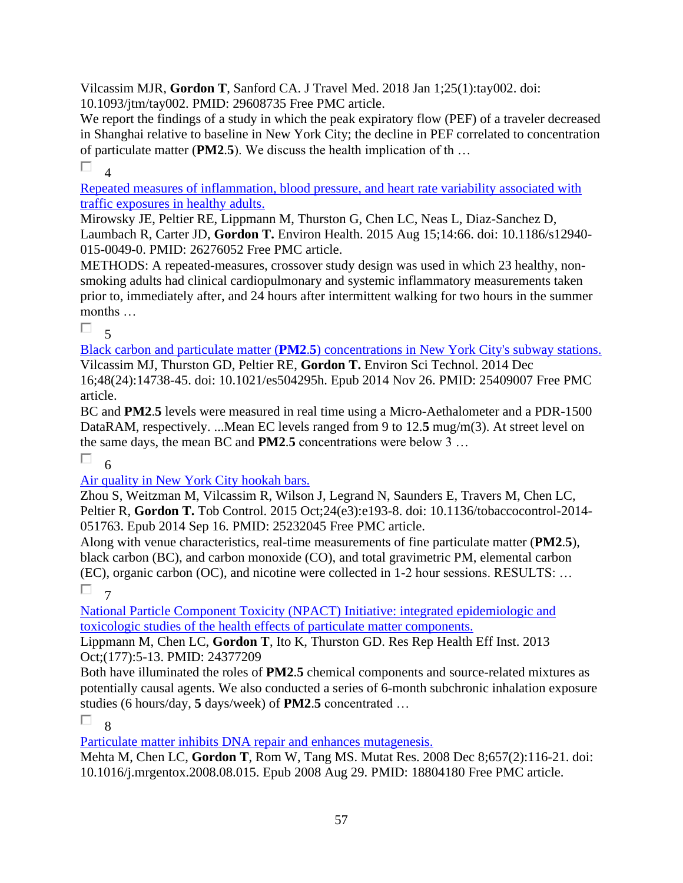Vilcassim MJR, **Gordon T**, Sanford CA. J Travel Med. 2018 Jan 1;25(1):tay002. doi: 10.1093/jtm/tay002. PMID: 29608735 Free PMC article.

We report the findings of a study in which the peak expiratory flow (PEF) of a traveler decreased in Shanghai relative to baseline in New York City; the decline in PEF correlated to concentration of particulate matter (**PM2**.**5**). We discuss the health implication of th …

П  $\overline{A}$ 

[Repeated measures of inflammation, blood pressure, and heart rate variability associated with](https://pubmed.ncbi.nlm.nih.gov/26276052/)  [traffic exposures in healthy adults.](https://pubmed.ncbi.nlm.nih.gov/26276052/) 

Mirowsky JE, Peltier RE, Lippmann M, Thurston G, Chen LC, Neas L, Diaz-Sanchez D, Laumbach R, Carter JD, **Gordon T.** Environ Health. 2015 Aug 15;14:66. doi: 10.1186/s12940- 015-0049-0. PMID: 26276052 Free PMC article.

METHODS: A repeated-measures, crossover study design was used in which 23 healthy, nonsmoking adults had clinical cardiopulmonary and systemic inflammatory measurements taken prior to, immediately after, and 24 hours after intermittent walking for two hours in the summer months …

П.  $\overline{\mathbf{5}}$ 

Black carbon and particulate matter (**PM2**.**5**[\) concentrations in New York City's subway stations.](https://pubmed.ncbi.nlm.nih.gov/25409007/)  Vilcassim MJ, Thurston GD, Peltier RE, **Gordon T.** Environ Sci Technol. 2014 Dec 16;48(24):14738-45. doi: 10.1021/es504295h. Epub 2014 Nov 26. PMID: 25409007 Free PMC article.

BC and **PM2**.**5** levels were measured in real time using a Micro-Aethalometer and a PDR-1500 DataRAM, respectively. ...Mean EC levels ranged from 9 to 12.**5** mug/m(3). At street level on the same days, the mean BC and **PM2**.**5** concentrations were below 3 …

П 6

### [Air quality in New York City hookah bars.](https://pubmed.ncbi.nlm.nih.gov/25232045/)

Zhou S, Weitzman M, Vilcassim R, Wilson J, Legrand N, Saunders E, Travers M, Chen LC, Peltier R, **Gordon T.** Tob Control. 2015 Oct;24(e3):e193-8. doi: 10.1136/tobaccocontrol-2014- 051763. Epub 2014 Sep 16. PMID: 25232045 Free PMC article.

Along with venue characteristics, real-time measurements of fine particulate matter (**PM2**.**5**), black carbon (BC), and carbon monoxide (CO), and total gravimetric PM, elemental carbon (EC), organic carbon (OC), and nicotine were collected in 1-2 hour sessions. RESULTS: …  $\Box$  7

[National Particle Component Toxicity \(NPACT\) Initiative: integrated epidemiologic and](https://pubmed.ncbi.nlm.nih.gov/24377209/)  [toxicologic studies of the health effects of particulate matter components.](https://pubmed.ncbi.nlm.nih.gov/24377209/) 

Lippmann M, Chen LC, **Gordon T**, Ito K, Thurston GD. Res Rep Health Eff Inst. 2013 Oct;(177):5-13. PMID: 24377209

Both have illuminated the roles of **PM2**.**5** chemical components and source-related mixtures as potentially causal agents. We also conducted a series of 6-month subchronic inhalation exposure studies (6 hours/day, **5** days/week) of **PM2**.**5** concentrated …

П 8

[Particulate matter inhibits DNA repair and enhances mutagenesis.](https://pubmed.ncbi.nlm.nih.gov/18804180/) 

Mehta M, Chen LC, **Gordon T**, Rom W, Tang MS. Mutat Res. 2008 Dec 8;657(2):116-21. doi: 10.1016/j.mrgentox.2008.08.015. Epub 2008 Aug 29. PMID: 18804180 Free PMC article.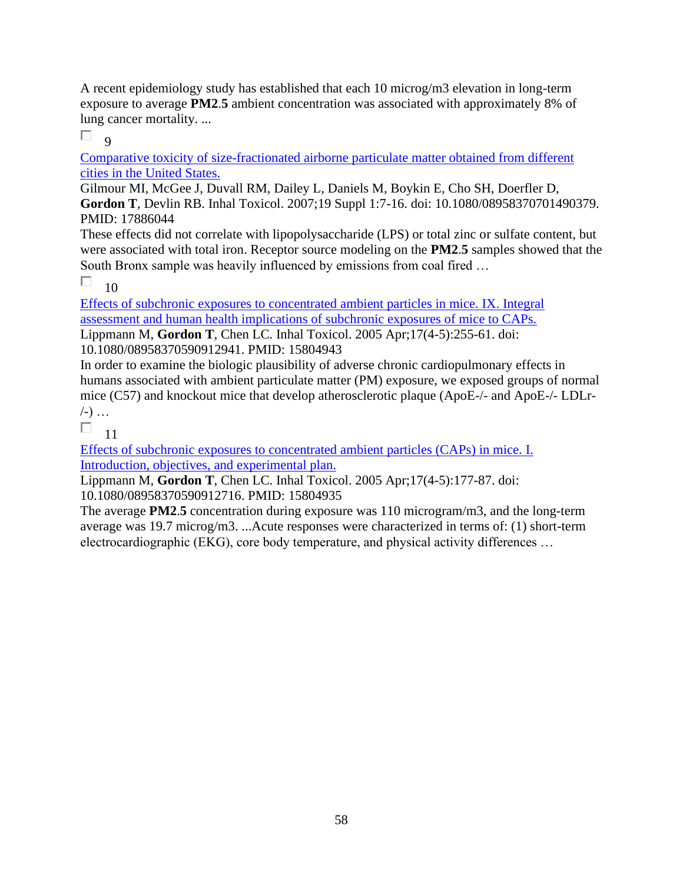A recent epidemiology study has established that each 10 microg/m3 elevation in long-term exposure to average **PM2**.**5** ambient concentration was associated with approximately 8% of lung cancer mortality. ...

П.  $\alpha$ 

[Comparative toxicity of size-fractionated airborne particulate matter obtained from different](https://pubmed.ncbi.nlm.nih.gov/17886044/)  [cities in the United States.](https://pubmed.ncbi.nlm.nih.gov/17886044/) 

Gilmour MI, McGee J, Duvall RM, Dailey L, Daniels M, Boykin E, Cho SH, Doerfler D, **Gordon T**, Devlin RB. Inhal Toxicol. 2007;19 Suppl 1:7-16. doi: 10.1080/08958370701490379. PMID: 17886044

These effects did not correlate with lipopolysaccharide (LPS) or total zinc or sulfate content, but were associated with total iron. Receptor source modeling on the **PM2**.**5** samples showed that the South Bronx sample was heavily influenced by emissions from coal fired …

П 10

[Effects of subchronic exposures to concentrated ambient particles in mice. IX. Integral](https://pubmed.ncbi.nlm.nih.gov/15804943/)  [assessment and human health implications of subchronic exposures of mice to CAPs.](https://pubmed.ncbi.nlm.nih.gov/15804943/)  Lippmann M, **Gordon T**, Chen LC. Inhal Toxicol. 2005 Apr;17(4-5):255-61. doi: 10.1080/08958370590912941. PMID: 15804943

In order to examine the biologic plausibility of adverse chronic cardiopulmonary effects in humans associated with ambient particulate matter (PM) exposure, we exposed groups of normal mice (C57) and knockout mice that develop atherosclerotic plaque (ApoE-/- and ApoE-/- LDLr-  $(-)$  ...

П 11

[Effects of subchronic exposures to concentrated ambient particles \(CAPs\) in mice. I.](https://pubmed.ncbi.nlm.nih.gov/15804935/)  [Introduction, objectives, and experimental plan.](https://pubmed.ncbi.nlm.nih.gov/15804935/) 

Lippmann M, **Gordon T**, Chen LC. Inhal Toxicol. 2005 Apr;17(4-5):177-87. doi: 10.1080/08958370590912716. PMID: 15804935

The average **PM2**.**5** concentration during exposure was 110 microgram/m3, and the long-term average was 19.7 microg/m3. ...Acute responses were characterized in terms of: (1) short-term electrocardiographic (EKG), core body temperature, and physical activity differences …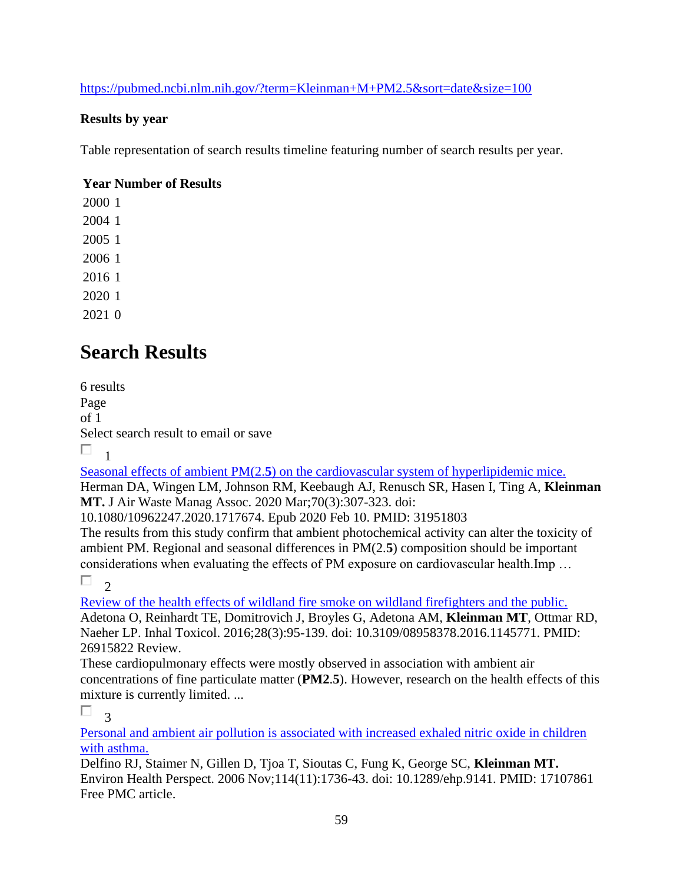<https://pubmed.ncbi.nlm.nih.gov/?term=Kleinman+M+PM2.5&sort=date&size=100>

### **Results by year**

Table representation of search results timeline featuring number of search results per year.

### **Year Number of Results**

# **Search Results**

6 results Page of 1 Select search result to email or save  $\Box$ 1

Seasonal effects of ambient PM(2.**5**[\) on the cardiovascular system of hyperlipidemic mice.](https://pubmed.ncbi.nlm.nih.gov/31951803/) 

Herman DA, Wingen LM, Johnson RM, Keebaugh AJ, Renusch SR, Hasen I, Ting A, **Kleinman MT.** J Air Waste Manag Assoc. 2020 Mar;70(3):307-323. doi:

10.1080/10962247.2020.1717674. Epub 2020 Feb 10. PMID: 31951803

The results from this study confirm that ambient photochemical activity can alter the toxicity of ambient PM. Regional and seasonal differences in PM(2.**5**) composition should be important considerations when evaluating the effects of PM exposure on cardiovascular health.Imp …

П 2

[Review of the health effects of wildland fire smoke on wildland firefighters and the public.](https://pubmed.ncbi.nlm.nih.gov/26915822/) 

Adetona O, Reinhardt TE, Domitrovich J, Broyles G, Adetona AM, **Kleinman MT**, Ottmar RD, Naeher LP. Inhal Toxicol. 2016;28(3):95-139. doi: 10.3109/08958378.2016.1145771. PMID: 26915822 Review.

These cardiopulmonary effects were mostly observed in association with ambient air concentrations of fine particulate matter (**PM2**.**5**). However, research on the health effects of this mixture is currently limited. ...

П. 3

[Personal and ambient air pollution is associated with increased exhaled nitric oxide in children](https://pubmed.ncbi.nlm.nih.gov/17107861/)  [with asthma.](https://pubmed.ncbi.nlm.nih.gov/17107861/) 

Delfino RJ, Staimer N, Gillen D, Tjoa T, Sioutas C, Fung K, George SC, **Kleinman MT.** Environ Health Perspect. 2006 Nov;114(11):1736-43. doi: 10.1289/ehp.9141. PMID: 17107861 Free PMC article.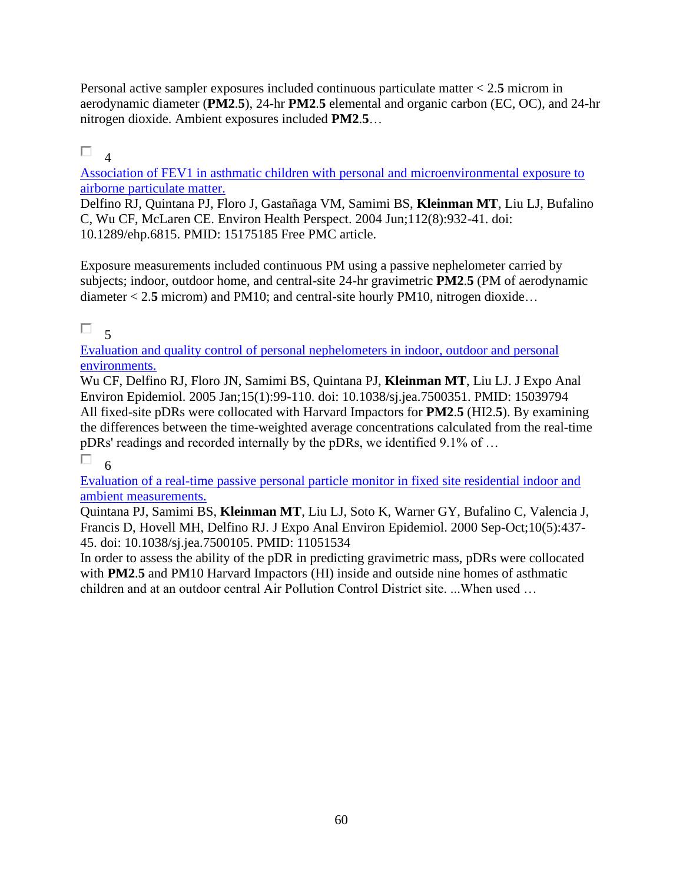Personal active sampler exposures included continuous particulate matter < 2.**5** microm in aerodynamic diameter (**PM2**.**5**), 24-hr **PM2**.**5** elemental and organic carbon (EC, OC), and 24-hr nitrogen dioxide. Ambient exposures included **PM2**.**5**…

### П. 4

[Association of FEV1 in asthmatic children with personal and microenvironmental exposure to](https://pubmed.ncbi.nlm.nih.gov/15175185/) [airborne particulate matter.](https://pubmed.ncbi.nlm.nih.gov/15175185/) 

Delfino RJ, Quintana PJ, Floro J, Gastañaga VM, Samimi BS, **Kleinman MT**, Liu LJ, Bufalino C, Wu CF, McLaren CE. Environ Health Perspect. 2004 Jun;112(8):932-41. doi: 10.1289/ehp.6815. PMID: 15175185 Free PMC article.

Exposure measurements included continuous PM using a passive nephelometer carried by subjects; indoor, outdoor home, and central-site 24-hr gravimetric **PM2**.**5** (PM of aerodynamic diameter < 2.**5** microm) and PM10; and central-site hourly PM10, nitrogen dioxide…

### П

5 [Evaluation and quality control of personal nephelometers in indoor, outdoor and personal](https://pubmed.ncbi.nlm.nih.gov/15039794/)  [environments.](https://pubmed.ncbi.nlm.nih.gov/15039794/) 

Wu CF, Delfino RJ, Floro JN, Samimi BS, Quintana PJ, **Kleinman MT**, Liu LJ. J Expo Anal Environ Epidemiol. 2005 Jan;15(1):99-110. doi: 10.1038/sj.jea.7500351. PMID: 15039794 All fixed-site pDRs were collocated with Harvard Impactors for **PM2**.**5** (HI2.**5**). By examining the differences between the time-weighted average concentrations calculated from the real-time pDRs' readings and recorded internally by the pDRs, we identified 9.1% of …

П. 6

[Evaluation of a real-time passive personal particle monitor in fixed site residential indoor and](https://pubmed.ncbi.nlm.nih.gov/11051534/)  [ambient measurements.](https://pubmed.ncbi.nlm.nih.gov/11051534/) 

Quintana PJ, Samimi BS, **Kleinman MT**, Liu LJ, Soto K, Warner GY, Bufalino C, Valencia J, Francis D, Hovell MH, Delfino RJ. J Expo Anal Environ Epidemiol. 2000 Sep-Oct;10(5):437- 45. doi: 10.1038/sj.jea.7500105. PMID: 11051534

In order to assess the ability of the pDR in predicting gravimetric mass, pDRs were collocated with **PM2.5** and PM10 Harvard Impactors (HI) inside and outside nine homes of asthmatic children and at an outdoor central Air Pollution Control District site. ...When used …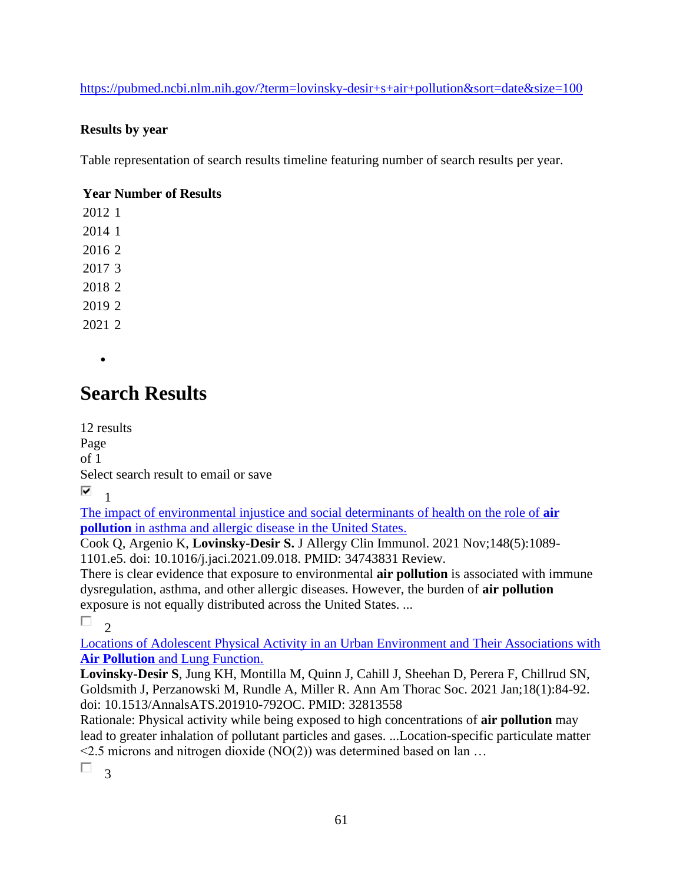### <https://pubmed.ncbi.nlm.nih.gov/?term=lovinsky-desir+s+air+pollution&sort=date&size=100>

### **Results by year**

Table representation of search results timeline featuring number of search results per year.

### **Year Number of Results**

•

## **Search Results**

12 results Page of 1 Select search result to email or save ⊽ 1

[The impact of environmental injustice and social determinants of health on the role of](https://pubmed.ncbi.nlm.nih.gov/34743831/) **air pollution** [in asthma and allergic disease in](https://pubmed.ncbi.nlm.nih.gov/34743831/) the United States.

Cook Q, Argenio K, **Lovinsky-Desir S.** J Allergy Clin Immunol. 2021 Nov;148(5):1089- 1101.e5. doi: 10.1016/j.jaci.2021.09.018. PMID: 34743831 Review.

There is clear evidence that exposure to environmental **air pollution** is associated with immune dysregulation, asthma, and other allergic diseases. However, the burden of **air pollution** exposure is not equally distributed across the United States. ...

П.  $\overline{\phantom{0}}$ 

[Locations of Adolescent Physical Activity in an Urban Environment and Their Associations with](https://pubmed.ncbi.nlm.nih.gov/32813558/)  **Air Pollution** [and Lung Function.](https://pubmed.ncbi.nlm.nih.gov/32813558/) 

**Lovinsky-Desir S**, Jung KH, Montilla M, Quinn J, Cahill J, Sheehan D, Perera F, Chillrud SN, Goldsmith J, Perzanowski M, Rundle A, Miller R. Ann Am Thorac Soc. 2021 Jan;18(1):84-92. doi: 10.1513/AnnalsATS.201910-792OC. PMID: 32813558

Rationale: Physical activity while being exposed to high concentrations of **air pollution** may lead to greater inhalation of pollutant particles and gases. ...Location-specific particulate matter  $\leq$ 2.5 microns and nitrogen dioxide (NO(2)) was determined based on lan ...

 $\Box$ <sup>3</sup>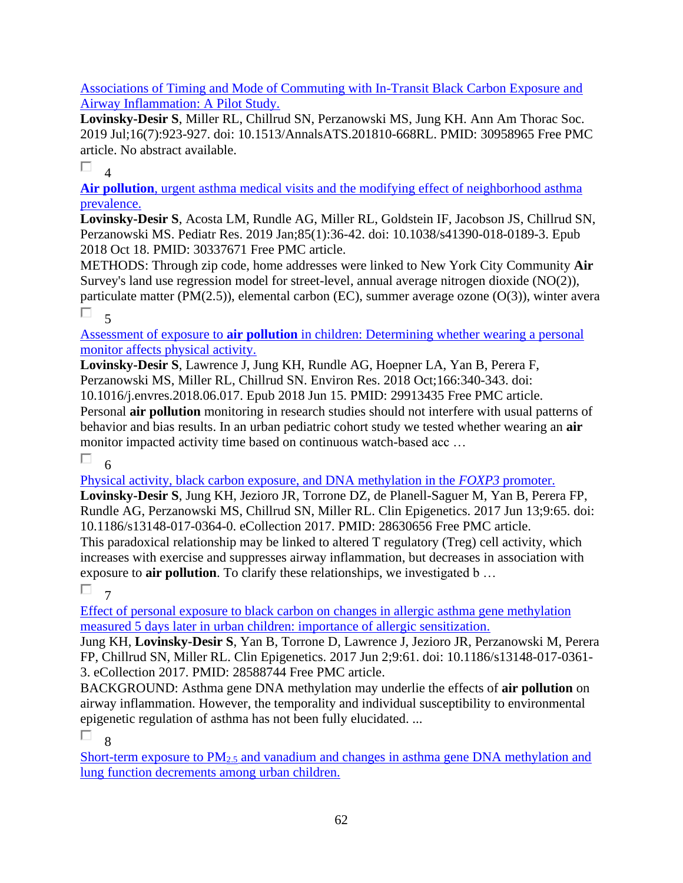[Associations of Timing and Mode of Commuting with In-Transit Black Carbon Exposure and](https://pubmed.ncbi.nlm.nih.gov/30958965/)  [Airway Inflammation: A Pilot Study.](https://pubmed.ncbi.nlm.nih.gov/30958965/) 

**Lovinsky-Desir S**, Miller RL, Chillrud SN, Perzanowski MS, Jung KH. Ann Am Thorac Soc. 2019 Jul;16(7):923-927. doi: 10.1513/AnnalsATS.201810-668RL. PMID: 30958965 Free PMC article. No abstract available.

П. 4

**Air pollution**[, urgent asthma medical visits and the modifying effect of neighborhood asthma](https://pubmed.ncbi.nlm.nih.gov/30337671/)  [prevalence.](https://pubmed.ncbi.nlm.nih.gov/30337671/) 

**Lovinsky-Desir S**, Acosta LM, Rundle AG, Miller RL, Goldstein IF, Jacobson JS, Chillrud SN, Perzanowski MS. Pediatr Res. 2019 Jan;85(1):36-42. doi: 10.1038/s41390-018-0189-3. Epub 2018 Oct 18. PMID: 30337671 Free PMC article.

METHODS: Through zip code, home addresses were linked to New York City Community **Air** Survey's land use regression model for street-level, annual average nitrogen dioxide (NO(2)), particulate matter (PM(2.5)), elemental carbon (EC), summer average ozone (O(3)), winter avera  $\Box$  5

Assessment of exposure to **air pollution** [in children: Determining whether wearing a personal](https://pubmed.ncbi.nlm.nih.gov/29913435/)  [monitor affects physical activity.](https://pubmed.ncbi.nlm.nih.gov/29913435/) 

**Lovinsky-Desir S**, Lawrence J, Jung KH, Rundle AG, Hoepner LA, Yan B, Perera F, Perzanowski MS, Miller RL, Chillrud SN. Environ Res. 2018 Oct;166:340-343. doi: 10.1016/j.envres.2018.06.017. Epub 2018 Jun 15. PMID: 29913435 Free PMC article. Personal **air pollution** monitoring in research studies should not interfere with usual patterns of behavior and bias results. In an urban pediatric cohort study we tested whether wearing an **air** monitor impacted activity time based on continuous watch-based acc …

П 6

[Physical activity, black carbon exposure, and DNA methylation in the](https://pubmed.ncbi.nlm.nih.gov/28630656/) *FOXP3* promoter.

**Lovinsky-Desir S**, Jung KH, Jezioro JR, Torrone DZ, de Planell-Saguer M, Yan B, Perera FP, Rundle AG, Perzanowski MS, Chillrud SN, Miller RL. Clin Epigenetics. 2017 Jun 13;9:65. doi: 10.1186/s13148-017-0364-0. eCollection 2017. PMID: 28630656 Free PMC article. This paradoxical relationship may be linked to altered T regulatory (Treg) cell activity, which increases with exercise and suppresses airway inflammation, but decreases in association with exposure to **air pollution**. To clarify these relationships, we investigated b …

 $\Box$  7

[Effect of personal exposure to black carbon on changes in allergic asthma gene methylation](https://pubmed.ncbi.nlm.nih.gov/28588744/)  measured 5 [days later in urban children: importance of allergic sensitization.](https://pubmed.ncbi.nlm.nih.gov/28588744/) 

Jung KH, **Lovinsky-Desir S**, Yan B, Torrone D, Lawrence J, Jezioro JR, Perzanowski M, Perera FP, Chillrud SN, Miller RL. Clin Epigenetics. 2017 Jun 2;9:61. doi: 10.1186/s13148-017-0361- 3. eCollection 2017. PMID: 28588744 Free PMC article.

BACKGROUND: Asthma gene DNA methylation may underlie the effects of **air pollution** on airway inflammation. However, the temporality and individual susceptibility to environmental epigenetic regulation of asthma has not been fully elucidated. ...

 $\Box$  $\overline{Q}$ 

Short-term exposure to  $PM_{2.5}$  and vanadium and changes in asthma gene DNA methylation and [lung function decrements among urban children.](https://pubmed.ncbi.nlm.nih.gov/28424066/)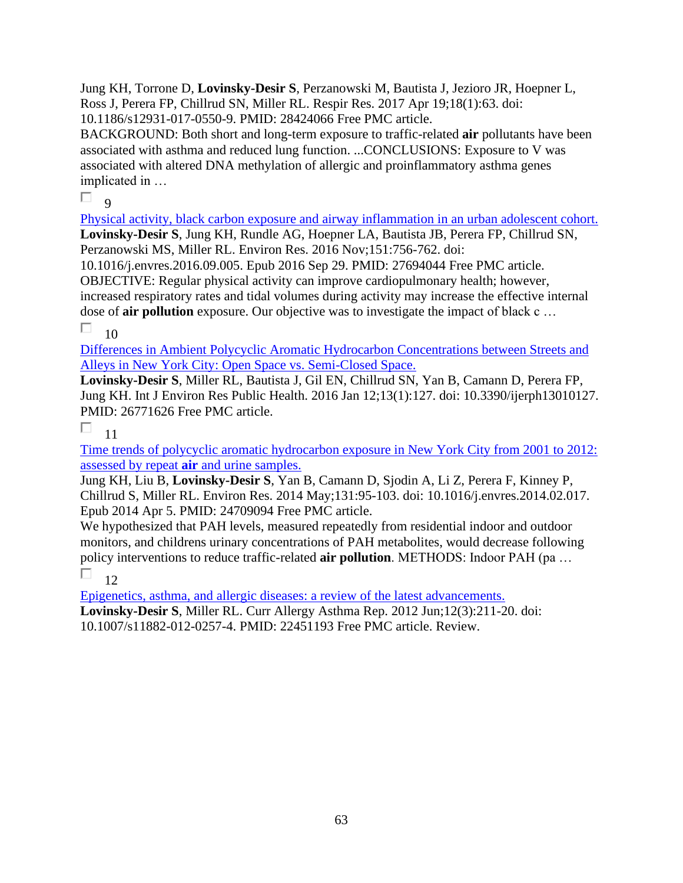Jung KH, Torrone D, **Lovinsky-Desir S**, Perzanowski M, Bautista J, Jezioro JR, Hoepner L, Ross J, Perera FP, Chillrud SN, Miller RL. Respir Res. 2017 Apr 19;18(1):63. doi: 10.1186/s12931-017-0550-9. PMID: 28424066 Free PMC article.

BACKGROUND: Both short and long-term exposure to traffic-related **air** pollutants have been associated with asthma and reduced lung function. ...CONCLUSIONS: Exposure to V was associated with altered DNA methylation of allergic and proinflammatory asthma genes implicated in …

 $\Box$ 

 $\overline{Q}$ 

[Physical activity, black carbon exposure and airway inflammation in an urban adolescent cohort.](https://pubmed.ncbi.nlm.nih.gov/27694044/)  **Lovinsky-Desir S**, Jung KH, Rundle AG, Hoepner LA, Bautista JB, Perera FP, Chillrud SN, Perzanowski MS, Miller RL. Environ Res. 2016 Nov;151:756-762. doi:

10.1016/j.envres.2016.09.005. Epub 2016 Sep 29. PMID: 27694044 Free PMC article. OBJECTIVE: Regular physical activity can improve cardiopulmonary health; however, increased respiratory rates and tidal volumes during activity may increase the effective internal dose of **air pollution** exposure. Our objective was to investigate the impact of black c …

П 10

[Differences in Ambient Polycyclic Aromatic Hydrocarbon Concentrations between Streets and](https://pubmed.ncbi.nlm.nih.gov/26771626/)  [Alleys in New York City: Open Space vs. Semi-Closed Space.](https://pubmed.ncbi.nlm.nih.gov/26771626/) 

**Lovinsky-Desir S**, Miller RL, Bautista J, Gil EN, Chillrud SN, Yan B, Camann D, Perera FP, Jung KH. Int J Environ Res Public Health. 2016 Jan 12;13(1):127. doi: 10.3390/ijerph13010127. PMID: 26771626 Free PMC article.

П 11

Time [trends of polycyclic aromatic hydrocarbon exposure in New York City from 2001 to 2012:](https://pubmed.ncbi.nlm.nih.gov/24709094/)  assessed by repeat **air** [and urine samples.](https://pubmed.ncbi.nlm.nih.gov/24709094/) 

Jung KH, Liu B, **Lovinsky-Desir S**, Yan B, Camann D, Sjodin A, Li Z, Perera F, Kinney P, Chillrud S, Miller RL. Environ Res. 2014 May;131:95-103. doi: 10.1016/j.envres.2014.02.017. Epub 2014 Apr 5. PMID: 24709094 Free PMC article.

We hypothesized that PAH levels, measured repeatedly from residential indoor and outdoor monitors, and childrens urinary concentrations of PAH metabolites, would decrease following policy interventions to reduce traffic-related **air pollution**. METHODS: Indoor PAH (pa …

П.  $12$ 

[Epigenetics, asthma, and allergic diseases: a review of the latest advancements.](https://pubmed.ncbi.nlm.nih.gov/22451193/)  **Lovinsky-Desir S**, Miller RL. Curr Allergy Asthma Rep. 2012 Jun;12(3):211-20. doi: 10.1007/s11882-012-0257-4. PMID: 22451193 Free PMC article. Review.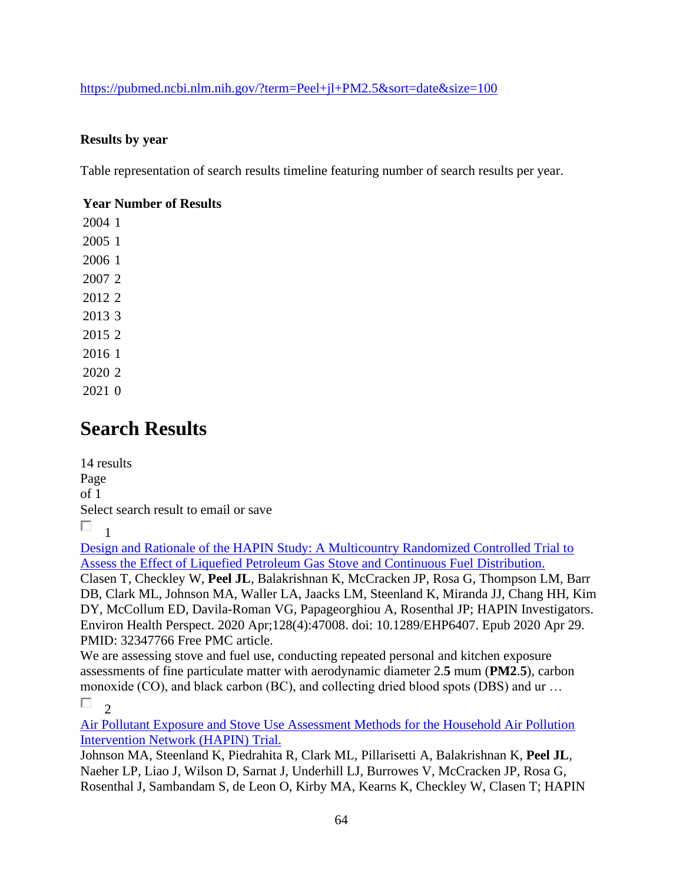<https://pubmed.ncbi.nlm.nih.gov/?term=Peel+jl+PM2.5&sort=date&size=100>

### **Results by year**

Table representation of search results timeline featuring number of search results per year.

### **Year Number of Results**

## **Search Results**

14 results Page of 1 Select search result to email or save  $\Box$ <sub>1</sub>

[Design and Rationale of the HAPIN Study: A Multicountry Randomized Controlled Trial to](https://pubmed.ncbi.nlm.nih.gov/32347766/)  [Assess the Effect of Liquefied Petroleum Gas Stove and Continuous Fuel Distribution.](https://pubmed.ncbi.nlm.nih.gov/32347766/) 

Clasen T, Checkley W, **Peel JL**, Balakrishnan K, McCracken JP, Rosa G, Thompson LM, Barr DB, Clark ML, Johnson MA, Waller LA, Jaacks LM, Steenland K, Miranda JJ, Chang HH, Kim DY, McCollum ED, Davila-Roman VG, Papageorghiou A, Rosenthal JP; HAPIN Investigators. Environ Health Perspect. 2020 Apr;128(4):47008. doi: 10.1289/EHP6407. Epub 2020 Apr 29. PMID: 32347766 Free PMC article.

We are assessing stove and fuel use, conducting repeated personal and kitchen exposure assessments of fine particulate matter with aerodynamic diameter 2.**5** mum (**PM2**.**5**), carbon monoxide (CO), and black carbon (BC), and collecting dried blood spots (DBS) and ur … П.  $\mathcal{D}$ 

[Air Pollutant Exposure and Stove Use Assessment Methods for the Household Air Pollution](https://pubmed.ncbi.nlm.nih.gov/32347764/)  [Intervention Network \(HAPIN\) Trial.](https://pubmed.ncbi.nlm.nih.gov/32347764/) 

Johnson MA, Steenland K, Piedrahita R, Clark ML, Pillarisetti A, Balakrishnan K, **Peel JL**, Naeher LP, Liao J, Wilson D, Sarnat J, Underhill LJ, Burrowes V, McCracken JP, Rosa G, Rosenthal J, Sambandam S, de Leon O, Kirby MA, Kearns K, Checkley W, Clasen T; HAPIN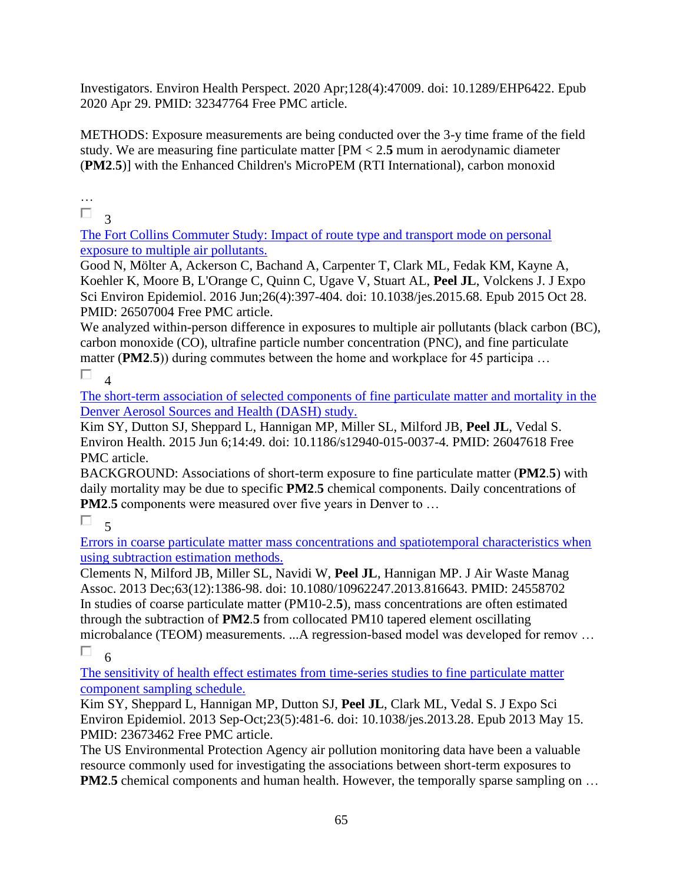Investigators. Environ Health Perspect. 2020 Apr;128(4):47009. doi: 10.1289/EHP6422. Epub 2020 Apr 29. PMID: 32347764 Free PMC article.

METHODS: Exposure measurements are being conducted over the 3-y time frame of the field study. We are measuring fine particulate matter [PM < 2.**5** mum in aerodynamic diameter (**PM2**.**5**)] with the Enhanced Children's MicroPEM (RTI International), carbon monoxid

… П

3

[The Fort Collins Commuter Study: Impact of route type and transport mode on personal](https://pubmed.ncbi.nlm.nih.gov/26507004/)  [exposure to multiple air pollutants.](https://pubmed.ncbi.nlm.nih.gov/26507004/) 

Good N, Mölter A, Ackerson C, Bachand A, Carpenter T, Clark ML, Fedak KM, Kayne A, Koehler K, Moore B, L'Orange C, Quinn C, Ugave V, Stuart AL, **Peel JL**, Volckens J. J Expo Sci Environ Epidemiol. 2016 Jun;26(4):397-404. doi: 10.1038/jes.2015.68. Epub 2015 Oct 28. PMID: 26507004 Free PMC article.

We analyzed within-person difference in exposures to multiple air pollutants (black carbon (BC), carbon monoxide (CO), ultrafine particle number concentration (PNC), and fine particulate matter (PM2.5)) during commutes between the home and workplace for 45 participa ...

П  $\overline{\mathbf{A}}$ 

[The short-term association of selected components of fine particulate matter and mortality in the](https://pubmed.ncbi.nlm.nih.gov/26047618/)  [Denver Aerosol Sources and](https://pubmed.ncbi.nlm.nih.gov/26047618/) Health (DASH) study.

Kim SY, Dutton SJ, Sheppard L, Hannigan MP, Miller SL, Milford JB, **Peel JL**, Vedal S. Environ Health. 2015 Jun 6;14:49. doi: 10.1186/s12940-015-0037-4. PMID: 26047618 Free PMC article.

BACKGROUND: Associations of short-term exposure to fine particulate matter (**PM2**.**5**) with daily mortality may be due to specific **PM2**.**5** chemical components. Daily concentrations of **PM2.5** components were measured over five years in Denver to ...

 $\Box$ 

[Errors in coarse particulate matter mass concentrations and spatiotemporal characteristics when](https://pubmed.ncbi.nlm.nih.gov/24558702/)  [using subtraction estimation methods.](https://pubmed.ncbi.nlm.nih.gov/24558702/) 

Clements N, Milford JB, Miller SL, Navidi W, **Peel JL**, Hannigan MP. J Air Waste Manag Assoc. 2013 Dec;63(12):1386-98. doi: 10.1080/10962247.2013.816643. PMID: 24558702 In studies of coarse particulate matter (PM10-2.**5**), mass concentrations are often estimated through the subtraction of **PM2**.**5** from collocated PM10 tapered element oscillating microbalance (TEOM) measurements. ...A regression-based model was developed for remov …

П 6

[The sensitivity of health effect estimates from time-series studies to fine particulate matter](https://pubmed.ncbi.nlm.nih.gov/23673462/)  [component sampling schedule.](https://pubmed.ncbi.nlm.nih.gov/23673462/) 

Kim SY, Sheppard L, Hannigan MP, Dutton SJ, **Peel JL**, Clark ML, Vedal S. J Expo Sci Environ Epidemiol. 2013 Sep-Oct;23(5):481-6. doi: 10.1038/jes.2013.28. Epub 2013 May 15. PMID: 23673462 Free PMC article.

The US Environmental Protection Agency air pollution monitoring data have been a valuable resource commonly used for investigating the associations between short-term exposures to **PM2.5** chemical components and human health. However, the temporally sparse sampling on ...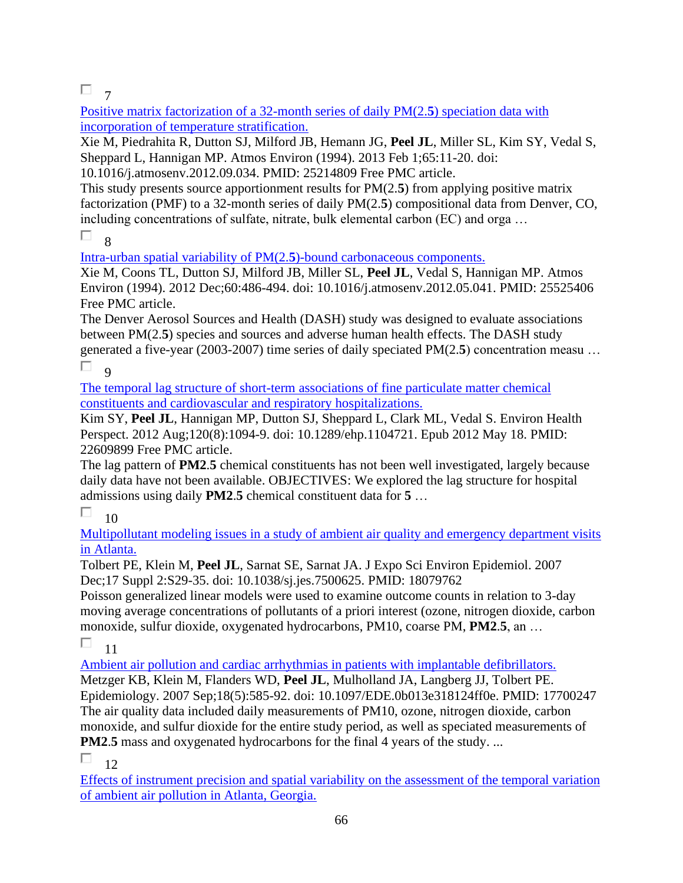### $\Box$ <sub>7</sub>

[Positive matrix factorization of a 32-month series of daily PM\(2.](https://pubmed.ncbi.nlm.nih.gov/25214809/)**5**) speciation data with [incorporation of temperature stratification.](https://pubmed.ncbi.nlm.nih.gov/25214809/) 

Xie M, Piedrahita R, Dutton SJ, Milford JB, Hemann JG, **Peel JL**, Miller SL, Kim SY, Vedal S, Sheppard L, Hannigan MP. Atmos Environ (1994). 2013 Feb 1;65:11-20. doi:

10.1016/j.atmosenv.2012.09.034. PMID: 25214809 Free PMC article.

This study presents source apportionment results for PM(2.**5**) from applying positive matrix factorization (PMF) to a 32-month series of daily PM(2.**5**) compositional data from Denver, CO, including concentrations of sulfate, nitrate, bulk elemental carbon (EC) and orga …

П 8

[Intra-urban spatial variability of PM\(2.](https://pubmed.ncbi.nlm.nih.gov/25525406/)**5**)-bound carbonaceous components.

Xie M, Coons TL, Dutton SJ, Milford JB, Miller SL, **Peel JL**, Vedal S, Hannigan MP. Atmos Environ (1994). 2012 Dec;60:486-494. doi: 10.1016/j.atmosenv.2012.05.041. PMID: 25525406 Free PMC article.

The Denver Aerosol Sources and Health (DASH) study was designed to evaluate associations between PM(2.**5**) species and sources and adverse human health effects. The DASH study generated a five-year (2003-2007) time series of daily speciated PM(2.**5**) concentration measu … П  $\alpha$ 

[The temporal lag structure of short-term associations of fine particulate matter chemical](https://pubmed.ncbi.nlm.nih.gov/22609899/)  [constituents and cardiovascular and respiratory hospitalizations.](https://pubmed.ncbi.nlm.nih.gov/22609899/) 

Kim SY, **Peel JL**, Hannigan MP, Dutton SJ, Sheppard L, Clark ML, Vedal S. Environ Health Perspect. 2012 Aug;120(8):1094-9. doi: 10.1289/ehp.1104721. Epub 2012 May 18. PMID: 22609899 Free PMC article.

The lag pattern of **PM2**.**5** chemical constituents has not been well investigated, largely because daily data have not been available. OBJECTIVES: We explored the lag structure for hospital admissions using daily **PM2**.**5** chemical constituent data for **5** …

#### $\Box$ 10

[Multipollutant modeling issues in a study of ambient air quality and emergency department visits](https://pubmed.ncbi.nlm.nih.gov/18079762/)  [in Atlanta.](https://pubmed.ncbi.nlm.nih.gov/18079762/) 

Tolbert PE, Klein M, **Peel JL**, Sarnat SE, Sarnat JA. J Expo Sci Environ Epidemiol. 2007 Dec;17 Suppl 2:S29-35. doi: 10.1038/sj.jes.7500625. PMID: 18079762

Poisson generalized linear models were used to examine outcome counts in relation to 3-day moving average concentrations of pollutants of a priori interest (ozone, nitrogen dioxide, carbon monoxide, sulfur dioxide, oxygenated hydrocarbons, PM10, coarse PM, **PM2**.**5**, an …

П 11

[Ambient air pollution and cardiac arrhythmias in patients with implantable defibrillators.](https://pubmed.ncbi.nlm.nih.gov/17700247/) 

Metzger KB, Klein M, Flanders WD, **Peel JL**, Mulholland JA, Langberg JJ, Tolbert PE. Epidemiology. 2007 Sep;18(5):585-92. doi: 10.1097/EDE.0b013e318124ff0e. PMID: 17700247 The air quality data included daily measurements of PM10, ozone, nitrogen dioxide, carbon monoxide, and sulfur dioxide for the entire study period, as well as speciated measurements of **PM2.5** mass and oxygenated hydrocarbons for the final 4 years of the study. ...

П 12

[Effects of instrument precision and spatial variability on the assessment of the temporal variation](https://pubmed.ncbi.nlm.nih.gov/16805413/)  [of ambient air pollution in Atlanta, Georgia.](https://pubmed.ncbi.nlm.nih.gov/16805413/)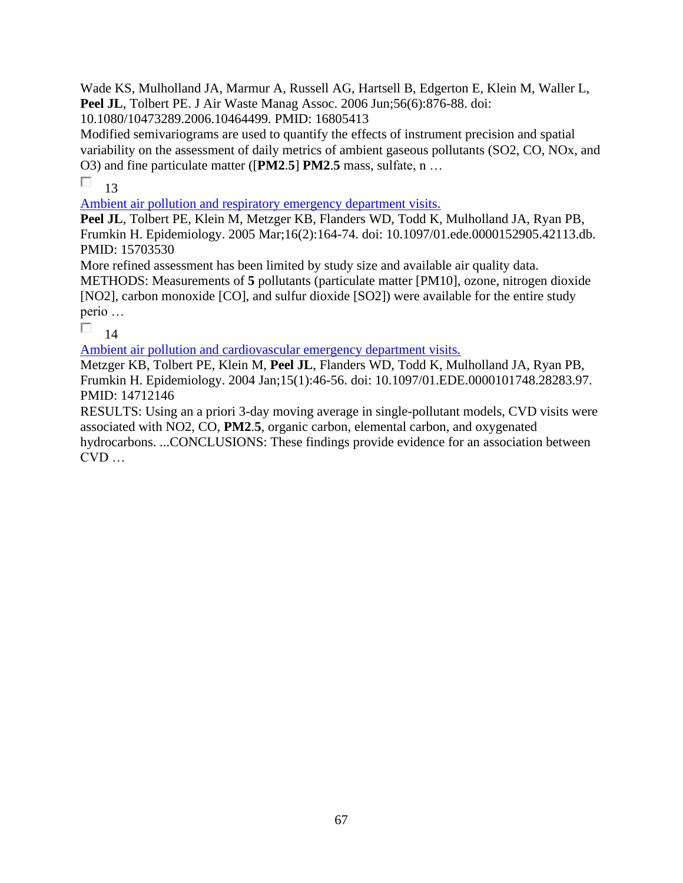Wade KS, Mulholland JA, Marmur A, Russell AG, Hartsell B, Edgerton E, Klein M, Waller L, Peel JL, Tolbert PE. J Air Waste Manag Assoc. 2006 Jun;56(6):876-88. doi:

10.1080/10473289.2006.10464499. PMID: 16805413

Modified semivariograms are used to quantify the effects of instrument precision and spatial variability on the assessment of daily metrics of ambient gaseous pollutants (SO2, CO, NOx, and O3) and fine particulate matter ([**PM2**.**5**] **PM2**.**5** mass, sulfate, n …

П 13

[Ambient air pollution and respiratory emergency department visits.](https://pubmed.ncbi.nlm.nih.gov/15703530/) 

Peel JL, Tolbert PE, Klein M, Metzger KB, Flanders WD, Todd K, Mulholland JA, Ryan PB, Frumkin H. Epidemiology. 2005 Mar;16(2):164-74. doi: 10.1097/01.ede.0000152905.42113.db. PMID: 15703530

More refined assessment has been limited by study size and available air quality data.

METHODS: Measurements of **5** pollutants (particulate matter [PM10], ozone, nitrogen dioxide [NO2], carbon monoxide [CO], and sulfur dioxide [SO2]) were available for the entire study perio …

П 14

[Ambient air pollution and cardiovascular emergency department visits.](https://pubmed.ncbi.nlm.nih.gov/14712146/) 

Metzger KB, Tolbert PE, Klein M, **Peel JL**, Flanders WD, Todd K, Mulholland JA, Ryan PB, Frumkin H. Epidemiology. 2004 Jan;15(1):46-56. doi: 10.1097/01.EDE.0000101748.28283.97. PMID: 14712146

RESULTS: Using an a priori 3-day moving average in single-pollutant models, CVD visits were associated with NO2, CO, **PM2**.**5**, organic carbon, elemental carbon, and oxygenated hydrocarbons. ...CONCLUSIONS: These findings provide evidence for an association between  $CVD$  ...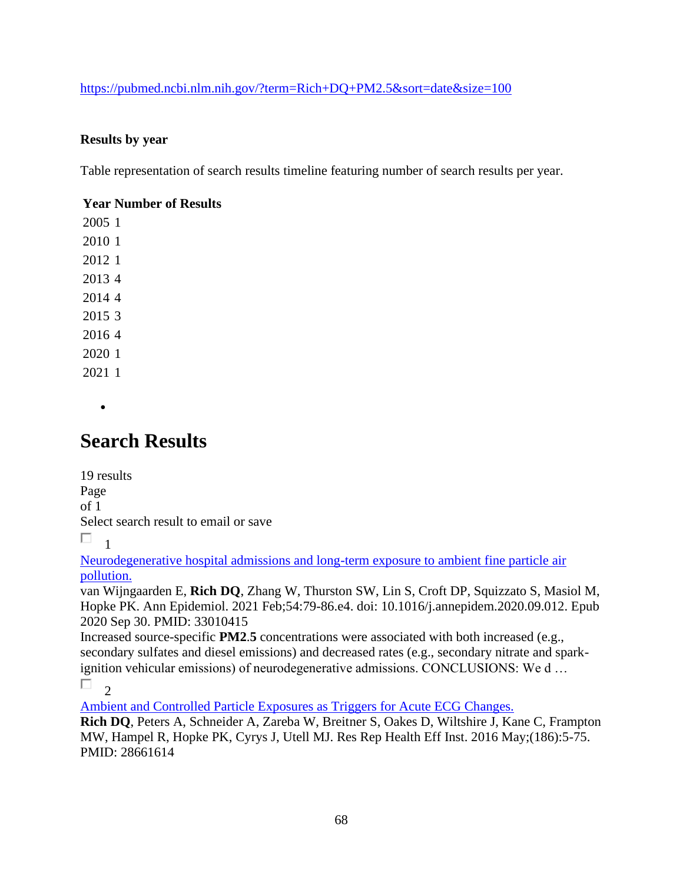### <https://pubmed.ncbi.nlm.nih.gov/?term=Rich+DQ+PM2.5&sort=date&size=100>

### **Results by year**

Table representation of search results timeline featuring number of search results per year.

### **Year Number of Results**

•

## **Search Results**

19 results Page of 1 Select search result to email or save

 $\Box$ 1

[Neurodegenerative hospital admissions and long-term exposure to ambient fine particle air](https://pubmed.ncbi.nlm.nih.gov/33010415/)  [pollution.](https://pubmed.ncbi.nlm.nih.gov/33010415/) 

van Wijngaarden E, **Rich DQ**, Zhang W, Thurston SW, Lin S, Croft DP, Squizzato S, Masiol M, Hopke PK. Ann Epidemiol. 2021 Feb;54:79-86.e4. doi: 10.1016/j.annepidem.2020.09.012. Epub 2020 Sep 30. PMID: 33010415

Increased source-specific **PM2**.**5** concentrations were associated with both increased (e.g., secondary sulfates and diesel emissions) and decreased rates (e.g., secondary nitrate and sparkignition vehicular emissions) of neurodegenerative admissions. CONCLUSIONS: We d …

 $\Box$ 

[Ambient and Controlled Particle Exposures as Triggers for Acute ECG Changes.](https://pubmed.ncbi.nlm.nih.gov/28661614/) 

**Rich DQ**, Peters A, Schneider A, Zareba W, Breitner S, Oakes D, Wiltshire J, Kane C, Frampton MW, Hampel R, Hopke PK, Cyrys J, Utell MJ. Res Rep Health Eff Inst. 2016 May;(186):5-75. PMID: 28661614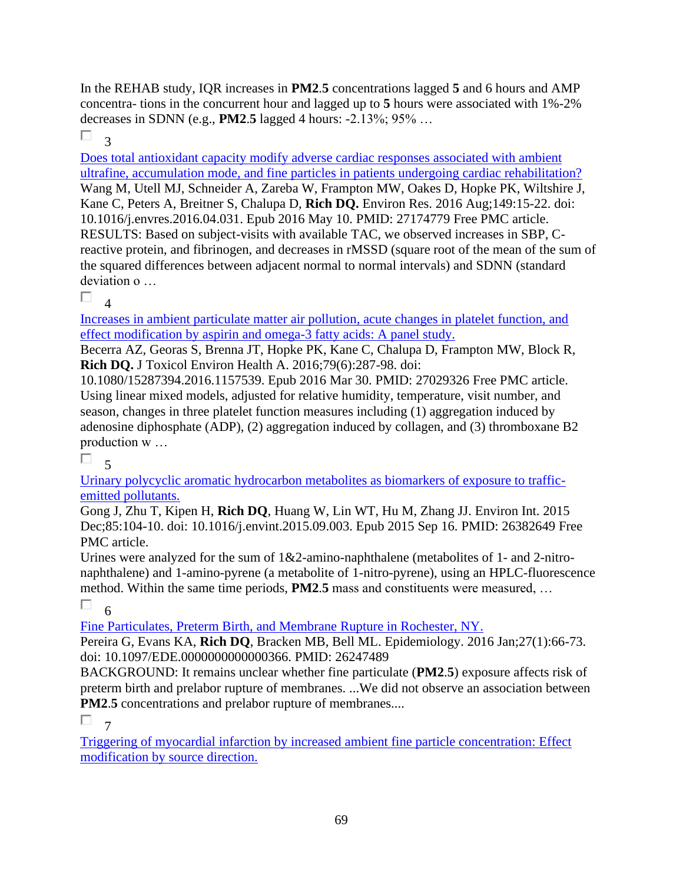In the REHAB study, IQR increases in **PM2**.**5** concentrations lagged **5** and 6 hours and AMP concentra- tions in the concurrent hour and lagged up to **5** hours were associated with 1%-2% decreases in SDNN (e.g., **PM2**.**5** lagged 4 hours: -2.13%; 95% …

П 3

[Does total antioxidant capacity modify adverse cardiac responses associated with ambient](https://pubmed.ncbi.nlm.nih.gov/27174779/)  [ultrafine, accumulation mode, and fine particles in patients undergoing cardiac rehabilitation?](https://pubmed.ncbi.nlm.nih.gov/27174779/)  Wang M, Utell MJ, Schneider A, Zareba W, Frampton MW, Oakes D, Hopke PK, Wiltshire J, Kane C, Peters A, Breitner S, Chalupa D, **Rich DQ.** Environ Res. 2016 Aug;149:15-22. doi: 10.1016/j.envres.2016.04.031. Epub 2016 May 10. PMID: 27174779 Free PMC article. RESULTS: Based on subject-visits with available TAC, we observed increases in SBP, Creactive protein, and fibrinogen, and decreases in rMSSD (square root of the mean of the sum of the squared differences between adjacent normal to normal intervals) and SDNN (standard deviation o …

П 4

[Increases in ambient particulate matter air pollution, acute changes in platelet function, and](https://pubmed.ncbi.nlm.nih.gov/27029326/)  [effect modification by aspirin and omega-3 fatty acids: A panel study.](https://pubmed.ncbi.nlm.nih.gov/27029326/) 

Becerra AZ, Georas S, Brenna JT, Hopke PK, Kane C, Chalupa D, Frampton MW, Block R, **Rich DQ.** J Toxicol Environ Health A. 2016;79(6):287-98. doi:

10.1080/15287394.2016.1157539. Epub 2016 Mar 30. PMID: 27029326 Free PMC article. Using linear mixed models, adjusted for relative humidity, temperature, visit number, and season, changes in three platelet function measures including (1) aggregation induced by adenosine diphosphate (ADP), (2) aggregation induced by collagen, and (3) thromboxane B2 production w …

П  $\leq$ 

[Urinary polycyclic aromatic hydrocarbon metabolites as biomarkers of exposure to traffic](https://pubmed.ncbi.nlm.nih.gov/26382649/)[emitted pollutants.](https://pubmed.ncbi.nlm.nih.gov/26382649/) 

Gong J, Zhu T, Kipen H, **Rich DQ**, Huang W, Lin WT, Hu M, Zhang JJ. Environ Int. 2015 Dec;85:104-10. doi: 10.1016/j.envint.2015.09.003. Epub 2015 Sep 16. PMID: 26382649 Free PMC article.

Urines were analyzed for the sum of 1&2-amino-naphthalene (metabolites of 1- and 2-nitronaphthalene) and 1-amino-pyrene (a metabolite of 1-nitro-pyrene), using an HPLC-fluorescence method. Within the same time periods, **PM2**.**5** mass and constituents were measured, … П 6

[Fine Particulates, Preterm Birth, and Membrane Rupture in Rochester, NY.](https://pubmed.ncbi.nlm.nih.gov/26247489/) 

Pereira G, Evans KA, **Rich DQ**, Bracken MB, Bell ML. Epidemiology. 2016 Jan;27(1):66-73. doi: 10.1097/EDE.0000000000000366. PMID: 26247489

BACKGROUND: It remains unclear whether fine particulate (**PM2**.**5**) exposure affects risk of preterm birth and prelabor rupture of membranes. ...We did not observe an association between **PM2.5** concentrations and prelabor rupture of membranes....

Π. 7

[Triggering of myocardial infarction by increased ambient fine particle concentration: Effect](https://pubmed.ncbi.nlm.nih.gov/26209764/)  [modification by source direction.](https://pubmed.ncbi.nlm.nih.gov/26209764/)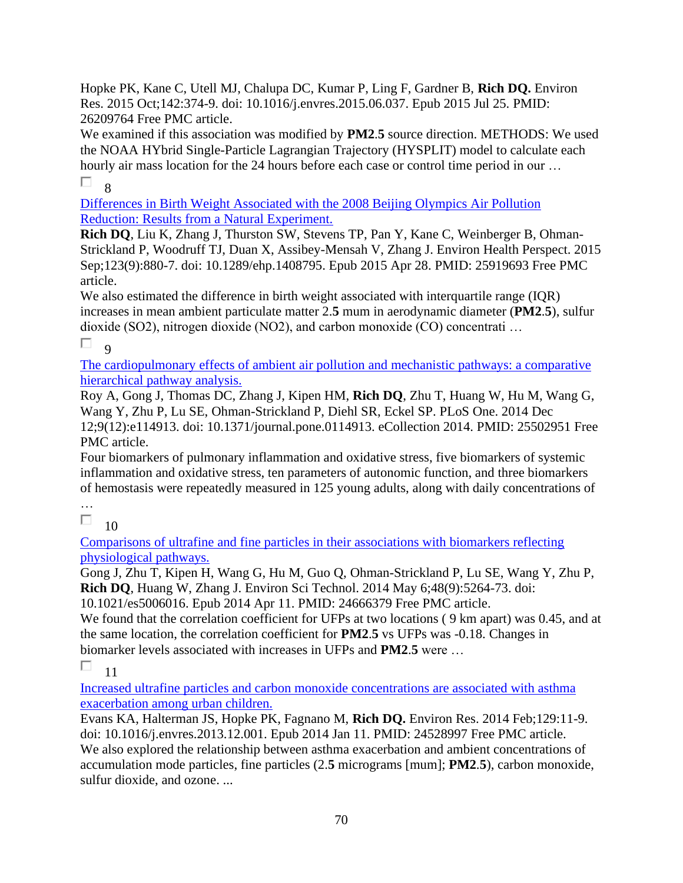Hopke PK, Kane C, Utell MJ, Chalupa DC, Kumar P, Ling F, Gardner B, **Rich DQ.** Environ Res. 2015 Oct;142:374-9. doi: 10.1016/j.envres.2015.06.037. Epub 2015 Jul 25. PMID: 26209764 Free PMC article.

We examined if this association was modified by **PM2**.**5** source direction. METHODS: We used the NOAA HYbrid Single-Particle Lagrangian Trajectory (HYSPLIT) model to calculate each hourly air mass location for the 24 hours before each case or control time period in our ... П. 8

[Differences in Birth Weight Associated with the 2008 Beijing Olympics Air Pollution](https://pubmed.ncbi.nlm.nih.gov/25919693/)  [Reduction: Results from a Natural Experiment.](https://pubmed.ncbi.nlm.nih.gov/25919693/) 

**Rich DQ**, Liu K, Zhang J, Thurston SW, Stevens TP, Pan Y, Kane C, Weinberger B, Ohman-Strickland P, Woodruff TJ, Duan X, Assibey-Mensah V, Zhang J. Environ Health Perspect. 2015 Sep;123(9):880-7. doi: 10.1289/ehp.1408795. Epub 2015 Apr 28. PMID: 25919693 Free PMC article.

We also estimated the difference in birth weight associated with interquartile range (IOR) increases in mean ambient particulate matter 2.**5** mum in aerodynamic diameter (**PM2**.**5**), sulfur dioxide (SO2), nitrogen dioxide (NO2), and carbon monoxide (CO) concentrati …

П.  $\Omega$ 

[The cardiopulmonary effects of ambient air pollution and mechanistic pathways: a comparative](https://pubmed.ncbi.nlm.nih.gov/25502951/)  [hierarchical pathway analysis.](https://pubmed.ncbi.nlm.nih.gov/25502951/) 

Roy A, Gong J, Thomas DC, Zhang J, Kipen HM, **Rich DQ**, Zhu T, Huang W, Hu M, Wang G, Wang Y, Zhu P, Lu SE, Ohman-Strickland P, Diehl SR, Eckel SP. PLoS One. 2014 Dec 12;9(12):e114913. doi: 10.1371/journal.pone.0114913. eCollection 2014. PMID: 25502951 Free PMC article.

Four biomarkers of pulmonary inflammation and oxidative stress, five biomarkers of systemic inflammation and oxidative stress, ten parameters of autonomic function, and three biomarkers of hemostasis were repeatedly measured in 125 young adults, along with daily concentrations of

…

П 10

[Comparisons of ultrafine and fine particles in their associations with biomarkers reflecting](https://pubmed.ncbi.nlm.nih.gov/24666379/)  [physiological pathways.](https://pubmed.ncbi.nlm.nih.gov/24666379/) 

Gong J, Zhu T, Kipen H, Wang G, Hu M, Guo Q, Ohman-Strickland P, Lu SE, Wang Y, Zhu P, **Rich DQ**, Huang W, Zhang J. Environ Sci Technol. 2014 May 6;48(9):5264-73. doi:

10.1021/es5006016. Epub 2014 Apr 11. PMID: 24666379 Free PMC article.

We found that the correlation coefficient for UFPs at two locations (9 km apart) was 0.45, and at the same location, the correlation coefficient for **PM2**.**5** vs UFPs was -0.18. Changes in biomarker levels associated with increases in UFPs and **PM2**.**5** were …

П. 11

[Increased ultrafine particles and carbon monoxide concentrations are associated with asthma](https://pubmed.ncbi.nlm.nih.gov/24528997/)  [exacerbation among urban children.](https://pubmed.ncbi.nlm.nih.gov/24528997/) 

Evans KA, Halterman JS, Hopke PK, Fagnano M, **Rich DQ.** Environ Res. 2014 Feb;129:11-9. doi: 10.1016/j.envres.2013.12.001. Epub 2014 Jan 11. PMID: 24528997 Free PMC article. We also explored the relationship between asthma exacerbation and ambient concentrations of accumulation mode particles, fine particles (2.**5** micrograms [mum]; **PM2**.**5**), carbon monoxide, sulfur dioxide, and ozone. ...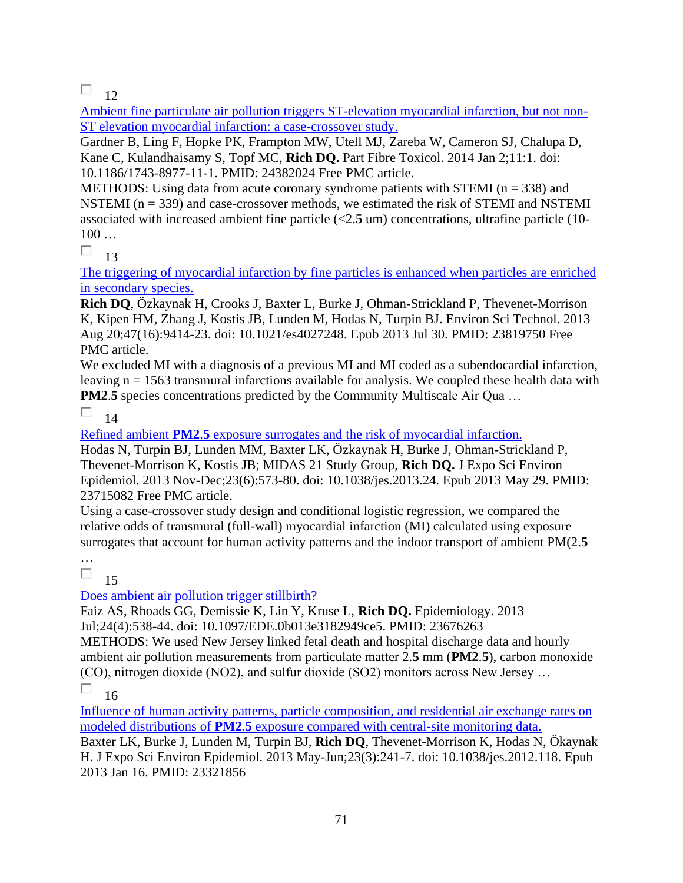$\Box$  12

[Ambient fine particulate air pollution triggers ST-elevation myocardial infarction, but not non-](https://pubmed.ncbi.nlm.nih.gov/24382024/)[ST elevation myocardial infarction: a case-crossover study.](https://pubmed.ncbi.nlm.nih.gov/24382024/) 

Gardner B, Ling F, Hopke PK, Frampton MW, Utell MJ, Zareba W, Cameron SJ, Chalupa D, Kane C, Kulandhaisamy S, Topf MC, **Rich DQ.** Part Fibre Toxicol. 2014 Jan 2;11:1. doi: 10.1186/1743-8977-11-1. PMID: 24382024 Free PMC article.

METHODS: Using data from acute coronary syndrome patients with STEMI ( $n = 338$ ) and NSTEMI  $(n = 339)$  and case-crossover methods, we estimated the risk of STEMI and NSTEMI associated with increased ambient fine particle (<2.**5** um) concentrations, ultrafine particle (10- 100 …

П 13

[The triggering of myocardial infarction by fine particles is enhanced when particles are enriched](https://pubmed.ncbi.nlm.nih.gov/23819750/)  [in secondary species.](https://pubmed.ncbi.nlm.nih.gov/23819750/) 

**Rich DQ**, Özkaynak H, Crooks J, Baxter L, Burke J, Ohman-Strickland P, Thevenet-Morrison K, Kipen HM, Zhang J, Kostis JB, Lunden M, Hodas N, Turpin BJ. Environ Sci Technol. 2013 Aug 20;47(16):9414-23. doi: 10.1021/es4027248. Epub 2013 Jul 30. PMID: 23819750 Free PMC article.

We excluded MI with a diagnosis of a previous MI and MI coded as a subendocardial infarction, leaving n = 1563 transmural infarctions available for analysis. We coupled these health data with **PM2.5** species concentrations predicted by the Community Multiscale Air Qua ...

П 14

Refined ambient **PM2**.**5** [exposure surrogates and the risk of myocardial infarction.](https://pubmed.ncbi.nlm.nih.gov/23715082/) 

Hodas N, Turpin BJ, Lunden MM, Baxter LK, Özkaynak H, Burke J, Ohman-Strickland P, Thevenet-Morrison K, Kostis JB; MIDAS 21 Study Group, **Rich DQ.** J Expo Sci Environ Epidemiol. 2013 Nov-Dec;23(6):573-80. doi: 10.1038/jes.2013.24. Epub 2013 May 29. PMID: 23715082 Free PMC article.

Using a case-crossover study design and conditional logistic regression, we compared the relative odds of transmural (full-wall) myocardial infarction (MI) calculated using exposure surrogates that account for human activity patterns and the indoor transport of ambient PM(2.**5**

…

 $\Box$ 15

### [Does ambient air pollution trigger stillbirth?](https://pubmed.ncbi.nlm.nih.gov/23676263/)

Faiz AS, Rhoads GG, Demissie K, Lin Y, Kruse L, **Rich DQ.** Epidemiology. 2013 Jul;24(4):538-44. doi: 10.1097/EDE.0b013e3182949ce5. PMID: 23676263

METHODS: We used New Jersey linked fetal death and hospital discharge data and hourly ambient air pollution measurements from particulate matter 2.**5** mm (**PM2**.**5**), carbon monoxide (CO), nitrogen dioxide (NO2), and sulfur dioxide (SO2) monitors across New Jersey …

П 16

[Influence of human activity patterns, particle composition, and residential air exchange rates on](https://pubmed.ncbi.nlm.nih.gov/23321856/)  modeled distributions of **PM2**.**5** [exposure compared with central-site monitoring data.](https://pubmed.ncbi.nlm.nih.gov/23321856/) 

Baxter LK, Burke J, Lunden M, Turpin BJ, **Rich DQ**, Thevenet-Morrison K, Hodas N, Ökaynak H. J Expo Sci Environ Epidemiol. 2013 May-Jun;23(3):241-7. doi: 10.1038/jes.2012.118. Epub 2013 Jan 16. PMID: 23321856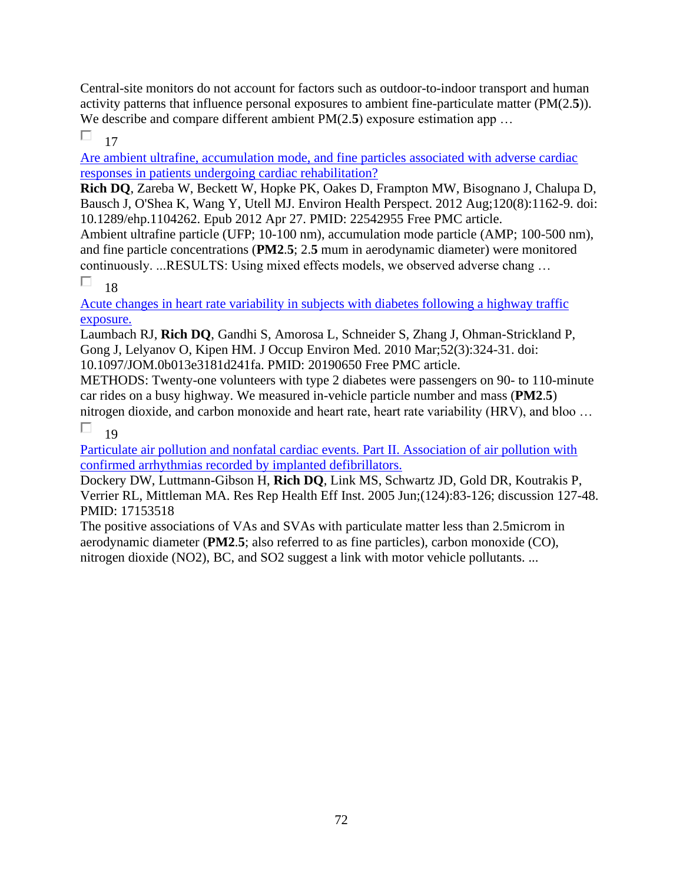Central-site monitors do not account for factors such as outdoor-to-indoor transport and human activity patterns that influence personal exposures to ambient fine-particulate matter (PM(2.**5**)). We describe and compare different ambient PM(2.5) exposure estimation app ...

#### П 17

[Are ambient ultrafine, accumulation mode, and fine particles associated with adverse cardiac](https://pubmed.ncbi.nlm.nih.gov/22542955/)  [responses in patients undergoing cardiac rehabilitation?](https://pubmed.ncbi.nlm.nih.gov/22542955/) 

**Rich DQ**, Zareba W, Beckett W, Hopke PK, Oakes D, Frampton MW, Bisognano J, Chalupa D, Bausch J, O'Shea K, Wang Y, Utell MJ. Environ Health Perspect. 2012 Aug;120(8):1162-9. doi: 10.1289/ehp.1104262. Epub 2012 Apr 27. PMID: 22542955 Free PMC article.

Ambient ultrafine particle (UFP; 10-100 nm), accumulation mode particle (AMP; 100-500 nm), and fine particle concentrations (**PM2**.**5**; 2.**5** mum in aerodynamic diameter) were monitored continuously. ...RESULTS: Using mixed effects models, we observed adverse chang …

#### П 18

[Acute changes in heart rate variability in subjects with diabetes following a highway traffic](https://pubmed.ncbi.nlm.nih.gov/20190650/)  [exposure.](https://pubmed.ncbi.nlm.nih.gov/20190650/) 

Laumbach RJ, **Rich DQ**, Gandhi S, Amorosa L, Schneider S, Zhang J, Ohman-Strickland P, Gong J, Lelyanov O, Kipen HM. J Occup Environ Med. 2010 Mar;52(3):324-31. doi: 10.1097/JOM.0b013e3181d241fa. PMID: 20190650 Free PMC article.

METHODS: Twenty-one volunteers with type 2 diabetes were passengers on 90- to 110-minute car rides on a busy highway. We measured in-vehicle particle number and mass (**PM2**.**5**)

nitrogen dioxide, and carbon monoxide and heart rate, heart rate variability (HRV), and bloo … П 19

[Particulate air pollution and nonfatal cardiac events. Part II. Association of air pollution with](https://pubmed.ncbi.nlm.nih.gov/17153518/)  [confirmed arrhythmias recorded by implanted defibrillators.](https://pubmed.ncbi.nlm.nih.gov/17153518/) 

Dockery DW, Luttmann-Gibson H, **Rich DQ**, Link MS, Schwartz JD, Gold DR, Koutrakis P, Verrier RL, Mittleman MA. Res Rep Health Eff Inst. 2005 Jun;(124):83-126; discussion 127-48. PMID: 17153518

The positive associations of VAs and SVAs with particulate matter less than 2.5microm in aerodynamic diameter (**PM2**.**5**; also referred to as fine particles), carbon monoxide (CO), nitrogen dioxide (NO2), BC, and SO2 suggest a link with motor vehicle pollutants. ...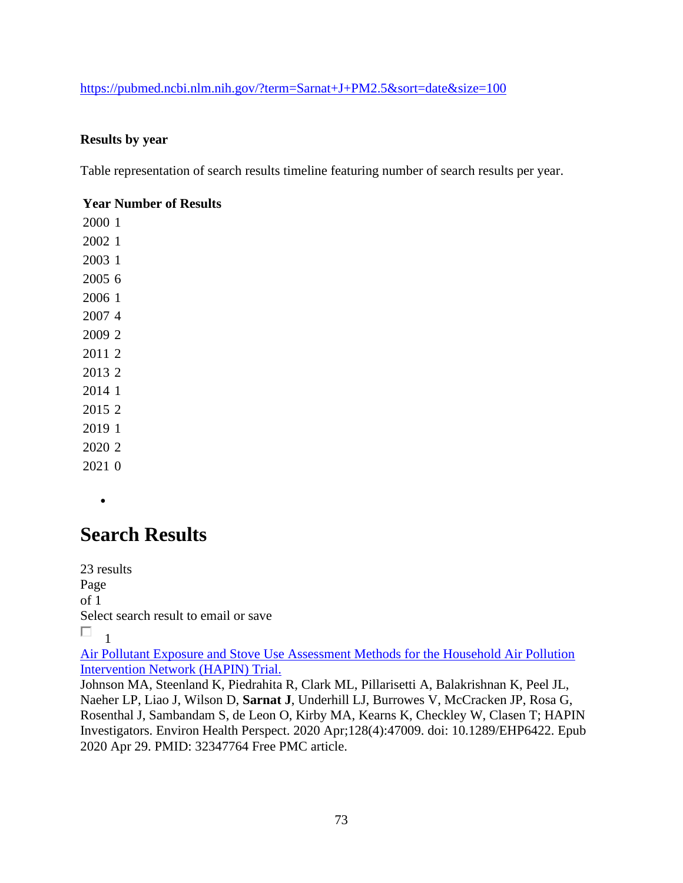#### <https://pubmed.ncbi.nlm.nih.gov/?term=Sarnat+J+PM2.5&sort=date&size=100>

#### **Results by year**

Table representation of search results timeline featuring number of search results per year.

#### **Year Number of Results**

•

## **Search Results**

23 results Page of 1 Select search result to email or save  $\Box$ <sub>1</sub>

[Air Pollutant Exposure and Stove Use Assessment Methods for the Household Air Pollution](https://pubmed.ncbi.nlm.nih.gov/32347764/)  [Intervention Network \(HAPIN\) Trial.](https://pubmed.ncbi.nlm.nih.gov/32347764/) 

Johnson MA, Steenland K, Piedrahita R, Clark ML, Pillarisetti A, Balakrishnan K, Peel JL, Naeher LP, Liao J, Wilson D, **Sarnat J**, Underhill LJ, Burrowes V, McCracken JP, Rosa G, Rosenthal J, Sambandam S, de Leon O, Kirby MA, Kearns K, Checkley W, Clasen T; HAPIN Investigators. Environ Health Perspect. 2020 Apr;128(4):47009. doi: 10.1289/EHP6422. Epub 2020 Apr 29. PMID: 32347764 Free PMC article.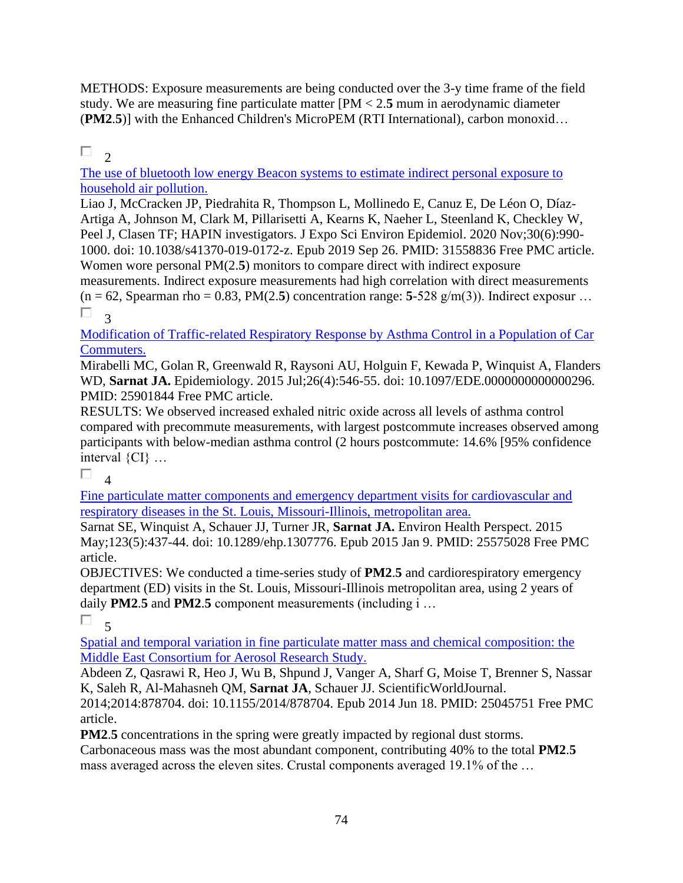METHODS: Exposure measurements are being conducted over the 3-y time frame of the field study. We are measuring fine particulate matter [PM < 2.**5** mum in aerodynamic diameter (**PM2**.**5**)] with the Enhanced Children's MicroPEM (RTI International), carbon monoxid…

#### П  $\mathcal{L}$

[The use of bluetooth low energy Beacon systems to estimate indirect personal exposure to](https://pubmed.ncbi.nlm.nih.gov/31558836/)  [household air pollution.](https://pubmed.ncbi.nlm.nih.gov/31558836/) 

Liao J, McCracken JP, Piedrahita R, Thompson L, Mollinedo E, Canuz E, De Léon O, Díaz-Artiga A, Johnson M, Clark M, Pillarisetti A, Kearns K, Naeher L, Steenland K, Checkley W, Peel J, Clasen TF; HAPIN investigators. J Expo Sci Environ Epidemiol. 2020 Nov;30(6):990- 1000. doi: 10.1038/s41370-019-0172-z. Epub 2019 Sep 26. PMID: 31558836 Free PMC article. Women wore personal PM(2.**5**) monitors to compare direct with indirect exposure measurements. Indirect exposure measurements had high correlation with direct measurements  $(n = 62, \text{Spearman rho} = 0.83, \text{PM}(2.5)$  concentration range: 5-528 g/m(3)). Indirect exposur ... П. 3

[Modification of Traffic-related Respiratory Response by Asthma Control in a Population of Car](https://pubmed.ncbi.nlm.nih.gov/25901844/)  [Commuters.](https://pubmed.ncbi.nlm.nih.gov/25901844/) 

Mirabelli MC, Golan R, Greenwald R, Raysoni AU, Holguin F, Kewada P, Winquist A, Flanders WD, **Sarnat JA.** Epidemiology. 2015 Jul;26(4):546-55. doi: 10.1097/EDE.0000000000000296. PMID: 25901844 Free PMC article.

RESULTS: We observed increased exhaled nitric oxide across all levels of asthma control compared with precommute measurements, with largest postcommute increases observed among participants with below-median asthma control (2 hours postcommute: 14.6% [95% confidence interval {CI} …

П.

 $\overline{\mathbf{A}}$ 

[Fine particulate matter components and emergency department visits for cardiovascular and](https://pubmed.ncbi.nlm.nih.gov/25575028/)  respiratory diseases in the St. Louis, [Missouri-Illinois, metropolitan area.](https://pubmed.ncbi.nlm.nih.gov/25575028/) 

Sarnat SE, Winquist A, Schauer JJ, Turner JR, **Sarnat JA.** Environ Health Perspect. 2015 May;123(5):437-44. doi: 10.1289/ehp.1307776. Epub 2015 Jan 9. PMID: 25575028 Free PMC article.

OBJECTIVES: We conducted a time-series study of **PM2**.**5** and cardiorespiratory emergency department (ED) visits in the St. Louis, Missouri-Illinois metropolitan area, using 2 years of daily **PM2**.**5** and **PM2**.**5** component measurements (including i …

 $\Box$ 

5

[Spatial and temporal variation in fine particulate matter mass and chemical composition: the](https://pubmed.ncbi.nlm.nih.gov/25045751/)  [Middle East Consortium for Aerosol Research Study.](https://pubmed.ncbi.nlm.nih.gov/25045751/) 

Abdeen Z, Qasrawi R, Heo J, Wu B, Shpund J, Vanger A, Sharf G, Moise T, Brenner S, Nassar K, Saleh R, Al-Mahasneh QM, **Sarnat JA**, Schauer JJ. ScientificWorldJournal.

2014;2014:878704. doi: 10.1155/2014/878704. Epub 2014 Jun 18. PMID: 25045751 Free PMC article.

**PM2.5** concentrations in the spring were greatly impacted by regional dust storms.

Carbonaceous mass was the most abundant component, contributing 40% to the total **PM2**.**5** mass averaged across the eleven sites. Crustal components averaged 19.1% of the …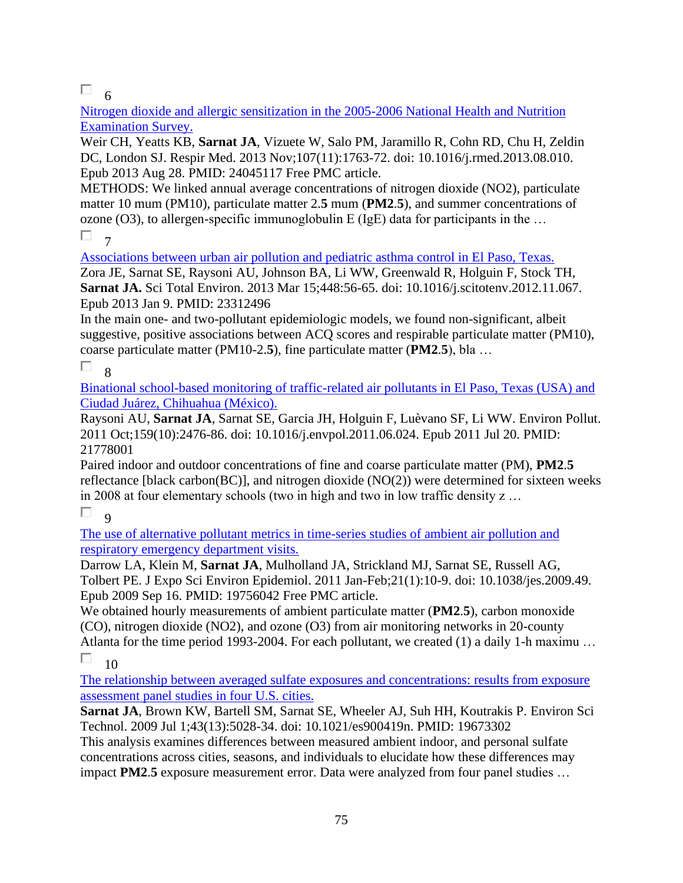$\Box$  6

[Nitrogen dioxide and allergic sensitization in the 2005-2006 National Health and Nutrition](https://pubmed.ncbi.nlm.nih.gov/24045117/)  [Examination Survey.](https://pubmed.ncbi.nlm.nih.gov/24045117/) 

Weir CH, Yeatts KB, **Sarnat JA**, Vizuete W, Salo PM, Jaramillo R, Cohn RD, Chu H, Zeldin DC, London SJ. Respir Med. 2013 Nov;107(11):1763-72. doi: 10.1016/j.rmed.2013.08.010. Epub 2013 Aug 28. PMID: 24045117 Free PMC article.

METHODS: We linked annual average concentrations of nitrogen dioxide (NO2), particulate matter 10 mum (PM10), particulate matter 2.**5** mum (**PM2**.**5**), and summer concentrations of ozone  $(O3)$ , to allergen-specific immunoglobulin E (IgE) data for participants in the ...

 $\Box$ 7

[Associations between urban air pollution and pediatric asthma control in El Paso, Texas.](https://pubmed.ncbi.nlm.nih.gov/23312496/)  Zora JE, Sarnat SE, Raysoni AU, Johnson BA, Li WW, Greenwald R, Holguin F, Stock TH, **Sarnat JA.** Sci Total Environ. 2013 Mar 15;448:56-65. doi: 10.1016/j.scitotenv.2012.11.067. Epub 2013 Jan 9. PMID: 23312496

In the main one- and two-pollutant epidemiologic models, we found non-significant, albeit suggestive, positive associations between ACQ scores and respirable particulate matter (PM10), coarse particulate matter (PM10-2.**5**), fine particulate matter (**PM2**.**5**), bla …

#### П 8

[Binational school-based monitoring of traffic-related air pollutants in El Paso, Texas \(USA\) and](https://pubmed.ncbi.nlm.nih.gov/21778001/)  [Ciudad Juárez, Chihuahua \(México\).](https://pubmed.ncbi.nlm.nih.gov/21778001/) 

Raysoni AU, **Sarnat JA**, Sarnat SE, Garcia JH, Holguin F, Luèvano SF, Li WW. Environ Pollut. 2011 Oct;159(10):2476-86. doi: 10.1016/j.envpol.2011.06.024. Epub 2011 Jul 20. PMID: 21778001

Paired indoor and outdoor concentrations of fine and coarse particulate matter (PM), **PM2**.**5** reflectance [black carbon(BC)], and nitrogen dioxide (NO(2)) were determined for sixteen weeks in 2008 at four elementary schools (two in high and two in low traffic density z …

П  $\overline{Q}$ 

[The use of alternative pollutant metrics in time-series studies of ambient air pollution and](https://pubmed.ncbi.nlm.nih.gov/19756042/)  [respiratory emergency department visits.](https://pubmed.ncbi.nlm.nih.gov/19756042/) 

Darrow LA, Klein M, **Sarnat JA**, Mulholland JA, Strickland MJ, Sarnat SE, Russell AG, Tolbert PE. J Expo Sci Environ Epidemiol. 2011 Jan-Feb;21(1):10-9. doi: 10.1038/jes.2009.49. Epub 2009 Sep 16. PMID: 19756042 Free PMC article.

We obtained hourly measurements of ambient particulate matter (**PM2**.**5**), carbon monoxide (CO), nitrogen dioxide (NO2), and ozone (O3) from air monitoring networks in 20-county Atlanta for the time period 1993-2004. For each pollutant, we created (1) a daily 1-h maximu … П

10

[The relationship between averaged sulfate exposures and concentrations: results from exposure](https://pubmed.ncbi.nlm.nih.gov/19673302/)  [assessment panel studies in four U.S. cities.](https://pubmed.ncbi.nlm.nih.gov/19673302/) 

**Sarnat JA**, Brown KW, Bartell SM, Sarnat SE, Wheeler AJ, Suh HH, Koutrakis P. Environ Sci Technol. 2009 Jul 1;43(13):5028-34. doi: 10.1021/es900419n. PMID: 19673302

This analysis examines differences between measured ambient indoor, and personal sulfate concentrations across cities, seasons, and individuals to elucidate how these differences may impact **PM2**.**5** exposure measurement error. Data were analyzed from four panel studies …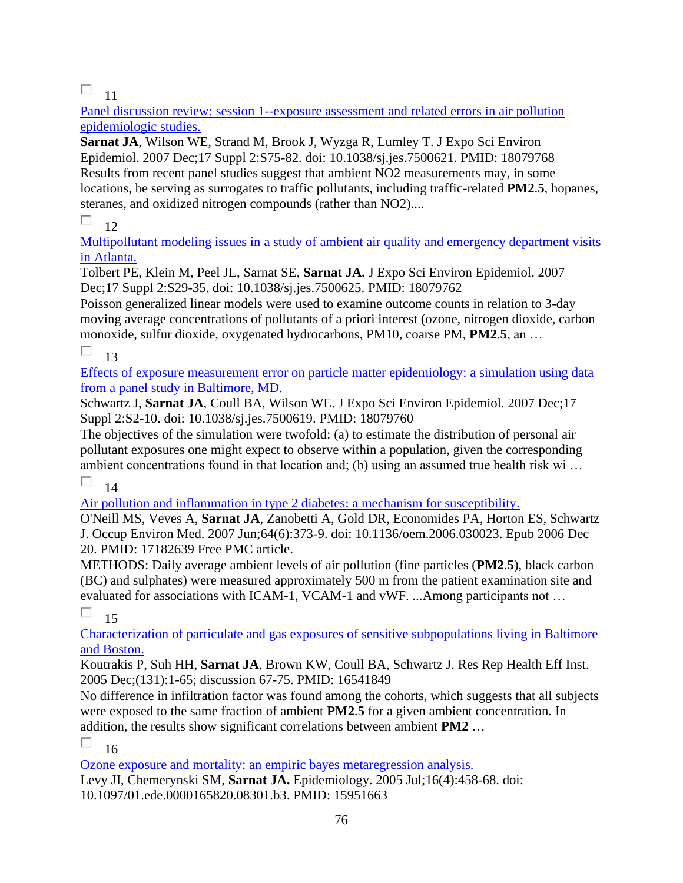## $\Box$  11

[Panel discussion review: session 1--exposure assessment and related errors in air pollution](https://pubmed.ncbi.nlm.nih.gov/18079768/)  [epidemiologic studies.](https://pubmed.ncbi.nlm.nih.gov/18079768/) 

**Sarnat JA**, Wilson WE, Strand M, Brook J, Wyzga R, Lumley T. J Expo Sci Environ Epidemiol. 2007 Dec;17 Suppl 2:S75-82. doi: 10.1038/sj.jes.7500621. PMID: 18079768 Results from recent panel studies suggest that ambient NO2 measurements may, in some locations, be serving as surrogates to traffic pollutants, including traffic-related **PM2**.**5**, hopanes, steranes, and oxidized nitrogen compounds (rather than NO2)....

#### П. 12

[Multipollutant modeling issues in a study of ambient air quality and emergency department visits](https://pubmed.ncbi.nlm.nih.gov/18079762/)  [in Atlanta.](https://pubmed.ncbi.nlm.nih.gov/18079762/) 

Tolbert PE, Klein M, Peel JL, Sarnat SE, **Sarnat JA.** J Expo Sci Environ Epidemiol. 2007 Dec;17 Suppl 2:S29-35. doi: 10.1038/sj.jes.7500625. PMID: 18079762

Poisson generalized linear models were used to examine outcome counts in relation to 3-day moving average concentrations of pollutants of a priori interest (ozone, nitrogen dioxide, carbon monoxide, sulfur dioxide, oxygenated hydrocarbons, PM10, coarse PM, **PM2**.**5**, an …

П. 13

[Effects of exposure measurement error on particle matter epidemiology: a simulation using data](https://pubmed.ncbi.nlm.nih.gov/18079760/)  [from a panel study in Baltimore, MD.](https://pubmed.ncbi.nlm.nih.gov/18079760/) 

Schwartz J, **Sarnat JA**, Coull BA, Wilson WE. J Expo Sci Environ Epidemiol. 2007 Dec;17 Suppl 2:S2-10. doi: 10.1038/sj.jes.7500619. PMID: 18079760

The objectives of the simulation were twofold: (a) to estimate the distribution of personal air pollutant exposures one might expect to observe within a population, given the corresponding ambient concentrations found in that location and; (b) using an assumed true health risk wi …

П 14

[Air pollution and inflammation in type 2 diabetes: a mechanism for susceptibility.](https://pubmed.ncbi.nlm.nih.gov/17182639/) 

O'Neill MS, Veves A, **Sarnat JA**, Zanobetti A, Gold DR, Economides PA, Horton ES, Schwartz J. Occup Environ Med. 2007 Jun;64(6):373-9. doi: 10.1136/oem.2006.030023. Epub 2006 Dec 20. PMID: 17182639 Free PMC article.

METHODS: Daily average ambient levels of air pollution (fine particles (**PM2**.**5**), black carbon (BC) and sulphates) were measured approximately 500 m from the patient examination site and evaluated for associations with ICAM-1, VCAM-1 and vWF. ...Among participants not …

П 15

[Characterization of particulate and gas exposures of sensitive subpopulations living in Baltimore](https://pubmed.ncbi.nlm.nih.gov/16541849/)  [and Boston.](https://pubmed.ncbi.nlm.nih.gov/16541849/) 

Koutrakis P, Suh HH, **Sarnat JA**, Brown KW, Coull BA, Schwartz J. Res Rep Health Eff Inst. 2005 Dec;(131):1-65; discussion 67-75. PMID: 16541849

No difference in infiltration factor was found among the cohorts, which suggests that all subjects were exposed to the same fraction of ambient **PM2**.**5** for a given ambient concentration. In addition, the results show significant correlations between ambient **PM2** …

П 16

[Ozone exposure and mortality: an empiric bayes metaregression analysis.](https://pubmed.ncbi.nlm.nih.gov/15951663/) 

Levy JI, Chemerynski SM, **Sarnat JA.** Epidemiology. 2005 Jul;16(4):458-68. doi: 10.1097/01.ede.0000165820.08301.b3. PMID: 15951663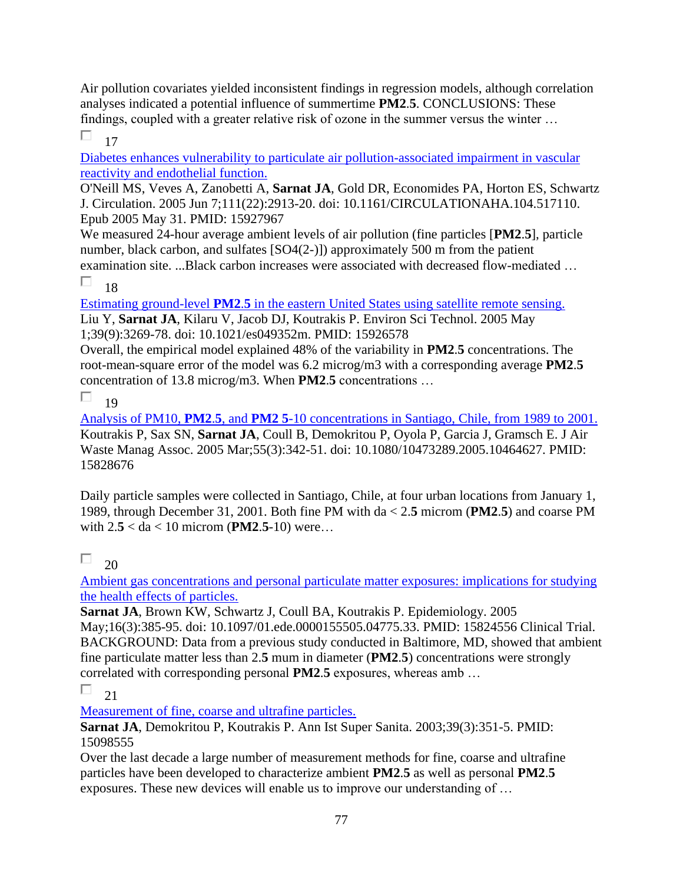Air pollution covariates yielded inconsistent findings in regression models, although correlation analyses indicated a potential influence of summertime **PM2**.**5**. CONCLUSIONS: These findings, coupled with a greater relative risk of ozone in the summer versus the winter …

П 17

[Diabetes enhances vulnerability to particulate air pollution-associated impairment in vascular](https://pubmed.ncbi.nlm.nih.gov/15927967/)  [reactivity and endothelial function.](https://pubmed.ncbi.nlm.nih.gov/15927967/) 

O'Neill MS, Veves A, Zanobetti A, **Sarnat JA**, Gold DR, Economides PA, Horton ES, Schwartz J. Circulation. 2005 Jun 7;111(22):2913-20. doi: 10.1161/CIRCULATIONAHA.104.517110. Epub 2005 May 31. PMID: 15927967

We measured 24-hour average ambient levels of air pollution (fine particles [**PM2**.**5**], particle number, black carbon, and sulfates [SO4(2-)]) approximately 500 m from the patient examination site. ...Black carbon increases were associated with decreased flow-mediated …

П 18

Estimating ground-level **PM2**.**5** [in the eastern United States using satellite remote sensing.](https://pubmed.ncbi.nlm.nih.gov/15926578/) 

Liu Y, **Sarnat JA**, Kilaru V, Jacob DJ, Koutrakis P. Environ Sci Technol. 2005 May 1;39(9):3269-78. doi: 10.1021/es049352m. PMID: 15926578

Overall, the empirical model explained 48% of the variability in **PM2**.**5** concentrations. The root-mean-square error of the model was 6.2 microg/m3 with a corresponding average **PM2**.**5** concentration of 13.8 microg/m3. When **PM2**.**5** concentrations …

П 19

Analysis of PM10, **PM2**.**5**, and **PM2 5**[-10 concentrations in Santiago, Chile, from 1989 to 2001.](https://pubmed.ncbi.nlm.nih.gov/15828676/)  Koutrakis P, Sax SN, **Sarnat JA**, Coull B, Demokritou P, Oyola P, Garcia J, Gramsch E. J Air Waste Manag Assoc. 2005 Mar;55(3):342-51. doi: 10.1080/10473289.2005.10464627. PMID: 15828676

Daily particle samples were collected in Santiago, Chile, at four urban locations from January 1, 1989, through December 31, 2001. Both fine PM with da < 2.**5** microm (**PM2**.**5**) and coarse PM with 2.**5** < da < 10 microm (**PM2**.**5**-10) were…

#### П 20

[Ambient gas concentrations and personal particulate matter exposures: implications for studying](https://pubmed.ncbi.nlm.nih.gov/15824556/)  [the health effects of particles.](https://pubmed.ncbi.nlm.nih.gov/15824556/) 

**Sarnat JA**, Brown KW, Schwartz J, Coull BA, Koutrakis P. Epidemiology. 2005 May;16(3):385-95. doi: 10.1097/01.ede.0000155505.04775.33. PMID: 15824556 Clinical Trial. BACKGROUND: Data from a previous study conducted in Baltimore, MD, showed that ambient fine particulate matter less than 2.**5** mum in diameter (**PM2**.**5**) concentrations were strongly correlated with corresponding personal **PM2**.**5** exposures, whereas amb …

П 21

[Measurement of fine, coarse and ultrafine particles.](https://pubmed.ncbi.nlm.nih.gov/15098555/) 

**Sarnat JA**, Demokritou P, Koutrakis P. Ann Ist Super Sanita. 2003;39(3):351-5. PMID: 15098555

Over the last decade a large number of measurement methods for fine, coarse and ultrafine particles have been developed to characterize ambient **PM2**.**5** as well as personal **PM2**.**5** exposures. These new devices will enable us to improve our understanding of …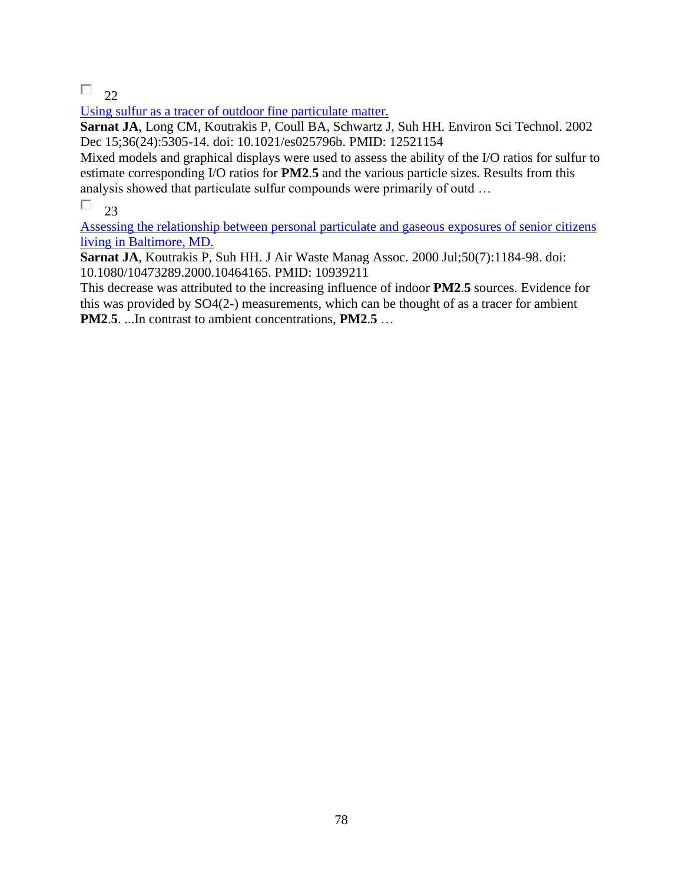$\Box$  22

[Using sulfur as a tracer of outdoor fine particulate matter.](https://pubmed.ncbi.nlm.nih.gov/12521154/) 

**Sarnat JA**, Long CM, Koutrakis P, Coull BA, Schwartz J, Suh HH. Environ Sci Technol. 2002 Dec 15;36(24):5305-14. doi: 10.1021/es025796b. PMID: 12521154

Mixed models and graphical displays were used to assess the ability of the I/O ratios for sulfur to estimate corresponding I/O ratios for **PM2**.**5** and the various particle sizes. Results from this analysis showed that particulate sulfur compounds were primarily of outd …

П 23

[Assessing the relationship between personal particulate and gaseous exposures of senior citizens](https://pubmed.ncbi.nlm.nih.gov/10939211/)  [living in Baltimore, MD.](https://pubmed.ncbi.nlm.nih.gov/10939211/) 

**Sarnat JA**, Koutrakis P, Suh HH. J Air Waste Manag Assoc. 2000 Jul;50(7):1184-98. doi: 10.1080/10473289.2000.10464165. PMID: 10939211

This decrease was attributed to the increasing influence of indoor **PM2**.**5** sources. Evidence for this was provided by SO4(2-) measurements, which can be thought of as a tracer for ambient **PM2**.**5**. ...In contrast to ambient concentrations, **PM2**.**5** …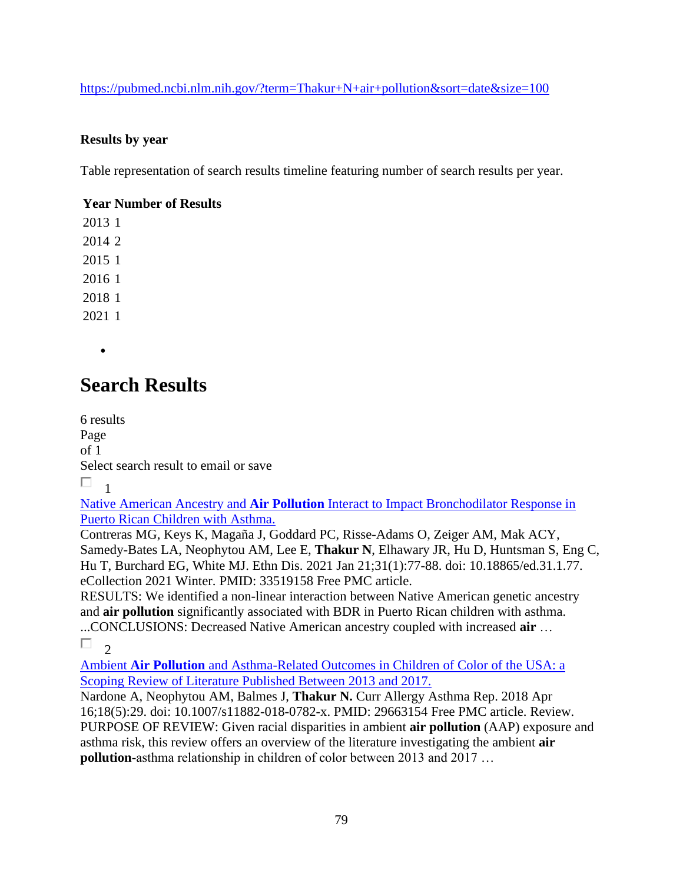<https://pubmed.ncbi.nlm.nih.gov/?term=Thakur+N+air+pollution&sort=date&size=100>

### **Results by year**

Table representation of search results timeline featuring number of search results per year.

### **Year Number of Results**

•

## **Search Results**

6 results Page of 1 Select search result to email or save П 1

Native American Ancestry and **Air Pollution** [Interact to Impact Bronchodilator Response in](https://pubmed.ncbi.nlm.nih.gov/33519158/)  [Puerto Rican Children with Asthma.](https://pubmed.ncbi.nlm.nih.gov/33519158/) 

Contreras MG, Keys K, Magaña J, Goddard PC, Risse-Adams O, Zeiger AM, Mak ACY, Samedy-Bates LA, Neophytou AM, Lee E, **Thakur N**, Elhawary JR, Hu D, Huntsman S, Eng C, Hu T, Burchard EG, White MJ. Ethn Dis. 2021 Jan 21;31(1):77-88. doi: 10.18865/ed.31.1.77. eCollection 2021 Winter. PMID: 33519158 Free PMC article.

RESULTS: We identified a non-linear interaction between Native American genetic ancestry and **air pollution** significantly associated with BDR in Puerto Rican children with asthma. ...CONCLUSIONS: Decreased Native American ancestry coupled with increased **air** …

 $\Box$  $\mathcal{D}$ 

Ambient **Air Pollution** [and Asthma-Related Outcomes in Children of Color of the USA: a](https://pubmed.ncbi.nlm.nih.gov/29663154/)  [Scoping Review of Literature Published Between 2013 and 2017.](https://pubmed.ncbi.nlm.nih.gov/29663154/) 

Nardone A, Neophytou AM, Balmes J, **Thakur N.** Curr Allergy Asthma Rep. 2018 Apr 16;18(5):29. doi: 10.1007/s11882-018-0782-x. PMID: 29663154 Free PMC article. Review. PURPOSE OF REVIEW: Given racial disparities in ambient **air pollution** (AAP) exposure and asthma risk, this review offers an overview of the literature investigating the ambient **air pollution**-asthma relationship in children of color between 2013 and 2017 …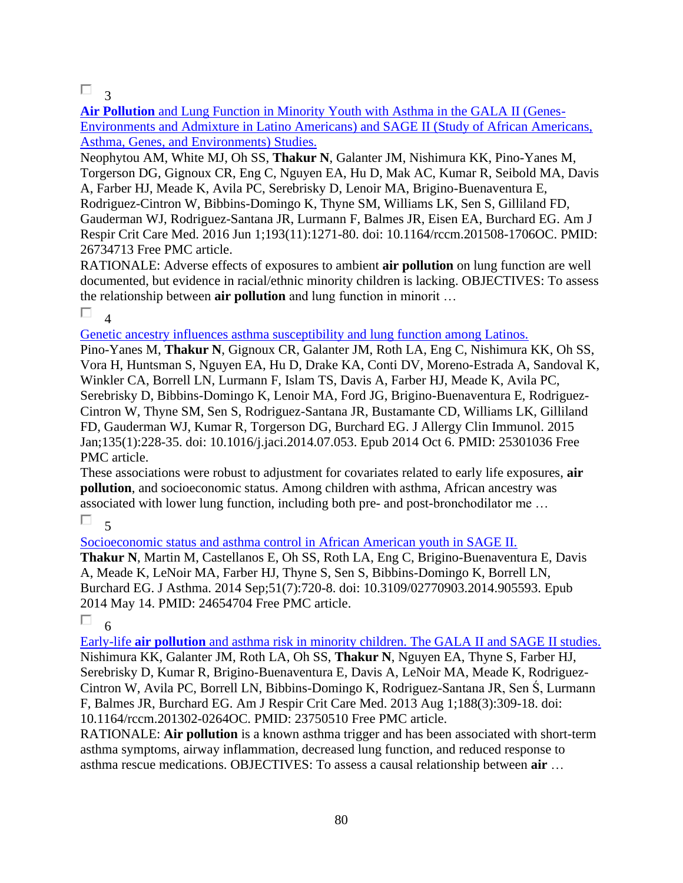### $\Box$ <sub>3</sub>

**Air Pollution** [and Lung Function in Minority Youth with Asthma in the GALA II \(Genes-](https://pubmed.ncbi.nlm.nih.gov/26734713/)[Environments and Admixture in Latino Americans\) and SAGE II \(Study of African Americans,](https://pubmed.ncbi.nlm.nih.gov/26734713/)  [Asthma, Genes, and Environments\) Studies.](https://pubmed.ncbi.nlm.nih.gov/26734713/) 

Neophytou AM, White MJ, Oh SS, **Thakur N**, Galanter JM, Nishimura KK, Pino-Yanes M, Torgerson DG, Gignoux CR, Eng C, Nguyen EA, Hu D, Mak AC, Kumar R, Seibold MA, Davis A, Farber HJ, Meade K, Avila PC, Serebrisky D, Lenoir MA, Brigino-Buenaventura E, Rodriguez-Cintron W, Bibbins-Domingo K, Thyne SM, Williams LK, Sen S, Gilliland FD, Gauderman WJ, Rodriguez-Santana JR, Lurmann F, Balmes JR, Eisen EA, Burchard EG. Am J Respir Crit Care Med. 2016 Jun 1;193(11):1271-80. doi: 10.1164/rccm.201508-1706OC. PMID: 26734713 Free PMC article.

RATIONALE: Adverse effects of exposures to ambient **air pollution** on lung function are well documented, but evidence in racial/ethnic minority children is lacking. OBJECTIVES: To assess the relationship between **air pollution** and lung function in minorit …

 $\Box$  $\overline{4}$ 

[Genetic ancestry influences asthma susceptibility and lung function among Latinos.](https://pubmed.ncbi.nlm.nih.gov/25301036/) 

Pino-Yanes M, **Thakur N**, Gignoux CR, Galanter JM, Roth LA, Eng C, Nishimura KK, Oh SS, Vora H, Huntsman S, Nguyen EA, Hu D, Drake KA, Conti DV, Moreno-Estrada A, Sandoval K, Winkler CA, Borrell LN, Lurmann F, Islam TS, Davis A, Farber HJ, Meade K, Avila PC, Serebrisky D, Bibbins-Domingo K, Lenoir MA, Ford JG, Brigino-Buenaventura E, Rodriguez-Cintron W, Thyne SM, Sen S, Rodriguez-Santana JR, Bustamante CD, Williams LK, Gilliland FD, Gauderman WJ, Kumar R, Torgerson DG, Burchard EG. J Allergy Clin Immunol. 2015 Jan;135(1):228-35. doi: 10.1016/j.jaci.2014.07.053. Epub 2014 Oct 6. PMID: 25301036 Free PMC article.

These associations were robust to adjustment for covariates related to early life exposures, **air pollution**, and socioeconomic status. Among children with asthma, African ancestry was associated with lower lung function, including both pre- and post-bronchodilator me …

П.  $\zeta$ 

[Socioeconomic status and asthma control in African American youth in SAGE II.](https://pubmed.ncbi.nlm.nih.gov/24654704/) 

**Thakur N**, Martin M, Castellanos E, Oh SS, Roth LA, Eng C, Brigino-Buenaventura E, Davis A, Meade K, LeNoir MA, Farber HJ, Thyne S, Sen S, Bibbins-Domingo K, Borrell LN, Burchard EG. J Asthma. 2014 Sep;51(7):720-8. doi: 10.3109/02770903.2014.905593. Epub 2014 May 14. PMID: 24654704 Free PMC article.

 $\Box$  6

Early-life **air pollution** [and asthma risk in minority children. The GALA II and SAGE II studies.](https://pubmed.ncbi.nlm.nih.gov/23750510/)  Nishimura KK, Galanter JM, Roth LA, Oh SS, **Thakur N**, Nguyen EA, Thyne S, Farber HJ, Serebrisky D, Kumar R, Brigino-Buenaventura E, Davis A, LeNoir MA, Meade K, Rodriguez-Cintron W, Avila PC, Borrell LN, Bibbins-Domingo K, Rodriguez-Santana JR, Sen Ś, Lurmann F, Balmes JR, Burchard EG. Am J Respir Crit Care Med. 2013 Aug 1;188(3):309-18. doi: 10.1164/rccm.201302-0264OC. PMID: 23750510 Free PMC article.

RATIONALE: **Air pollution** is a known asthma trigger and has been associated with short-term asthma symptoms, airway inflammation, decreased lung function, and reduced response to asthma rescue medications. OBJECTIVES: To assess a causal relationship between **air** …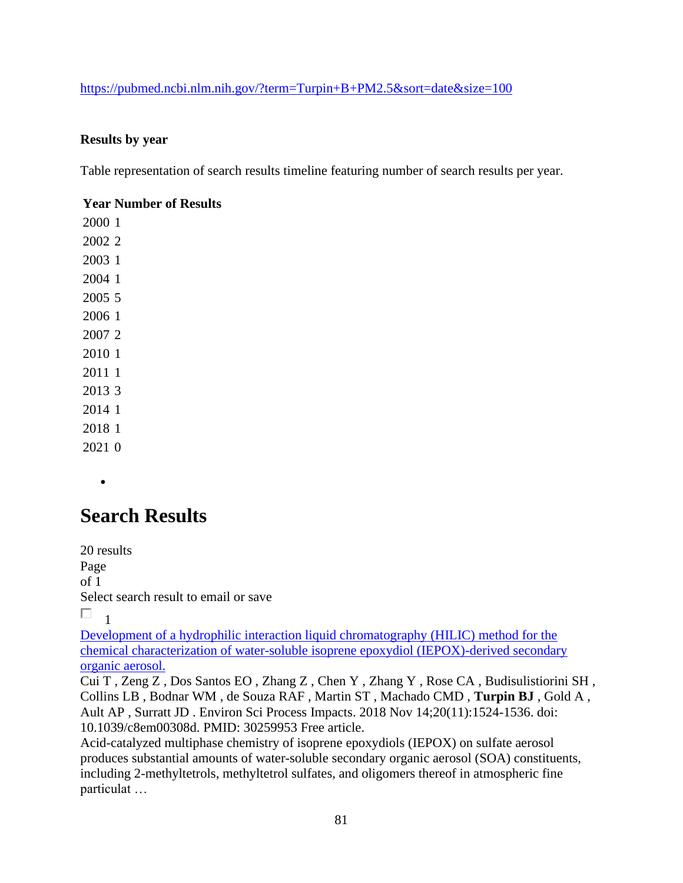#### <https://pubmed.ncbi.nlm.nih.gov/?term=Turpin+B+PM2.5&sort=date&size=100>

#### **Results by year**

Table representation of search results timeline featuring number of search results per year.

#### **Year Number of Results**

•

## **Search Results**

20 results Page of 1 Select search result to email or save  $\Box$ <sub>1</sub>

[Development of a hydrophilic interaction liquid chromatography \(HILIC\) method for the](https://pubmed.ncbi.nlm.nih.gov/30259953/)  [chemical characterization of water-soluble isoprene epoxydiol \(IEPOX\)-derived secondary](https://pubmed.ncbi.nlm.nih.gov/30259953/)  [organic aerosol.](https://pubmed.ncbi.nlm.nih.gov/30259953/) 

Cui T , Zeng Z , Dos Santos EO , Zhang Z , Chen Y , Zhang Y , Rose CA , Budisulistiorini SH , Collins LB , Bodnar WM , de Souza RAF , Martin ST , Machado CMD , **Turpin BJ** , Gold A , Ault AP , Surratt JD . Environ Sci Process Impacts. 2018 Nov 14;20(11):1524-1536. doi: 10.1039/c8em00308d. PMID: 30259953 Free article.

Acid-catalyzed multiphase chemistry of isoprene epoxydiols (IEPOX) on sulfate aerosol produces substantial amounts of water-soluble secondary organic aerosol (SOA) constituents, including 2-methyltetrols, methyltetrol sulfates, and oligomers thereof in atmospheric fine particulat …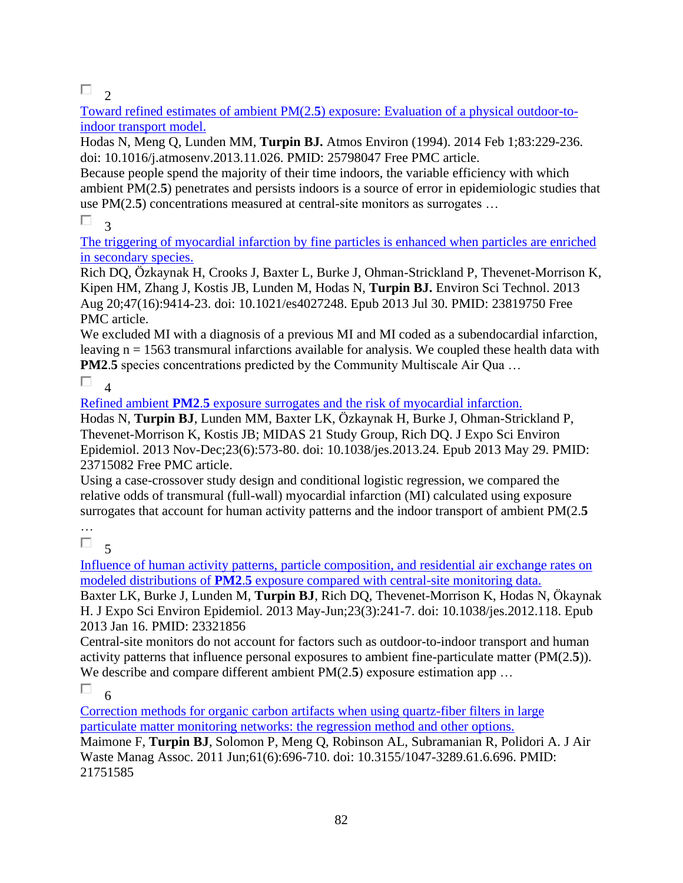$\Box$ <sub>2</sub>

Toward refined estimates of ambient PM(2.**5**[\) exposure: Evaluation of a physical outdoor-to](https://pubmed.ncbi.nlm.nih.gov/25798047/)[indoor transport model.](https://pubmed.ncbi.nlm.nih.gov/25798047/) 

Hodas N, Meng Q, Lunden MM, **Turpin BJ.** Atmos Environ (1994). 2014 Feb 1;83:229-236. doi: 10.1016/j.atmosenv.2013.11.026. PMID: 25798047 Free PMC article.

Because people spend the majority of their time indoors, the variable efficiency with which ambient PM(2.**5**) penetrates and persists indoors is a source of error in epidemiologic studies that use PM(2.**5**) concentrations measured at central-site monitors as surrogates …

Π. 3

[The triggering of myocardial infarction by fine particles is enhanced when particles are enriched](https://pubmed.ncbi.nlm.nih.gov/23819750/)  [in secondary species.](https://pubmed.ncbi.nlm.nih.gov/23819750/) 

Rich DQ, Özkaynak H, Crooks J, Baxter L, Burke J, Ohman-Strickland P, Thevenet-Morrison K, Kipen HM, Zhang J, Kostis JB, Lunden M, Hodas N, **Turpin BJ.** Environ Sci Technol. 2013 Aug 20;47(16):9414-23. doi: 10.1021/es4027248. Epub 2013 Jul 30. PMID: 23819750 Free PMC article.

We excluded MI with a diagnosis of a previous MI and MI coded as a subendocardial infarction, leaving  $n = 1563$  transmural infarctions available for analysis. We coupled these health data with **PM2.5** species concentrations predicted by the Community Multiscale Air Qua ...

 $\Box$ <sub>4</sub>

Refined ambient **PM2**.**5** [exposure surrogates and the risk of myocardial infarction.](https://pubmed.ncbi.nlm.nih.gov/23715082/) 

Hodas N, **Turpin BJ**, Lunden MM, Baxter LK, Özkaynak H, Burke J, Ohman-Strickland P, Thevenet-Morrison K, Kostis JB; MIDAS 21 Study Group, Rich DQ. J Expo Sci Environ Epidemiol. 2013 Nov-Dec;23(6):573-80. doi: 10.1038/jes.2013.24. Epub 2013 May 29. PMID: 23715082 Free PMC article.

Using a case-crossover study design and conditional logistic regression, we compared the relative odds of transmural (full-wall) myocardial infarction (MI) calculated using exposure surrogates that account for human activity patterns and the indoor transport of ambient PM(2.**5**

… П

5

[Influence of human activity patterns, particle composition, and residential air exchange rates on](https://pubmed.ncbi.nlm.nih.gov/23321856/)  modeled distributions of **PM2**.**5** [exposure compared with central-site monitoring data.](https://pubmed.ncbi.nlm.nih.gov/23321856/) 

Baxter LK, Burke J, Lunden M, **Turpin BJ**, Rich DQ, Thevenet-Morrison K, Hodas N, Ökaynak H. J Expo Sci Environ Epidemiol. 2013 May-Jun;23(3):241-7. doi: 10.1038/jes.2012.118. Epub 2013 Jan 16. PMID: 23321856

Central-site monitors do not account for factors such as outdoor-to-indoor transport and human activity patterns that influence personal exposures to ambient fine-particulate matter (PM(2.**5**)). We describe and compare different ambient PM(2.5) exposure estimation app ...

П 6

[Correction methods for organic carbon artifacts when using quartz-fiber filters in large](https://pubmed.ncbi.nlm.nih.gov/21751585/)  [particulate matter monitoring networks: the regression method and other options.](https://pubmed.ncbi.nlm.nih.gov/21751585/) 

Maimone F, **Turpin BJ**, Solomon P, Meng Q, Robinson AL, Subramanian R, Polidori A. J Air Waste Manag Assoc. 2011 Jun;61(6):696-710. doi: 10.3155/1047-3289.61.6.696. PMID: 21751585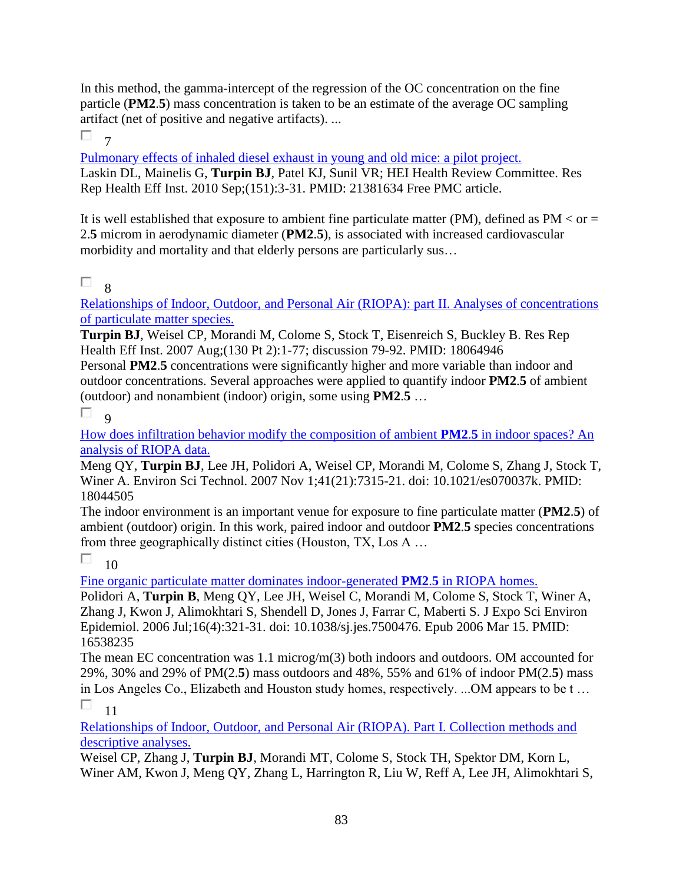In this method, the gamma-intercept of the regression of the OC concentration on the fine particle (**PM2**.**5**) mass concentration is taken to be an estimate of the average OC sampling artifact (net of positive and negative artifacts). ...

П  $\overline{7}$ 

[Pulmonary effects of inhaled diesel exhaust in young and old mice: a pilot project.](https://pubmed.ncbi.nlm.nih.gov/21381634/)  Laskin DL, Mainelis G, **Turpin BJ**, Patel KJ, Sunil VR; HEI Health Review Committee. Res Rep Health Eff Inst. 2010 Sep;(151):3-31. PMID: 21381634 Free PMC article.

It is well established that exposure to ambient fine particulate matter (PM), defined as  $PM < or =$ 2.**5** microm in aerodynamic diameter (**PM2**.**5**), is associated with increased cardiovascular morbidity and mortality and that elderly persons are particularly sus…

#### П 8

[Relationships of Indoor, Outdoor, and Personal Air \(RIOPA\): part II. Analyses of concentrations](https://pubmed.ncbi.nlm.nih.gov/18064946/)  [of particulate matter species.](https://pubmed.ncbi.nlm.nih.gov/18064946/) 

**Turpin BJ**, Weisel CP, Morandi M, Colome S, Stock T, Eisenreich S, Buckley B. Res Rep Health Eff Inst. 2007 Aug;(130 Pt 2):1-77; discussion 79-92. PMID: 18064946 Personal **PM2**.**5** concentrations were significantly higher and more variable than indoor and outdoor concentrations. Several approaches were applied to quantify indoor **PM2**.**5** of ambient (outdoor) and nonambient (indoor) origin, some using **PM2**.**5** …

П  $\overline{Q}$ 

[How does infiltration behavior modify the composition of ambient](https://pubmed.ncbi.nlm.nih.gov/18044505/) **PM2**.**5** in indoor spaces? An [analysis of RIOPA data.](https://pubmed.ncbi.nlm.nih.gov/18044505/) 

Meng QY, **Turpin BJ**, Lee JH, Polidori A, Weisel CP, Morandi M, Colome S, Zhang J, Stock T, Winer A. Environ Sci Technol. 2007 Nov 1;41(21):7315-21. doi: 10.1021/es070037k. PMID: 18044505

The indoor environment is an important venue for exposure to fine particulate matter (**PM2**.**5**) of ambient (outdoor) origin. In this work, paired indoor and outdoor **PM2**.**5** species concentrations from three geographically distinct cities (Houston, TX, Los A …

П 10

[Fine organic particulate matter dominates indoor-generated](https://pubmed.ncbi.nlm.nih.gov/16538235/) **PM2**.**5** in RIOPA homes.

Polidori A, **Turpin B**, Meng QY, Lee JH, Weisel C, Morandi M, Colome S, Stock T, Winer A, Zhang J, Kwon J, Alimokhtari S, Shendell D, Jones J, Farrar C, Maberti S. J Expo Sci Environ Epidemiol. 2006 Jul;16(4):321-31. doi: 10.1038/sj.jes.7500476. Epub 2006 Mar 15. PMID: 16538235

The mean EC concentration was 1.1 microg/m(3) both indoors and outdoors. OM accounted for 29%, 30% and 29% of PM(2.**5**) mass outdoors and 48%, 55% and 61% of indoor PM(2.**5**) mass in Los Angeles Co., Elizabeth and Houston study homes, respectively. ...OM appears to be t … П 11

[Relationships of Indoor, Outdoor, and Personal Air \(RIOPA\). Part I. Collection methods and](https://pubmed.ncbi.nlm.nih.gov/16454009/)  [descriptive analyses.](https://pubmed.ncbi.nlm.nih.gov/16454009/) 

Weisel CP, Zhang J, **Turpin BJ**, Morandi MT, Colome S, Stock TH, Spektor DM, Korn L, Winer AM, Kwon J, Meng QY, Zhang L, Harrington R, Liu W, Reff A, Lee JH, Alimokhtari S,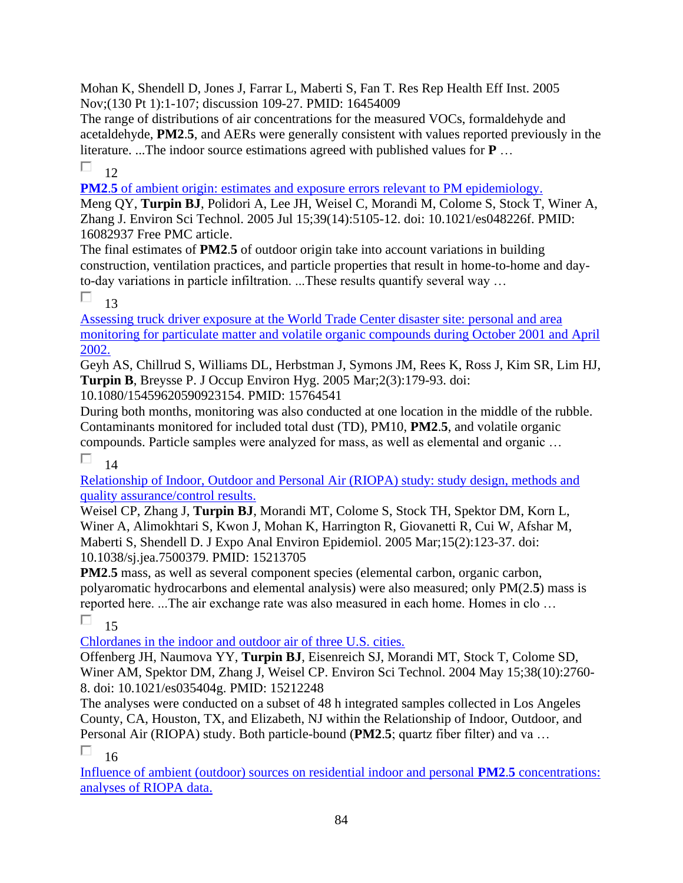Mohan K, Shendell D, Jones J, Farrar L, Maberti S, Fan T. Res Rep Health Eff Inst. 2005 Nov;(130 Pt 1):1-107; discussion 109-27. PMID: 16454009

The range of distributions of air concentrations for the measured VOCs, formaldehyde and acetaldehyde, **PM2**.**5**, and AERs were generally consistent with values reported previously in the literature. ...The indoor source estimations agreed with published values for **P** …

П.  $12$ 

**PM2.5** of ambient origin: estimates and exposure errors relevant to PM epidemiology.

Meng QY, **Turpin BJ**, Polidori A, Lee JH, Weisel C, Morandi M, Colome S, Stock T, Winer A, Zhang J. Environ Sci Technol. 2005 Jul 15;39(14):5105-12. doi: 10.1021/es048226f. PMID: 16082937 Free PMC article.

The final estimates of **PM2**.**5** of outdoor origin take into account variations in building construction, ventilation practices, and particle properties that result in home-to-home and dayto-day variations in particle infiltration. ...These results quantify several way …

П 13

[Assessing truck driver exposure at the World Trade Center disaster site: personal and area](https://pubmed.ncbi.nlm.nih.gov/15764541/)  [monitoring for particulate matter and volatile organic compounds during October 2001 and April](https://pubmed.ncbi.nlm.nih.gov/15764541/)  [2002.](https://pubmed.ncbi.nlm.nih.gov/15764541/) 

Geyh AS, Chillrud S, Williams DL, Herbstman J, Symons JM, Rees K, Ross J, Kim SR, Lim HJ, **Turpin B**, Breysse P. J Occup Environ Hyg. 2005 Mar;2(3):179-93. doi:

10.1080/15459620590923154. PMID: 15764541

During both months, monitoring was also conducted at one location in the middle of the rubble. Contaminants monitored for included total dust (TD), PM10, **PM2**.**5**, and volatile organic compounds. Particle samples were analyzed for mass, as well as elemental and organic …

П 14

[Relationship of Indoor, Outdoor and Personal Air \(RIOPA\) study: study design, methods and](https://pubmed.ncbi.nlm.nih.gov/15213705/)  [quality assurance/control results.](https://pubmed.ncbi.nlm.nih.gov/15213705/) 

Weisel CP, Zhang J, **Turpin BJ**, Morandi MT, Colome S, Stock TH, Spektor DM, Korn L, Winer A, Alimokhtari S, Kwon J, Mohan K, Harrington R, Giovanetti R, Cui W, Afshar M, Maberti S, Shendell D. J Expo Anal Environ Epidemiol. 2005 Mar;15(2):123-37. doi: 10.1038/sj.jea.7500379. PMID: 15213705

**PM2**.**5** mass, as well as several component species (elemental carbon, organic carbon, polyaromatic hydrocarbons and elemental analysis) were also measured; only PM(2.**5**) mass is reported here. ...The air exchange rate was also measured in each home. Homes in clo …  $\Box$ 15

[Chlordanes in the indoor and outdoor air of three U.S. cities.](https://pubmed.ncbi.nlm.nih.gov/15212248/) 

Offenberg JH, Naumova YY, **Turpin BJ**, Eisenreich SJ, Morandi MT, Stock T, Colome SD, Winer AM, Spektor DM, Zhang J, Weisel CP. Environ Sci Technol. 2004 May 15;38(10):2760- 8. doi: 10.1021/es035404g. PMID: 15212248

The analyses were conducted on a subset of 48 h integrated samples collected in Los Angeles County, CA, Houston, TX, and Elizabeth, NJ within the Relationship of Indoor, Outdoor, and Personal Air (RIOPA) study. Both particle-bound (**PM2**.**5**; quartz fiber filter) and va …

П 16

[Influence of ambient \(outdoor\) sources on residential indoor and personal](https://pubmed.ncbi.nlm.nih.gov/15138449/) **PM2**.**5** concentrations: [analyses of RIOPA data.](https://pubmed.ncbi.nlm.nih.gov/15138449/)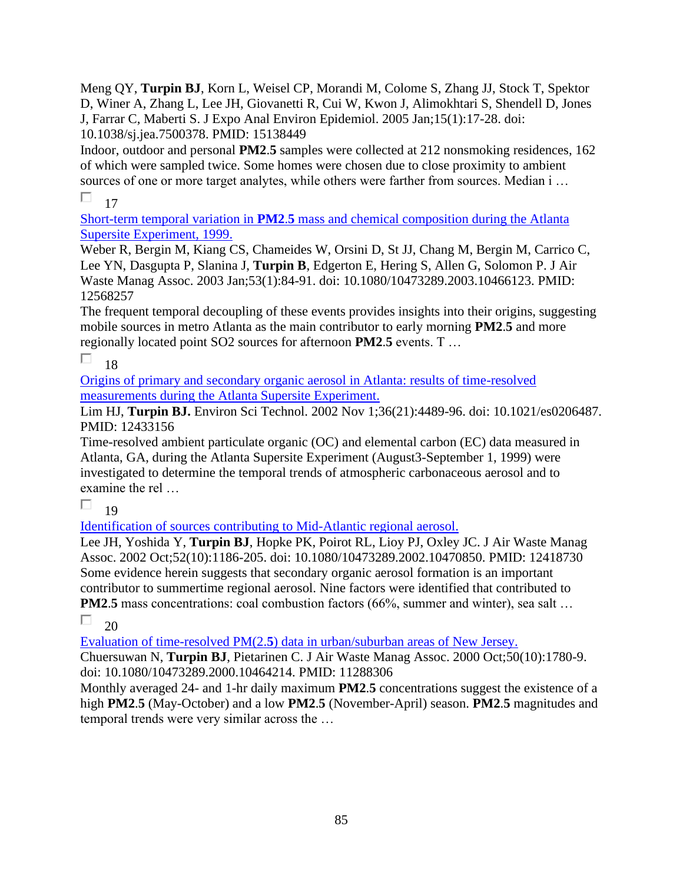Meng QY, **Turpin BJ**, Korn L, Weisel CP, Morandi M, Colome S, Zhang JJ, Stock T, Spektor D, Winer A, Zhang L, Lee JH, Giovanetti R, Cui W, Kwon J, Alimokhtari S, Shendell D, Jones J, Farrar C, Maberti S. J Expo Anal Environ Epidemiol. 2005 Jan;15(1):17-28. doi: 10.1038/sj.jea.7500378. PMID: 15138449

Indoor, outdoor and personal **PM2**.**5** samples were collected at 212 nonsmoking residences, 162 of which were sampled twice. Some homes were chosen due to close proximity to ambient sources of one or more target analytes, while others were farther from sources. Median i ...

 $\Box$ 17

Short-term temporal variation in **PM2**.**5** [mass and chemical composition during the Atlanta](https://pubmed.ncbi.nlm.nih.gov/12568257/)  [Supersite Experiment, 1999.](https://pubmed.ncbi.nlm.nih.gov/12568257/) 

Weber R, Bergin M, Kiang CS, Chameides W, Orsini D, St JJ, Chang M, Bergin M, Carrico C, Lee YN, Dasgupta P, Slanina J, **Turpin B**, Edgerton E, Hering S, Allen G, Solomon P. J Air Waste Manag Assoc. 2003 Jan;53(1):84-91. doi: 10.1080/10473289.2003.10466123. PMID: 12568257

The frequent temporal decoupling of these events provides insights into their origins, suggesting mobile sources in metro Atlanta as the main contributor to early morning **PM2**.**5** and more regionally located point SO2 sources for afternoon **PM2**.**5** events. T …

П 18

[Origins of primary and secondary organic aerosol in Atlanta: results of time-resolved](https://pubmed.ncbi.nlm.nih.gov/12433156/)  [measurements during the Atlanta Supersite Experiment.](https://pubmed.ncbi.nlm.nih.gov/12433156/) 

Lim HJ, **Turpin BJ.** Environ Sci Technol. 2002 Nov 1;36(21):4489-96. doi: 10.1021/es0206487. PMID: 12433156

Time-resolved ambient particulate organic (OC) and elemental carbon (EC) data measured in Atlanta, GA, during the Atlanta Supersite Experiment (August3-September 1, 1999) were investigated to determine the temporal trends of atmospheric carbonaceous aerosol and to examine the rel …

П 19

[Identification of sources contributing to Mid-Atlantic regional aerosol.](https://pubmed.ncbi.nlm.nih.gov/12418730/) 

Lee JH, Yoshida Y, **Turpin BJ**, Hopke PK, Poirot RL, Lioy PJ, Oxley JC. J Air Waste Manag Assoc. 2002 Oct;52(10):1186-205. doi: 10.1080/10473289.2002.10470850. PMID: 12418730 Some evidence herein suggests that secondary organic aerosol formation is an important contributor to summertime regional aerosol. Nine factors were identified that contributed to **PM2.5** mass concentrations: coal combustion factors (66%, summer and winter), sea salt ...

 $\Box$ 20

Evaluation of time-resolved PM(2.**5**[\) data in urban/suburban areas of New Jersey.](https://pubmed.ncbi.nlm.nih.gov/11288306/) 

Chuersuwan N, **Turpin BJ**, Pietarinen C. J Air Waste Manag Assoc. 2000 Oct;50(10):1780-9. doi: 10.1080/10473289.2000.10464214. PMID: 11288306

Monthly averaged 24- and 1-hr daily maximum **PM2**.**5** concentrations suggest the existence of a high **PM2**.**5** (May-October) and a low **PM2**.**5** (November-April) season. **PM2**.**5** magnitudes and temporal trends were very similar across the …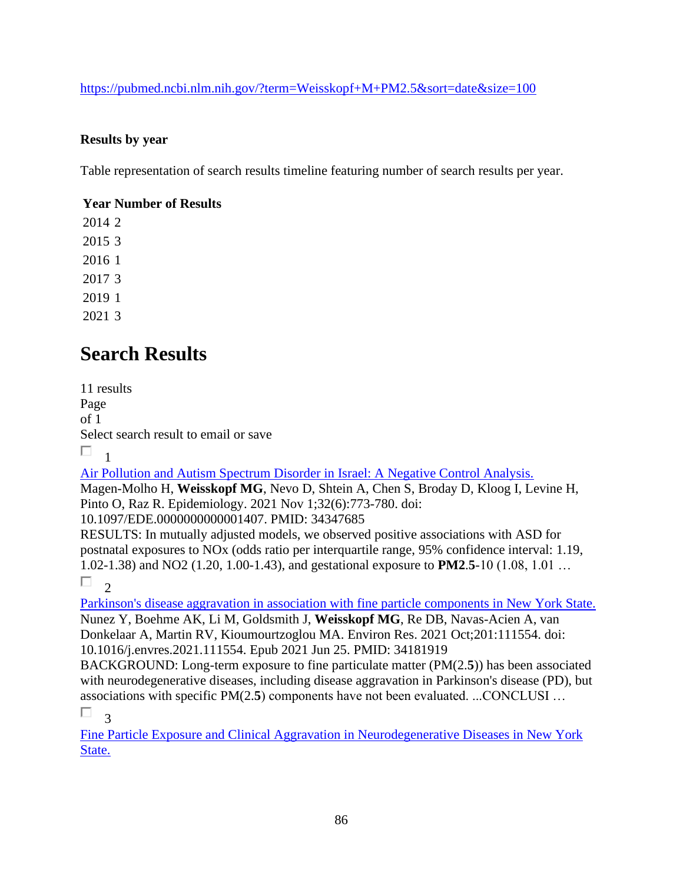<https://pubmed.ncbi.nlm.nih.gov/?term=Weisskopf+M+PM2.5&sort=date&size=100>

#### **Results by year**

Table representation of search results timeline featuring number of search results per year.

### **Year Number of Results**

# **Search Results**

11 results Page of 1 Select search result to email or save П. 1

[Air Pollution and Autism Spectrum Disorder in Israel: A Negative Control Analysis.](https://pubmed.ncbi.nlm.nih.gov/34347685/) 

Magen-Molho H, **Weisskopf MG**, Nevo D, Shtein A, Chen S, Broday D, Kloog I, Levine H, Pinto O, Raz R. Epidemiology. 2021 Nov 1;32(6):773-780. doi:

10.1097/EDE.0000000000001407. PMID: 34347685

RESULTS: In mutually adjusted models, we observed positive associations with ASD for postnatal exposures to NOx (odds ratio per interquartile range, 95% confidence interval: 1.19, 1.02-1.38) and NO2 (1.20, 1.00-1.43), and gestational exposure to **PM2**.**5**-10 (1.08, 1.01 …

П 2

[Parkinson's disease aggravation in association with fine particle components in New York State.](https://pubmed.ncbi.nlm.nih.gov/34181919/)  Nunez Y, Boehme AK, Li M, Goldsmith J, **Weisskopf MG**, Re DB, Navas-Acien A, van Donkelaar A, Martin RV, Kioumourtzoglou MA. Environ Res. 2021 Oct;201:111554. doi: 10.1016/j.envres.2021.111554. Epub 2021 Jun 25. PMID: 34181919

BACKGROUND: Long-term exposure to fine particulate matter (PM(2.**5**)) has been associated with neurodegenerative diseases, including disease aggravation in Parkinson's disease (PD), but associations with specific PM(2.**5**) components have not been evaluated. ...CONCLUSI … П 3

[Fine Particle Exposure and Clinical Aggravation in Neurodegenerative Diseases in New York](https://pubmed.ncbi.nlm.nih.gov/33555200/)  [State.](https://pubmed.ncbi.nlm.nih.gov/33555200/)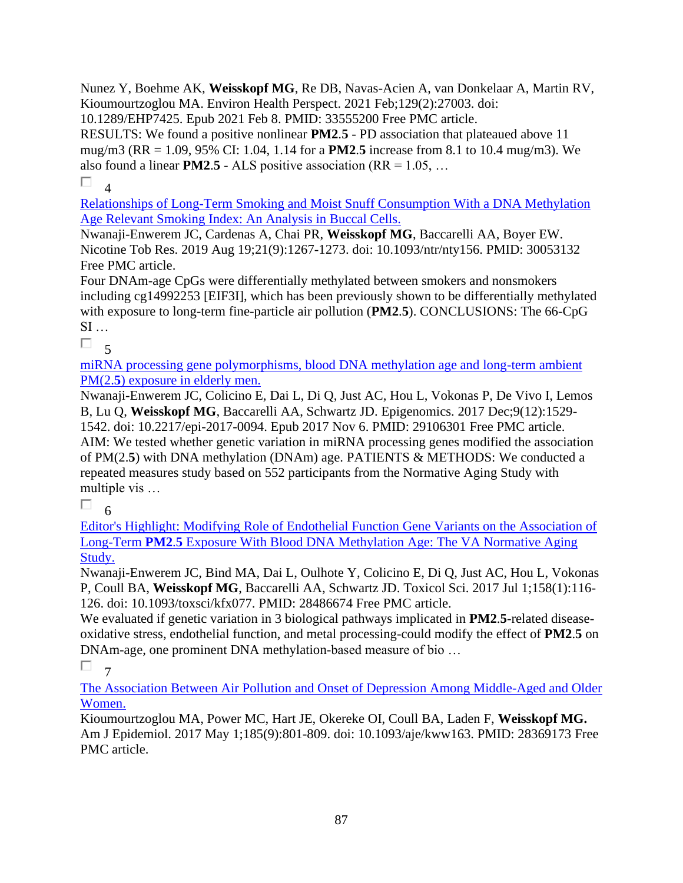Nunez Y, Boehme AK, **Weisskopf MG**, Re DB, Navas-Acien A, van Donkelaar A, Martin RV, Kioumourtzoglou MA. Environ Health Perspect. 2021 Feb;129(2):27003. doi:

10.1289/EHP7425. Epub 2021 Feb 8. PMID: 33555200 Free PMC article.

RESULTS: We found a positive nonlinear **PM2**.**5** - PD association that plateaued above 11 mug/m3 (RR = 1.09, 95% CI: 1.04, 1.14 for a **PM2**.**5** increase from 8.1 to 10.4 mug/m3). We also found a linear **PM2.5** - ALS positive association ( $RR = 1.05, ...$ 

П 4

[Relationships of Long-Term Smoking and Moist Snuff Consumption With a DNA Methylation](https://pubmed.ncbi.nlm.nih.gov/30053132/)  [Age Relevant Smoking Index: An Analysis in Buccal Cells.](https://pubmed.ncbi.nlm.nih.gov/30053132/) 

Nwanaji-Enwerem JC, Cardenas A, Chai PR, **Weisskopf MG**, Baccarelli AA, Boyer EW. Nicotine Tob Res. 2019 Aug 19;21(9):1267-1273. doi: 10.1093/ntr/nty156. PMID: 30053132 Free PMC article.

Four DNAm-age CpGs were differentially methylated between smokers and nonsmokers including cg14992253 [EIF3I], which has been previously shown to be differentially methylated with exposure to long-term fine-particle air pollution (**PM2**.**5**). CONCLUSIONS: The 66-CpG  $SI \dots$ 

 $\Box$ 

[miRNA processing gene polymorphisms, blood DNA methylation age and long-term ambient](https://pubmed.ncbi.nlm.nih.gov/29106301/)  PM(2.**5**[\) exposure in elderly men.](https://pubmed.ncbi.nlm.nih.gov/29106301/) 

Nwanaji-Enwerem JC, Colicino E, Dai L, Di Q, Just AC, Hou L, Vokonas P, De Vivo I, Lemos B, Lu Q, **Weisskopf MG**, Baccarelli AA, Schwartz JD. Epigenomics. 2017 Dec;9(12):1529- 1542. doi: 10.2217/epi-2017-0094. Epub 2017 Nov 6. PMID: 29106301 Free PMC article. AIM: We tested whether genetic variation in miRNA processing genes modified the association of PM(2.**5**) with DNA methylation (DNAm) age. PATIENTS & METHODS: We conducted a repeated measures study based on 552 participants from the Normative Aging Study with multiple vis …

П 6

[Editor's Highlight: Modifying Role of Endothelial Function Gene Variants on the Association of](https://pubmed.ncbi.nlm.nih.gov/28486674/)  Long-Term **PM2**.**5** [Exposure With Blood DNA Methylation Age: The VA Normative Aging](https://pubmed.ncbi.nlm.nih.gov/28486674/)  [Study.](https://pubmed.ncbi.nlm.nih.gov/28486674/) 

Nwanaji-Enwerem JC, Bind MA, Dai L, Oulhote Y, Colicino E, Di Q, Just AC, Hou L, Vokonas P, Coull BA, **Weisskopf MG**, Baccarelli AA, Schwartz JD. Toxicol Sci. 2017 Jul 1;158(1):116- 126. doi: 10.1093/toxsci/kfx077. PMID: 28486674 Free PMC article.

We evaluated if genetic variation in 3 biological pathways implicated in **PM2**.**5**-related diseaseoxidative stress, endothelial function, and metal processing-could modify the effect of **PM2**.**5** on DNAm-age, one prominent DNA methylation-based measure of bio …

 $\Box$  7

[The Association Between Air Pollution and Onset of Depression Among Middle-Aged and Older](https://pubmed.ncbi.nlm.nih.gov/28369173/)  [Women.](https://pubmed.ncbi.nlm.nih.gov/28369173/) 

Kioumourtzoglou MA, Power MC, Hart JE, Okereke OI, Coull BA, Laden F, **Weisskopf MG.** Am J Epidemiol. 2017 May 1;185(9):801-809. doi: 10.1093/aje/kww163. PMID: 28369173 Free PMC article.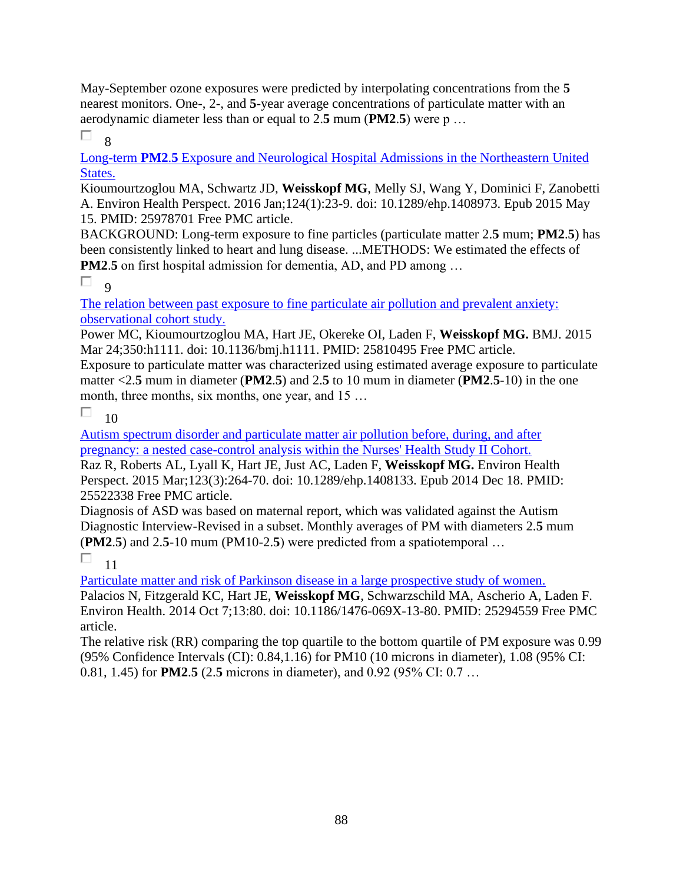May-September ozone exposures were predicted by interpolating concentrations from the **5** nearest monitors. One-, 2-, and **5**-year average concentrations of particulate matter with an aerodynamic diameter less than or equal to 2.**5** mum (**PM2**.**5**) were p …

П 8

Long-term **PM2**.**5** [Exposure and Neurological Hospital Admissions in the Northeastern United](https://pubmed.ncbi.nlm.nih.gov/25978701/)  [States.](https://pubmed.ncbi.nlm.nih.gov/25978701/) 

Kioumourtzoglou MA, Schwartz JD, **Weisskopf MG**, Melly SJ, Wang Y, Dominici F, Zanobetti A. Environ Health Perspect. 2016 Jan;124(1):23-9. doi: 10.1289/ehp.1408973. Epub 2015 May 15. PMID: 25978701 Free PMC article.

BACKGROUND: Long-term exposure to fine particles (particulate matter 2.**5** mum; **PM2**.**5**) has been consistently linked to heart and lung disease. ...METHODS: We estimated the effects of **PM2.5** on first hospital admission for dementia, AD, and PD among ...

П  $\overline{Q}$ 

[The relation between past exposure to fine particulate air pollution and prevalent anxiety:](https://pubmed.ncbi.nlm.nih.gov/25810495/)  [observational cohort study.](https://pubmed.ncbi.nlm.nih.gov/25810495/) 

Power MC, Kioumourtzoglou MA, Hart JE, Okereke OI, Laden F, **Weisskopf MG.** BMJ. 2015 Mar 24;350:h1111. doi: 10.1136/bmj.h1111. PMID: 25810495 Free PMC article.

Exposure to particulate matter was characterized using estimated average exposure to particulate matter <2.**5** mum in diameter (**PM2**.**5**) and 2.**5** to 10 mum in diameter (**PM2**.**5**-10) in the one month, three months, six months, one year, and 15 ...

П 10

[Autism spectrum disorder and particulate matter air pollution before, during, and after](https://pubmed.ncbi.nlm.nih.gov/25522338/)  [pregnancy: a nested case-control analysis within the Nurses' Health Study II Cohort.](https://pubmed.ncbi.nlm.nih.gov/25522338/) 

Raz R, Roberts AL, Lyall K, Hart JE, Just AC, Laden F, **Weisskopf MG.** Environ Health Perspect. 2015 Mar;123(3):264-70. doi: 10.1289/ehp.1408133. Epub 2014 Dec 18. PMID: 25522338 Free PMC article.

Diagnosis of ASD was based on maternal report, which was validated against the Autism Diagnostic Interview-Revised in a subset. Monthly averages of PM with diameters 2.**5** mum (**PM2**.**5**) and 2.**5**-10 mum (PM10-2.**5**) were predicted from a spatiotemporal …

П 11

[Particulate matter and risk of Parkinson disease in a large prospective study of women.](https://pubmed.ncbi.nlm.nih.gov/25294559/) 

Palacios N, Fitzgerald KC, Hart JE, **Weisskopf MG**, Schwarzschild MA, Ascherio A, Laden F. Environ Health. 2014 Oct 7;13:80. doi: 10.1186/1476-069X-13-80. PMID: 25294559 Free PMC article.

The relative risk (RR) comparing the top quartile to the bottom quartile of PM exposure was 0.99 (95% Confidence Intervals (CI): 0.84,1.16) for PM10 (10 microns in diameter), 1.08 (95% CI: 0.81, 1.45) for **PM2**.**5** (2.**5** microns in diameter), and 0.92 (95% CI: 0.7 …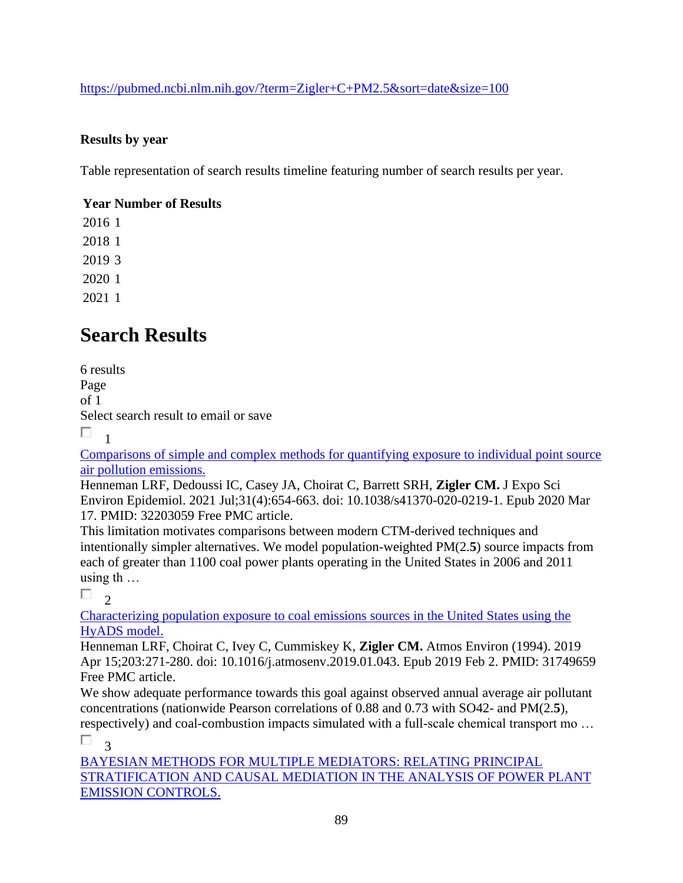<https://pubmed.ncbi.nlm.nih.gov/?term=Zigler+C+PM2.5&sort=date&size=100>

### **Results by year**

Table representation of search results timeline featuring number of search results per year.

### **Year Number of Results**

## **Search Results**

6 results Page of 1 Select search result to email or save П. 1

[Comparisons of simple and complex methods for quantifying exposure to individual point source](https://pubmed.ncbi.nlm.nih.gov/32203059/)  [air pollution emissions.](https://pubmed.ncbi.nlm.nih.gov/32203059/) 

Henneman LRF, Dedoussi IC, Casey JA, Choirat C, Barrett SRH, **Zigler CM.** J Expo Sci Environ Epidemiol. 2021 Jul;31(4):654-663. doi: 10.1038/s41370-020-0219-1. Epub 2020 Mar 17. PMID: 32203059 Free PMC article.

This limitation motivates comparisons between modern CTM-derived techniques and intentionally simpler alternatives. We model population-weighted PM(2.**5**) source impacts from each of greater than 1100 coal power plants operating in the United States in 2006 and 2011 using th …

 $\Box$ <sub>2</sub>

[Characterizing population exposure to coal emissions sources in the United States using the](https://pubmed.ncbi.nlm.nih.gov/31749659/)  [HyADS model.](https://pubmed.ncbi.nlm.nih.gov/31749659/) 

Henneman LRF, Choirat C, Ivey C, Cummiskey K, **Zigler CM.** Atmos Environ (1994). 2019 Apr 15;203:271-280. doi: 10.1016/j.atmosenv.2019.01.043. Epub 2019 Feb 2. PMID: 31749659 Free PMC article.

We show adequate performance towards this goal against observed annual average air pollutant concentrations (nationwide Pearson correlations of 0.88 and 0.73 with SO42- and PM(2.**5**), respectively) and coal-combustion impacts simulated with a full-scale chemical transport mo …

П 3

[BAYESIAN METHODS FOR MULTIPLE MEDIATORS: RELATING PRINCIPAL](https://pubmed.ncbi.nlm.nih.gov/31656548/)  [STRATIFICATION AND CAUSAL MEDIATION IN THE ANALYSIS OF POWER PLANT](https://pubmed.ncbi.nlm.nih.gov/31656548/)  [EMISSION CONTROLS.](https://pubmed.ncbi.nlm.nih.gov/31656548/)